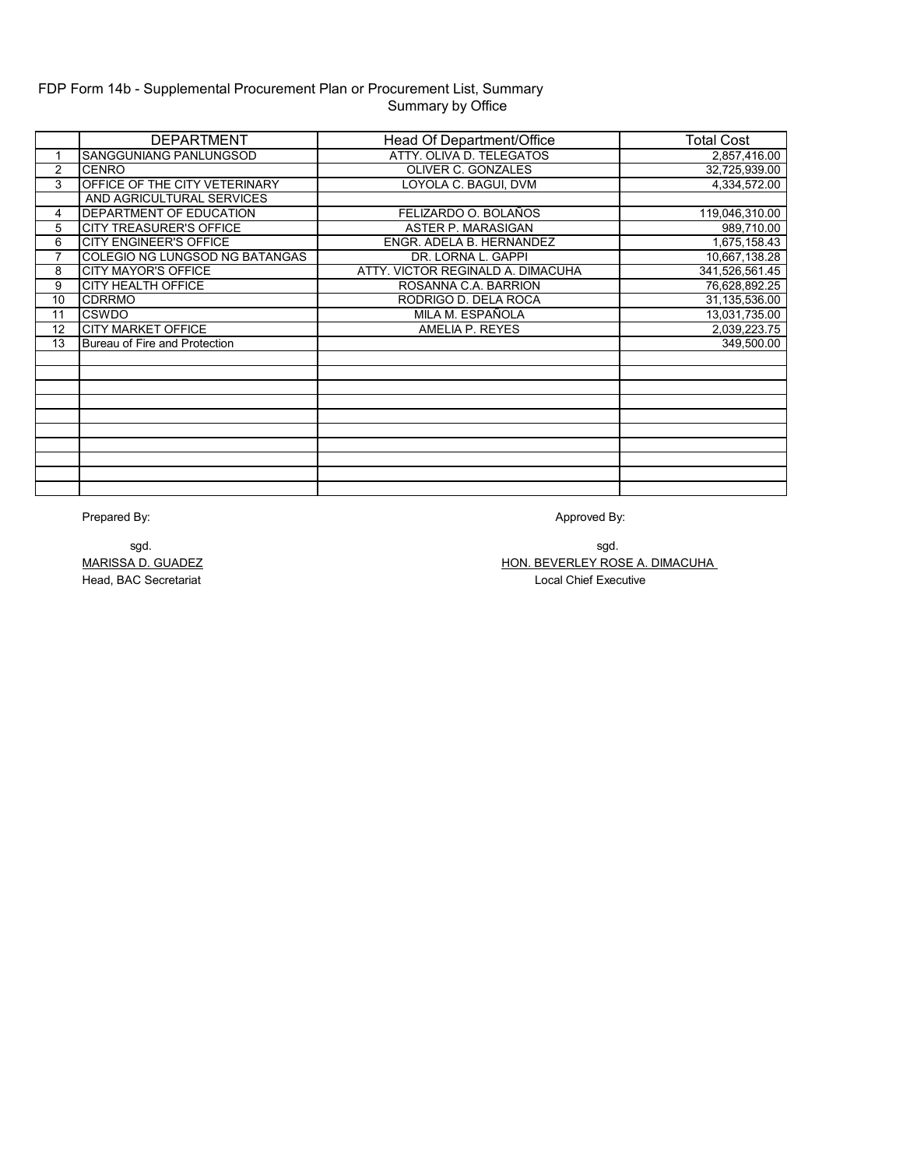# FDP Form 14b - Supplemental Procurement Plan or Procurement List, Summary Summary by Office

|    | <b>DEPARTMENT</b>              | Head Of Department/Office         | Total Cost     |
|----|--------------------------------|-----------------------------------|----------------|
|    | SANGGUNIANG PANLUNGSOD         | ATTY, OLIVA D. TELEGATOS          | 2,857,416.00   |
| 2  | <b>CENRO</b>                   | <b>OLIVER C. GONZALES</b>         | 32,725,939.00  |
| 3  | OFFICE OF THE CITY VETERINARY  | LOYOLA C. BAGUI, DVM              | 4,334,572.00   |
|    | AND AGRICULTURAL SERVICES      |                                   |                |
| 4  | DEPARTMENT OF EDUCATION        | FELIZARDO O. BOLAÑOS              | 119,046,310.00 |
| 5  | <b>CITY TREASURER'S OFFICE</b> | ASTER P. MARASIGAN                | 989,710.00     |
| 6  | <b>CITY ENGINEER'S OFFICE</b>  | ENGR. ADELA B. HERNANDEZ          | 1,675,158.43   |
| 7  | COLEGIO NG LUNGSOD NG BATANGAS | DR. LORNA L. GAPPI                | 10,667,138.28  |
| 8  | <b>CITY MAYOR'S OFFICE</b>     | ATTY, VICTOR REGINALD A. DIMACUHA | 341,526,561.45 |
| 9  | <b>CITY HEALTH OFFICE</b>      | ROSANNA C.A. BARRION              | 76,628,892.25  |
| 10 | <b>CDRRMO</b>                  | RODRIGO D. DELA ROCA              | 31,135,536.00  |
| 11 | CSWDO                          | MILA M. ESPAÑOLA                  | 13,031,735.00  |
| 12 | <b>CITY MARKET OFFICE</b>      | AMELIA P. REYES                   | 2,039,223.75   |
| 13 | Bureau of Fire and Protection  |                                   | 349,500.00     |
|    |                                |                                   |                |
|    |                                |                                   |                |
|    |                                |                                   |                |
|    |                                |                                   |                |
|    |                                |                                   |                |
|    |                                |                                   |                |
|    |                                |                                   |                |
|    |                                |                                   |                |
|    |                                |                                   |                |
|    |                                |                                   |                |

Prepared By:

Approved By:

MARISSA D. GUADEZ Head, BAC Secretariat

HON. BEVERLEY ROSE A. DIMACUHA Local Chief Executive sgd. sgd.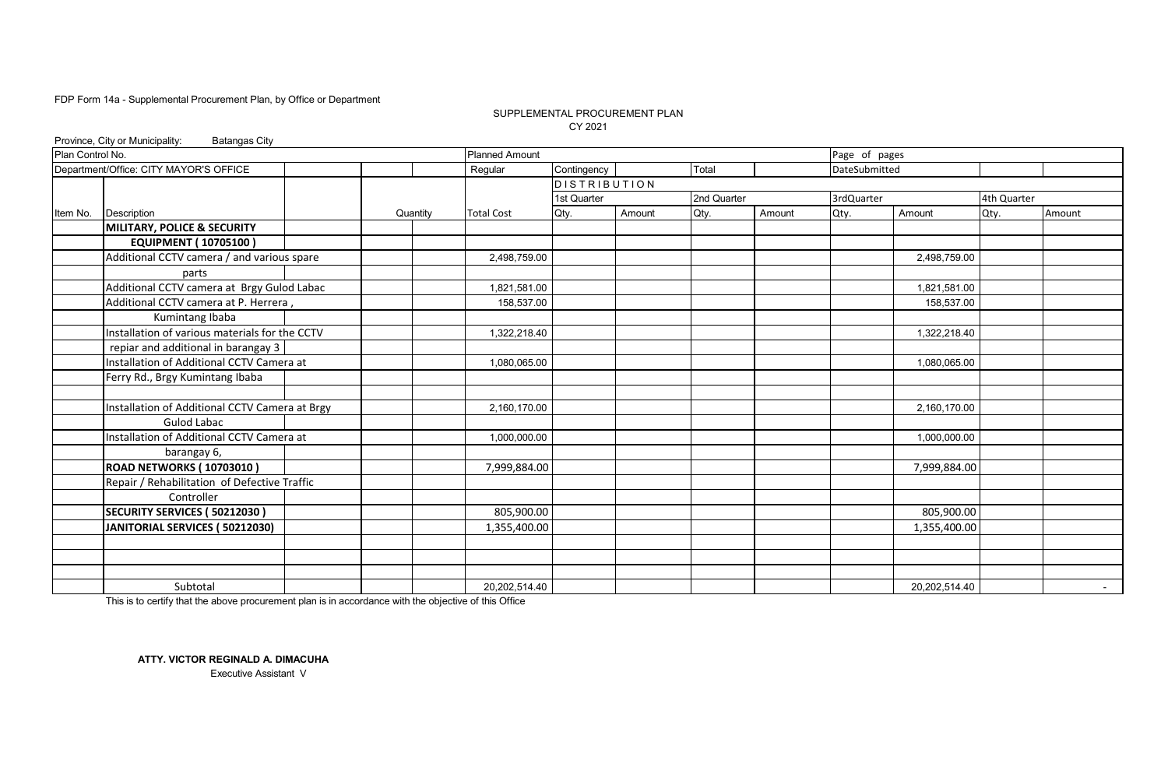#### SUPPLEMENTAL PROCUREMENT PLAN CY 2021

|                  | Province, City or Municipality:<br><b>Batangas City</b>           |  |          |                       |              |        |             |        |               |               |             |        |
|------------------|-------------------------------------------------------------------|--|----------|-----------------------|--------------|--------|-------------|--------|---------------|---------------|-------------|--------|
| Plan Control No. |                                                                   |  |          | <b>Planned Amount</b> |              |        |             |        | Page of pages |               |             |        |
|                  | Department/Office: CITY MAYOR'S OFFICE                            |  |          | Regular               | Contingency  |        | Total       |        | DateSubmitted |               |             |        |
|                  |                                                                   |  |          |                       | DISTRIBUTION |        |             |        |               |               |             |        |
|                  |                                                                   |  |          |                       | 1st Quarter  |        | 2nd Quarter |        | 3rdQuarter    |               | 4th Quarter |        |
| Item No.         | Description                                                       |  | Quantity | <b>Total Cost</b>     | Qty.         | Amount | Qty.        | Amount | Qty.          | Amount        | Qty.        | Amount |
|                  | <b>MILITARY, POLICE &amp; SECURITY</b>                            |  |          |                       |              |        |             |        |               |               |             |        |
|                  | <b>EQUIPMENT (10705100)</b>                                       |  |          |                       |              |        |             |        |               |               |             |        |
|                  | Additional CCTV camera / and various spare                        |  |          | 2,498,759.00          |              |        |             |        |               | 2,498,759.00  |             |        |
|                  | parts                                                             |  |          |                       |              |        |             |        |               |               |             |        |
|                  | Additional CCTV camera at Brgy Gulod Labac                        |  |          | 1,821,581.00          |              |        |             |        |               | 1,821,581.00  |             |        |
|                  | Additional CCTV camera at P. Herrera,                             |  |          | 158,537.00            |              |        |             |        |               | 158,537.00    |             |        |
|                  | Kumintang Ibaba<br>Installation of various materials for the CCTV |  |          |                       |              |        |             |        |               |               |             |        |
|                  |                                                                   |  |          | 1,322,218.40          |              |        |             |        |               | 1,322,218.40  |             |        |
|                  | replar and additional in barangay 3                               |  |          |                       |              |        |             |        |               |               |             |        |
|                  | Installation of Additional CCTV Camera at                         |  |          | 1,080,065.00          |              |        |             |        |               | 1,080,065.00  |             |        |
|                  | Ferry Rd., Brgy Kumintang Ibaba                                   |  |          |                       |              |        |             |        |               |               |             |        |
|                  |                                                                   |  |          |                       |              |        |             |        |               |               |             |        |
|                  | Installation of Additional CCTV Camera at Brgy                    |  |          | 2,160,170.00          |              |        |             |        |               | 2,160,170.00  |             |        |
|                  | <b>Gulod Labac</b>                                                |  |          |                       |              |        |             |        |               |               |             |        |
|                  | Installation of Additional CCTV Camera at                         |  |          | 1,000,000.00          |              |        |             |        |               | 1,000,000.00  |             |        |
|                  | barangay 6,                                                       |  |          |                       |              |        |             |        |               |               |             |        |
|                  | <b>ROAD NETWORKS (10703010)</b>                                   |  |          | 7,999,884.00          |              |        |             |        |               | 7,999,884.00  |             |        |
|                  | Repair / Rehabilitation of Defective Traffic                      |  |          |                       |              |        |             |        |               |               |             |        |
|                  | Controller                                                        |  |          |                       |              |        |             |        |               |               |             |        |
|                  | SECURITY SERVICES (50212030)                                      |  |          | 805,900.00            |              |        |             |        |               | 805,900.00    |             |        |
|                  | JANITORIAL SERVICES (50212030)                                    |  |          | 1,355,400.00          |              |        |             |        |               | 1,355,400.00  |             |        |
|                  |                                                                   |  |          |                       |              |        |             |        |               |               |             |        |
|                  |                                                                   |  |          |                       |              |        |             |        |               |               |             |        |
|                  |                                                                   |  |          |                       |              |        |             |        |               |               |             |        |
|                  | Subtotal                                                          |  |          | 20,202,514.40         |              |        |             |        |               | 20,202,514.40 |             | $\sim$ |

This is to certify that the above procurement plan is in accordance with the objective of this Office

**ATTY. VICTOR REGINALD A. DIMACUHA**

Executive Assistant V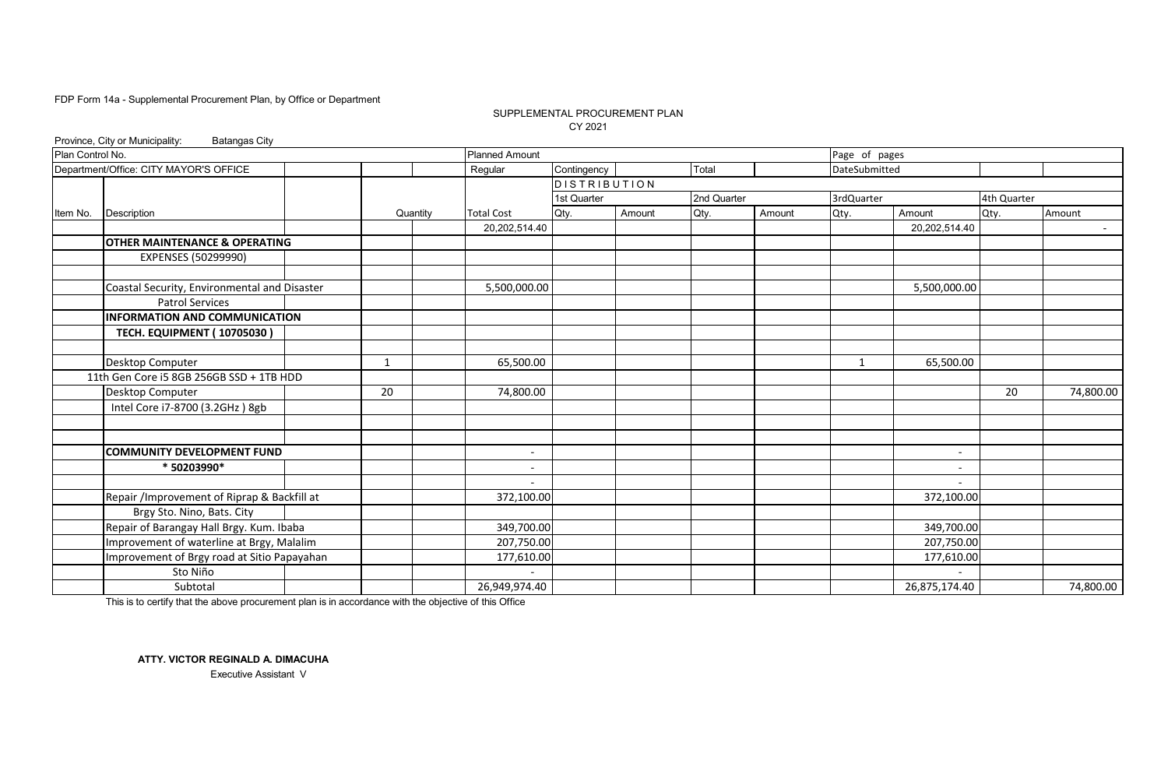#### SUPPLEMENTAL PROCUREMENT PLAN CY 2021

|                  | Province, City or Municipality:<br><b>Batangas City</b> |  |              |          |                       |             |                 |             |        |               |                          |             |            |
|------------------|---------------------------------------------------------|--|--------------|----------|-----------------------|-------------|-----------------|-------------|--------|---------------|--------------------------|-------------|------------|
| Plan Control No. |                                                         |  |              |          | <b>Planned Amount</b> |             |                 |             |        | Page of pages |                          |             |            |
|                  | Department/Office: CITY MAYOR'S OFFICE                  |  |              |          | Regular               | Contingency |                 | Total       |        | DateSubmitted |                          |             |            |
|                  |                                                         |  |              |          |                       |             | $D$ ISTRIBUTION |             |        |               |                          |             |            |
|                  |                                                         |  |              |          |                       | 1st Quarter |                 | 2nd Quarter |        | 3rdQuarter    |                          | 4th Quarter |            |
| Item No.         | Description                                             |  |              | Quantity | <b>Total Cost</b>     | Qty.        | Amount          | Qty.        | Amount | Qty.          | Amount                   | Qty.        | Amount     |
|                  |                                                         |  |              |          | 20,202,514.40         |             |                 |             |        |               | 20,202,514.40            |             | $\sim 100$ |
|                  | <b>OTHER MAINTENANCE &amp; OPERATING</b>                |  |              |          |                       |             |                 |             |        |               |                          |             |            |
|                  | EXPENSES (50299990)                                     |  |              |          |                       |             |                 |             |        |               |                          |             |            |
|                  | Coastal Security, Environmental and Disaster            |  |              |          | 5,500,000.00          |             |                 |             |        |               | 5,500,000.00             |             |            |
|                  | <b>Patrol Services</b>                                  |  |              |          |                       |             |                 |             |        |               |                          |             |            |
|                  | <b>INFORMATION AND COMMUNICATION</b>                    |  |              |          |                       |             |                 |             |        |               |                          |             |            |
|                  | <b>TECH. EQUIPMENT (10705030)</b>                       |  |              |          |                       |             |                 |             |        |               |                          |             |            |
|                  |                                                         |  |              |          |                       |             |                 |             |        |               |                          |             |            |
|                  | Desktop Computer                                        |  | $\mathbf{1}$ |          | 65,500.00             |             |                 |             |        | 1             | 65,500.00                |             |            |
|                  | 11th Gen Core i5 8GB 256GB SSD + 1TB HDD                |  |              |          |                       |             |                 |             |        |               |                          |             |            |
|                  | Desktop Computer                                        |  | 20           |          | 74,800.00             |             |                 |             |        |               |                          | 20          | 74,800.00  |
|                  | Intel Core i7-8700 (3.2GHz) 8gb                         |  |              |          |                       |             |                 |             |        |               |                          |             |            |
|                  |                                                         |  |              |          |                       |             |                 |             |        |               |                          |             |            |
|                  |                                                         |  |              |          |                       |             |                 |             |        |               |                          |             |            |
|                  | <b>COMMUNITY DEVELOPMENT FUND</b>                       |  |              |          |                       |             |                 |             |        |               | $\overline{\phantom{a}}$ |             |            |
|                  | * 50203990*                                             |  |              |          |                       |             |                 |             |        |               |                          |             |            |
|                  |                                                         |  |              |          |                       |             |                 |             |        |               |                          |             |            |
|                  | Repair /Improvement of Riprap & Backfill at             |  |              |          | 372,100.00            |             |                 |             |        |               | 372,100.00               |             |            |
|                  | Brgy Sto. Nino, Bats. City                              |  |              |          |                       |             |                 |             |        |               |                          |             |            |
|                  | Repair of Barangay Hall Brgy. Kum. Ibaba                |  |              |          | 349,700.00            |             |                 |             |        |               | 349,700.00               |             |            |
|                  | Improvement of waterline at Brgy, Malalim               |  |              |          | 207,750.00            |             |                 |             |        |               | 207,750.00               |             |            |
|                  | Improvement of Brgy road at Sitio Papayahan             |  |              |          | 177,610.00            |             |                 |             |        |               | 177,610.00               |             |            |
|                  | Sto Niño                                                |  |              |          |                       |             |                 |             |        |               |                          |             |            |
|                  | Subtotal                                                |  |              |          | 26,949,974.40         |             |                 |             |        |               | 26,875,174.40            |             | 74,800.00  |

This is to certify that the above procurement plan is in accordance with the objective of this Office

**ATTY. VICTOR REGINALD A. DIMACUHA** Executive Assistant V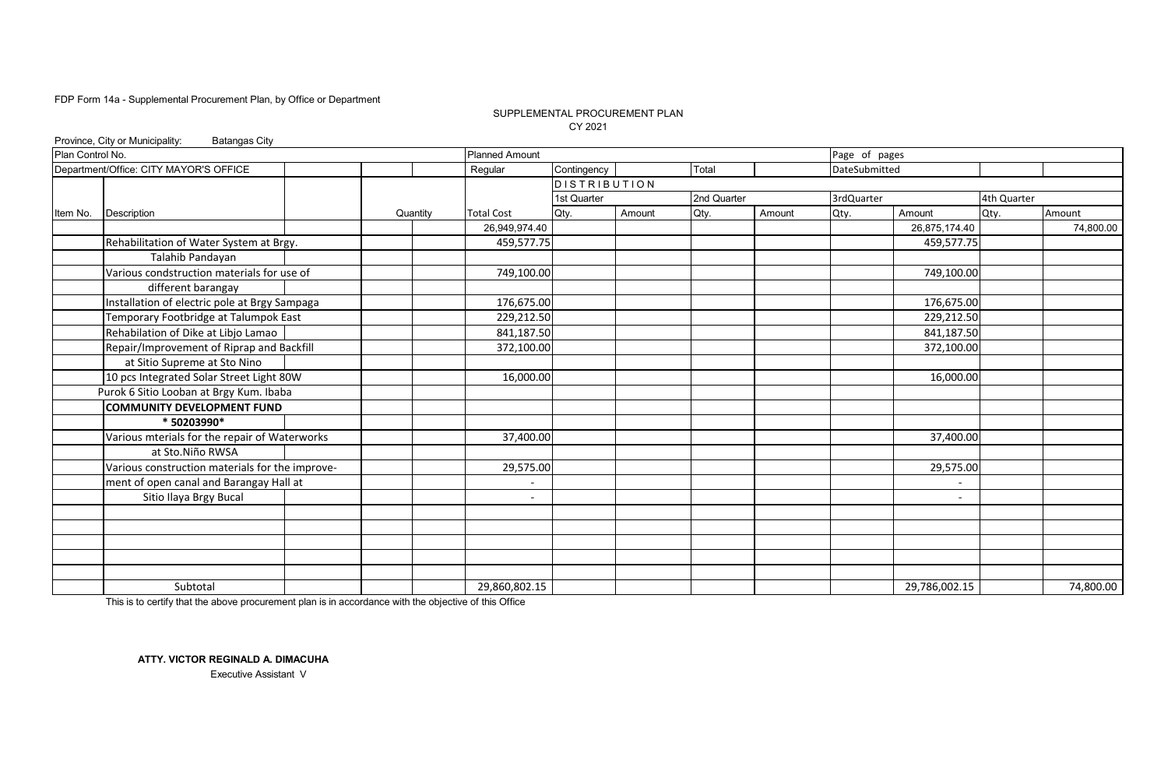#### CY 2021 SUPPLEMENTAL PROCUREMENT PLAN

|                  | Province, City or Municipality:<br><b>Batangas City</b> |          |                       |              |        |             |        |               |                          |             |           |
|------------------|---------------------------------------------------------|----------|-----------------------|--------------|--------|-------------|--------|---------------|--------------------------|-------------|-----------|
| Plan Control No. |                                                         |          | <b>Planned Amount</b> |              |        |             |        | Page of pages |                          |             |           |
|                  | Department/Office: CITY MAYOR'S OFFICE                  |          | Regular               | Contingency  |        | Total       |        | DateSubmitted |                          |             |           |
|                  |                                                         |          |                       | DISTRIBUTION |        |             |        |               |                          |             |           |
|                  |                                                         |          |                       | 1st Quarter  |        | 2nd Quarter |        | 3rdQuarter    |                          | 4th Quarter |           |
| Item No.         | Description                                             | Quantity | <b>Total Cost</b>     | Qty.         | Amount | Qty.        | Amount | Qty.          | Amount                   | Qty.        | Amount    |
|                  |                                                         |          | 26,949,974.40         |              |        |             |        |               | 26,875,174.40            |             | 74,800.00 |
|                  | Rehabilitation of Water System at Brgy.                 |          | 459,577.75            |              |        |             |        |               | 459,577.75               |             |           |
|                  | Talahib Pandayan                                        |          |                       |              |        |             |        |               |                          |             |           |
|                  | Various condstruction materials for use of              |          | 749,100.00            |              |        |             |        |               | 749,100.00               |             |           |
|                  | different barangay                                      |          |                       |              |        |             |        |               |                          |             |           |
|                  | Installation of electric pole at Brgy Sampaga           |          | 176,675.00            |              |        |             |        |               | 176,675.00               |             |           |
|                  | Temporary Footbridge at Talumpok East                   |          | 229,212.50            |              |        |             |        |               | 229,212.50               |             |           |
|                  | Rehabilation of Dike at Libjo Lamao                     |          | 841,187.50            |              |        |             |        |               | 841,187.50               |             |           |
|                  | Repair/Improvement of Riprap and Backfill               |          | 372,100.00            |              |        |             |        |               | 372,100.00               |             |           |
|                  | at Sitio Supreme at Sto Nino                            |          |                       |              |        |             |        |               |                          |             |           |
|                  | 10 pcs Integrated Solar Street Light 80W                |          | 16,000.00             |              |        |             |        |               | 16.000.00                |             |           |
|                  | Purok 6 Sitio Looban at Brgy Kum. Ibaba                 |          |                       |              |        |             |        |               |                          |             |           |
|                  | <b>COMMUNITY DEVELOPMENT FUND</b>                       |          |                       |              |        |             |        |               |                          |             |           |
|                  | * 50203990*                                             |          |                       |              |        |             |        |               |                          |             |           |
|                  | Various mterials for the repair of Waterworks           |          | 37,400.00             |              |        |             |        |               | 37,400.00                |             |           |
|                  | at Sto.Niño RWSA                                        |          |                       |              |        |             |        |               |                          |             |           |
|                  | Various construction materials for the improve-         |          | 29,575.00             |              |        |             |        |               | 29,575.00                |             |           |
|                  | ment of open canal and Barangay Hall at                 |          |                       |              |        |             |        |               |                          |             |           |
|                  | Sitio Ilaya Brgy Bucal                                  |          |                       |              |        |             |        |               | $\overline{\phantom{a}}$ |             |           |
|                  |                                                         |          |                       |              |        |             |        |               |                          |             |           |
|                  |                                                         |          |                       |              |        |             |        |               |                          |             |           |
|                  |                                                         |          |                       |              |        |             |        |               |                          |             |           |
|                  |                                                         |          |                       |              |        |             |        |               |                          |             |           |
|                  |                                                         |          |                       |              |        |             |        |               |                          |             |           |
|                  | Subtotal                                                |          | 29,860,802.15         |              |        |             |        |               | 29,786,002.15            |             | 74,800.00 |

This is to certify that the above procurement plan is in accordance with the objective of this Office

**ATTY. VICTOR REGINALD A. DIMACUHA** Executive Assistant V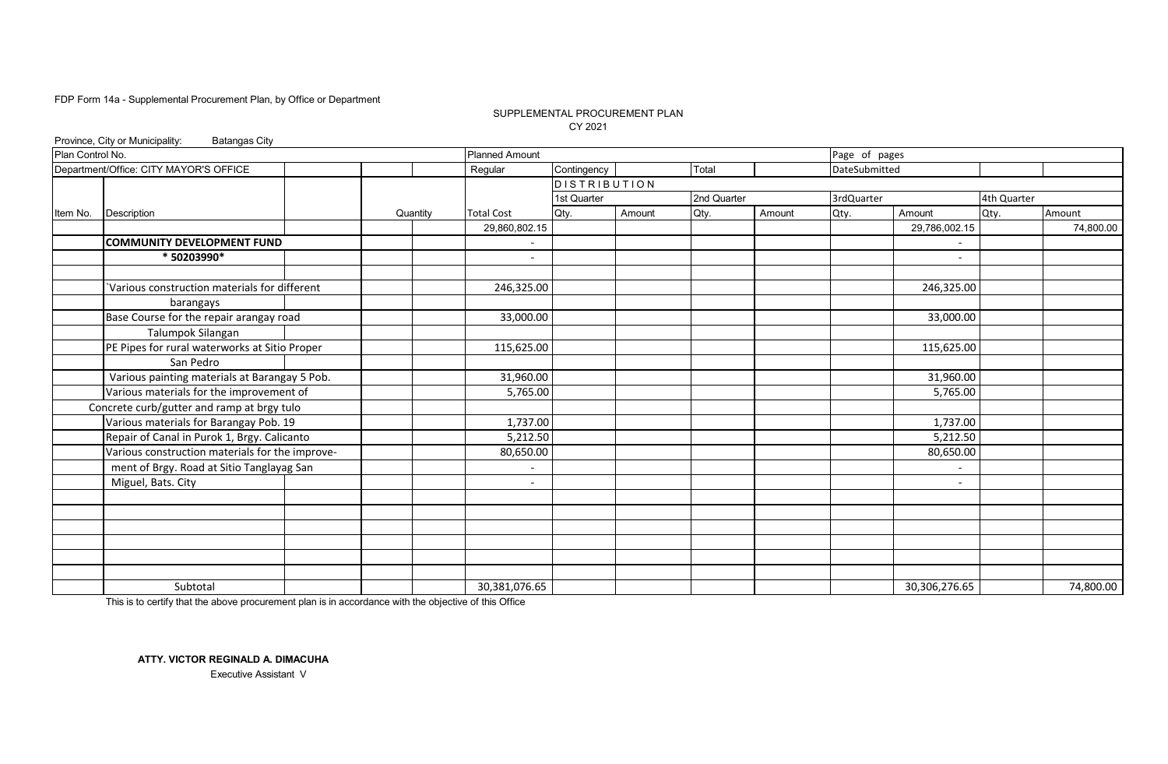#### SUPPLEMENTAL PROCUREMENT PLAN CY 2021

|                  | Province, City or Municipality:<br><b>Batangas City</b> |          |                          |                     |        |             |        |               |                          |             |           |
|------------------|---------------------------------------------------------|----------|--------------------------|---------------------|--------|-------------|--------|---------------|--------------------------|-------------|-----------|
| Plan Control No. |                                                         |          | <b>Planned Amount</b>    |                     |        |             |        | Page of pages |                          |             |           |
|                  | Department/Office: CITY MAYOR'S OFFICE                  |          | Regular                  | Contingency         |        | Total       |        | DateSubmitted |                          |             |           |
|                  |                                                         |          |                          | <b>DISTRIBUTION</b> |        |             |        |               |                          |             |           |
|                  |                                                         |          |                          | 1st Quarter         |        | 2nd Quarter |        | 3rdQuarter    |                          | 4th Quarter |           |
| Item No.         | Description                                             | Quantity | <b>Total Cost</b>        | Qty.                | Amount | Qty.        | Amount | Qty.          | Amount                   | Qty.        | Amount    |
|                  |                                                         |          | 29,860,802.15            |                     |        |             |        |               | 29,786,002.15            |             | 74,800.00 |
|                  | <b>COMMUNITY DEVELOPMENT FUND</b>                       |          |                          |                     |        |             |        |               |                          |             |           |
|                  | * 50203990*                                             |          | $\overline{\phantom{a}}$ |                     |        |             |        |               | $\overline{\phantom{a}}$ |             |           |
|                  | Various construction materials for different            |          | 246,325.00               |                     |        |             |        |               | 246,325.00               |             |           |
|                  | barangays                                               |          |                          |                     |        |             |        |               |                          |             |           |
|                  | Base Course for the repair arangay road                 |          | 33,000.00                |                     |        |             |        |               | 33,000.00                |             |           |
|                  | Talumpok Silangan                                       |          |                          |                     |        |             |        |               |                          |             |           |
|                  | PE Pipes for rural waterworks at Sitio Proper           |          | 115,625.00               |                     |        |             |        |               | 115,625.00               |             |           |
|                  | San Pedro                                               |          |                          |                     |        |             |        |               |                          |             |           |
|                  | Various painting materials at Barangay 5 Pob.           |          | 31,960.00                |                     |        |             |        |               | 31,960.00                |             |           |
|                  | Various materials for the improvement of                |          | 5,765.00                 |                     |        |             |        |               | 5,765.00                 |             |           |
|                  | Concrete curb/gutter and ramp at brgy tulo              |          |                          |                     |        |             |        |               |                          |             |           |
|                  | Various materials for Barangay Pob. 19                  |          | 1,737.00                 |                     |        |             |        |               | 1,737.00                 |             |           |
|                  | Repair of Canal in Purok 1, Brgy. Calicanto             |          | 5,212.50                 |                     |        |             |        |               | 5,212.50                 |             |           |
|                  | Various construction materials for the improve-         |          | 80,650.00                |                     |        |             |        |               | 80,650.00                |             |           |
|                  | ment of Brgy. Road at Sitio Tanglayag San               |          | $\overline{\phantom{a}}$ |                     |        |             |        |               |                          |             |           |
|                  | Miguel, Bats. City                                      |          | $\overline{\phantom{0}}$ |                     |        |             |        |               |                          |             |           |
|                  |                                                         |          |                          |                     |        |             |        |               |                          |             |           |
|                  |                                                         |          |                          |                     |        |             |        |               |                          |             |           |
|                  |                                                         |          |                          |                     |        |             |        |               |                          |             |           |
|                  |                                                         |          |                          |                     |        |             |        |               |                          |             |           |
|                  |                                                         |          |                          |                     |        |             |        |               |                          |             |           |
|                  | Subtotal                                                |          | 30,381,076.65            |                     |        |             |        |               | 30,306,276.65            |             | 74,800.00 |

This is to certify that the above procurement plan is in accordance with the objective of this Office

**ATTY. VICTOR REGINALD A. DIMACUHA** Executive Assistant V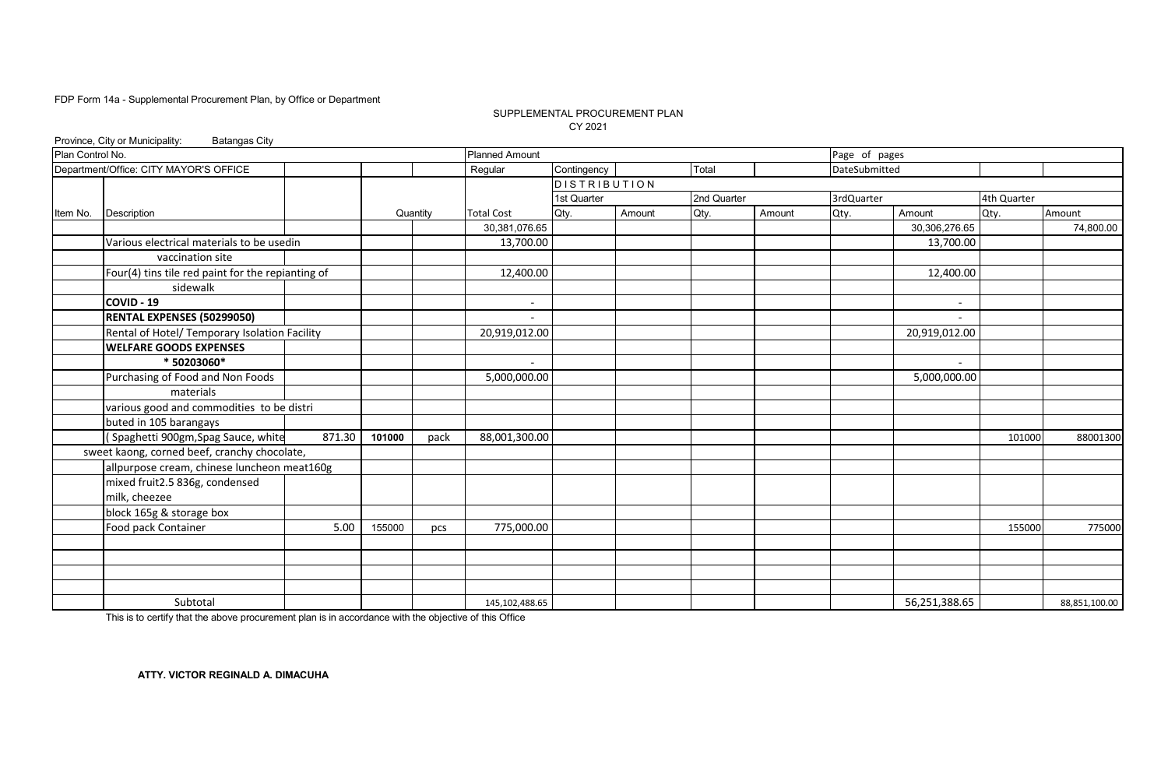#### SUPPLEMENTAL PROCUREMENT PLAN CY 2021

| Plan Control No.<br><b>Planned Amount</b><br>Page of pages<br>Department/Office: CITY MAYOR'S OFFICE<br>Contingency<br>Regular<br>Total<br>DateSubmitted<br><b>DISTRIBUTION</b><br>1st Quarter<br>2nd Quarter<br>3rdQuarter<br>4th Quarter<br>Qty.<br>Amount<br>Amount<br>Qty.<br>Amount<br>Qty.<br>Amount<br><b>Total Cost</b><br>Qty.<br>Description<br>Quantity<br>30,306,276.65<br>30,381,076.65<br>13,700.00<br>13,700.00<br>Various electrical materials to be usedin<br>vaccination site<br>Four(4) tins tile red paint for the repianting of<br>12,400.00<br>12,400.00<br>sidewalk<br>COVID - 19<br>$\overline{\phantom{a}}$<br>$\overline{\phantom{a}}$<br>RENTAL EXPENSES (50299050)<br>Rental of Hotel/ Temporary Isolation Facility<br>20,919,012.00<br>20,919,012.00<br><b>WELFARE GOODS EXPENSES</b><br>* 50203060*<br>$\overline{a}$<br>Purchasing of Food and Non Foods<br>5,000,000.00<br>5,000,000.00<br>materials<br>various good and commodities to be distri<br>buted in 105 barangays<br>(Spaghetti 900gm, Spag Sauce, white<br>871.30<br>101000<br>88,001,300.00<br>pack<br>101000<br>sweet kaong, corned beef, cranchy chocolate,<br>allpurpose cream, chinese luncheon meat160g<br>mixed fruit2.5 836g, condensed<br>milk, cheezee<br>block 165g & storage box<br>Food pack Container<br>775,000.00<br>5.00<br>155000<br>155000<br>pcs<br>Subtotal<br>56,251,388.65<br>145, 102, 488.65<br>88,851,100.00 |          | Province, City or Municipality:<br><b>Batangas City</b> |  |  |  |  |  |  |
|-----------------------------------------------------------------------------------------------------------------------------------------------------------------------------------------------------------------------------------------------------------------------------------------------------------------------------------------------------------------------------------------------------------------------------------------------------------------------------------------------------------------------------------------------------------------------------------------------------------------------------------------------------------------------------------------------------------------------------------------------------------------------------------------------------------------------------------------------------------------------------------------------------------------------------------------------------------------------------------------------------------------------------------------------------------------------------------------------------------------------------------------------------------------------------------------------------------------------------------------------------------------------------------------------------------------------------------------------------------------------------------------------------------------------------------|----------|---------------------------------------------------------|--|--|--|--|--|--|
| 74,800.00<br>88001300<br>775000                                                                                                                                                                                                                                                                                                                                                                                                                                                                                                                                                                                                                                                                                                                                                                                                                                                                                                                                                                                                                                                                                                                                                                                                                                                                                                                                                                                                   |          |                                                         |  |  |  |  |  |  |
|                                                                                                                                                                                                                                                                                                                                                                                                                                                                                                                                                                                                                                                                                                                                                                                                                                                                                                                                                                                                                                                                                                                                                                                                                                                                                                                                                                                                                                   |          |                                                         |  |  |  |  |  |  |
|                                                                                                                                                                                                                                                                                                                                                                                                                                                                                                                                                                                                                                                                                                                                                                                                                                                                                                                                                                                                                                                                                                                                                                                                                                                                                                                                                                                                                                   |          |                                                         |  |  |  |  |  |  |
|                                                                                                                                                                                                                                                                                                                                                                                                                                                                                                                                                                                                                                                                                                                                                                                                                                                                                                                                                                                                                                                                                                                                                                                                                                                                                                                                                                                                                                   |          |                                                         |  |  |  |  |  |  |
|                                                                                                                                                                                                                                                                                                                                                                                                                                                                                                                                                                                                                                                                                                                                                                                                                                                                                                                                                                                                                                                                                                                                                                                                                                                                                                                                                                                                                                   | Item No. |                                                         |  |  |  |  |  |  |
|                                                                                                                                                                                                                                                                                                                                                                                                                                                                                                                                                                                                                                                                                                                                                                                                                                                                                                                                                                                                                                                                                                                                                                                                                                                                                                                                                                                                                                   |          |                                                         |  |  |  |  |  |  |
|                                                                                                                                                                                                                                                                                                                                                                                                                                                                                                                                                                                                                                                                                                                                                                                                                                                                                                                                                                                                                                                                                                                                                                                                                                                                                                                                                                                                                                   |          |                                                         |  |  |  |  |  |  |
|                                                                                                                                                                                                                                                                                                                                                                                                                                                                                                                                                                                                                                                                                                                                                                                                                                                                                                                                                                                                                                                                                                                                                                                                                                                                                                                                                                                                                                   |          |                                                         |  |  |  |  |  |  |
|                                                                                                                                                                                                                                                                                                                                                                                                                                                                                                                                                                                                                                                                                                                                                                                                                                                                                                                                                                                                                                                                                                                                                                                                                                                                                                                                                                                                                                   |          |                                                         |  |  |  |  |  |  |
|                                                                                                                                                                                                                                                                                                                                                                                                                                                                                                                                                                                                                                                                                                                                                                                                                                                                                                                                                                                                                                                                                                                                                                                                                                                                                                                                                                                                                                   |          |                                                         |  |  |  |  |  |  |
|                                                                                                                                                                                                                                                                                                                                                                                                                                                                                                                                                                                                                                                                                                                                                                                                                                                                                                                                                                                                                                                                                                                                                                                                                                                                                                                                                                                                                                   |          |                                                         |  |  |  |  |  |  |
|                                                                                                                                                                                                                                                                                                                                                                                                                                                                                                                                                                                                                                                                                                                                                                                                                                                                                                                                                                                                                                                                                                                                                                                                                                                                                                                                                                                                                                   |          |                                                         |  |  |  |  |  |  |
|                                                                                                                                                                                                                                                                                                                                                                                                                                                                                                                                                                                                                                                                                                                                                                                                                                                                                                                                                                                                                                                                                                                                                                                                                                                                                                                                                                                                                                   |          |                                                         |  |  |  |  |  |  |
|                                                                                                                                                                                                                                                                                                                                                                                                                                                                                                                                                                                                                                                                                                                                                                                                                                                                                                                                                                                                                                                                                                                                                                                                                                                                                                                                                                                                                                   |          |                                                         |  |  |  |  |  |  |
|                                                                                                                                                                                                                                                                                                                                                                                                                                                                                                                                                                                                                                                                                                                                                                                                                                                                                                                                                                                                                                                                                                                                                                                                                                                                                                                                                                                                                                   |          |                                                         |  |  |  |  |  |  |
|                                                                                                                                                                                                                                                                                                                                                                                                                                                                                                                                                                                                                                                                                                                                                                                                                                                                                                                                                                                                                                                                                                                                                                                                                                                                                                                                                                                                                                   |          |                                                         |  |  |  |  |  |  |
|                                                                                                                                                                                                                                                                                                                                                                                                                                                                                                                                                                                                                                                                                                                                                                                                                                                                                                                                                                                                                                                                                                                                                                                                                                                                                                                                                                                                                                   |          |                                                         |  |  |  |  |  |  |
|                                                                                                                                                                                                                                                                                                                                                                                                                                                                                                                                                                                                                                                                                                                                                                                                                                                                                                                                                                                                                                                                                                                                                                                                                                                                                                                                                                                                                                   |          |                                                         |  |  |  |  |  |  |
|                                                                                                                                                                                                                                                                                                                                                                                                                                                                                                                                                                                                                                                                                                                                                                                                                                                                                                                                                                                                                                                                                                                                                                                                                                                                                                                                                                                                                                   |          |                                                         |  |  |  |  |  |  |
|                                                                                                                                                                                                                                                                                                                                                                                                                                                                                                                                                                                                                                                                                                                                                                                                                                                                                                                                                                                                                                                                                                                                                                                                                                                                                                                                                                                                                                   |          |                                                         |  |  |  |  |  |  |
|                                                                                                                                                                                                                                                                                                                                                                                                                                                                                                                                                                                                                                                                                                                                                                                                                                                                                                                                                                                                                                                                                                                                                                                                                                                                                                                                                                                                                                   |          |                                                         |  |  |  |  |  |  |
|                                                                                                                                                                                                                                                                                                                                                                                                                                                                                                                                                                                                                                                                                                                                                                                                                                                                                                                                                                                                                                                                                                                                                                                                                                                                                                                                                                                                                                   |          |                                                         |  |  |  |  |  |  |
|                                                                                                                                                                                                                                                                                                                                                                                                                                                                                                                                                                                                                                                                                                                                                                                                                                                                                                                                                                                                                                                                                                                                                                                                                                                                                                                                                                                                                                   |          |                                                         |  |  |  |  |  |  |
|                                                                                                                                                                                                                                                                                                                                                                                                                                                                                                                                                                                                                                                                                                                                                                                                                                                                                                                                                                                                                                                                                                                                                                                                                                                                                                                                                                                                                                   |          |                                                         |  |  |  |  |  |  |
|                                                                                                                                                                                                                                                                                                                                                                                                                                                                                                                                                                                                                                                                                                                                                                                                                                                                                                                                                                                                                                                                                                                                                                                                                                                                                                                                                                                                                                   |          |                                                         |  |  |  |  |  |  |
|                                                                                                                                                                                                                                                                                                                                                                                                                                                                                                                                                                                                                                                                                                                                                                                                                                                                                                                                                                                                                                                                                                                                                                                                                                                                                                                                                                                                                                   |          |                                                         |  |  |  |  |  |  |
|                                                                                                                                                                                                                                                                                                                                                                                                                                                                                                                                                                                                                                                                                                                                                                                                                                                                                                                                                                                                                                                                                                                                                                                                                                                                                                                                                                                                                                   |          |                                                         |  |  |  |  |  |  |
|                                                                                                                                                                                                                                                                                                                                                                                                                                                                                                                                                                                                                                                                                                                                                                                                                                                                                                                                                                                                                                                                                                                                                                                                                                                                                                                                                                                                                                   |          |                                                         |  |  |  |  |  |  |
|                                                                                                                                                                                                                                                                                                                                                                                                                                                                                                                                                                                                                                                                                                                                                                                                                                                                                                                                                                                                                                                                                                                                                                                                                                                                                                                                                                                                                                   |          |                                                         |  |  |  |  |  |  |
|                                                                                                                                                                                                                                                                                                                                                                                                                                                                                                                                                                                                                                                                                                                                                                                                                                                                                                                                                                                                                                                                                                                                                                                                                                                                                                                                                                                                                                   |          |                                                         |  |  |  |  |  |  |
|                                                                                                                                                                                                                                                                                                                                                                                                                                                                                                                                                                                                                                                                                                                                                                                                                                                                                                                                                                                                                                                                                                                                                                                                                                                                                                                                                                                                                                   |          |                                                         |  |  |  |  |  |  |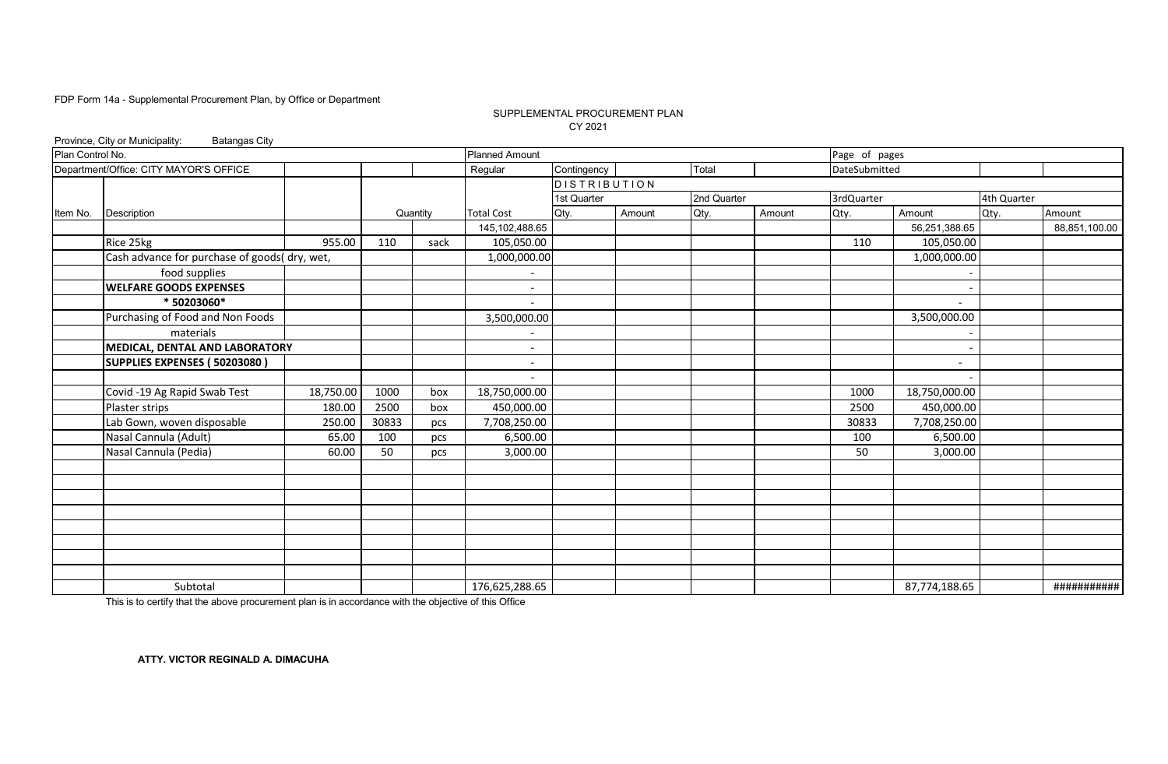#### SUPPLEMENTAL PROCUREMENT PLAN CY 2021

|                  | Province, City or Municipality:<br><b>Batangas City</b> |           |       |          |                              |                     |        |             |        |               |                          |             |               |
|------------------|---------------------------------------------------------|-----------|-------|----------|------------------------------|---------------------|--------|-------------|--------|---------------|--------------------------|-------------|---------------|
| Plan Control No. |                                                         |           |       |          | <b>Planned Amount</b>        |                     |        |             |        | Page of pages |                          |             |               |
|                  | Department/Office: CITY MAYOR'S OFFICE                  |           |       |          | Regular                      | Contingency         |        | Total       |        | DateSubmitted |                          |             |               |
|                  |                                                         |           |       |          |                              | <b>DISTRIBUTION</b> |        |             |        |               |                          |             |               |
|                  |                                                         |           |       |          |                              | 1st Quarter         |        | 2nd Quarter |        | 3rdQuarter    |                          | 4th Quarter |               |
| Item No.         | Description                                             |           |       | Quantity | <b>Total Cost</b>            | Qty.                | Amount | Qty.        | Amount | Qty.          | Amount                   | Qty.        | Amount        |
|                  |                                                         |           |       |          | 145, 102, 488.65             |                     |        |             |        |               | 56,251,388.65            |             | 88,851,100.00 |
|                  | Rice 25kg                                               | 955.00    | 110   | sack     | 105,050.00                   |                     |        |             |        | 110           | 105,050.00               |             |               |
|                  | Cash advance for purchase of goods( dry, wet,           |           |       |          | 1,000,000.00                 |                     |        |             |        |               | 1,000,000.00             |             |               |
|                  | food supplies                                           |           |       |          |                              |                     |        |             |        |               |                          |             |               |
|                  | <b>WELFARE GOODS EXPENSES</b>                           |           |       |          | $\overline{\phantom{a}}$     |                     |        |             |        |               |                          |             |               |
|                  | * 50203060*                                             |           |       |          | $\overline{\phantom{a}}$     |                     |        |             |        |               | $\overline{\phantom{0}}$ |             |               |
|                  | Purchasing of Food and Non Foods                        |           |       |          | 3,500,000.00                 |                     |        |             |        |               | 3,500,000.00             |             |               |
|                  | materials                                               |           |       |          | $\overline{\phantom{a}}$     |                     |        |             |        |               |                          |             |               |
|                  | MEDICAL, DENTAL AND LABORATORY                          |           |       |          | $\overline{\phantom{a}}$     |                     |        |             |        |               |                          |             |               |
|                  | SUPPLIES EXPENSES (50203080)                            |           |       |          | $\qquad \qquad \blacksquare$ |                     |        |             |        |               |                          |             |               |
|                  |                                                         |           |       |          | $\overline{\phantom{a}}$     |                     |        |             |        |               |                          |             |               |
|                  | Covid -19 Ag Rapid Swab Test                            | 18,750.00 | 1000  | box      | 18,750,000.00                |                     |        |             |        | 1000          | 18,750,000.00            |             |               |
|                  | Plaster strips                                          | 180.00    | 2500  | box      | 450,000.00                   |                     |        |             |        | 2500          | 450,000.00               |             |               |
|                  | Lab Gown, woven disposable                              | 250.00    | 30833 | pcs      | 7,708,250.00                 |                     |        |             |        | 30833         | 7,708,250.00             |             |               |
|                  | Nasal Cannula (Adult)                                   | 65.00     | 100   | pcs      | 6,500.00                     |                     |        |             |        | 100           | 6,500.00                 |             |               |
|                  | Nasal Cannula (Pedia)                                   | 60.00     | 50    | pcs      | 3,000.00                     |                     |        |             |        | 50            | 3,000.00                 |             |               |
|                  |                                                         |           |       |          |                              |                     |        |             |        |               |                          |             |               |
|                  |                                                         |           |       |          |                              |                     |        |             |        |               |                          |             |               |
|                  |                                                         |           |       |          |                              |                     |        |             |        |               |                          |             |               |
|                  |                                                         |           |       |          |                              |                     |        |             |        |               |                          |             |               |
|                  |                                                         |           |       |          |                              |                     |        |             |        |               |                          |             |               |
|                  |                                                         |           |       |          |                              |                     |        |             |        |               |                          |             |               |
|                  |                                                         |           |       |          |                              |                     |        |             |        |               |                          |             |               |
|                  |                                                         |           |       |          |                              |                     |        |             |        |               |                          |             |               |
|                  | Subtotal                                                |           |       |          | 176,625,288.65               |                     |        |             |        |               | 87,774,188.65            |             | ###########   |

This is to certify that the above procurement plan is in accordance with the objective of this Office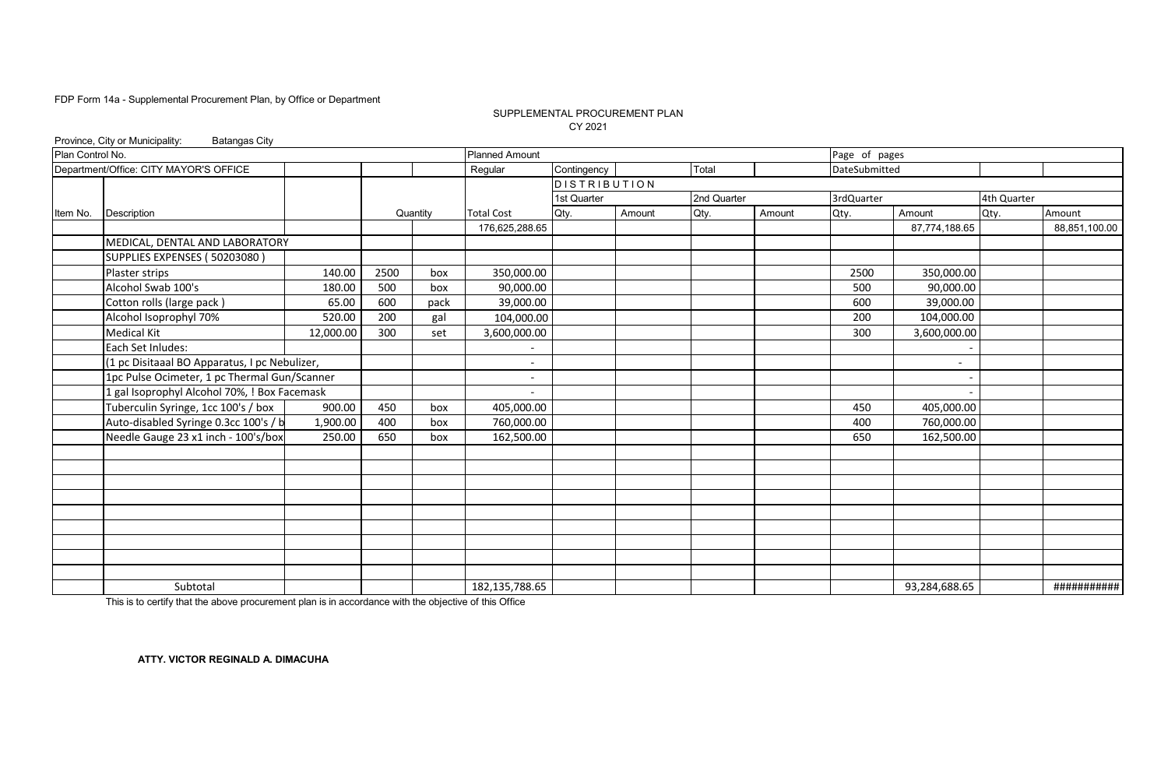#### SUPPLEMENTAL PROCUREMENT PLAN CY 2021

|                  | Province, City or Municipality:<br><b>Batangas City</b> |           |      |          |                       |              |        |             |        |               |               |             |               |
|------------------|---------------------------------------------------------|-----------|------|----------|-----------------------|--------------|--------|-------------|--------|---------------|---------------|-------------|---------------|
| Plan Control No. |                                                         |           |      |          | <b>Planned Amount</b> |              |        |             |        | Page of pages |               |             |               |
|                  | Department/Office: CITY MAYOR'S OFFICE                  |           |      |          | Regular               | Contingency  |        | Total       |        | DateSubmitted |               |             |               |
|                  |                                                         |           |      |          |                       | DISTRIBUTION |        |             |        |               |               |             |               |
|                  |                                                         |           |      |          |                       | 1st Quarter  |        | 2nd Quarter |        | 3rdQuarter    |               | 4th Quarter |               |
| Item No.         | Description                                             |           |      | Quantity | <b>Total Cost</b>     | Qty.         | Amount | Qty.        | Amount | Qty.          | Amount        | Qty.        | Amount        |
|                  |                                                         |           |      |          | 176,625,288.65        |              |        |             |        |               | 87,774,188.65 |             | 88,851,100.00 |
|                  | MEDICAL, DENTAL AND LABORATORY                          |           |      |          |                       |              |        |             |        |               |               |             |               |
|                  | SUPPLIES EXPENSES (50203080)                            |           |      |          |                       |              |        |             |        |               |               |             |               |
|                  | Plaster strips                                          | 140.00    | 2500 | box      | 350,000.00            |              |        |             |        | 2500          | 350,000.00    |             |               |
|                  | Alcohol Swab 100's                                      | 180.00    | 500  | box      | 90,000.00             |              |        |             |        | 500           | 90,000.00     |             |               |
|                  | Cotton rolls (large pack)                               | 65.00     | 600  | pack     | 39,000.00             |              |        |             |        | 600           | 39,000.00     |             |               |
|                  | Alcohol Isoprophyl 70%                                  | 520.00    | 200  | gal      | 104,000.00            |              |        |             |        | 200           | 104,000.00    |             |               |
|                  | Medical Kit                                             | 12,000.00 | 300  | set      | 3,600,000.00          |              |        |             |        | 300           | 3,600,000.00  |             |               |
|                  | Each Set Inludes:                                       |           |      |          |                       |              |        |             |        |               |               |             |               |
|                  | (1 pc Disitaaal BO Apparatus, I pc Nebulizer,           |           |      |          |                       |              |        |             |        |               |               |             |               |
|                  | 1pc Pulse Ocimeter, 1 pc Thermal Gun/Scanner            |           |      |          |                       |              |        |             |        |               |               |             |               |
|                  | 1 gal Isoprophyl Alcohol 70%, ! Box Facemask            |           |      |          |                       |              |        |             |        |               |               |             |               |
|                  | Tuberculin Syringe, 1cc 100's / box                     | 900.00    | 450  | box      | 405,000.00            |              |        |             |        | 450           | 405,000.00    |             |               |
|                  | Auto-disabled Syringe 0.3cc 100's / b                   | 1,900.00  | 400  | box      | 760,000.00            |              |        |             |        | 400           | 760,000.00    |             |               |
|                  | Needle Gauge 23 x1 inch - 100's/box                     | 250.00    | 650  | box      | 162,500.00            |              |        |             |        | 650           | 162,500.00    |             |               |
|                  |                                                         |           |      |          |                       |              |        |             |        |               |               |             |               |
|                  |                                                         |           |      |          |                       |              |        |             |        |               |               |             |               |
|                  |                                                         |           |      |          |                       |              |        |             |        |               |               |             |               |
|                  |                                                         |           |      |          |                       |              |        |             |        |               |               |             |               |
|                  |                                                         |           |      |          |                       |              |        |             |        |               |               |             |               |
|                  |                                                         |           |      |          |                       |              |        |             |        |               |               |             |               |
|                  |                                                         |           |      |          |                       |              |        |             |        |               |               |             |               |
|                  |                                                         |           |      |          |                       |              |        |             |        |               |               |             |               |
|                  |                                                         |           |      |          |                       |              |        |             |        |               |               |             |               |
|                  | Subtotal                                                |           |      |          | 182,135,788.65        |              |        |             |        |               | 93,284,688.65 |             | ###########   |

This is to certify that the above procurement plan is in accordance with the objective of this Office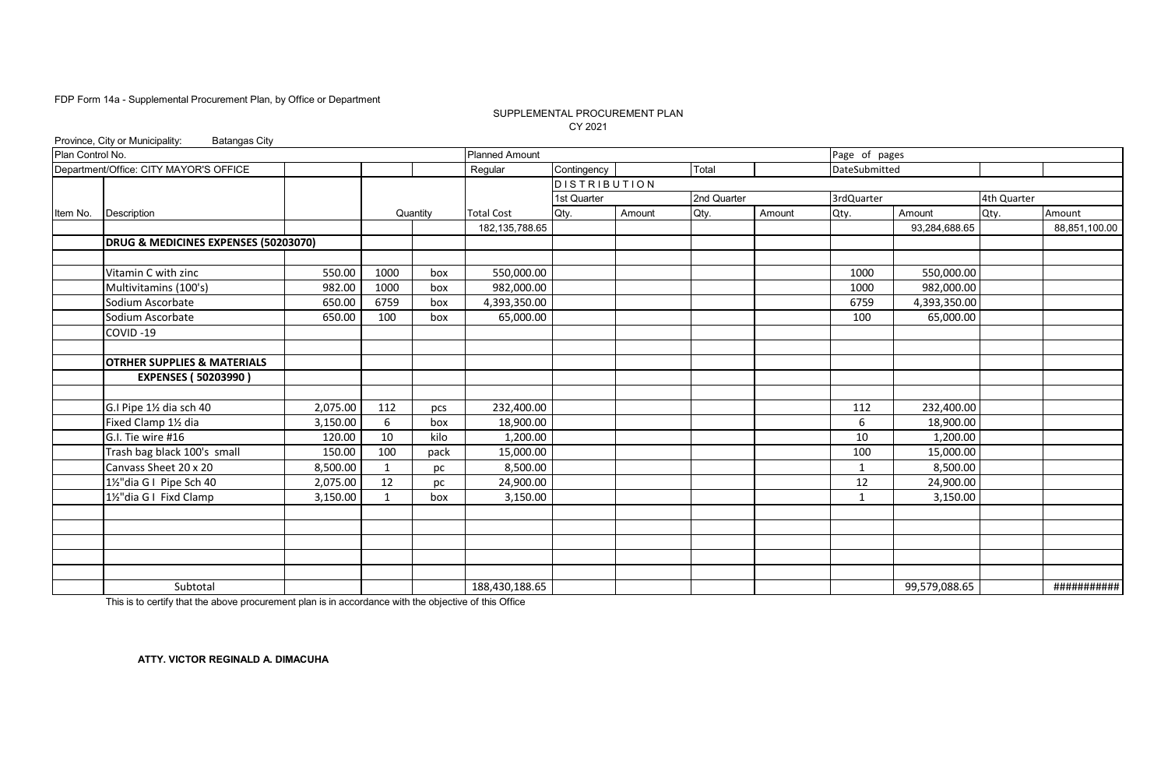#### SUPPLEMENTAL PROCUREMENT PLAN CY 2021

|                  | Province, City or Municipality:<br><b>Batangas City</b> |          |      |          |                       |              |        |             |        |               |               |             |               |
|------------------|---------------------------------------------------------|----------|------|----------|-----------------------|--------------|--------|-------------|--------|---------------|---------------|-------------|---------------|
| Plan Control No. |                                                         |          |      |          | <b>Planned Amount</b> |              |        |             |        | Page of pages |               |             |               |
|                  | Department/Office: CITY MAYOR'S OFFICE                  |          |      |          | Regular               | Contingency  |        | Total       |        | DateSubmitted |               |             |               |
|                  |                                                         |          |      |          |                       | DISTRIBUTION |        |             |        |               |               |             |               |
|                  |                                                         |          |      |          |                       | 1st Quarter  |        | 2nd Quarter |        | 3rdQuarter    |               | 4th Quarter |               |
| Item No.         | Description                                             |          |      | Quantity | <b>Total Cost</b>     | Qty.         | Amount | Qty.        | Amount | Qty.          | Amount        | Qty.        | Amount        |
|                  |                                                         |          |      |          | 182, 135, 788.65      |              |        |             |        |               | 93,284,688.65 |             | 88,851,100.00 |
|                  | DRUG & MEDICINES EXPENSES (50203070)                    |          |      |          |                       |              |        |             |        |               |               |             |               |
|                  |                                                         |          |      |          |                       |              |        |             |        |               |               |             |               |
|                  | Vitamin C with zinc                                     | 550.00   | 1000 | box      | 550,000.00            |              |        |             |        | 1000          | 550,000.00    |             |               |
|                  | Multivitamins (100's)                                   | 982.00   | 1000 | box      | 982,000.00            |              |        |             |        | 1000          | 982,000.00    |             |               |
|                  | Sodium Ascorbate                                        | 650.00   | 6759 | box      | 4,393,350.00          |              |        |             |        | 6759          | 4,393,350.00  |             |               |
|                  | Sodium Ascorbate                                        | 650.00   | 100  | box      | 65,000.00             |              |        |             |        | 100           | 65,000.00     |             |               |
|                  | COVID-19                                                |          |      |          |                       |              |        |             |        |               |               |             |               |
|                  |                                                         |          |      |          |                       |              |        |             |        |               |               |             |               |
|                  | <b>OTRHER SUPPLIES &amp; MATERIALS</b>                  |          |      |          |                       |              |        |             |        |               |               |             |               |
|                  | <b>EXPENSES (50203990)</b>                              |          |      |          |                       |              |        |             |        |               |               |             |               |
|                  |                                                         |          |      |          |                       |              |        |             |        |               |               |             |               |
|                  | G.I Pipe 11/2 dia sch 40                                | 2,075.00 | 112  | pcs      | 232,400.00            |              |        |             |        | 112           | 232,400.00    |             |               |
|                  | Fixed Clamp 11/2 dia                                    | 3,150.00 | 6    | box      | 18,900.00             |              |        |             |        | 6             | 18,900.00     |             |               |
|                  | G.I. Tie wire #16                                       | 120.00   | 10   | kilo     | 1,200.00              |              |        |             |        | 10            | 1,200.00      |             |               |
|                  | Trash bag black 100's small                             | 150.00   | 100  | pack     | 15,000.00             |              |        |             |        | 100           | 15,000.00     |             |               |
|                  | Canvass Sheet 20 x 20                                   | 8,500.00 | 1    | pc       | 8,500.00              |              |        |             |        | $\mathbf{1}$  | 8,500.00      |             |               |
|                  | 1½"dia G I Pipe Sch 40                                  | 2,075.00 | 12   | рc       | 24,900.00             |              |        |             |        | 12            | 24,900.00     |             |               |
|                  | 1½"dia G I Fixd Clamp                                   | 3,150.00 |      | box      | 3,150.00              |              |        |             |        | $\mathbf{1}$  | 3,150.00      |             |               |
|                  |                                                         |          |      |          |                       |              |        |             |        |               |               |             |               |
|                  |                                                         |          |      |          |                       |              |        |             |        |               |               |             |               |
|                  |                                                         |          |      |          |                       |              |        |             |        |               |               |             |               |
|                  |                                                         |          |      |          |                       |              |        |             |        |               |               |             |               |
|                  |                                                         |          |      |          |                       |              |        |             |        |               |               |             |               |
|                  | Subtotal                                                |          |      |          | 188,430,188.65        |              |        |             |        |               | 99,579,088.65 |             | ###########   |

This is to certify that the above procurement plan is in accordance with the objective of this Office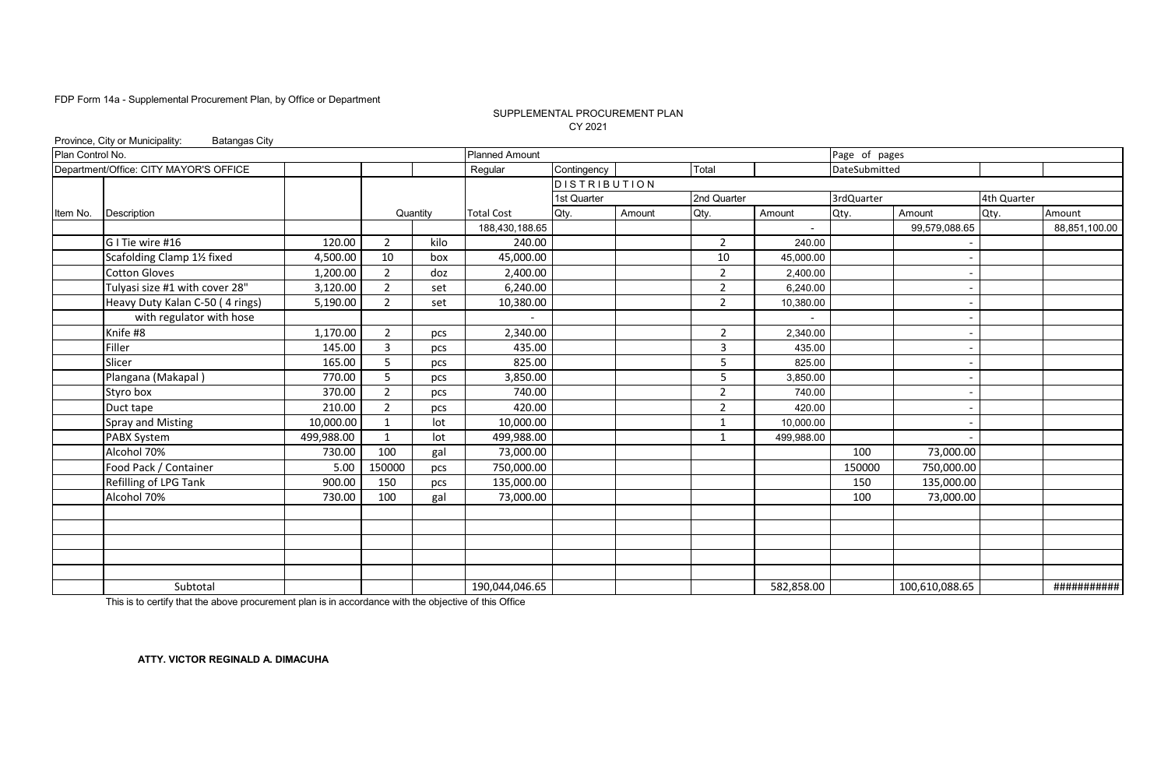#### SUPPLEMENTAL PROCUREMENT PLAN CY 2021

|                  | Province, City or Municipality:<br><b>Batangas City</b> |            |                |          |                       |                     |        |                |                          |               |                |             |               |
|------------------|---------------------------------------------------------|------------|----------------|----------|-----------------------|---------------------|--------|----------------|--------------------------|---------------|----------------|-------------|---------------|
| Plan Control No. |                                                         |            |                |          | <b>Planned Amount</b> |                     |        |                |                          | Page of pages |                |             |               |
|                  | Department/Office: CITY MAYOR'S OFFICE                  |            |                |          | Regular               | Contingency         |        | Total          |                          | DateSubmitted |                |             |               |
|                  |                                                         |            |                |          |                       | <b>DISTRIBUTION</b> |        |                |                          |               |                |             |               |
|                  |                                                         |            |                |          |                       | 1st Quarter         |        | 2nd Quarter    |                          | 3rdQuarter    |                | 4th Quarter |               |
| Item No.         | Description                                             |            |                | Quantity | <b>Total Cost</b>     | Qty.                | Amount | Qty.           | Amount                   | Qty.          | Amount         | Qty.        | Amount        |
|                  |                                                         |            |                |          | 188,430,188.65        |                     |        |                | $\blacksquare$           |               | 99,579,088.65  |             | 88,851,100.00 |
|                  | G I Tie wire #16                                        | 120.00     | $\overline{2}$ | kilo     | 240.00                |                     |        | $\overline{2}$ | 240.00                   |               |                |             |               |
|                  | Scafolding Clamp 11/2 fixed                             | 4,500.00   | 10             | box      | 45,000.00             |                     |        | 10             | 45,000.00                |               |                |             |               |
|                  | <b>Cotton Gloves</b>                                    | 1,200.00   | $\overline{2}$ | doz      | 2,400.00              |                     |        | $\overline{2}$ | 2,400.00                 |               |                |             |               |
|                  | Tulyasi size #1 with cover 28"                          | 3,120.00   | $\overline{2}$ | set      | 6,240.00              |                     |        | $\overline{2}$ | 6,240.00                 |               |                |             |               |
|                  | Heavy Duty Kalan C-50 (4 rings)                         | 5,190.00   | $\overline{2}$ | set      | 10,380.00             |                     |        | $\overline{2}$ | 10,380.00                |               |                |             |               |
|                  | with regulator with hose                                |            |                |          |                       |                     |        |                | $\overline{\phantom{0}}$ |               |                |             |               |
|                  | Knife #8                                                | 1,170.00   | 2              | pcs      | 2,340.00              |                     |        | $\overline{2}$ | 2,340.00                 |               |                |             |               |
|                  | Filler                                                  | 145.00     | 3              | pcs      | 435.00                |                     |        | $\overline{3}$ | 435.00                   |               |                |             |               |
|                  | Slicer                                                  | 165.00     | 5              | pcs      | 825.00                |                     |        | 5              | 825.00                   |               |                |             |               |
|                  | Plangana (Makapal)                                      | 770.00     | 5              | pcs      | 3,850.00              |                     |        | 5              | 3,850.00                 |               |                |             |               |
|                  | Styro box                                               | 370.00     | $\overline{2}$ | pcs      | 740.00                |                     |        | $\overline{2}$ | 740.00                   |               |                |             |               |
|                  | Duct tape                                               | 210.00     | $\overline{2}$ | pcs      | 420.00                |                     |        | 2              | 420.00                   |               |                |             |               |
|                  | <b>Spray and Misting</b>                                | 10,000.00  | $\mathbf{1}$   | lot      | 10,000.00             |                     |        | 1              | 10,000.00                |               |                |             |               |
|                  | PABX System                                             | 499,988.00 | $\mathbf{1}$   | lot      | 499,988.00            |                     |        | 1              | 499,988.00               |               |                |             |               |
|                  | Alcohol 70%                                             | 730.00     | 100            | gal      | 73,000.00             |                     |        |                |                          | 100           | 73,000.00      |             |               |
|                  | Food Pack / Container                                   | 5.00       | 150000         | pcs      | 750,000.00            |                     |        |                |                          | 150000        | 750,000.00     |             |               |
|                  | Refilling of LPG Tank                                   | 900.00     | 150            | pcs      | 135,000.00            |                     |        |                |                          | 150           | 135,000.00     |             |               |
|                  | Alcohol 70%                                             | 730.00     | 100            | gal      | 73,000.00             |                     |        |                |                          | 100           | 73,000.00      |             |               |
|                  |                                                         |            |                |          |                       |                     |        |                |                          |               |                |             |               |
|                  |                                                         |            |                |          |                       |                     |        |                |                          |               |                |             |               |
|                  |                                                         |            |                |          |                       |                     |        |                |                          |               |                |             |               |
|                  |                                                         |            |                |          |                       |                     |        |                |                          |               |                |             |               |
|                  |                                                         |            |                |          |                       |                     |        |                |                          |               |                |             |               |
|                  | Subtotal                                                |            |                |          | 190,044,046.65        |                     |        |                | 582,858.00               |               | 100,610,088.65 |             | ###########   |

This is to certify that the above procurement plan is in accordance with the objective of this Office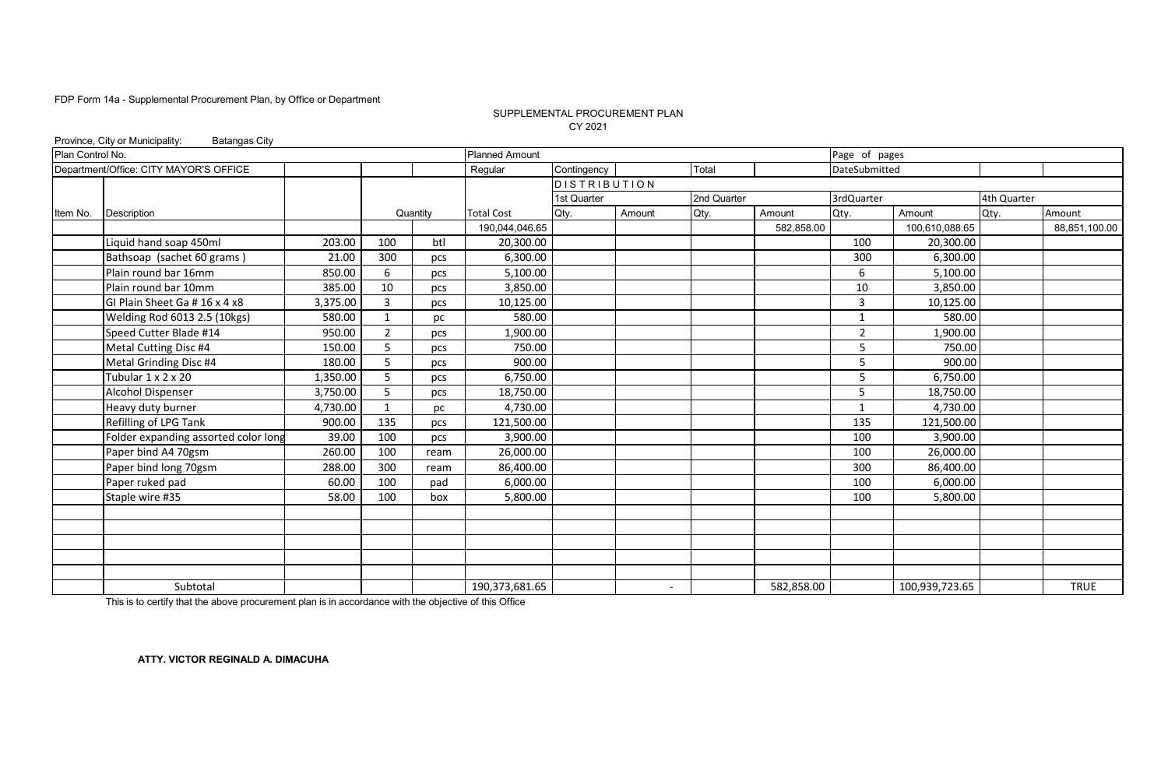#### SUPPLEMENTAL PROCUREMENT PLAN CY 2021

|                  | Province, City or Municipality:<br><b>Batangas City</b> |          |              |          |                       |                     |                          |             |            |                |                |             |               |
|------------------|---------------------------------------------------------|----------|--------------|----------|-----------------------|---------------------|--------------------------|-------------|------------|----------------|----------------|-------------|---------------|
| Plan Control No. |                                                         |          |              |          | <b>Planned Amount</b> |                     |                          |             |            | Page of pages  |                |             |               |
|                  | Department/Office: CITY MAYOR'S OFFICE                  |          |              |          | Regular               | Contingency         |                          | Total       |            | DateSubmitted  |                |             |               |
|                  |                                                         |          |              |          |                       | <b>DISTRIBUTION</b> |                          |             |            |                |                |             |               |
|                  |                                                         |          |              |          |                       | 1st Quarter         |                          | 2nd Quarter |            | 3rdQuarter     |                | 4th Quarter |               |
| Item No.         | Description                                             |          |              | Quantity | <b>Total Cost</b>     | Qty.                | Amount                   | Qty.        | Amount     | Qty.           | Amount         | Qty.        | Amount        |
|                  |                                                         |          |              |          | 190,044,046.65        |                     |                          |             | 582,858.00 |                | 100,610,088.65 |             | 88,851,100.00 |
|                  | Liquid hand soap 450ml                                  | 203.00   | 100          | btl      | 20,300.00             |                     |                          |             |            | 100            | 20,300.00      |             |               |
|                  | Bathsoap (sachet 60 grams)                              | 21.00    | 300          | pcs      | 6,300.00              |                     |                          |             |            | 300            | 6,300.00       |             |               |
|                  | Plain round bar 16mm                                    | 850.00   | 6            | pcs      | 5,100.00              |                     |                          |             |            | 6              | 5,100.00       |             |               |
|                  | Plain round bar 10mm                                    | 385.00   | 10           | pcs      | 3,850.00              |                     |                          |             |            | 10             | 3,850.00       |             |               |
|                  | GI Plain Sheet Ga # 16 x 4 x8                           | 3,375.00 | 3            | pcs      | 10,125.00             |                     |                          |             |            | 3              | 10,125.00      |             |               |
|                  | Welding Rod 6013 2.5 (10kgs)                            | 580.00   | $\mathbf{1}$ | рc       | 580.00                |                     |                          |             |            | $\mathbf{1}$   | 580.00         |             |               |
|                  | Speed Cutter Blade #14                                  | 950.00   | 2            | pcs      | 1,900.00              |                     |                          |             |            | $\overline{2}$ | 1,900.00       |             |               |
|                  | Metal Cutting Disc #4                                   | 150.00   | 5            | pcs      | 750.00                |                     |                          |             |            | 5              | 750.00         |             |               |
|                  | Metal Grinding Disc #4                                  | 180.00   | 5            | pcs      | 900.00                |                     |                          |             |            | 5              | 900.00         |             |               |
|                  | Tubular 1 x 2 x 20                                      | 1,350.00 | 5            | pcs      | 6,750.00              |                     |                          |             |            | 5              | 6,750.00       |             |               |
|                  | <b>Alcohol Dispenser</b>                                | 3,750.00 | 5            | pcs      | 18,750.00             |                     |                          |             |            | 5              | 18,750.00      |             |               |
|                  | Heavy duty burner                                       | 4,730.00 | 1            | рc       | 4,730.00              |                     |                          |             |            | $\mathbf{1}$   | 4,730.00       |             |               |
|                  | Refilling of LPG Tank                                   | 900.00   | 135          | pcs      | 121,500.00            |                     |                          |             |            | 135            | 121,500.00     |             |               |
|                  | Folder expanding assorted color long                    | 39.00    | 100          | pcs      | 3,900.00              |                     |                          |             |            | 100            | 3,900.00       |             |               |
|                  | Paper bind A4 70gsm                                     | 260.00   | 100          | ream     | 26,000.00             |                     |                          |             |            | 100            | 26,000.00      |             |               |
|                  | Paper bind long 70gsm                                   | 288.00   | 300          | ream     | 86,400.00             |                     |                          |             |            | 300            | 86,400.00      |             |               |
|                  | Paper ruked pad                                         | 60.00    | 100          | pad      | 6,000.00              |                     |                          |             |            | 100            | 6,000.00       |             |               |
|                  | Staple wire #35                                         | 58.00    | 100          | box      | 5,800.00              |                     |                          |             |            | 100            | 5,800.00       |             |               |
|                  |                                                         |          |              |          |                       |                     |                          |             |            |                |                |             |               |
|                  |                                                         |          |              |          |                       |                     |                          |             |            |                |                |             |               |
|                  |                                                         |          |              |          |                       |                     |                          |             |            |                |                |             |               |
|                  |                                                         |          |              |          |                       |                     |                          |             |            |                |                |             |               |
|                  |                                                         |          |              |          |                       |                     |                          |             |            |                |                |             |               |
|                  | Subtotal                                                |          |              |          | 190,373,681.65        |                     | $\overline{\phantom{0}}$ |             | 582,858.00 |                | 100,939,723.65 |             | <b>TRUE</b>   |

This is to certify that the above procurement plan is in accordance with the objective of this Office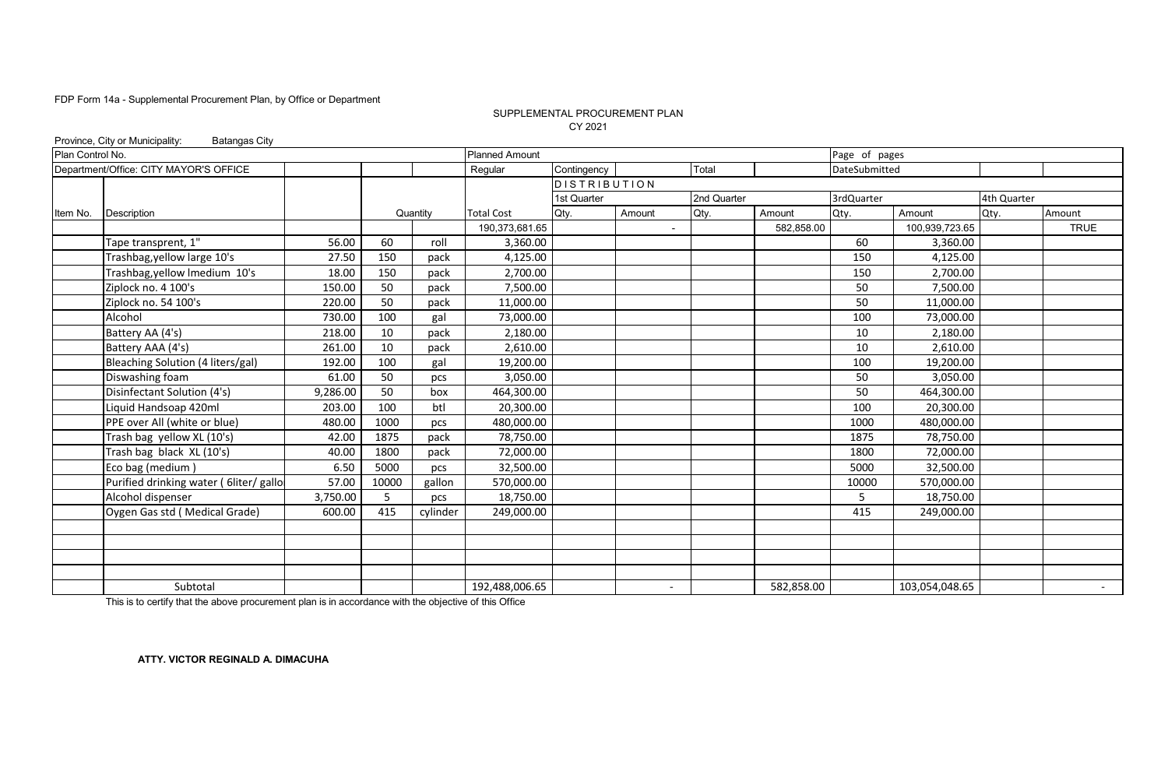#### SUPPLEMENTAL PROCUREMENT PLAN CY 2021

|                  | Province, City or Municipality:<br><b>Batangas City</b> |          |       |          |                       |                     |                          |             |            |               |                |             |             |
|------------------|---------------------------------------------------------|----------|-------|----------|-----------------------|---------------------|--------------------------|-------------|------------|---------------|----------------|-------------|-------------|
| Plan Control No. |                                                         |          |       |          | <b>Planned Amount</b> |                     |                          |             |            | Page of pages |                |             |             |
|                  | Department/Office: CITY MAYOR'S OFFICE                  |          |       |          | Regular               | Contingency         |                          | Total       |            | DateSubmitted |                |             |             |
|                  |                                                         |          |       |          |                       | <b>DISTRIBUTION</b> |                          |             |            |               |                |             |             |
|                  |                                                         |          |       |          |                       | 1st Quarter         |                          | 2nd Quarter |            | 3rdQuarter    |                | 4th Quarter |             |
| Item No.         | Description                                             |          |       | Quantity | <b>Total Cost</b>     | Qty.                | Amount                   | Qty.        | Amount     | Qty.          | Amount         | Qty.        | Amount      |
|                  |                                                         |          |       |          | 190,373,681.65        |                     | $\blacksquare$           |             | 582,858.00 |               | 100,939,723.65 |             | <b>TRUE</b> |
|                  | Tape transprent, 1"                                     | 56.00    | 60    | roll     | 3,360.00              |                     |                          |             |            | 60            | 3,360.00       |             |             |
|                  | Trashbag, yellow large 10's                             | 27.50    | 150   | pack     | 4,125.00              |                     |                          |             |            | 150           | 4,125.00       |             |             |
|                  | Trashbag, yellow Imedium 10's                           | 18.00    | 150   | pack     | 2,700.00              |                     |                          |             |            | 150           | 2,700.00       |             |             |
|                  | Ziplock no. 4 100's                                     | 150.00   | 50    | pack     | 7,500.00              |                     |                          |             |            | 50            | 7,500.00       |             |             |
|                  | Ziplock no. 54 100's                                    | 220.00   | 50    | pack     | 11,000.00             |                     |                          |             |            | 50            | 11,000.00      |             |             |
|                  | Alcohol                                                 | 730.00   | 100   | gal      | 73,000.00             |                     |                          |             |            | 100           | 73,000.00      |             |             |
|                  | Battery AA (4's)                                        | 218.00   | 10    | pack     | 2,180.00              |                     |                          |             |            | 10            | 2,180.00       |             |             |
|                  | Battery AAA (4's)                                       | 261.00   | 10    | pack     | 2,610.00              |                     |                          |             |            | 10            | 2,610.00       |             |             |
|                  | Bleaching Solution (4 liters/gal)                       | 192.00   | 100   | gal      | 19,200.00             |                     |                          |             |            | 100           | 19,200.00      |             |             |
|                  | Diswashing foam                                         | 61.00    | 50    | pcs      | 3,050.00              |                     |                          |             |            | 50            | 3,050.00       |             |             |
|                  | Disinfectant Solution (4's)                             | 9,286.00 | 50    | box      | 464,300.00            |                     |                          |             |            | 50            | 464,300.00     |             |             |
|                  | Liquid Handsoap 420ml                                   | 203.00   | 100   | btl      | 20,300.00             |                     |                          |             |            | 100           | 20,300.00      |             |             |
|                  | PPE over All (white or blue)                            | 480.00   | 1000  | pcs      | 480,000.00            |                     |                          |             |            | 1000          | 480,000.00     |             |             |
|                  | Trash bag yellow XL (10's)                              | 42.00    | 1875  | pack     | 78,750.00             |                     |                          |             |            | 1875          | 78,750.00      |             |             |
|                  | Trash bag black XL (10's)                               | 40.00    | 1800  | pack     | 72,000.00             |                     |                          |             |            | 1800          | 72,000.00      |             |             |
|                  | Eco bag (medium)                                        | 6.50     | 5000  | pcs      | 32,500.00             |                     |                          |             |            | 5000          | 32,500.00      |             |             |
|                  | Purified drinking water ( 6liter/ gallo                 | 57.00    | 10000 | gallon   | 570,000.00            |                     |                          |             |            | 10000         | 570,000.00     |             |             |
|                  | Alcohol dispenser                                       | 3,750.00 | 5     | pcs      | 18,750.00             |                     |                          |             |            | 5             | 18,750.00      |             |             |
|                  | Oygen Gas std (Medical Grade)                           | 600.00   | 415   | cylinder | 249,000.00            |                     |                          |             |            | 415           | 249,000.00     |             |             |
|                  |                                                         |          |       |          |                       |                     |                          |             |            |               |                |             |             |
|                  |                                                         |          |       |          |                       |                     |                          |             |            |               |                |             |             |
|                  |                                                         |          |       |          |                       |                     |                          |             |            |               |                |             |             |
|                  |                                                         |          |       |          |                       |                     |                          |             |            |               |                |             |             |
|                  | Subtotal                                                |          |       |          | 192,488,006.65        |                     | $\overline{\phantom{a}}$ |             | 582,858.00 |               | 103,054,048.65 |             | $\sim$      |

This is to certify that the above procurement plan is in accordance with the objective of this Office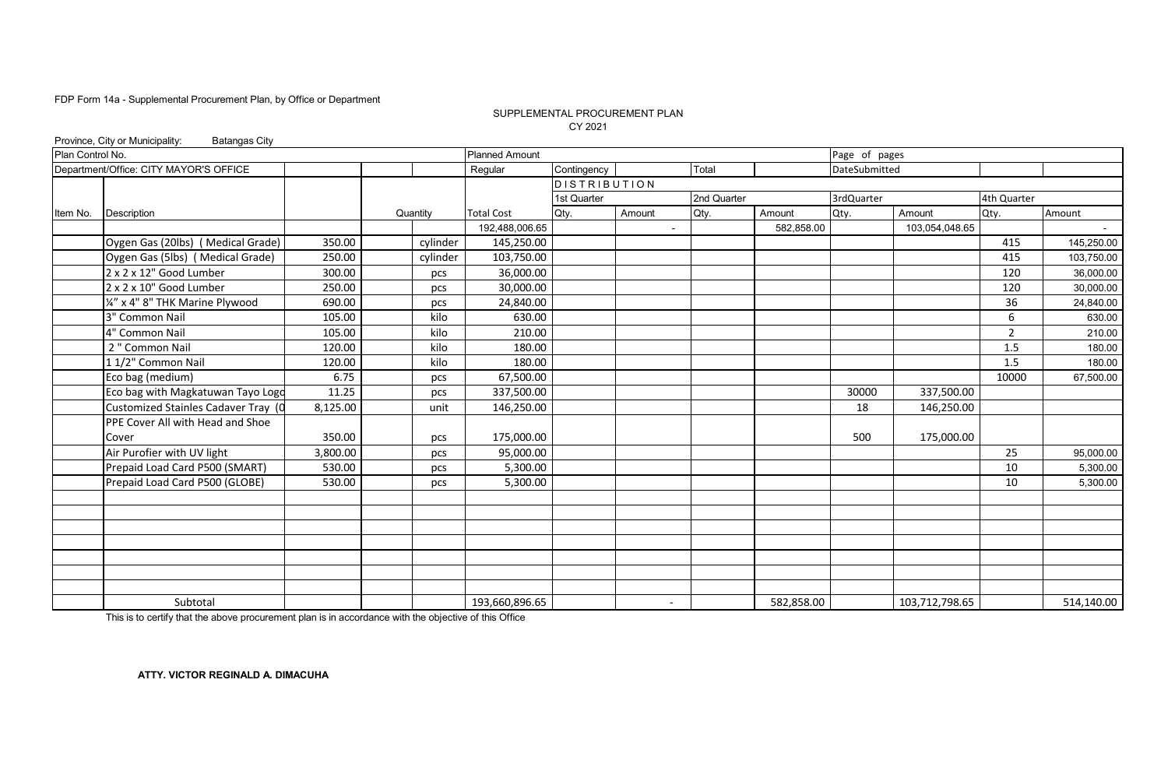#### SUPPLEMENTAL PROCUREMENT PLAN CY 2021

|                  | Province, City or Municipality:<br><b>Batangas City</b> |          |          |                       |                     |                          |             |            |               |                |                |            |
|------------------|---------------------------------------------------------|----------|----------|-----------------------|---------------------|--------------------------|-------------|------------|---------------|----------------|----------------|------------|
| Plan Control No. |                                                         |          |          | <b>Planned Amount</b> |                     |                          |             |            | Page of pages |                |                |            |
|                  | Department/Office: CITY MAYOR'S OFFICE                  |          |          | Regular               | Contingency         |                          | Total       |            | DateSubmitted |                |                |            |
|                  |                                                         |          |          |                       | <b>DISTRIBUTION</b> |                          |             |            |               |                |                |            |
|                  |                                                         |          |          |                       | 1st Quarter         |                          | 2nd Quarter |            | 3rdQuarter    |                | 4th Quarter    |            |
| Item No.         | Description                                             |          | Quantity | <b>Total Cost</b>     | Qty.                | Amount                   | Qty.        | Amount     | Qty.          | Amount         | Qty.           | Amount     |
|                  |                                                         |          |          | 192,488,006.65        |                     |                          |             | 582,858.00 |               | 103,054,048.65 |                |            |
|                  | Oygen Gas (20lbs) (Medical Grade)                       | 350.00   | cylinder | 145,250.00            |                     |                          |             |            |               |                | 415            | 145,250.00 |
|                  | Oygen Gas (5lbs) (Medical Grade)                        | 250.00   | cylinder | 103,750.00            |                     |                          |             |            |               |                | 415            | 103,750.00 |
|                  | 2 x 2 x 12" Good Lumber                                 | 300.00   | pcs      | 36,000.00             |                     |                          |             |            |               |                | 120            | 36,000.00  |
|                  | 2 x 2 x 10" Good Lumber                                 | 250.00   | pcs      | 30,000.00             |                     |                          |             |            |               |                | 120            | 30,000.00  |
|                  | 1/4" x 4" 8" THK Marine Plywood                         | 690.00   | pcs      | 24,840.00             |                     |                          |             |            |               |                | 36             | 24,840.00  |
|                  | 3" Common Nail                                          | 105.00   | kilo     | 630.00                |                     |                          |             |            |               |                | 6              | 630.00     |
|                  | 4" Common Nail                                          | 105.00   | kilo     | 210.00                |                     |                          |             |            |               |                | $\overline{2}$ | 210.00     |
|                  | 2" Common Nail                                          | 120.00   | kilo     | 180.00                |                     |                          |             |            |               |                | 1.5            | 180.00     |
|                  | 11/2" Common Nail                                       | 120.00   | kilo     | 180.00                |                     |                          |             |            |               |                | 1.5            | 180.00     |
|                  | Eco bag (medium)                                        | 6.75     | pcs      | 67,500.00             |                     |                          |             |            |               |                | 10000          | 67.500.00  |
|                  | Eco bag with Magkatuwan Tayo Logo                       | 11.25    | pcs      | 337,500.00            |                     |                          |             |            | 30000         | 337,500.00     |                |            |
|                  | Customized Stainles Cadaver Tray (0                     | 8,125.00 | unit     | 146,250.00            |                     |                          |             |            | 18            | 146,250.00     |                |            |
|                  | PPE Cover All with Head and Shoe                        |          |          |                       |                     |                          |             |            |               |                |                |            |
|                  | Cover                                                   | 350.00   | pcs      | 175,000.00            |                     |                          |             |            | 500           | 175,000.00     |                |            |
|                  | Air Purofier with UV light                              | 3,800.00 | pcs      | 95,000.00             |                     |                          |             |            |               |                | 25             | 95,000.00  |
|                  | Prepaid Load Card P500 (SMART)                          | 530.00   | pcs      | 5,300.00              |                     |                          |             |            |               |                | 10             | 5,300.00   |
|                  | Prepaid Load Card P500 (GLOBE)                          | 530.00   | pcs      | 5,300.00              |                     |                          |             |            |               |                | 10             | 5,300.00   |
|                  |                                                         |          |          |                       |                     |                          |             |            |               |                |                |            |
|                  |                                                         |          |          |                       |                     |                          |             |            |               |                |                |            |
|                  |                                                         |          |          |                       |                     |                          |             |            |               |                |                |            |
|                  |                                                         |          |          |                       |                     |                          |             |            |               |                |                |            |
|                  |                                                         |          |          |                       |                     |                          |             |            |               |                |                |            |
|                  |                                                         |          |          |                       |                     |                          |             |            |               |                |                |            |
|                  |                                                         |          |          |                       |                     |                          |             |            |               |                |                |            |
|                  | Subtotal                                                |          |          | 193,660,896.65        |                     | $\overline{\phantom{a}}$ |             | 582,858.00 |               | 103,712,798.65 |                | 514,140.00 |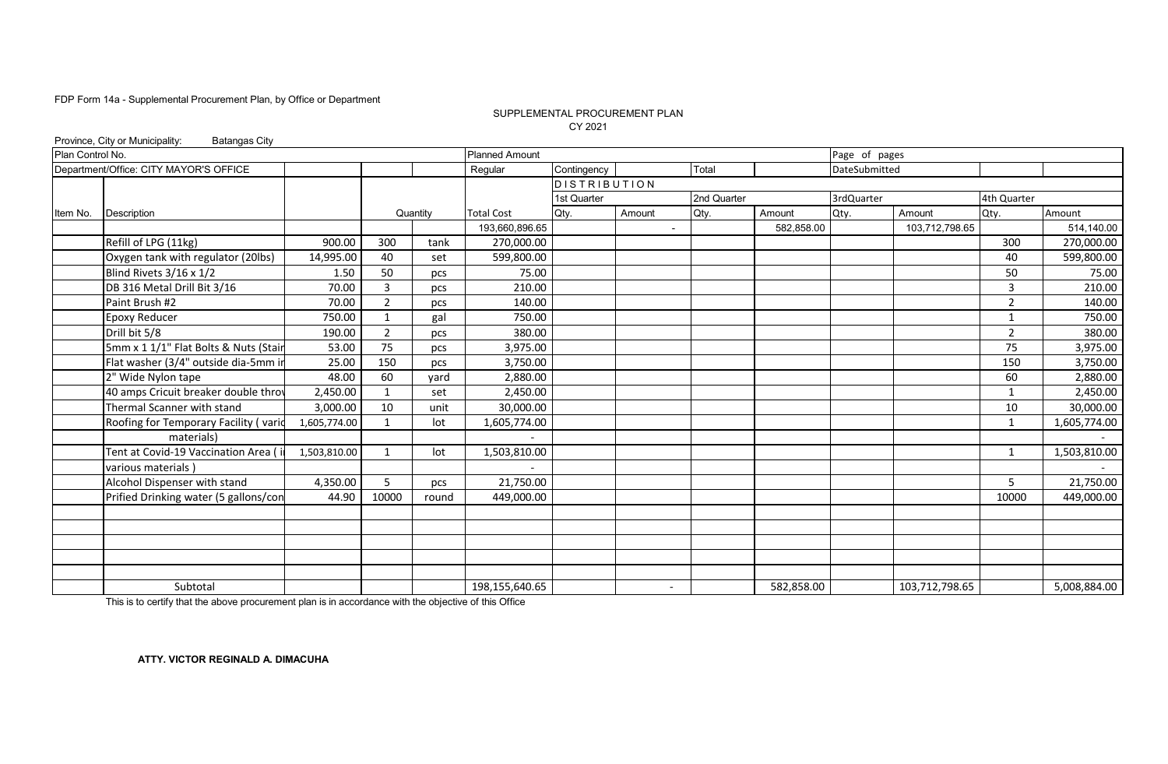#### CY 2021 SUPPLEMENTAL PROCUREMENT PLAN

|                  | Province, City or Municipality:<br><b>Batangas City</b> |              |                |          |                       |                     |                          |             |            |               |                |                |              |
|------------------|---------------------------------------------------------|--------------|----------------|----------|-----------------------|---------------------|--------------------------|-------------|------------|---------------|----------------|----------------|--------------|
| Plan Control No. |                                                         |              |                |          | <b>Planned Amount</b> |                     |                          |             |            | Page of pages |                |                |              |
|                  | Department/Office: CITY MAYOR'S OFFICE                  |              |                |          | Regular               | Contingency         |                          | Total       |            | DateSubmitted |                |                |              |
|                  |                                                         |              |                |          |                       | <b>DISTRIBUTION</b> |                          |             |            |               |                |                |              |
|                  |                                                         |              |                |          |                       | 1st Quarter         |                          | 2nd Quarter |            | 3rdQuarter    |                | 4th Quarter    |              |
| Item No.         | Description                                             |              |                | Quantity | <b>Total Cost</b>     | Qty.                | Amount                   | Qty.        | Amount     | Qty.          | Amount         | Qty.           | Amount       |
|                  |                                                         |              |                |          | 193,660,896.65        |                     | ÷                        |             | 582,858.00 |               | 103,712,798.65 |                | 514,140.00   |
|                  | Refill of LPG (11kg)                                    | 900.00       | 300            | tank     | 270,000.00            |                     |                          |             |            |               |                | 300            | 270,000.00   |
|                  | Oxygen tank with regulator (20lbs)                      | 14,995.00    | 40             | set      | 599,800.00            |                     |                          |             |            |               |                | 40             | 599,800.00   |
|                  | Blind Rivets 3/16 x 1/2                                 | 1.50         | 50             | pcs      | 75.00                 |                     |                          |             |            |               |                | 50             | 75.00        |
|                  | DB 316 Metal Drill Bit 3/16                             | 70.00        | 3              | pcs      | 210.00                |                     |                          |             |            |               |                | 3              | 210.00       |
|                  | Paint Brush #2                                          | 70.00        | $\overline{2}$ | pcs      | 140.00                |                     |                          |             |            |               |                | $\overline{2}$ | 140.00       |
|                  | <b>Epoxy Reducer</b>                                    | 750.00       | $\mathbf{1}$   | gal      | 750.00                |                     |                          |             |            |               |                | 1              | 750.00       |
|                  | Drill bit 5/8                                           | 190.00       | 2              | pcs      | 380.00                |                     |                          |             |            |               |                | $\overline{2}$ | 380.00       |
|                  | 5mm x 1 1/1" Flat Bolts & Nuts (Stair                   | 53.00        | 75             | pcs      | 3,975.00              |                     |                          |             |            |               |                | 75             | 3,975.00     |
|                  | Flat washer (3/4" outside dia-5mm i                     | 25.00        | 150            | pcs      | 3,750.00              |                     |                          |             |            |               |                | 150            | 3,750.00     |
|                  | 2" Wide Nylon tape                                      | 48.00        | 60             | vard     | 2,880.00              |                     |                          |             |            |               |                | 60             | 2,880.00     |
|                  | 40 amps Cricuit breaker double throv                    | 2,450.00     | 1              | set      | 2,450.00              |                     |                          |             |            |               |                | $\mathbf{1}$   | 2,450.00     |
|                  | Thermal Scanner with stand                              | 3,000.00     | 10             | unit     | 30,000.00             |                     |                          |             |            |               |                | 10             | 30,000.00    |
|                  | Roofing for Temporary Facility (varid                   | 1,605,774.00 |                | lot      | 1,605,774.00          |                     |                          |             |            |               |                | $\mathbf{1}$   | 1,605,774.00 |
|                  | materials)                                              |              |                |          |                       |                     |                          |             |            |               |                |                |              |
|                  | Tent at Covid-19 Vaccination Area (                     | 1,503,810.00 | $\mathbf{1}$   | lot      | 1,503,810.00          |                     |                          |             |            |               |                | $\mathbf{1}$   | 1,503,810.00 |
|                  | various materials                                       |              |                |          |                       |                     |                          |             |            |               |                |                |              |
|                  | Alcohol Dispenser with stand                            | 4,350.00     | 5              | pcs      | 21,750.00             |                     |                          |             |            |               |                | 5              | 21,750.00    |
|                  | Prified Drinking water (5 gallons/con                   | 44.90        | 10000          | round    | 449,000.00            |                     |                          |             |            |               |                | 10000          | 449,000.00   |
|                  |                                                         |              |                |          |                       |                     |                          |             |            |               |                |                |              |
|                  |                                                         |              |                |          |                       |                     |                          |             |            |               |                |                |              |
|                  |                                                         |              |                |          |                       |                     |                          |             |            |               |                |                |              |
|                  |                                                         |              |                |          |                       |                     |                          |             |            |               |                |                |              |
|                  |                                                         |              |                |          |                       |                     |                          |             |            |               |                |                |              |
|                  | Subtotal                                                |              |                |          | 198,155,640.65        |                     | $\overline{\phantom{a}}$ |             | 582,858.00 |               | 103,712,798.65 |                | 5,008,884.00 |

This is to certify that the above procurement plan is in accordance with the objective of this Office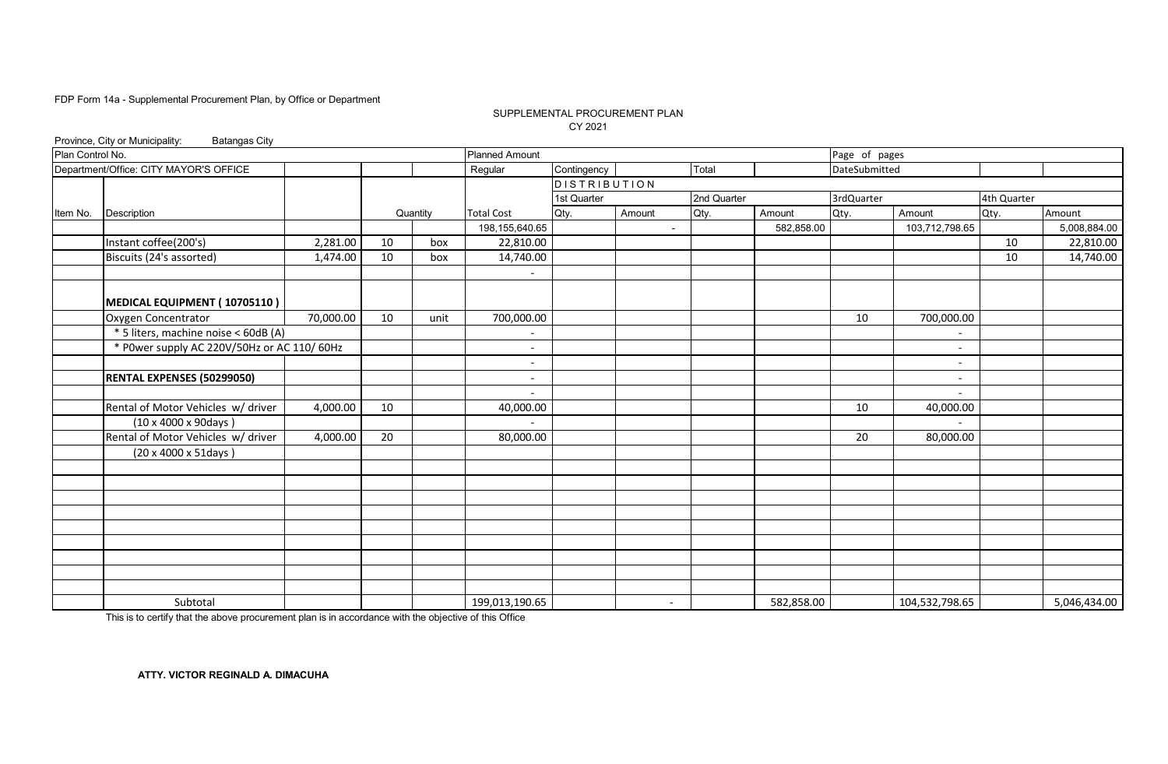#### SUPPLEMENTAL PROCUREMENT PLAN CY 2021

|                  | Province, City or Municipality:<br><b>Batangas City</b> |           |    |          |                          |                     |                          |             |            |               |                          |             |              |
|------------------|---------------------------------------------------------|-----------|----|----------|--------------------------|---------------------|--------------------------|-------------|------------|---------------|--------------------------|-------------|--------------|
| Plan Control No. |                                                         |           |    |          | <b>Planned Amount</b>    |                     |                          |             |            | Page of pages |                          |             |              |
|                  | Department/Office: CITY MAYOR'S OFFICE                  |           |    |          | Regular                  | Contingency         |                          | Total       |            | DateSubmitted |                          |             |              |
|                  |                                                         |           |    |          |                          | <b>DISTRIBUTION</b> |                          |             |            |               |                          |             |              |
|                  |                                                         |           |    |          |                          | 1st Quarter         |                          | 2nd Quarter |            | 3rdQuarter    |                          | 4th Quarter |              |
| Item No.         | Description                                             |           |    | Quantity | <b>Total Cost</b>        | Qty.                | Amount                   | Qty.        | Amount     | Qty.          | Amount                   | Qty.        | Amount       |
|                  |                                                         |           |    |          | 198,155,640.65           |                     | $\blacksquare$           |             | 582,858.00 |               | 103,712,798.65           |             | 5,008,884.00 |
|                  | Instant coffee(200's)                                   | 2,281.00  | 10 | box      | 22,810.00                |                     |                          |             |            |               |                          | 10          | 22,810.00    |
|                  | Biscuits (24's assorted)                                | 1,474.00  | 10 | box      | 14,740.00                |                     |                          |             |            |               |                          | 10          | 14,740.00    |
|                  |                                                         |           |    |          |                          |                     |                          |             |            |               |                          |             |              |
|                  |                                                         |           |    |          |                          |                     |                          |             |            |               |                          |             |              |
|                  | MEDICAL EQUIPMENT (10705110)                            |           |    |          |                          |                     |                          |             |            |               |                          |             |              |
|                  | Oxygen Concentrator                                     | 70,000.00 | 10 | unit     | 700,000.00               |                     |                          |             |            | 10            | 700,000.00               |             |              |
|                  | * 5 liters, machine noise < 60dB (A)                    |           |    |          |                          |                     |                          |             |            |               |                          |             |              |
|                  | * P0wer supply AC 220V/50Hz or AC 110/60Hz              |           |    |          |                          |                     |                          |             |            |               | $\overline{\phantom{a}}$ |             |              |
|                  |                                                         |           |    |          | $\overline{\phantom{a}}$ |                     |                          |             |            |               | $\overline{\phantom{a}}$ |             |              |
|                  | <b>RENTAL EXPENSES (50299050)</b>                       |           |    |          |                          |                     |                          |             |            |               | $\overline{\phantom{a}}$ |             |              |
|                  |                                                         |           |    |          |                          |                     |                          |             |            |               | $\overline{\phantom{a}}$ |             |              |
|                  | Rental of Motor Vehicles w/ driver                      | 4,000.00  | 10 |          | 40,000.00                |                     |                          |             |            | 10            | 40,000.00                |             |              |
|                  | $(10 \times 4000 \times 90 \text{days})$                |           |    |          |                          |                     |                          |             |            |               |                          |             |              |
|                  | Rental of Motor Vehicles w/ driver                      | 4,000.00  | 20 |          | 80,000.00                |                     |                          |             |            | 20            | 80,000.00                |             |              |
|                  | (20 x 4000 x 51days)                                    |           |    |          |                          |                     |                          |             |            |               |                          |             |              |
|                  |                                                         |           |    |          |                          |                     |                          |             |            |               |                          |             |              |
|                  |                                                         |           |    |          |                          |                     |                          |             |            |               |                          |             |              |
|                  |                                                         |           |    |          |                          |                     |                          |             |            |               |                          |             |              |
|                  |                                                         |           |    |          |                          |                     |                          |             |            |               |                          |             |              |
|                  |                                                         |           |    |          |                          |                     |                          |             |            |               |                          |             |              |
|                  |                                                         |           |    |          |                          |                     |                          |             |            |               |                          |             |              |
|                  |                                                         |           |    |          |                          |                     |                          |             |            |               |                          |             |              |
|                  |                                                         |           |    |          |                          |                     |                          |             |            |               |                          |             |              |
|                  |                                                         |           |    |          |                          |                     |                          |             |            |               |                          |             |              |
|                  | Subtotal                                                |           |    |          | 199,013,190.65           |                     | $\overline{\phantom{a}}$ |             | 582,858.00 |               | 104,532,798.65           |             | 5,046,434.00 |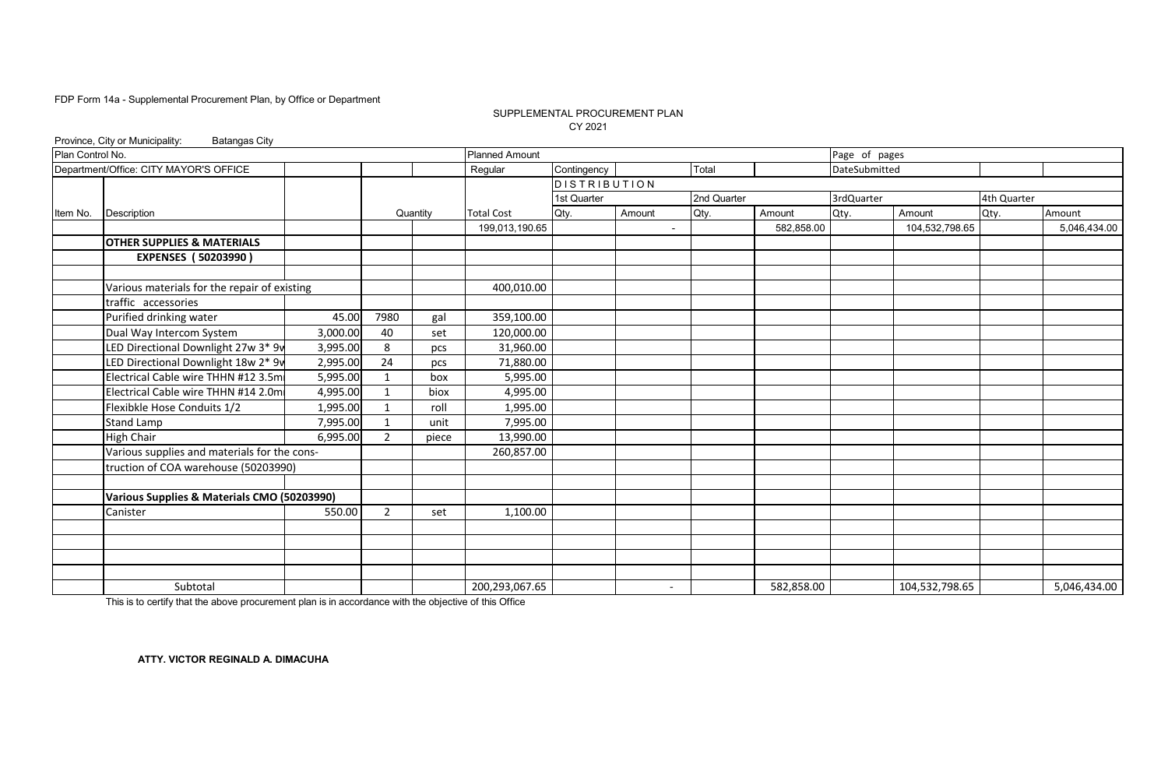#### SUPPLEMENTAL PROCUREMENT PLAN CY 2021

|                  | Province, City or Municipality:<br><b>Batangas City</b> |          |             |          |                       |                     |                          |             |            |               |                |             |              |
|------------------|---------------------------------------------------------|----------|-------------|----------|-----------------------|---------------------|--------------------------|-------------|------------|---------------|----------------|-------------|--------------|
|                  |                                                         |          |             |          | <b>Planned Amount</b> |                     |                          |             |            | Page of pages |                |             |              |
|                  | Department/Office: CITY MAYOR'S OFFICE                  |          |             |          | Regular               | Contingency         |                          | Total       |            | DateSubmitted |                |             |              |
|                  |                                                         |          |             |          |                       | <b>DISTRIBUTION</b> |                          |             |            |               |                |             |              |
| Plan Control No. |                                                         |          |             |          |                       | 1st Quarter         |                          | 2nd Quarter |            | 3rdQuarter    |                | 4th Quarter |              |
| Item No.         | Description                                             |          |             | Quantity | <b>Total Cost</b>     | Qty.                | Amount                   | Qty.        | Amount     | Qty.          | Amount         | Qty.        | Amount       |
|                  |                                                         |          |             |          | 199,013,190.65        |                     |                          |             | 582,858.00 |               | 104,532,798.65 |             | 5,046,434.00 |
|                  | <b>OTHER SUPPLIES &amp; MATERIALS</b>                   |          |             |          |                       |                     |                          |             |            |               |                |             |              |
|                  | <b>EXPENSES (50203990)</b>                              |          |             |          |                       |                     |                          |             |            |               |                |             |              |
|                  | Various materials for the repair of existing            |          |             |          | 400,010.00            |                     |                          |             |            |               |                |             |              |
|                  | traffic accessories                                     |          |             |          |                       |                     |                          |             |            |               |                |             |              |
|                  | Purified drinking water                                 | 45.00    | 7980        | gal      | 359,100.00            |                     |                          |             |            |               |                |             |              |
|                  | Dual Way Intercom System                                | 3,000.00 | 40          | set      | 120,000.00            |                     |                          |             |            |               |                |             |              |
|                  | LED Directional Downlight 27w 3* 9v                     | 3,995.00 | 8           | pcs      | 31,960.00             |                     |                          |             |            |               |                |             |              |
|                  | LED Directional Downlight 18w 2* 9v                     | 2,995.00 | 24          | pcs      | 71,880.00             |                     |                          |             |            |               |                |             |              |
|                  | Electrical Cable wire THHN #12 3.5m                     | 5,995.00 | 1           | box      | 5,995.00              |                     |                          |             |            |               |                |             |              |
|                  | Electrical Cable wire THHN #14 2.0m                     | 4,995.00 | $\mathbf 1$ | biox     | 4,995.00              |                     |                          |             |            |               |                |             |              |
|                  | Flexibkle Hose Conduits 1/2                             | 1,995.00 |             | roll     | 1,995.00              |                     |                          |             |            |               |                |             |              |
|                  | Stand Lamp                                              | 7,995.00 | 1           | unit     | 7,995.00              |                     |                          |             |            |               |                |             |              |
|                  | High Chair                                              | 6,995.00 | 2           | piece    | 13,990.00             |                     |                          |             |            |               |                |             |              |
|                  | Various supplies and materials for the cons-            |          |             |          | 260,857.00            |                     |                          |             |            |               |                |             |              |
|                  | truction of COA warehouse (50203990)                    |          |             |          |                       |                     |                          |             |            |               |                |             |              |
|                  |                                                         |          |             |          |                       |                     |                          |             |            |               |                |             |              |
|                  | Various Supplies & Materials CMO (50203990)             |          |             |          |                       |                     |                          |             |            |               |                |             |              |
|                  | Canister                                                | 550.00   | 2           | set      | 1,100.00              |                     |                          |             |            |               |                |             |              |
|                  |                                                         |          |             |          |                       |                     |                          |             |            |               |                |             |              |
|                  |                                                         |          |             |          |                       |                     |                          |             |            |               |                |             |              |
|                  |                                                         |          |             |          |                       |                     |                          |             |            |               |                |             |              |
|                  |                                                         |          |             |          |                       |                     |                          |             |            |               |                |             |              |
|                  | Subtotal                                                |          |             |          | 200,293,067.65        |                     | $\overline{\phantom{0}}$ |             | 582,858.00 |               | 104,532,798.65 |             | 5,046,434.00 |

This is to certify that the above procurement plan is in accordance with the objective of this Office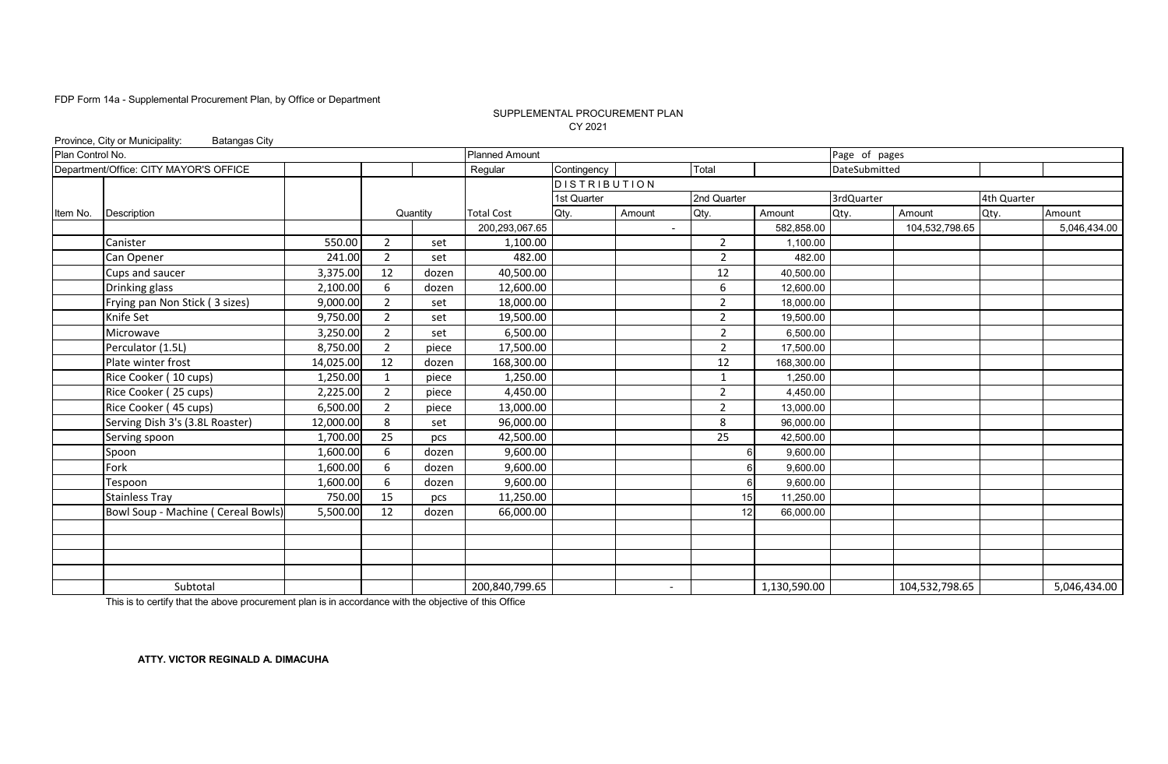#### CY 2021 SUPPLEMENTAL PROCUREMENT PLAN

|                  | Province, City or Municipality:<br><b>Batangas City</b> |           |                |          |                       |                     |                          |                |              |               |                |             |              |
|------------------|---------------------------------------------------------|-----------|----------------|----------|-----------------------|---------------------|--------------------------|----------------|--------------|---------------|----------------|-------------|--------------|
| Plan Control No. |                                                         |           |                |          | <b>Planned Amount</b> |                     |                          |                |              | Page of pages |                |             |              |
|                  | Department/Office: CITY MAYOR'S OFFICE                  |           |                |          | Regular               | Contingency         |                          | Total          |              | DateSubmitted |                |             |              |
|                  |                                                         |           |                |          |                       | <b>DISTRIBUTION</b> |                          |                |              |               |                |             |              |
|                  |                                                         |           |                |          |                       | 1st Quarter         |                          | 2nd Quarter    |              | 3rdQuarter    |                | 4th Quarter |              |
| Item No.         | Description                                             |           |                | Quantity | <b>Total Cost</b>     | Qty.                | Amount                   | Qty.           | Amount       | Qty.          | Amount         | Qty.        | Amount       |
|                  |                                                         |           |                |          | 200,293,067.65        |                     |                          |                | 582,858.00   |               | 104,532,798.65 |             | 5,046,434.00 |
|                  | Canister                                                | 550.00    | $\overline{2}$ | set      | 1,100.00              |                     |                          | $\overline{2}$ | 1,100.00     |               |                |             |              |
|                  | Can Opener                                              | 241.00    | $\overline{2}$ | set      | 482.00                |                     |                          | $\overline{2}$ | 482.00       |               |                |             |              |
|                  | Cups and saucer                                         | 3,375.00  | 12             | dozen    | 40,500.00             |                     |                          | 12             | 40,500.00    |               |                |             |              |
|                  | Drinking glass                                          | 2,100.00  | 6              | dozen    | 12,600.00             |                     |                          | 6              | 12,600.00    |               |                |             |              |
|                  | Frying pan Non Stick (3 sizes)                          | 9,000.00  | $\overline{2}$ | set      | 18,000.00             |                     |                          | 2              | 18,000.00    |               |                |             |              |
|                  | Knife Set                                               | 9,750.00  | $\overline{2}$ | set      | 19,500.00             |                     |                          | $\overline{2}$ | 19,500.00    |               |                |             |              |
|                  | Microwave                                               | 3,250.00  | $\overline{2}$ | set      | 6,500.00              |                     |                          | $\overline{2}$ | 6,500.00     |               |                |             |              |
|                  | Perculator (1.5L)                                       | 8,750.00  | $\overline{2}$ | piece    | 17,500.00             |                     |                          | $\overline{2}$ | 17,500.00    |               |                |             |              |
|                  | Plate winter frost                                      | 14,025.00 | 12             | dozen    | 168,300.00            |                     |                          | 12             | 168,300.00   |               |                |             |              |
|                  | Rice Cooker (10 cups)                                   | 1,250.00  | $\mathbf{1}$   | piece    | 1,250.00              |                     |                          | $\mathbf{1}$   | 1,250.00     |               |                |             |              |
|                  | Rice Cooker (25 cups)                                   | 2,225.00  | $\overline{2}$ | piece    | 4,450.00              |                     |                          | $\overline{2}$ | 4,450.00     |               |                |             |              |
|                  | Rice Cooker (45 cups)                                   | 6,500.00  | $\overline{2}$ | piece    | 13,000.00             |                     |                          | 2              | 13,000.00    |               |                |             |              |
|                  | Serving Dish 3's (3.8L Roaster)                         | 12,000.00 | 8              | set      | 96,000.00             |                     |                          | 8              | 96,000.00    |               |                |             |              |
|                  | Serving spoon                                           | 1,700.00  | 25             | pcs      | 42,500.00             |                     |                          | 25             | 42,500.00    |               |                |             |              |
|                  | Spoon                                                   | 1,600.00  | 6              | dozen    | 9,600.00              |                     |                          |                | 9,600.00     |               |                |             |              |
|                  | Fork                                                    | 1,600.00  | 6              | dozen    | 9,600.00              |                     |                          | 6              | 9,600.00     |               |                |             |              |
|                  | Tespoon                                                 | 1,600.00  | 6              | dozen    | 9,600.00              |                     |                          | 6              | 9,600.00     |               |                |             |              |
|                  | <b>Stainless Tray</b>                                   | 750.00    | 15             | pcs      | 11,250.00             |                     |                          | 15             | 11,250.00    |               |                |             |              |
|                  | Bowl Soup - Machine ( Cereal Bowls)                     | 5,500.00  | 12             | dozen    | 66,000.00             |                     |                          | 12             | 66,000.00    |               |                |             |              |
|                  |                                                         |           |                |          |                       |                     |                          |                |              |               |                |             |              |
|                  |                                                         |           |                |          |                       |                     |                          |                |              |               |                |             |              |
|                  |                                                         |           |                |          |                       |                     |                          |                |              |               |                |             |              |
|                  |                                                         |           |                |          |                       |                     |                          |                |              |               |                |             |              |
|                  | Subtotal                                                |           |                |          | 200,840,799.65        |                     | $\overline{\phantom{0}}$ |                | 1,130,590.00 |               | 104,532,798.65 |             | 5,046,434.00 |

This is to certify that the above procurement plan is in accordance with the objective of this Office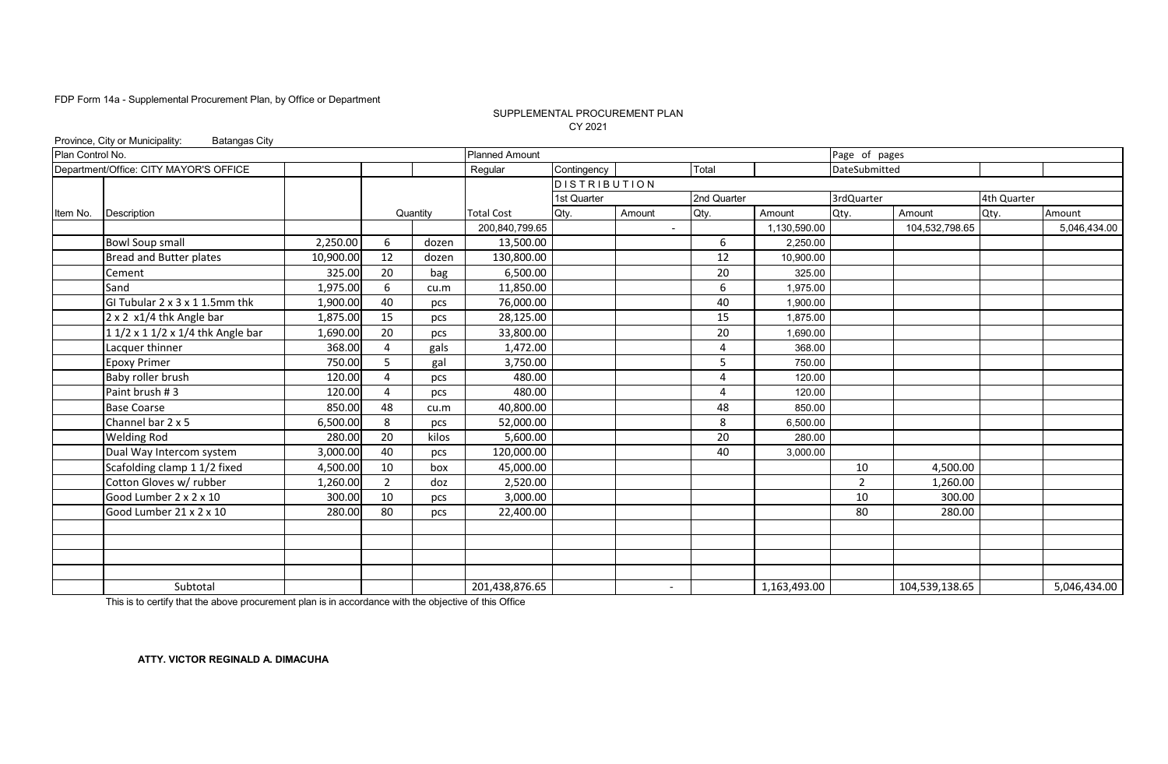#### SUPPLEMENTAL PROCUREMENT PLAN CY 2021

|                  | Province, City or Municipality:<br><b>Batangas City</b> |           |                |          |                       |                     |                |             |              |                |                |             |              |
|------------------|---------------------------------------------------------|-----------|----------------|----------|-----------------------|---------------------|----------------|-------------|--------------|----------------|----------------|-------------|--------------|
| Plan Control No. |                                                         |           |                |          | <b>Planned Amount</b> |                     |                |             |              | Page of pages  |                |             |              |
|                  | Department/Office: CITY MAYOR'S OFFICE                  |           |                |          | Regular               | Contingency         |                | Total       |              | DateSubmitted  |                |             |              |
|                  |                                                         |           |                |          |                       | <b>DISTRIBUTION</b> |                |             |              |                |                |             |              |
|                  |                                                         |           |                |          |                       | 1st Quarter         |                | 2nd Quarter |              | 3rdQuarter     |                | 4th Quarter |              |
| Item No.         | Description                                             |           |                | Quantity | <b>Total Cost</b>     | Qty.                | Amount         | Qty.        | Amount       | Qty.           | Amount         | Qty.        | Amount       |
|                  |                                                         |           |                |          | 200,840,799.65        |                     | $\blacksquare$ |             | 1,130,590.00 |                | 104,532,798.65 |             | 5,046,434.00 |
|                  | <b>Bowl Soup small</b>                                  | 2,250.00  | 6              | dozen    | 13,500.00             |                     |                | 6           | 2,250.00     |                |                |             |              |
|                  | Bread and Butter plates                                 | 10,900.00 | 12             | dozen    | 130,800.00            |                     |                | 12          | 10,900.00    |                |                |             |              |
|                  | Cement                                                  | 325.00    | 20             | bag      | 6,500.00              |                     |                | 20          | 325.00       |                |                |             |              |
|                  | Sand                                                    | 1,975.00  | 6              | cu.m     | 11,850.00             |                     |                | 6           | 1,975.00     |                |                |             |              |
|                  | GI Tubular 2 x 3 x 1 1.5mm thk                          | 1,900.00  | 40             | pcs      | 76,000.00             |                     |                | 40          | 1,900.00     |                |                |             |              |
|                  | 2 x 2 x1/4 thk Angle bar                                | 1,875.00  | 15             | pcs      | 28,125.00             |                     |                | 15          | 1.875.00     |                |                |             |              |
|                  | 1 1/2 x 1 1/2 x 1/4 thk Angle bar                       | 1,690.00  | 20             | pcs      | 33,800.00             |                     |                | 20          | 1,690.00     |                |                |             |              |
|                  | Lacquer thinner                                         | 368.00    | 4              | gals     | 1,472.00              |                     |                | 4           | 368.00       |                |                |             |              |
|                  | <b>Epoxy Primer</b>                                     | 750.00    | 5              | gal      | 3,750.00              |                     |                | 5           | 750.00       |                |                |             |              |
|                  | Baby roller brush                                       | 120.00    | $\overline{a}$ | pcs      | 480.00                |                     |                | $\Delta$    | 120.00       |                |                |             |              |
|                  | Paint brush #3                                          | 120.00    | $\overline{a}$ | pcs      | 480.00                |                     |                | 4           | 120.00       |                |                |             |              |
|                  | <b>Base Coarse</b>                                      | 850.00    | 48             | cu.m     | 40,800.00             |                     |                | 48          | 850.00       |                |                |             |              |
|                  | Channel bar 2 x 5                                       | 6,500.00  | 8              | pcs      | 52,000.00             |                     |                | 8           | 6.500.00     |                |                |             |              |
|                  | <b>Welding Rod</b>                                      | 280.00    | 20             | kilos    | 5,600.00              |                     |                | 20          | 280.00       |                |                |             |              |
|                  | Dual Way Intercom system                                | 3,000.00  | 40             | pcs      | 120,000.00            |                     |                | 40          | 3,000.00     |                |                |             |              |
|                  | Scafolding clamp 1 1/2 fixed                            | 4,500.00  | 10             | box      | 45,000.00             |                     |                |             |              | 10             | 4,500.00       |             |              |
|                  | Cotton Gloves w/ rubber                                 | 1,260.00  | $\overline{2}$ | doz      | 2,520.00              |                     |                |             |              | $\overline{2}$ | 1,260.00       |             |              |
|                  | Good Lumber 2 x 2 x 10                                  | 300.00    | 10             | pcs      | 3,000.00              |                     |                |             |              | 10             | 300.00         |             |              |
|                  | Good Lumber 21 x 2 x 10                                 | 280.00    | 80             | pcs      | 22,400.00             |                     |                |             |              | 80             | 280.00         |             |              |
|                  |                                                         |           |                |          |                       |                     |                |             |              |                |                |             |              |
|                  |                                                         |           |                |          |                       |                     |                |             |              |                |                |             |              |
|                  |                                                         |           |                |          |                       |                     |                |             |              |                |                |             |              |
|                  |                                                         |           |                |          |                       |                     |                |             |              |                |                |             |              |
|                  | Subtotal                                                |           |                |          | 201,438,876.65        |                     | $\overline{a}$ |             | 1,163,493.00 |                | 104,539,138.65 |             | 5,046,434.00 |

This is to certify that the above procurement plan is in accordance with the objective of this Office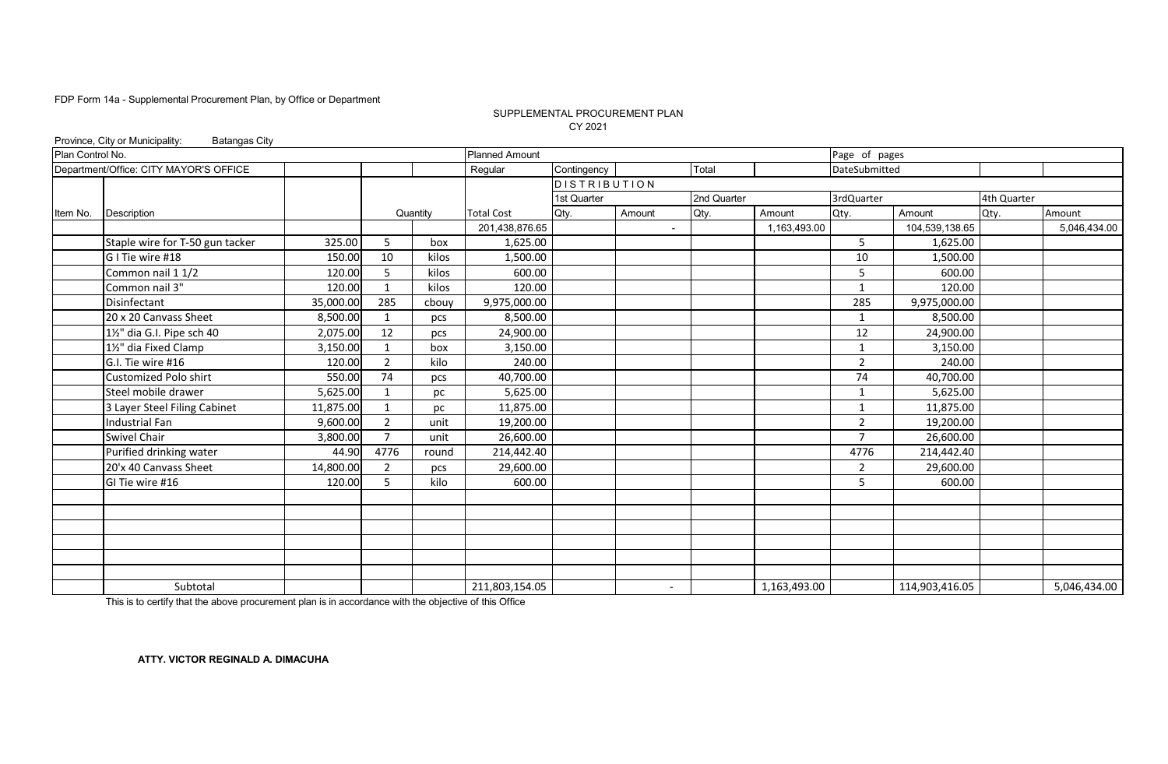#### SUPPLEMENTAL PROCUREMENT PLAN CY 2021

|                  | Province, City or Municipality:<br><b>Batangas City</b> |           |                |          |                       |                     |                |             |              |                |                |             |              |
|------------------|---------------------------------------------------------|-----------|----------------|----------|-----------------------|---------------------|----------------|-------------|--------------|----------------|----------------|-------------|--------------|
| Plan Control No. |                                                         |           |                |          | <b>Planned Amount</b> |                     |                |             |              | Page of pages  |                |             |              |
|                  | Department/Office: CITY MAYOR'S OFFICE                  |           |                |          | Regular               | Contingency         |                | Total       |              | DateSubmitted  |                |             |              |
|                  |                                                         |           |                |          |                       | <b>DISTRIBUTION</b> |                |             |              |                |                |             |              |
|                  |                                                         |           |                |          |                       | 1st Quarter         |                | 2nd Quarter |              | 3rdQuarter     |                | 4th Quarter |              |
| Item No.         | Description                                             |           |                | Quantity | <b>Total Cost</b>     | Qty.                | Amount         | Qty.        | Amount       | Qty.           | Amount         | Qty.        | Amount       |
|                  |                                                         |           |                |          | 201,438,876.65        |                     | $\blacksquare$ |             | 1,163,493.00 |                | 104,539,138.65 |             | 5,046,434.00 |
|                  | Staple wire for T-50 gun tacker                         | 325.00    | 5              | box      | 1,625.00              |                     |                |             |              | 5              | 1,625.00       |             |              |
|                  | G I Tie wire #18                                        | 150.00    | 10             | kilos    | 1,500.00              |                     |                |             |              | 10             | 1,500.00       |             |              |
|                  | Common nail 1 1/2                                       | 120.00    | 5              | kilos    | 600.00                |                     |                |             |              | 5              | 600.00         |             |              |
|                  | Common nail 3"                                          | 120.00    | $\mathbf{1}$   | kilos    | 120.00                |                     |                |             |              | $\mathbf{1}$   | 120.00         |             |              |
|                  | Disinfectant                                            | 35,000.00 | 285            | cbouy    | 9,975,000.00          |                     |                |             |              | 285            | 9,975,000.00   |             |              |
|                  | 20 x 20 Canvass Sheet                                   | 8,500.00  | 1              | pcs      | 8,500.00              |                     |                |             |              | $\mathbf{1}$   | 8,500.00       |             |              |
|                  | 1½" dia G.I. Pipe sch 40                                | 2,075.00  | 12             | pcs      | 24,900.00             |                     |                |             |              | 12             | 24,900.00      |             |              |
|                  | 11/2" dia Fixed Clamp                                   | 3,150.00  | 1              | box      | 3,150.00              |                     |                |             |              | $\mathbf{1}$   | 3,150.00       |             |              |
|                  | G.I. Tie wire #16                                       | 120.00    | $\overline{2}$ | kilo     | 240.00                |                     |                |             |              | $\overline{2}$ | 240.00         |             |              |
|                  | Customized Polo shirt                                   | 550.00    | 74             | pcs      | 40,700.00             |                     |                |             |              | 74             | 40,700.00      |             |              |
|                  | Steel mobile drawer                                     | 5,625.00  | 1              | рc       | 5,625.00              |                     |                |             |              | 1              | 5,625.00       |             |              |
|                  | 3 Layer Steel Filing Cabinet                            | 11,875.00 | 1              | pc       | 11,875.00             |                     |                |             |              | $\mathbf{1}$   | 11,875.00      |             |              |
|                  | Industrial Fan                                          | 9,600.00  | $\overline{2}$ | unit     | 19,200.00             |                     |                |             |              | $\overline{2}$ | 19,200.00      |             |              |
|                  | <b>Swivel Chair</b>                                     | 3,800.00  | $\overline{7}$ | unit     | 26,600.00             |                     |                |             |              | $\overline{7}$ | 26,600.00      |             |              |
|                  | Purified drinking water                                 | 44.90     | 4776           | round    | 214,442.40            |                     |                |             |              | 4776           | 214,442.40     |             |              |
|                  | 20'x 40 Canvass Sheet                                   | 14,800.00 | $\overline{2}$ | pcs      | 29,600.00             |                     |                |             |              | 2              | 29,600.00      |             |              |
|                  | GI Tie wire #16                                         | 120.00    | 5              | kilo     | 600.00                |                     |                |             |              | 5              | 600.00         |             |              |
|                  |                                                         |           |                |          |                       |                     |                |             |              |                |                |             |              |
|                  |                                                         |           |                |          |                       |                     |                |             |              |                |                |             |              |
|                  |                                                         |           |                |          |                       |                     |                |             |              |                |                |             |              |
|                  |                                                         |           |                |          |                       |                     |                |             |              |                |                |             |              |
|                  |                                                         |           |                |          |                       |                     |                |             |              |                |                |             |              |
|                  |                                                         |           |                |          |                       |                     |                |             |              |                |                |             |              |
|                  | Subtotal                                                |           |                |          | 211,803,154.05        |                     | $\overline{a}$ |             | 1,163,493.00 |                | 114,903,416.05 |             | 5,046,434.00 |

This is to certify that the above procurement plan is in accordance with the objective of this Office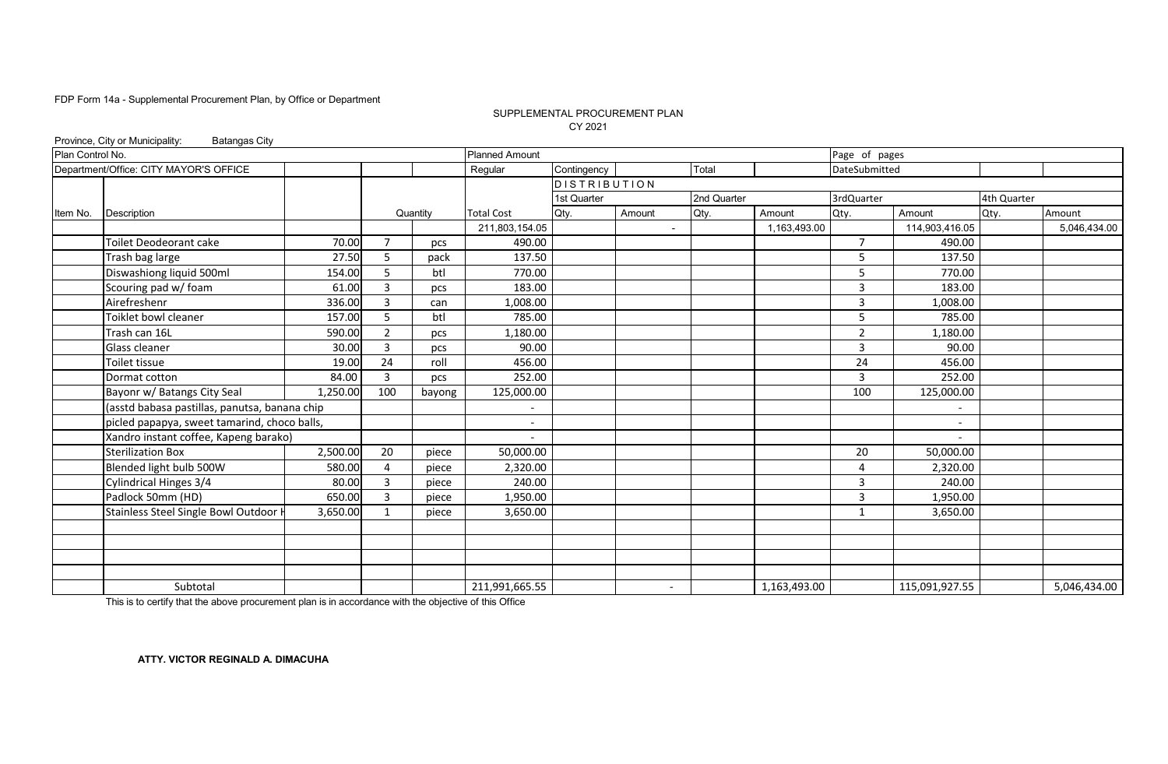#### CY 2021 SUPPLEMENTAL PROCUREMENT PLAN

|                  | Province, City or Municipality:<br><b>Batangas City</b> |          |                |          |                       |                     |                |             |              |                |                |             |              |
|------------------|---------------------------------------------------------|----------|----------------|----------|-----------------------|---------------------|----------------|-------------|--------------|----------------|----------------|-------------|--------------|
| Plan Control No. |                                                         |          |                |          | <b>Planned Amount</b> |                     |                |             |              | Page of pages  |                |             |              |
|                  | Department/Office: CITY MAYOR'S OFFICE                  |          |                |          | Regular               | Contingency         |                | Total       |              | DateSubmitted  |                |             |              |
|                  |                                                         |          |                |          |                       | <b>DISTRIBUTION</b> |                |             |              |                |                |             |              |
|                  |                                                         |          |                |          |                       | 1st Quarter         |                | 2nd Quarter |              | 3rdQuarter     |                | 4th Quarter |              |
| Item No.         | Description                                             |          |                | Quantity | <b>Total Cost</b>     | Qty.                | Amount         | Qty.        | Amount       | Qty.           | Amount         | Qty.        | Amount       |
|                  |                                                         |          |                |          | 211,803,154.05        |                     | $\blacksquare$ |             | 1,163,493.00 |                | 114,903,416.05 |             | 5,046,434.00 |
|                  | Toilet Deodeorant cake                                  | 70.00    | $\overline{7}$ | pcs      | 490.00                |                     |                |             |              | $\overline{7}$ | 490.00         |             |              |
|                  | Trash bag large                                         | 27.50    | 5              | pack     | 137.50                |                     |                |             |              | 5              | 137.50         |             |              |
|                  | Diswashiong liquid 500ml                                | 154.00   | 5              | btl      | 770.00                |                     |                |             |              | 5              | 770.00         |             |              |
|                  | Scouring pad w/ foam                                    | 61.00    | 3              | pcs      | 183.00                |                     |                |             |              | 3              | 183.00         |             |              |
|                  | Airefreshenr                                            | 336.00   | 3              | can      | 1,008.00              |                     |                |             |              | 3              | 1,008.00       |             |              |
|                  | Toiklet bowl cleaner                                    | 157.00   | 5              | btl      | 785.00                |                     |                |             |              | 5              | 785.00         |             |              |
|                  | Trash can 16L                                           | 590.00   | $\overline{2}$ | pcs      | 1,180.00              |                     |                |             |              | 2              | 1,180.00       |             |              |
|                  | Glass cleaner                                           | 30.00    | 3              | pcs      | 90.00                 |                     |                |             |              | $\overline{3}$ | 90.00          |             |              |
|                  | Toilet tissue                                           | 19.00    | 24             | roll     | 456.00                |                     |                |             |              | 24             | 456.00         |             |              |
|                  | Dormat cotton                                           | 84.00    | 3              | pcs      | 252.00                |                     |                |             |              | 3              | 252.00         |             |              |
|                  | Bayonr w/ Batangs City Seal                             | 1,250.00 | 100            | bayong   | 125,000.00            |                     |                |             |              | 100            | 125,000.00     |             |              |
|                  | (asstd babasa pastillas, panutsa, banana chip           |          |                |          |                       |                     |                |             |              |                |                |             |              |
|                  | picled papapya, sweet tamarind, choco balls,            |          |                |          |                       |                     |                |             |              |                |                |             |              |
|                  | Xandro instant coffee, Kapeng barako)                   |          |                |          |                       |                     |                |             |              |                |                |             |              |
|                  | <b>Sterilization Box</b>                                | 2,500.00 | 20             | piece    | 50,000.00             |                     |                |             |              | 20             | 50,000.00      |             |              |
|                  | Blended light bulb 500W                                 | 580.00   |                | piece    | 2,320.00              |                     |                |             |              | $\overline{a}$ | 2,320.00       |             |              |
|                  | Cylindrical Hinges 3/4                                  | 80.00    | 3              | piece    | 240.00                |                     |                |             |              | 3              | 240.00         |             |              |
|                  | Padlock 50mm (HD)                                       | 650.00   | 3              | piece    | 1,950.00              |                     |                |             |              | 3              | 1,950.00       |             |              |
|                  | Stainless Steel Single Bowl Outdoor                     | 3,650.00 |                | piece    | 3,650.00              |                     |                |             |              | $\mathbf 1$    | 3,650.00       |             |              |
|                  |                                                         |          |                |          |                       |                     |                |             |              |                |                |             |              |
|                  |                                                         |          |                |          |                       |                     |                |             |              |                |                |             |              |
|                  |                                                         |          |                |          |                       |                     |                |             |              |                |                |             |              |
|                  |                                                         |          |                |          |                       |                     |                |             |              |                |                |             |              |
|                  | Subtotal                                                |          |                |          | 211,991,665.55        |                     | $\overline{a}$ |             | 1,163,493.00 |                | 115,091,927.55 |             | 5,046,434.00 |

This is to certify that the above procurement plan is in accordance with the objective of this Office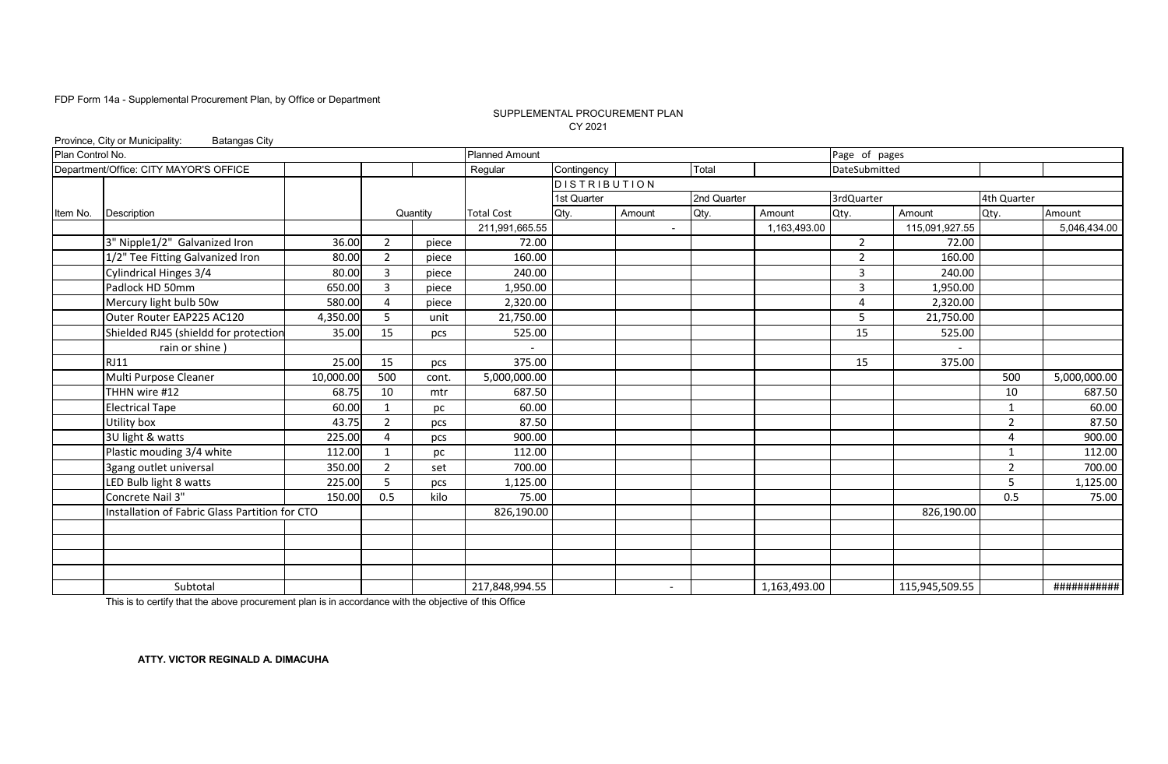#### SUPPLEMENTAL PROCUREMENT PLAN CY 2021

|                  | Province, City or Municipality:<br><b>Batangas City</b> |           |                |          |                       |                     |                          |             |              |                |                          |                |              |
|------------------|---------------------------------------------------------|-----------|----------------|----------|-----------------------|---------------------|--------------------------|-------------|--------------|----------------|--------------------------|----------------|--------------|
| Plan Control No. |                                                         |           |                |          | <b>Planned Amount</b> |                     |                          |             |              | Page of pages  |                          |                |              |
|                  | Department/Office: CITY MAYOR'S OFFICE                  |           |                |          | Regular               | Contingency         |                          | Total       |              | DateSubmitted  |                          |                |              |
|                  |                                                         |           |                |          |                       | <b>DISTRIBUTION</b> |                          |             |              |                |                          |                |              |
|                  |                                                         |           |                |          |                       | 1st Quarter         |                          | 2nd Quarter |              | 3rdQuarter     |                          | 4th Quarter    |              |
| Item No.         | Description                                             |           |                | Quantity | <b>Total Cost</b>     | Qty.                | Amount                   | Qty.        | Amount       | Qty.           | Amount                   | Qty.           | Amount       |
|                  |                                                         |           |                |          | 211,991,665.55        |                     | $\blacksquare$           |             | 1,163,493.00 |                | 115,091,927.55           |                | 5,046,434.00 |
|                  | 3" Nipple1/2" Galvanized Iron                           | 36.00     | 2              | piece    | 72.00                 |                     |                          |             |              | $\overline{2}$ | 72.00                    |                |              |
|                  | 1/2" Tee Fitting Galvanized Iron                        | 80.00     | $\overline{2}$ | piece    | 160.00                |                     |                          |             |              | $\overline{2}$ | 160.00                   |                |              |
|                  | Cylindrical Hinges 3/4                                  | 80.00     | 3              | piece    | 240.00                |                     |                          |             |              | 3              | 240.00                   |                |              |
|                  | Padlock HD 50mm                                         | 650.00    | 3              | piece    | 1,950.00              |                     |                          |             |              | $\overline{3}$ | 1,950.00                 |                |              |
|                  | Mercury light bulb 50w                                  | 580.00    | 4              | piece    | 2,320.00              |                     |                          |             |              | 4              | 2,320.00                 |                |              |
|                  | Outer Router EAP225 AC120                               | 4,350.00  | 5              | unit     | 21,750.00             |                     |                          |             |              | 5              | 21,750.00                |                |              |
|                  | Shielded RJ45 (shieldd for protection                   | 35.00     | 15             | pcs      | 525.00                |                     |                          |             |              | 15             | 525.00                   |                |              |
|                  | rain or shine)                                          |           |                |          |                       |                     |                          |             |              |                | $\overline{\phantom{a}}$ |                |              |
|                  | <b>RJ11</b>                                             | 25.00     | 15             | pcs      | 375.00                |                     |                          |             |              | 15             | 375.00                   |                |              |
|                  | Multi Purpose Cleaner                                   | 10,000.00 | 500            | cont.    | 5,000,000.00          |                     |                          |             |              |                |                          | 500            | 5,000,000.00 |
|                  | THHN wire #12                                           | 68.75     | 10             | mtr      | 687.50                |                     |                          |             |              |                |                          | 10             | 687.50       |
|                  | <b>Electrical Tape</b>                                  | 60.00     | 1              | pc       | 60.00                 |                     |                          |             |              |                |                          | $\mathbf{1}$   | 60.00        |
|                  | Utility box                                             | 43.75     | $\overline{2}$ | pcs      | 87.50                 |                     |                          |             |              |                |                          | $\overline{2}$ | 87.50        |
|                  | 3U light & watts                                        | 225.00    | 4              | pcs      | 900.00                |                     |                          |             |              |                |                          | 4              | 900.00       |
|                  | Plastic mouding 3/4 white                               | 112.00    | 1              | pc       | 112.00                |                     |                          |             |              |                |                          | $\mathbf{1}$   | 112.00       |
|                  | 3gang outlet universal                                  | 350.00    | $\overline{2}$ | set      | 700.00                |                     |                          |             |              |                |                          | $\overline{2}$ | 700.00       |
|                  | LED Bulb light 8 watts                                  | 225.00    | 5              | pcs      | 1,125.00              |                     |                          |             |              |                |                          | 5              | 1,125.00     |
|                  | Concrete Nail 3"                                        | 150.00    | 0.5            | kilo     | 75.00                 |                     |                          |             |              |                |                          | 0.5            | 75.00        |
|                  | Installation of Fabric Glass Partition for CTO          |           |                |          | 826,190.00            |                     |                          |             |              |                | 826,190.00               |                |              |
|                  |                                                         |           |                |          |                       |                     |                          |             |              |                |                          |                |              |
|                  |                                                         |           |                |          |                       |                     |                          |             |              |                |                          |                |              |
|                  |                                                         |           |                |          |                       |                     |                          |             |              |                |                          |                |              |
|                  |                                                         |           |                |          |                       |                     |                          |             |              |                |                          |                |              |
|                  | Subtotal                                                |           |                |          | 217,848,994.55        |                     | $\overline{\phantom{a}}$ |             | 1,163,493.00 |                | 115,945,509.55           |                | ###########  |

This is to certify that the above procurement plan is in accordance with the objective of this Office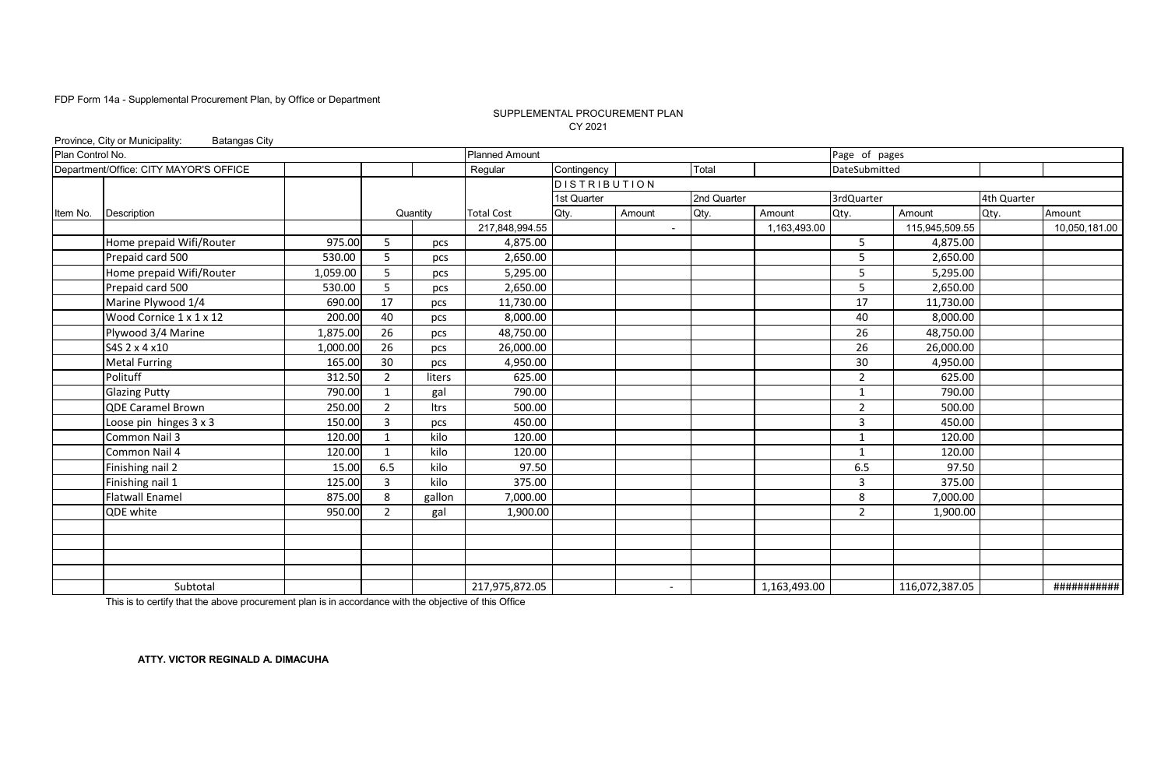#### SUPPLEMENTAL PROCUREMENT PLAN CY 2021

|                  | Province, City or Municipality:<br><b>Batangas City</b> |          |                |             |                       |                     |                          |             |              |                |                |             |               |
|------------------|---------------------------------------------------------|----------|----------------|-------------|-----------------------|---------------------|--------------------------|-------------|--------------|----------------|----------------|-------------|---------------|
| Plan Control No. |                                                         |          |                |             | <b>Planned Amount</b> |                     |                          |             |              | Page of pages  |                |             |               |
|                  | Department/Office: CITY MAYOR'S OFFICE                  |          |                |             | Regular               | Contingency         |                          | Total       |              | DateSubmitted  |                |             |               |
|                  |                                                         |          |                |             |                       | <b>DISTRIBUTION</b> |                          |             |              |                |                |             |               |
|                  |                                                         |          |                |             |                       | 1st Quarter         |                          | 2nd Quarter |              | 3rdQuarter     |                | 4th Quarter |               |
| Item No.         | Description                                             |          |                | Quantity    | <b>Total Cost</b>     | Qty.                | Amount                   | Qty.        | Amount       | Qty.           | Amount         | Qty.        | Amount        |
|                  |                                                         |          |                |             | 217,848,994.55        |                     | $\blacksquare$           |             | 1,163,493.00 |                | 115,945,509.55 |             | 10,050,181.00 |
|                  | Home prepaid Wifi/Router                                | 975.00   | 5              | pcs         | 4,875.00              |                     |                          |             |              | 5              | 4,875.00       |             |               |
|                  | Prepaid card 500                                        | 530.00   | 5              | pcs         | 2,650.00              |                     |                          |             |              | 5              | 2,650.00       |             |               |
|                  | Home prepaid Wifi/Router                                | 1,059.00 | 5              | pcs         | 5,295.00              |                     |                          |             |              | 5              | 5,295.00       |             |               |
|                  | Prepaid card 500                                        | 530.00   | 5              | pcs         | 2,650.00              |                     |                          |             |              | 5              | 2,650.00       |             |               |
|                  | Marine Plywood 1/4                                      | 690.00   | 17             | pcs         | 11,730.00             |                     |                          |             |              | 17             | 11,730.00      |             |               |
|                  | Wood Cornice 1 x 1 x 12                                 | 200.00   | 40             | pcs         | 8,000.00              |                     |                          |             |              | 40             | 8,000.00       |             |               |
|                  | Plywood 3/4 Marine                                      | 1,875.00 | 26             | pcs         | 48,750.00             |                     |                          |             |              | 26             | 48,750.00      |             |               |
|                  | S4S 2 x 4 x 10                                          | 1,000.00 | 26             | pcs         | 26,000.00             |                     |                          |             |              | 26             | 26,000.00      |             |               |
|                  | <b>Metal Furring</b>                                    | 165.00   | 30             | pcs         | 4,950.00              |                     |                          |             |              | 30             | 4,950.00       |             |               |
|                  | Polituff                                                | 312.50   | $\overline{2}$ | liters      | 625.00                |                     |                          |             |              | $\overline{2}$ | 625.00         |             |               |
|                  | <b>Glazing Putty</b>                                    | 790.00   | $\mathbf{1}$   | gal         | 790.00                |                     |                          |             |              | $\mathbf{1}$   | 790.00         |             |               |
|                  | <b>QDE Caramel Brown</b>                                | 250.00   | $\overline{2}$ | <b>Itrs</b> | 500.00                |                     |                          |             |              | $\overline{2}$ | 500.00         |             |               |
|                  | Loose pin hinges 3 x 3                                  | 150.00   | $\overline{3}$ | pcs         | 450.00                |                     |                          |             |              | 3              | 450.00         |             |               |
|                  | Common Nail 3                                           | 120.00   |                | kilo        | 120.00                |                     |                          |             |              |                | 120.00         |             |               |
|                  | Common Nail 4                                           | 120.00   | $\mathbf{1}$   | kilo        | 120.00                |                     |                          |             |              | $\overline{1}$ | 120.00         |             |               |
|                  | Finishing nail 2                                        | 15.00    | 6.5            | kilo        | 97.50                 |                     |                          |             |              | 6.5            | 97.50          |             |               |
|                  | Finishing nail 1                                        | 125.00   | 3              | kilo        | 375.00                |                     |                          |             |              | 3              | 375.00         |             |               |
|                  | <b>Flatwall Enamel</b>                                  | 875.00   | 8              | gallon      | 7,000.00              |                     |                          |             |              | 8              | 7,000.00       |             |               |
|                  | QDE white                                               | 950.00   | $\overline{2}$ | gal         | 1,900.00              |                     |                          |             |              | 2              | 1,900.00       |             |               |
|                  |                                                         |          |                |             |                       |                     |                          |             |              |                |                |             |               |
|                  |                                                         |          |                |             |                       |                     |                          |             |              |                |                |             |               |
|                  |                                                         |          |                |             |                       |                     |                          |             |              |                |                |             |               |
|                  |                                                         |          |                |             |                       |                     |                          |             |              |                |                |             |               |
|                  | Subtotal                                                |          |                |             | 217,975,872.05        |                     | $\overline{\phantom{a}}$ |             | 1,163,493.00 |                | 116,072,387.05 |             | ###########   |

This is to certify that the above procurement plan is in accordance with the objective of this Office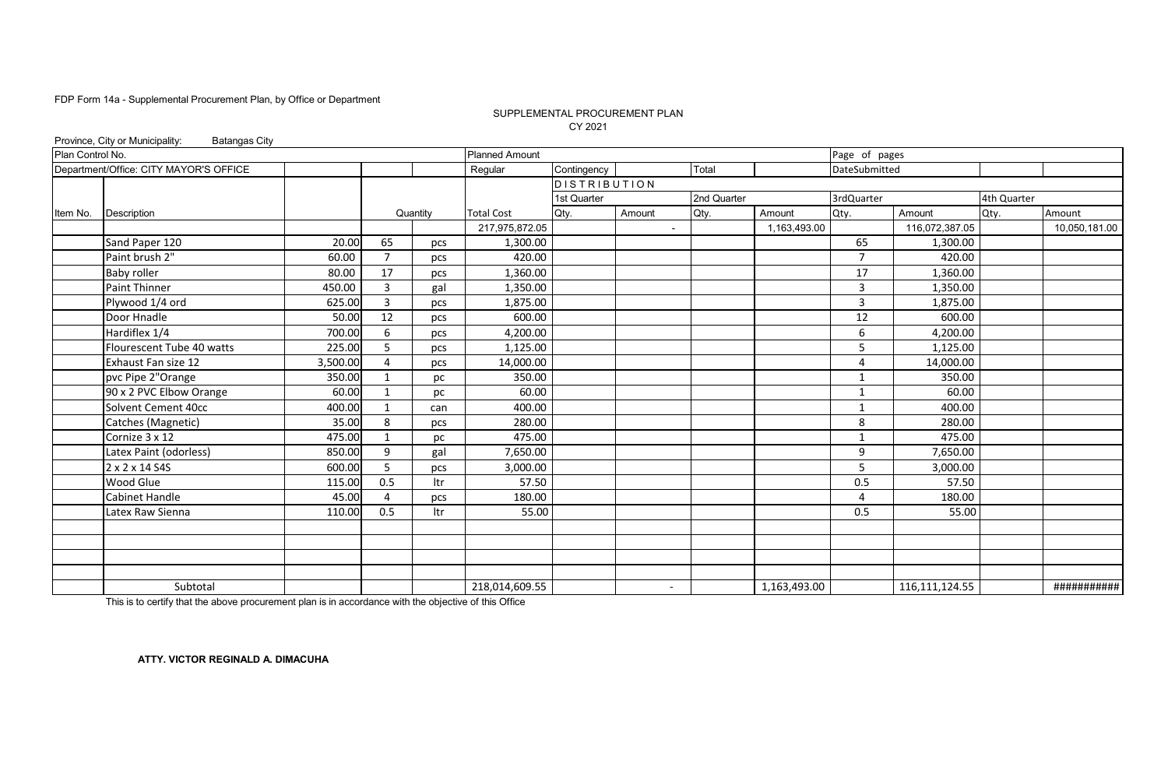#### CY 2021 SUPPLEMENTAL PROCUREMENT PLAN

|                  | Province, City or Municipality:<br><b>Batangas City</b> |          |                |          |                       |                 |                          |             |              |                |                  |             |               |
|------------------|---------------------------------------------------------|----------|----------------|----------|-----------------------|-----------------|--------------------------|-------------|--------------|----------------|------------------|-------------|---------------|
| Plan Control No. |                                                         |          |                |          | <b>Planned Amount</b> |                 |                          |             |              | Page of pages  |                  |             |               |
|                  | Department/Office: CITY MAYOR'S OFFICE                  |          |                |          | Regular               | Contingency     |                          | Total       |              | DateSubmitted  |                  |             |               |
|                  |                                                         |          |                |          |                       | $D$ ISTRIBUTION |                          |             |              |                |                  |             |               |
|                  |                                                         |          |                |          |                       | 1st Quarter     |                          | 2nd Quarter |              | 3rdQuarter     |                  | 4th Quarter |               |
| Item No.         | Description                                             |          |                | Quantity | <b>Total Cost</b>     | Qty.            | Amount                   | Qty.        | Amount       | Qty.           | Amount           | Qty.        | Amount        |
|                  |                                                         |          |                |          | 217,975,872.05        |                 |                          |             | 1,163,493.00 |                | 116,072,387.05   |             | 10,050,181.00 |
|                  | Sand Paper 120                                          | 20.00    | 65             | pcs      | 1,300.00              |                 |                          |             |              | 65             | 1,300.00         |             |               |
|                  | Paint brush 2"                                          | 60.00    | $\overline{7}$ | pcs      | 420.00                |                 |                          |             |              | $\overline{7}$ | 420.00           |             |               |
|                  | <b>Baby roller</b>                                      | 80.00    | 17             | pcs      | 1,360.00              |                 |                          |             |              | 17             | 1,360.00         |             |               |
|                  | <b>Paint Thinner</b>                                    | 450.00   | $\overline{3}$ | gal      | 1,350.00              |                 |                          |             |              | 3              | 1,350.00         |             |               |
|                  | Plywood 1/4 ord                                         | 625.00   | 3              | pcs      | 1,875.00              |                 |                          |             |              | 3              | 1,875.00         |             |               |
|                  | Door Hnadle                                             | 50.00    | 12             | pcs      | 600.00                |                 |                          |             |              | 12             | 600.00           |             |               |
|                  | Hardiflex 1/4                                           | 700.00   | 6              | pcs      | 4,200.00              |                 |                          |             |              | 6              | 4,200.00         |             |               |
|                  | Flourescent Tube 40 watts                               | 225.00   | 5              | pcs      | 1,125.00              |                 |                          |             |              | 5              | 1,125.00         |             |               |
|                  | Exhaust Fan size 12                                     | 3,500.00 | $\overline{4}$ | pcs      | 14,000.00             |                 |                          |             |              | $\Delta$       | 14,000.00        |             |               |
|                  | pvc Pipe 2"Orange                                       | 350.00   | $\mathbf{1}$   | pc       | 350.00                |                 |                          |             |              | $\mathbf{1}$   | 350.00           |             |               |
|                  | 90 x 2 PVC Elbow Orange                                 | 60.00    | $\mathbf{1}$   | pc       | 60.00                 |                 |                          |             |              | $\mathbf{1}$   | 60.00            |             |               |
|                  | Solvent Cement 40cc                                     | 400.00   | 1              | can      | 400.00                |                 |                          |             |              | 1              | 400.00           |             |               |
|                  | Catches (Magnetic)                                      | 35.00    | 8              | pcs      | 280.00                |                 |                          |             |              | 8              | 280.00           |             |               |
|                  | Cornize 3 x 12                                          | 475.00   | $\mathbf{1}$   | pc       | 475.00                |                 |                          |             |              | $\mathbf{1}$   | 475.00           |             |               |
|                  | Latex Paint (odorless)                                  | 850.00   | 9              | gal      | 7,650.00              |                 |                          |             |              | 9              | 7,650.00         |             |               |
|                  | 2 x 2 x 14 S4S                                          | 600.00   | 5              | pcs      | 3,000.00              |                 |                          |             |              | 5              | 3,000.00         |             |               |
|                  | Wood Glue                                               | 115.00   | 0.5            | Itr      | 57.50                 |                 |                          |             |              | 0.5            | 57.50            |             |               |
|                  | <b>Cabinet Handle</b>                                   | 45.00    | $\overline{4}$ | pcs      | 180.00                |                 |                          |             |              | $\Lambda$      | 180.00           |             |               |
|                  | Latex Raw Sienna                                        | 110.00   | 0.5            | ltr      | 55.00                 |                 |                          |             |              | 0.5            | 55.00            |             |               |
|                  |                                                         |          |                |          |                       |                 |                          |             |              |                |                  |             |               |
|                  |                                                         |          |                |          |                       |                 |                          |             |              |                |                  |             |               |
|                  |                                                         |          |                |          |                       |                 |                          |             |              |                |                  |             |               |
|                  |                                                         |          |                |          |                       |                 |                          |             |              |                |                  |             |               |
|                  | Subtotal                                                |          |                |          | 218,014,609.55        |                 | $\overline{\phantom{a}}$ |             | 1,163,493.00 |                | 116, 111, 124.55 |             | ###########   |

This is to certify that the above procurement plan is in accordance with the objective of this Office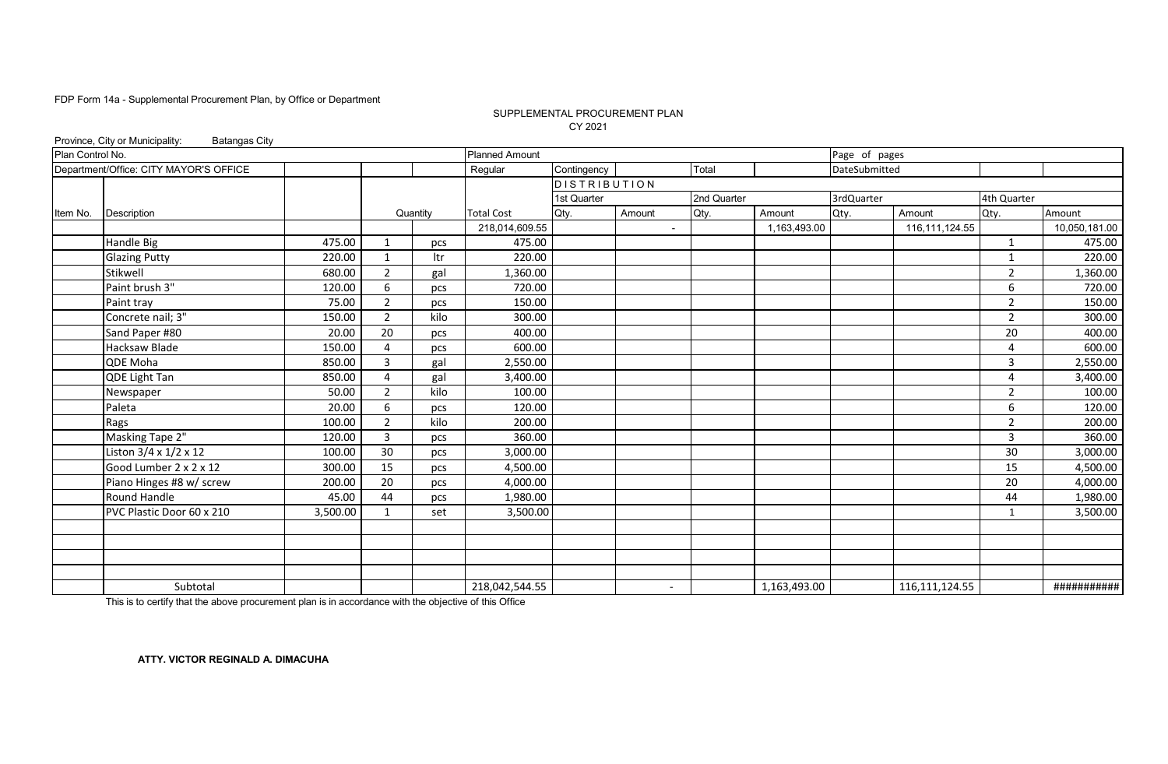#### SUPPLEMENTAL PROCUREMENT PLAN CY 2021

|                  | Province, City or Municipality:<br><b>Batangas City</b> |          |                |          |                       |                     |                          |             |              |               |                  |                |               |
|------------------|---------------------------------------------------------|----------|----------------|----------|-----------------------|---------------------|--------------------------|-------------|--------------|---------------|------------------|----------------|---------------|
| Plan Control No. |                                                         |          |                |          | <b>Planned Amount</b> |                     |                          |             |              | Page of pages |                  |                |               |
|                  | Department/Office: CITY MAYOR'S OFFICE                  |          |                |          | Regular               | Contingency         |                          | Total       |              | DateSubmitted |                  |                |               |
|                  |                                                         |          |                |          |                       | <b>DISTRIBUTION</b> |                          |             |              |               |                  |                |               |
|                  |                                                         |          |                |          |                       | 1st Quarter         |                          | 2nd Quarter |              | 3rdQuarter    |                  | 4th Quarter    |               |
| Item No.         | <b>Description</b>                                      |          |                | Quantity | <b>Total Cost</b>     | Qty.                | Amount                   | Qty.        | Amount       | Qty.          | Amount           | Qty.           | Amount        |
|                  |                                                         |          |                |          | 218,014,609.55        |                     |                          |             | 1,163,493.00 |               | 116, 111, 124.55 |                | 10,050,181.00 |
|                  | Handle Big                                              | 475.00   | 1              | pcs      | 475.00                |                     |                          |             |              |               |                  | $\mathbf{1}$   | 475.00        |
|                  | <b>Glazing Putty</b>                                    | 220.00   | 1              | ltr      | 220.00                |                     |                          |             |              |               |                  | 1              | 220.00        |
|                  | Stikwell                                                | 680.00   | $\overline{2}$ | gal      | 1,360.00              |                     |                          |             |              |               |                  | $\overline{2}$ | 1,360.00      |
|                  | Paint brush 3"                                          | 120.00   | 6              | pcs      | 720.00                |                     |                          |             |              |               |                  | 6              | 720.00        |
|                  | Paint tray                                              | 75.00    | $\overline{2}$ | pcs      | 150.00                |                     |                          |             |              |               |                  | $\overline{2}$ | 150.00        |
|                  | Concrete nail; 3"                                       | 150.00   | $\overline{2}$ | kilo     | 300.00                |                     |                          |             |              |               |                  | $\overline{2}$ | 300.00        |
|                  | Sand Paper #80                                          | 20.00    | 20             | pcs      | 400.00                |                     |                          |             |              |               |                  | 20             | 400.00        |
|                  | Hacksaw Blade                                           | 150.00   | $\overline{4}$ | pcs      | 600.00                |                     |                          |             |              |               |                  | 4              | 600.00        |
|                  | QDE Moha                                                | 850.00   | $\overline{3}$ | gal      | 2,550.00              |                     |                          |             |              |               |                  | 3              | 2,550.00      |
|                  | QDE Light Tan                                           | 850.00   | $\overline{4}$ | gal      | 3,400.00              |                     |                          |             |              |               |                  | 4              | 3,400.00      |
|                  | Newspaper                                               | 50.00    | $\overline{2}$ | kilo     | 100.00                |                     |                          |             |              |               |                  | $\overline{2}$ | 100.00        |
|                  | Paleta                                                  | 20.00    | 6              | pcs      | 120.00                |                     |                          |             |              |               |                  | 6              | 120.00        |
|                  | Rags                                                    | 100.00   | $\overline{2}$ | kilo     | 200.00                |                     |                          |             |              |               |                  | $\overline{2}$ | 200.00        |
|                  | Masking Tape 2"                                         | 120.00   | $\overline{3}$ | pcs      | 360.00                |                     |                          |             |              |               |                  | 3              | 360.00        |
|                  | Liston 3/4 x 1/2 x 12                                   | 100.00   | 30             | pcs      | 3,000.00              |                     |                          |             |              |               |                  | 30             | 3,000.00      |
|                  | Good Lumber 2 x 2 x 12                                  | 300.00   | 15             | pcs      | 4,500.00              |                     |                          |             |              |               |                  | 15             | 4,500.00      |
|                  | Piano Hinges #8 w/ screw                                | 200.00   | 20             | pcs      | 4,000.00              |                     |                          |             |              |               |                  | 20             | 4,000.00      |
|                  | Round Handle                                            | 45.00    | 44             | pcs      | 1,980.00              |                     |                          |             |              |               |                  | 44             | 1,980.00      |
|                  | PVC Plastic Door 60 x 210                               | 3,500.00 |                | set      | 3,500.00              |                     |                          |             |              |               |                  | 1              | 3,500.00      |
|                  |                                                         |          |                |          |                       |                     |                          |             |              |               |                  |                |               |
|                  |                                                         |          |                |          |                       |                     |                          |             |              |               |                  |                |               |
|                  |                                                         |          |                |          |                       |                     |                          |             |              |               |                  |                |               |
|                  |                                                         |          |                |          |                       |                     |                          |             |              |               |                  |                |               |
|                  | Subtotal                                                |          |                |          | 218,042,544.55        |                     | $\overline{\phantom{0}}$ |             | 1,163,493.00 |               | 116, 111, 124.55 |                | ###########   |

This is to certify that the above procurement plan is in accordance with the objective of this Office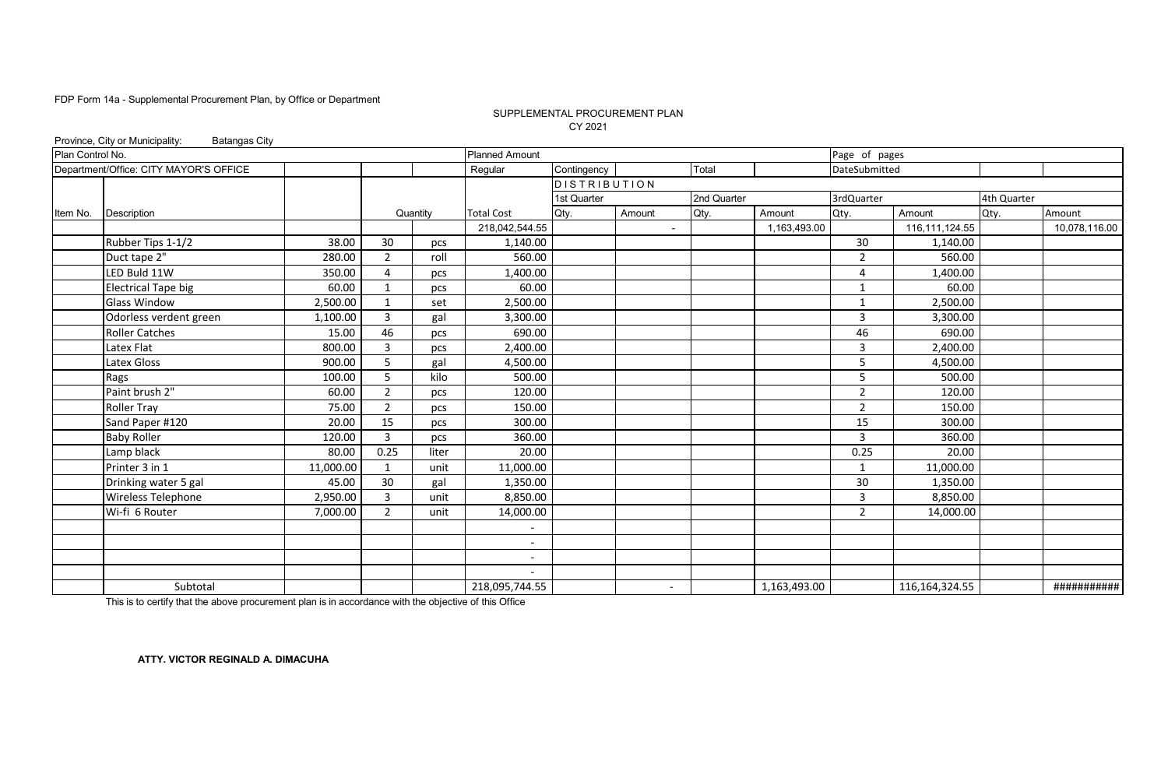#### SUPPLEMENTAL PROCUREMENT PLAN CY 2021

|                  | Province, City or Municipality:<br><b>Batangas City</b> |           |                |          |                       |                     |                          |             |              |                |                   |             |               |
|------------------|---------------------------------------------------------|-----------|----------------|----------|-----------------------|---------------------|--------------------------|-------------|--------------|----------------|-------------------|-------------|---------------|
| Plan Control No. |                                                         |           |                |          | <b>Planned Amount</b> |                     |                          |             |              | Page of pages  |                   |             |               |
|                  | Department/Office: CITY MAYOR'S OFFICE                  |           |                |          | Regular               | Contingency         |                          | Total       |              | DateSubmitted  |                   |             |               |
|                  |                                                         |           |                |          |                       | <b>DISTRIBUTION</b> |                          |             |              |                |                   |             |               |
|                  |                                                         |           |                |          |                       | 1st Quarter         |                          | 2nd Quarter |              | 3rdQuarter     |                   | 4th Quarter |               |
| Item No.         | <b>Description</b>                                      |           |                | Quantity | <b>Total Cost</b>     | Qty.                | Amount                   | Qty.        | Amount       | Qty.           | Amount            | Qty.        | Amount        |
|                  |                                                         |           |                |          | 218,042,544.55        |                     | $\blacksquare$           |             | 1,163,493.00 |                | 116, 111, 124.55  |             | 10,078,116.00 |
|                  | Rubber Tips 1-1/2                                       | 38.00     | 30             | pcs      | 1,140.00              |                     |                          |             |              | 30             | 1,140.00          |             |               |
|                  | Duct tape 2"                                            | 280.00    | $\overline{2}$ | roll     | 560.00                |                     |                          |             |              | 2              | 560.00            |             |               |
|                  | LED Buld 11W                                            | 350.00    | 4              | pcs      | 1,400.00              |                     |                          |             |              | 4              | 1,400.00          |             |               |
|                  | <b>Electrical Tape big</b>                              | 60.00     | $\mathbf{1}$   | pcs      | 60.00                 |                     |                          |             |              | $\mathbf{1}$   | 60.00             |             |               |
|                  | <b>Glass Window</b>                                     | 2,500.00  | $\mathbf{1}$   | set      | 2,500.00              |                     |                          |             |              | $\mathbf{1}$   | 2,500.00          |             |               |
|                  | Odorless verdent green                                  | 1,100.00  | 3              | gal      | 3,300.00              |                     |                          |             |              | 3              | 3,300.00          |             |               |
|                  | <b>Roller Catches</b>                                   | 15.00     | 46             | pcs      | 690.00                |                     |                          |             |              | 46             | 690.00            |             |               |
|                  | Latex Flat                                              | 800.00    | 3              | pcs      | 2,400.00              |                     |                          |             |              | 3              | 2,400.00          |             |               |
|                  | Latex Gloss                                             | 900.00    | 5              | gal      | 4,500.00              |                     |                          |             |              | 5              | 4,500.00          |             |               |
|                  | Rags                                                    | 100.00    | 5              | kilo     | 500.00                |                     |                          |             |              | 5              | 500.00            |             |               |
|                  | Paint brush 2"                                          | 60.00     | $\overline{2}$ | pcs      | 120.00                |                     |                          |             |              | 2              | 120.00            |             |               |
|                  | <b>Roller Tray</b>                                      | 75.00     | $\overline{2}$ | pcs      | 150.00                |                     |                          |             |              | 2              | 150.00            |             |               |
|                  | Sand Paper #120                                         | 20.00     | 15             | pcs      | 300.00                |                     |                          |             |              | 15             | 300.00            |             |               |
|                  | <b>Baby Roller</b>                                      | 120.00    | 3              | pcs      | 360.00                |                     |                          |             |              | $\overline{3}$ | 360.00            |             |               |
|                  | Lamp black                                              | 80.00     | 0.25           | liter    | 20.00                 |                     |                          |             |              | 0.25           | 20.00             |             |               |
|                  | Printer 3 in 1                                          | 11,000.00 | $\mathbf{1}$   | unit     | 11,000.00             |                     |                          |             |              | 1              | 11,000.00         |             |               |
|                  | Drinking water 5 gal                                    | 45.00     | 30             | gal      | 1,350.00              |                     |                          |             |              | 30             | 1,350.00          |             |               |
|                  | Wireless Telephone                                      | 2,950.00  | 3              | unit     | 8,850.00              |                     |                          |             |              | 3              | 8,850.00          |             |               |
|                  | Wi-fi 6 Router                                          | 7,000.00  | $\overline{2}$ | unit     | 14,000.00             |                     |                          |             |              | 2              | 14,000.00         |             |               |
|                  |                                                         |           |                |          |                       |                     |                          |             |              |                |                   |             |               |
|                  |                                                         |           |                |          |                       |                     |                          |             |              |                |                   |             |               |
|                  |                                                         |           |                |          |                       |                     |                          |             |              |                |                   |             |               |
|                  |                                                         |           |                |          |                       |                     |                          |             |              |                |                   |             |               |
|                  | Subtotal                                                |           |                |          | 218,095,744.55        |                     | $\overline{\phantom{a}}$ |             | 1,163,493.00 |                | 116, 164, 324. 55 |             | ###########   |

This is to certify that the above procurement plan is in accordance with the objective of this Office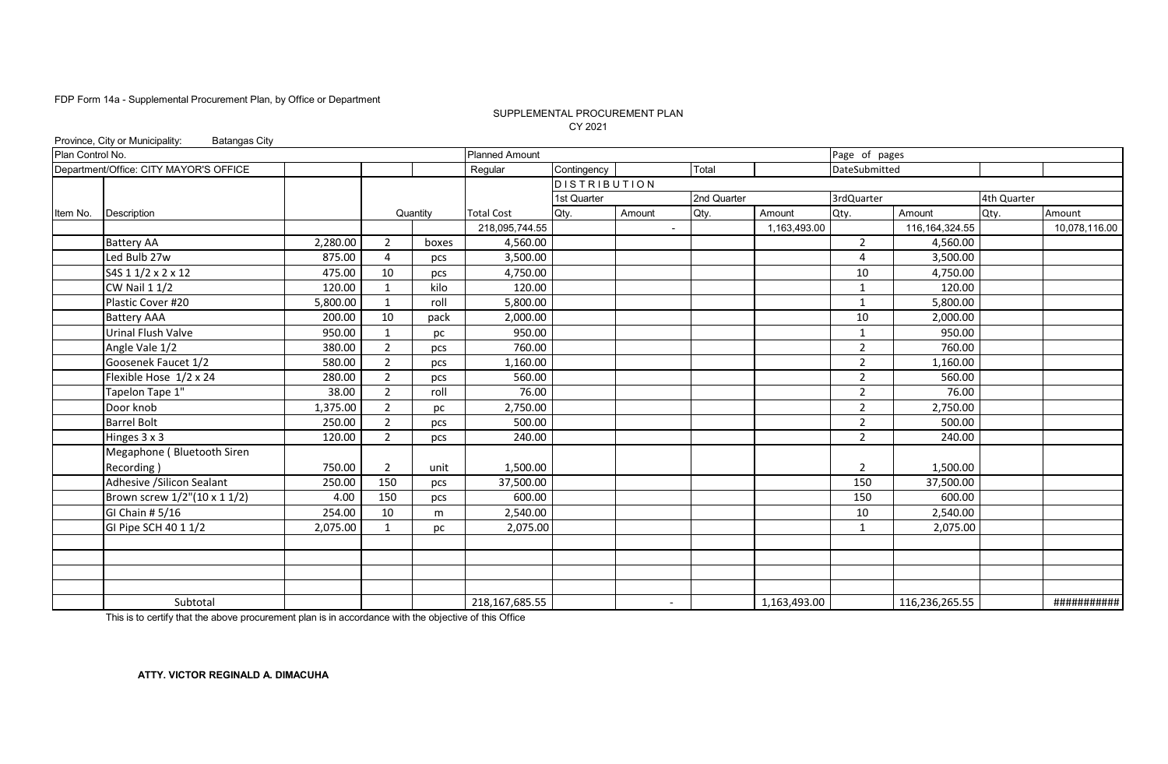#### CY 2021 SUPPLEMENTAL PROCUREMENT PLAN

|                  | Province, City or Municipality:<br><b>Batangas City</b> |          |                |          |                       |                     |                          |             |              |                |                  |             |               |
|------------------|---------------------------------------------------------|----------|----------------|----------|-----------------------|---------------------|--------------------------|-------------|--------------|----------------|------------------|-------------|---------------|
| Plan Control No. |                                                         |          |                |          | <b>Planned Amount</b> |                     |                          |             |              | Page of pages  |                  |             |               |
|                  | Department/Office: CITY MAYOR'S OFFICE                  |          |                |          | Regular               | Contingency         |                          | Total       |              | DateSubmitted  |                  |             |               |
|                  |                                                         |          |                |          |                       | <b>DISTRIBUTION</b> |                          |             |              |                |                  |             |               |
|                  |                                                         |          |                |          |                       | 1st Quarter         |                          | 2nd Quarter |              | 3rdQuarter     |                  | 4th Quarter |               |
| Item No.         | Description                                             |          |                | Quantity | <b>Total Cost</b>     | Qty.                | Amount                   | Qty.        | Amount       | Qty.           | Amount           | Qty.        | Amount        |
|                  |                                                         |          |                |          | 218,095,744.55        |                     | $\overline{\phantom{a}}$ |             | 1,163,493.00 |                | 116, 164, 324.55 |             | 10,078,116.00 |
|                  | <b>Battery AA</b>                                       | 2,280.00 | $\overline{2}$ | boxes    | 4,560.00              |                     |                          |             |              | $\overline{2}$ | 4,560.00         |             |               |
|                  | Led Bulb 27w                                            | 875.00   | 4              | pcs      | 3,500.00              |                     |                          |             |              | 4              | 3,500.00         |             |               |
|                  | S4S 1 1/2 x 2 x 12                                      | 475.00   | 10             | pcs      | 4,750.00              |                     |                          |             |              | 10             | 4,750.00         |             |               |
|                  | <b>CW Nail 1 1/2</b>                                    | 120.00   | $\mathbf{1}$   | kilo     | 120.00                |                     |                          |             |              | 1              | 120.00           |             |               |
|                  | Plastic Cover #20                                       | 5,800.00 | $\mathbf{1}$   | roll     | 5,800.00              |                     |                          |             |              | $\mathbf{1}$   | 5,800.00         |             |               |
|                  | <b>Battery AAA</b>                                      | 200.00   | 10             | pack     | 2,000.00              |                     |                          |             |              | 10             | 2,000.00         |             |               |
|                  | <b>Urinal Flush Valve</b>                               | 950.00   | 1              | pc       | 950.00                |                     |                          |             |              | 1              | 950.00           |             |               |
|                  | Angle Vale 1/2                                          | 380.00   | $\overline{2}$ | pcs      | 760.00                |                     |                          |             |              | $\overline{2}$ | 760.00           |             |               |
|                  | Goosenek Faucet 1/2                                     | 580.00   | $\overline{2}$ | pcs      | 1,160.00              |                     |                          |             |              | $\overline{2}$ | 1,160.00         |             |               |
|                  | Flexible Hose 1/2 x 24                                  | 280.00   | $\overline{2}$ | pcs      | 560.00                |                     |                          |             |              | $\overline{2}$ | 560.00           |             |               |
|                  | Tapelon Tape 1"                                         | 38.00    | $\overline{2}$ | roll     | 76.00                 |                     |                          |             |              | $\overline{2}$ | 76.00            |             |               |
|                  | Door knob                                               | 1,375.00 | $\overline{2}$ | pc       | 2,750.00              |                     |                          |             |              | $\overline{2}$ | 2,750.00         |             |               |
|                  | <b>Barrel Bolt</b>                                      | 250.00   | $\overline{2}$ | pcs      | 500.00                |                     |                          |             |              | $\overline{2}$ | 500.00           |             |               |
|                  | Hinges 3 x 3                                            | 120.00   | $\overline{2}$ | pcs      | 240.00                |                     |                          |             |              | $\overline{2}$ | 240.00           |             |               |
|                  | Megaphone (Bluetooth Siren                              |          |                |          |                       |                     |                          |             |              |                |                  |             |               |
|                  | Recording)                                              | 750.00   | $\overline{2}$ | unit     | 1,500.00              |                     |                          |             |              | $\overline{2}$ | 1,500.00         |             |               |
|                  | Adhesive / Silicon Sealant                              | 250.00   | 150            | pcs      | 37,500.00             |                     |                          |             |              | 150            | 37,500.00        |             |               |
|                  | Brown screw 1/2"(10 x 1 1/2)                            | 4.00     | 150            | pcs      | 600.00                |                     |                          |             |              | 150            | 600.00           |             |               |
|                  | GI Chain # 5/16                                         | 254.00   | 10             | m        | 2,540.00              |                     |                          |             |              | 10             | 2,540.00         |             |               |
|                  | GI Pipe SCH 40 1 1/2                                    | 2,075.00 | 1              | pc       | 2,075.00              |                     |                          |             |              | $\mathbf{1}$   | 2,075.00         |             |               |
|                  |                                                         |          |                |          |                       |                     |                          |             |              |                |                  |             |               |
|                  |                                                         |          |                |          |                       |                     |                          |             |              |                |                  |             |               |
|                  |                                                         |          |                |          |                       |                     |                          |             |              |                |                  |             |               |
|                  |                                                         |          |                |          |                       |                     |                          |             |              |                |                  |             |               |
|                  | Subtotal                                                |          |                |          | 218,167,685.55        |                     | $\overline{\phantom{a}}$ |             | 1,163,493.00 |                | 116,236,265.55   |             | ###########   |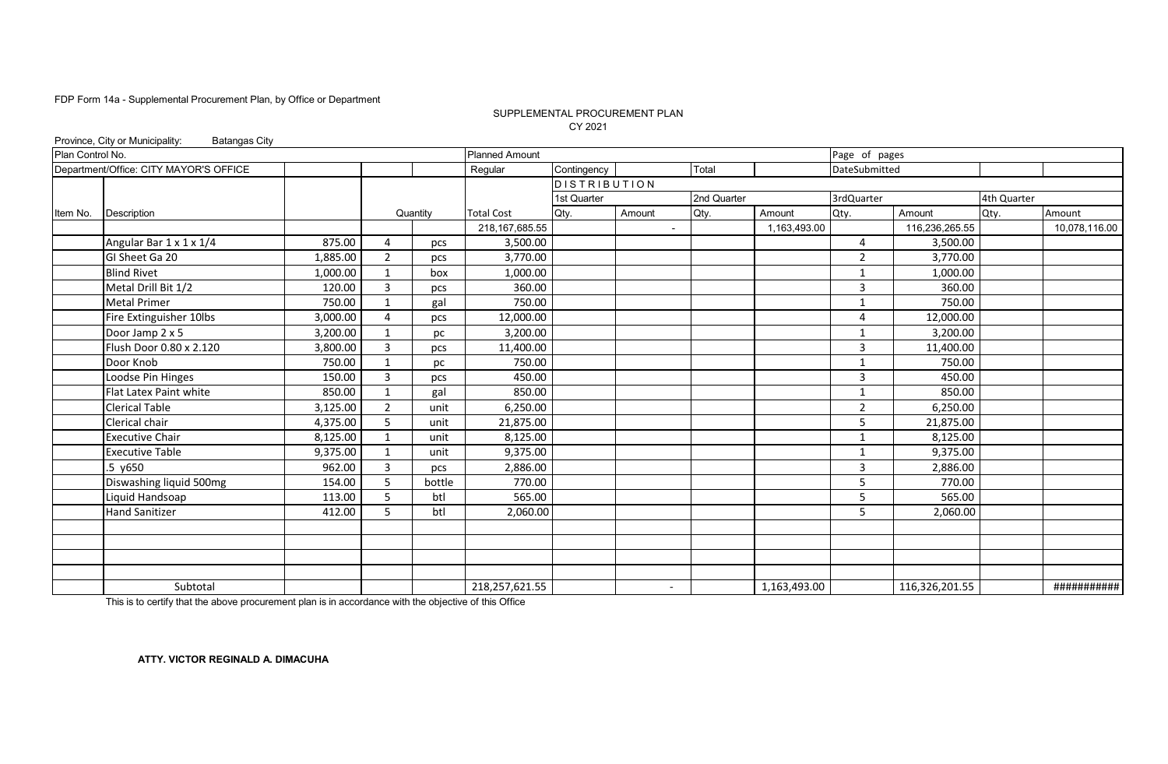#### SUPPLEMENTAL PROCUREMENT PLAN CY 2021

|                  | Province, City or Municipality:<br><b>Batangas City</b> |          |                |          |                       |                     |                          |             |              |                |                |             |               |
|------------------|---------------------------------------------------------|----------|----------------|----------|-----------------------|---------------------|--------------------------|-------------|--------------|----------------|----------------|-------------|---------------|
| Plan Control No. |                                                         |          |                |          | <b>Planned Amount</b> |                     |                          |             |              | Page of pages  |                |             |               |
|                  | Department/Office: CITY MAYOR'S OFFICE                  |          |                |          | Regular               | Contingency         |                          | Total       |              | DateSubmitted  |                |             |               |
|                  |                                                         |          |                |          |                       | <b>DISTRIBUTION</b> |                          |             |              |                |                |             |               |
|                  |                                                         |          |                |          |                       | 1st Quarter         |                          | 2nd Quarter |              | 3rdQuarter     |                | 4th Quarter |               |
| Item No.         | Description                                             |          |                | Quantity | <b>Total Cost</b>     | Qty.                | Amount                   | Qty.        | Amount       | Qty.           | Amount         | Qty.        | Amount        |
|                  |                                                         |          |                |          | 218, 167, 685.55      |                     | $\blacksquare$           |             | 1,163,493.00 |                | 116,236,265.55 |             | 10,078,116.00 |
|                  | Angular Bar 1 x 1 x 1/4                                 | 875.00   | 4              | pcs      | 3,500.00              |                     |                          |             |              | $\overline{4}$ | 3,500.00       |             |               |
|                  | GI Sheet Ga 20                                          | 1,885.00 | $\overline{2}$ | pcs      | 3,770.00              |                     |                          |             |              | $\overline{2}$ | 3,770.00       |             |               |
|                  | <b>Blind Rivet</b>                                      | 1,000.00 | $\mathbf{1}$   | box      | 1,000.00              |                     |                          |             |              | 1              | 1,000.00       |             |               |
|                  | Metal Drill Bit 1/2                                     | 120.00   | 3              | pcs      | 360.00                |                     |                          |             |              | $\overline{3}$ | 360.00         |             |               |
|                  | <b>Metal Primer</b>                                     | 750.00   | $\mathbf{1}$   | gal      | 750.00                |                     |                          |             |              | $\mathbf{1}$   | 750.00         |             |               |
|                  | Fire Extinguisher 10lbs                                 | 3,000.00 | 4              | pcs      | 12,000.00             |                     |                          |             |              | $\overline{4}$ | 12,000.00      |             |               |
|                  | Door Jamp 2 x 5                                         | 3,200.00 | -1             | рc       | 3,200.00              |                     |                          |             |              | $\mathbf 1$    | 3,200.00       |             |               |
|                  | Flush Door 0.80 x 2.120                                 | 3,800.00 | 3              | pcs      | 11,400.00             |                     |                          |             |              | $\overline{3}$ | 11,400.00      |             |               |
|                  | Door Knob                                               | 750.00   | $\mathbf{1}$   | рc       | 750.00                |                     |                          |             |              | $\mathbf{1}$   | 750.00         |             |               |
|                  | Loodse Pin Hinges                                       | 150.00   | 3              | pcs      | 450.00                |                     |                          |             |              | $\overline{3}$ | 450.00         |             |               |
|                  | Flat Latex Paint white                                  | 850.00   | $\mathbf{1}$   | gal      | 850.00                |                     |                          |             |              | $\mathbf{1}$   | 850.00         |             |               |
|                  | <b>Clerical Table</b>                                   | 3,125.00 | $\overline{2}$ | unit     | 6,250.00              |                     |                          |             |              | $\overline{2}$ | 6,250.00       |             |               |
|                  | Clerical chair                                          | 4,375.00 | 5              | unit     | 21,875.00             |                     |                          |             |              | .5             | 21,875.00      |             |               |
|                  | <b>Executive Chair</b>                                  | 8,125.00 | $\mathbf 1$    | unit     | 8,125.00              |                     |                          |             |              | $\mathbf{1}$   | 8,125.00       |             |               |
|                  | <b>Executive Table</b>                                  | 9,375.00 | $\mathbf{1}$   | unit     | 9,375.00              |                     |                          |             |              | $\mathbf{1}$   | 9,375.00       |             |               |
|                  | $.5$ $y650$                                             | 962.00   | 3              | pcs      | 2,886.00              |                     |                          |             |              | $\overline{3}$ | 2,886.00       |             |               |
|                  | Diswashing liquid 500mg                                 | 154.00   | 5              | bottle   | 770.00                |                     |                          |             |              | 5              | 770.00         |             |               |
|                  | Liquid Handsoap                                         | 113.00   | 5              | btl      | 565.00                |                     |                          |             |              | 5              | 565.00         |             |               |
|                  | <b>Hand Sanitizer</b>                                   | 412.00   | 5              | btl      | 2,060.00              |                     |                          |             |              | 5              | 2,060.00       |             |               |
|                  |                                                         |          |                |          |                       |                     |                          |             |              |                |                |             |               |
|                  |                                                         |          |                |          |                       |                     |                          |             |              |                |                |             |               |
|                  |                                                         |          |                |          |                       |                     |                          |             |              |                |                |             |               |
|                  |                                                         |          |                |          |                       |                     |                          |             |              |                |                |             |               |
|                  | Subtotal                                                |          |                |          | 218,257,621.55        |                     | $\overline{\phantom{a}}$ |             | 1,163,493.00 |                | 116,326,201.55 |             | ###########   |

This is to certify that the above procurement plan is in accordance with the objective of this Office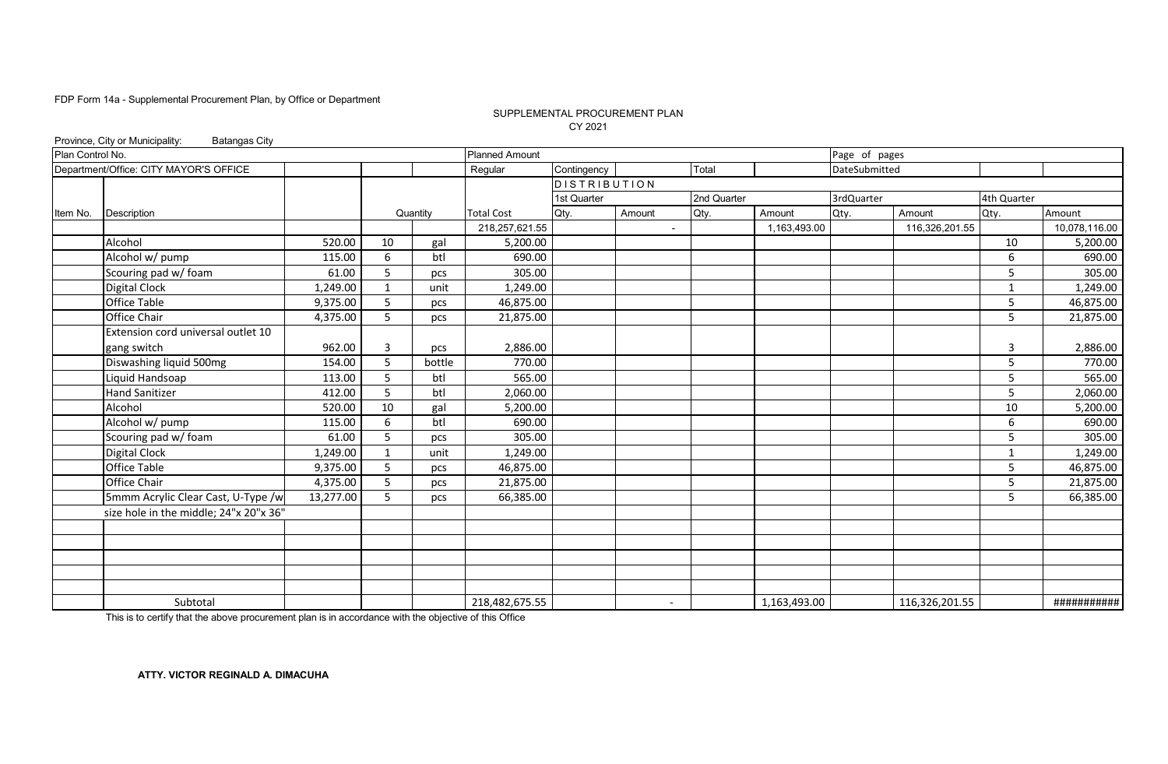#### SUPPLEMENTAL PROCUREMENT PLAN CY 2021

|                  | Province, City or Municipality:<br><b>Batangas City</b> |           |                |          |                       |                     |                          |             |              |               |                |             |               |
|------------------|---------------------------------------------------------|-----------|----------------|----------|-----------------------|---------------------|--------------------------|-------------|--------------|---------------|----------------|-------------|---------------|
| Plan Control No. |                                                         |           |                |          | <b>Planned Amount</b> |                     |                          |             |              | Page of pages |                |             |               |
|                  | Department/Office: CITY MAYOR'S OFFICE                  |           |                |          | Regular               | Contingency         |                          | Total       |              | DateSubmitted |                |             |               |
|                  |                                                         |           |                |          |                       | <b>DISTRIBUTION</b> |                          |             |              |               |                |             |               |
|                  |                                                         |           |                |          |                       | 1st Quarter         |                          | 2nd Quarter |              | 3rdQuarter    |                | 4th Quarter |               |
| Item No.         | Description                                             |           |                | Quantity | <b>Total Cost</b>     | Qty.                | Amount                   | Qty.        | Amount       | Qty.          | Amount         | Qty.        | Amount        |
|                  |                                                         |           |                |          | 218,257,621.55        |                     | $\blacksquare$           |             | 1,163,493.00 |               | 116,326,201.55 |             | 10,078,116.00 |
|                  | Alcohol                                                 | 520.00    | 10             | gal      | 5,200.00              |                     |                          |             |              |               |                | 10          | 5,200.00      |
|                  | Alcohol w/ pump                                         | 115.00    | 6              | btl      | 690.00                |                     |                          |             |              |               |                | 6           | 690.00        |
|                  | Scouring pad w/ foam                                    | 61.00     | 5              | pcs      | 305.00                |                     |                          |             |              |               |                | 5           | 305.00        |
|                  | Digital Clock                                           | 1,249.00  | -1             | unit     | 1,249.00              |                     |                          |             |              |               |                | -1          | 1,249.00      |
|                  | <b>Office Table</b>                                     | 9,375.00  | 5              | pcs      | 46,875.00             |                     |                          |             |              |               |                | 5           | 46,875.00     |
|                  | Office Chair                                            | 4,375.00  | 5              | pcs      | 21,875.00             |                     |                          |             |              |               |                | 5           | 21,875.00     |
|                  | Extension cord universal outlet 10                      |           |                |          |                       |                     |                          |             |              |               |                |             |               |
|                  | gang switch                                             | 962.00    | $\overline{3}$ | pcs      | 2,886.00              |                     |                          |             |              |               |                | 3           | 2,886.00      |
|                  | Diswashing liquid 500mg                                 | 154.00    | 5              | bottle   | 770.00                |                     |                          |             |              |               |                | 5           | 770.00        |
|                  | Liquid Handsoap                                         | 113.00    | 5              | btl      | 565.00                |                     |                          |             |              |               |                | 5           | 565.00        |
|                  | <b>Hand Sanitizer</b>                                   | 412.00    | 5              | btl      | 2,060.00              |                     |                          |             |              |               |                | 5           | 2,060.00      |
|                  | Alcohol                                                 | 520.00    | 10             | gal      | 5,200.00              |                     |                          |             |              |               |                | 10          | 5,200.00      |
|                  | Alcohol w/ pump                                         | 115.00    | 6              | btl      | 690.00                |                     |                          |             |              |               |                | 6           | 690.00        |
|                  | Scouring pad w/ foam                                    | 61.00     | 5              | pcs      | 305.00                |                     |                          |             |              |               |                | 5           | 305.00        |
|                  | <b>Digital Clock</b>                                    | 1,249.00  | 1              | unit     | 1,249.00              |                     |                          |             |              |               |                | 1           | 1,249.00      |
|                  | <b>Office Table</b>                                     | 9,375.00  | 5              | pcs      | 46,875.00             |                     |                          |             |              |               |                | 5           | 46,875.00     |
|                  | Office Chair                                            | 4,375.00  | 5              | pcs      | 21,875.00             |                     |                          |             |              |               |                | 5           | 21,875.00     |
|                  | 5mmm Acrylic Clear Cast, U-Type /w                      | 13,277.00 | 5              | pcs      | 66,385.00             |                     |                          |             |              |               |                | 5           | 66,385.00     |
|                  | size hole in the middle; 24"x 20"x 36"                  |           |                |          |                       |                     |                          |             |              |               |                |             |               |
|                  |                                                         |           |                |          |                       |                     |                          |             |              |               |                |             |               |
|                  |                                                         |           |                |          |                       |                     |                          |             |              |               |                |             |               |
|                  |                                                         |           |                |          |                       |                     |                          |             |              |               |                |             |               |
|                  |                                                         |           |                |          |                       |                     |                          |             |              |               |                |             |               |
|                  |                                                         |           |                |          |                       |                     |                          |             |              |               |                |             |               |
|                  | Subtotal                                                |           |                |          | 218,482,675.55        |                     | $\overline{\phantom{a}}$ |             | 1,163,493.00 |               | 116,326,201.55 |             | ###########   |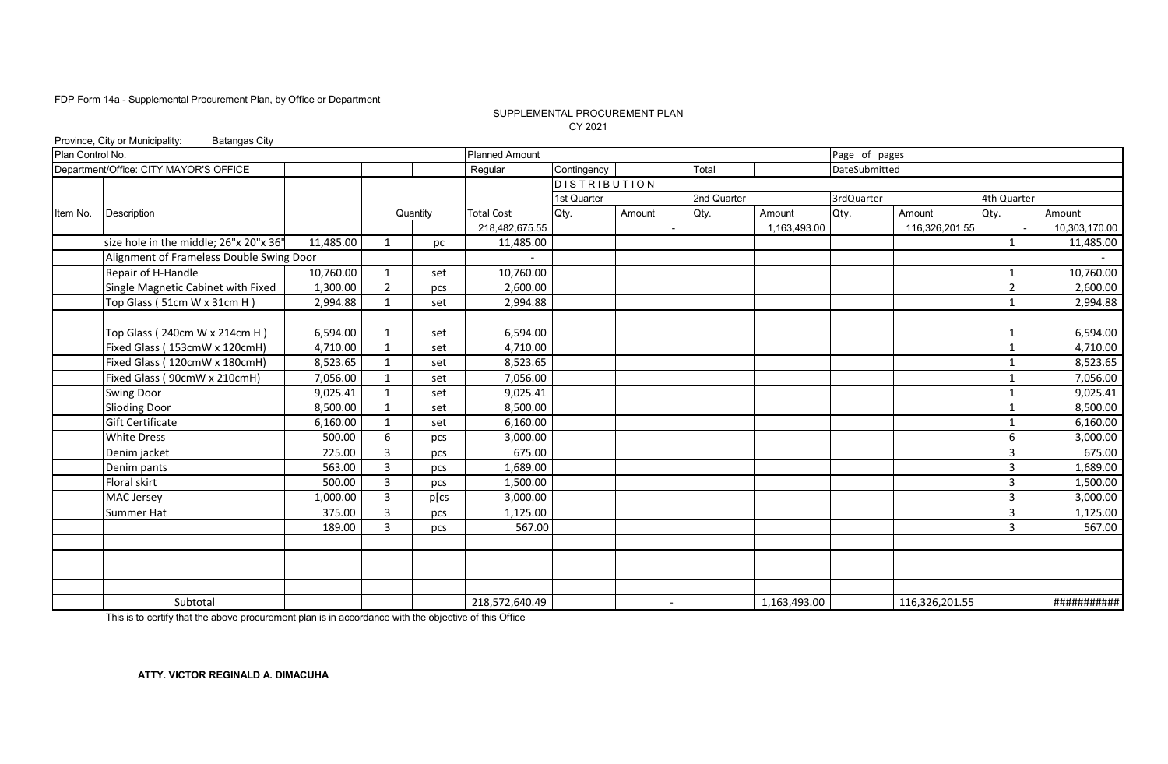#### CY 2021 SUPPLEMENTAL PROCUREMENT PLAN

|                  | Province, City or Municipality:<br><b>Batangas City</b> |           |                |          |                       |                     |                |             |              |               |                |                |               |
|------------------|---------------------------------------------------------|-----------|----------------|----------|-----------------------|---------------------|----------------|-------------|--------------|---------------|----------------|----------------|---------------|
| Plan Control No. |                                                         |           |                |          | <b>Planned Amount</b> |                     |                |             |              | Page of pages |                |                |               |
|                  | Department/Office: CITY MAYOR'S OFFICE                  |           |                |          | Regular               | Contingency         |                | Total       |              | DateSubmitted |                |                |               |
|                  |                                                         |           |                |          |                       | <b>DISTRIBUTION</b> |                |             |              |               |                |                |               |
|                  |                                                         |           |                |          |                       | 1st Quarter         |                | 2nd Quarter |              | 3rdQuarter    |                | 4th Quarter    |               |
| Item No.         | Description                                             |           |                | Quantity | <b>Total Cost</b>     | Qty.                | Amount         | Qty.        | Amount       | Qty.          | Amount         | Qty.           | Amount        |
|                  |                                                         |           |                |          | 218,482,675.55        |                     | $\blacksquare$ |             | 1,163,493.00 |               | 116,326,201.55 |                | 10,303,170.00 |
|                  | size hole in the middle; 26"x 20"x 36"                  | 11,485.00 | 1              | рc       | 11,485.00             |                     |                |             |              |               |                | 1              | 11,485.00     |
|                  | Alignment of Frameless Double Swing Door                |           |                |          |                       |                     |                |             |              |               |                |                |               |
|                  | Repair of H-Handle                                      | 10,760.00 | 1              | set      | 10,760.00             |                     |                |             |              |               |                | 1              | 10,760.00     |
|                  | Single Magnetic Cabinet with Fixed                      | 1,300.00  | $\overline{2}$ | pcs      | 2,600.00              |                     |                |             |              |               |                | 2              | 2,600.00      |
|                  | Top Glass (51cm W x 31cm H)                             | 2,994.88  | $\mathbf{1}$   | set      | 2,994.88              |                     |                |             |              |               |                | $\mathbf{1}$   | 2,994.88      |
|                  |                                                         |           |                |          |                       |                     |                |             |              |               |                |                |               |
|                  | Top Glass (240cm W x 214cm H)                           | 6,594.00  | 1              | set      | 6,594.00              |                     |                |             |              |               |                | 1              | 6,594.00      |
|                  | Fixed Glass (153cmW x 120cmH)                           | 4,710.00  | 1              | set      | 4,710.00              |                     |                |             |              |               |                | 1              | 4,710.00      |
|                  | Fixed Glass (120cmW x 180cmH)                           | 8,523.65  | 1              | set      | 8,523.65              |                     |                |             |              |               |                | 1              | 8,523.65      |
|                  | Fixed Glass (90cmW x 210cmH)                            | 7,056.00  | $\mathbf{1}$   | set      | 7,056.00              |                     |                |             |              |               |                | $\mathbf{1}$   | 7,056.00      |
|                  | <b>Swing Door</b>                                       | 9,025.41  | $\mathbf 1$    | set      | 9,025.41              |                     |                |             |              |               |                | $\mathbf{1}$   | 9,025.41      |
|                  | <b>Slioding Door</b>                                    | 8.500.00  | $\mathbf{1}$   | set      | 8,500.00              |                     |                |             |              |               |                | 1              | 8,500.00      |
|                  | <b>Gift Certificate</b>                                 | 6,160.00  | $\mathbf{1}$   | set      | 6,160.00              |                     |                |             |              |               |                | 1              | 6,160.00      |
|                  | <b>White Dress</b>                                      | 500.00    | 6              | pcs      | 3,000.00              |                     |                |             |              |               |                | 6              | 3,000.00      |
|                  | Denim jacket                                            | 225.00    | 3              | pcs      | 675.00                |                     |                |             |              |               |                | 3              | 675.00        |
|                  | Denim pants                                             | 563.00    | 3              | pcs      | 1,689.00              |                     |                |             |              |               |                | 3              | 1,689.00      |
|                  | <b>Floral skirt</b>                                     | 500.00    | $\overline{3}$ | pcs      | 1,500.00              |                     |                |             |              |               |                | $\overline{3}$ | 1,500.00      |
|                  | MAC Jersey                                              | 1,000.00  | 3              | p[cs     | 3,000.00              |                     |                |             |              |               |                | 3              | 3,000.00      |
|                  | <b>Summer Hat</b>                                       | 375.00    | 3              | pcs      | 1,125.00              |                     |                |             |              |               |                | $\overline{3}$ | 1,125.00      |
|                  |                                                         | 189.00    | 3              | pcs      | 567.00                |                     |                |             |              |               |                | 3              | 567.00        |
|                  |                                                         |           |                |          |                       |                     |                |             |              |               |                |                |               |
|                  |                                                         |           |                |          |                       |                     |                |             |              |               |                |                |               |
|                  |                                                         |           |                |          |                       |                     |                |             |              |               |                |                |               |
|                  |                                                         |           |                |          |                       |                     |                |             |              |               |                |                |               |
|                  | Subtotal                                                |           |                |          | 218,572,640.49        |                     |                |             | 1,163,493.00 |               | 116,326,201.55 |                | ###########   |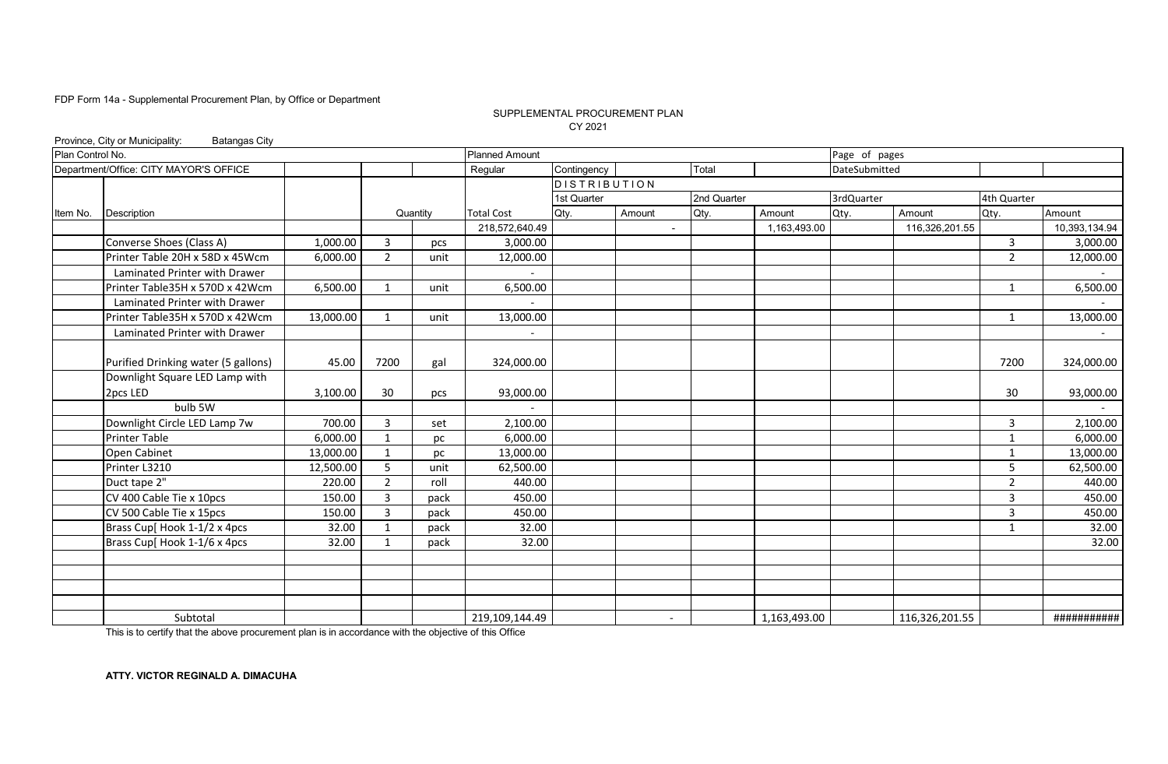#### SUPPLEMENTAL PROCUREMENT PLAN CY 2021

|                  | Province, City or Municipality:<br><b>Batangas City</b> |           |                |          |                          |                     |                          |             |              |               |                |                |               |
|------------------|---------------------------------------------------------|-----------|----------------|----------|--------------------------|---------------------|--------------------------|-------------|--------------|---------------|----------------|----------------|---------------|
| Plan Control No. |                                                         |           |                |          | <b>Planned Amount</b>    |                     |                          |             |              | Page of pages |                |                |               |
|                  | Department/Office: CITY MAYOR'S OFFICE                  |           |                |          | Regular                  | Contingency         |                          | Total       |              | DateSubmitted |                |                |               |
|                  |                                                         |           |                |          |                          | <b>DISTRIBUTION</b> |                          |             |              |               |                |                |               |
|                  |                                                         |           |                |          |                          | 1st Quarter         |                          | 2nd Quarter |              | 3rdQuarter    |                | 4th Quarter    |               |
| Item No.         | Description                                             |           |                | Quantity | <b>Total Cost</b>        | Qty.                | Amount                   | Qty.        | Amount       | Qty.          | Amount         | Qty.           | Amount        |
|                  |                                                         |           |                |          | 218,572,640.49           |                     | $\sim$                   |             | 1,163,493.00 |               | 116,326,201.55 |                | 10,393,134.94 |
|                  | Converse Shoes (Class A)                                | 1,000.00  | 3              | pcs      | 3,000.00                 |                     |                          |             |              |               |                | $\mathbf{3}$   | 3,000.00      |
|                  | Printer Table 20H x 58D x 45Wcm                         | 6,000.00  | $\overline{2}$ | unit     | 12,000.00                |                     |                          |             |              |               |                | $\overline{2}$ | 12,000.00     |
|                  | Laminated Printer with Drawer                           |           |                |          |                          |                     |                          |             |              |               |                |                |               |
|                  | Printer Table35H x 570D x 42Wcm                         | 6,500.00  | $\mathbf{1}$   | unit     | 6,500.00                 |                     |                          |             |              |               |                | 1              | 6,500.00      |
|                  | Laminated Printer with Drawer                           |           |                |          |                          |                     |                          |             |              |               |                |                |               |
|                  | Printer Table35H x 570D x 42Wcm                         | 13,000.00 | 1              | unit     | 13,000.00                |                     |                          |             |              |               |                | 1              | 13,000.00     |
|                  | Laminated Printer with Drawer                           |           |                |          | $\overline{\phantom{a}}$ |                     |                          |             |              |               |                |                | $\sim$        |
|                  |                                                         |           |                |          |                          |                     |                          |             |              |               |                |                |               |
|                  | Purified Drinking water (5 gallons)                     | 45.00     | 7200           | gal      | 324,000.00               |                     |                          |             |              |               |                | 7200           | 324,000.00    |
|                  | Downlight Square LED Lamp with                          |           |                |          |                          |                     |                          |             |              |               |                |                |               |
|                  | 2pcs LED                                                | 3,100.00  | 30             | pcs      | 93,000.00                |                     |                          |             |              |               |                | 30             | 93,000.00     |
|                  | bulb 5W                                                 |           |                |          |                          |                     |                          |             |              |               |                |                |               |
|                  | Downlight Circle LED Lamp 7w                            | 700.00    | 3              | set      | 2,100.00                 |                     |                          |             |              |               |                | 3              | 2,100.00      |
|                  | <b>Printer Table</b>                                    | 6,000.00  | 1              | pc       | 6,000.00                 |                     |                          |             |              |               |                | $\mathbf{1}$   | 6,000.00      |
|                  | Open Cabinet                                            | 13,000.00 | 1              | pc       | 13,000.00                |                     |                          |             |              |               |                | $\mathbf{1}$   | 13,000.00     |
|                  | Printer L3210                                           | 12,500.00 | 5              | unit     | 62,500.00                |                     |                          |             |              |               |                | 5              | 62,500.00     |
|                  | Duct tape 2"                                            | 220.00    | $\overline{2}$ | roll     | 440.00                   |                     |                          |             |              |               |                | $\overline{2}$ | 440.00        |
|                  | CV 400 Cable Tie x 10pcs                                | 150.00    | 3              | pack     | 450.00                   |                     |                          |             |              |               |                | 3              | 450.00        |
|                  | CV 500 Cable Tie x 15pcs                                | 150.00    | 3              | pack     | 450.00                   |                     |                          |             |              |               |                | 3              | 450.00        |
|                  | Brass Cup[ Hook 1-1/2 x 4pcs                            | 32.00     | $\mathbf{1}$   | pack     | 32.00                    |                     |                          |             |              |               |                | $\mathbf{1}$   | 32.00         |
|                  | Brass Cup[ Hook 1-1/6 x 4pcs                            | 32.00     | $\mathbf 1$    | pack     | 32.00                    |                     |                          |             |              |               |                |                | 32.00         |
|                  |                                                         |           |                |          |                          |                     |                          |             |              |               |                |                |               |
|                  |                                                         |           |                |          |                          |                     |                          |             |              |               |                |                |               |
|                  |                                                         |           |                |          |                          |                     |                          |             |              |               |                |                |               |
|                  |                                                         |           |                |          |                          |                     |                          |             |              |               |                |                |               |
|                  | Subtotal                                                |           |                |          | 219,109,144.49           |                     | $\overline{\phantom{a}}$ |             | 1,163,493.00 |               | 116,326,201.55 |                | ###########   |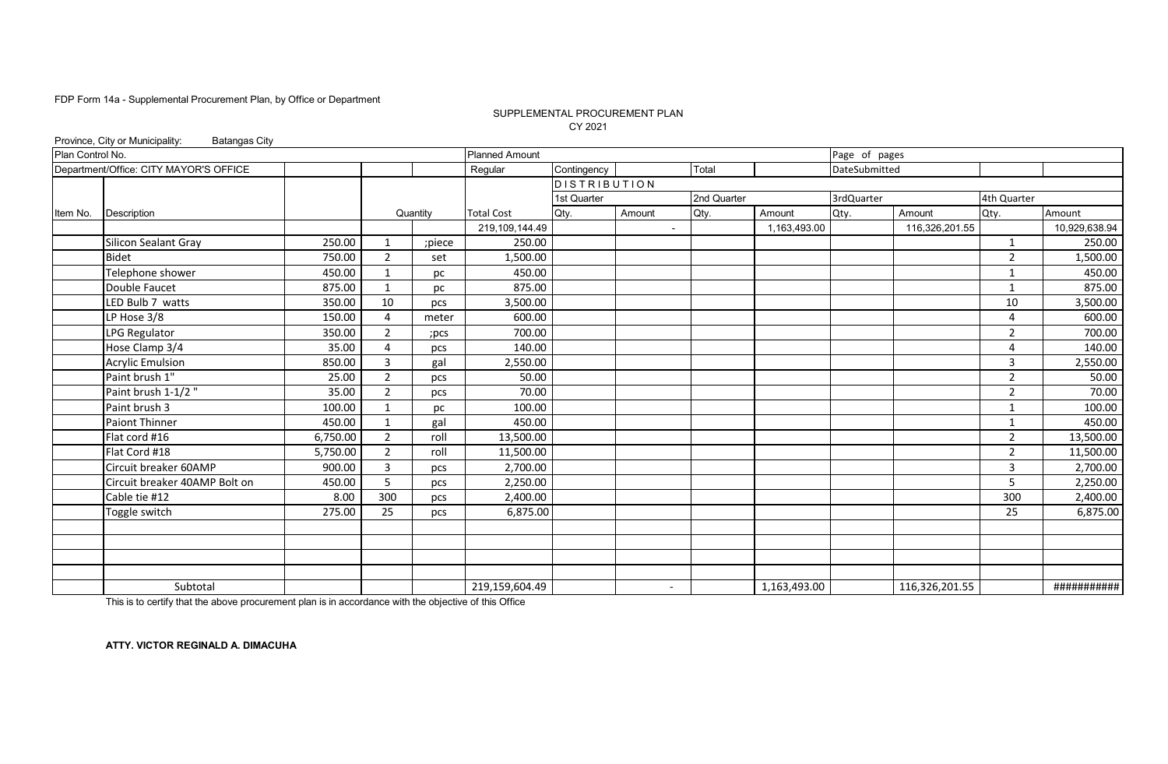#### SUPPLEMENTAL PROCUREMENT PLAN CY 2021

|                  | Province, City or Municipality:<br><b>Batangas City</b> |          |                       |          |                       |                 |                          |             |              |               |                |                |               |
|------------------|---------------------------------------------------------|----------|-----------------------|----------|-----------------------|-----------------|--------------------------|-------------|--------------|---------------|----------------|----------------|---------------|
| Plan Control No. |                                                         |          |                       |          | <b>Planned Amount</b> |                 |                          |             |              | Page of pages |                |                |               |
|                  | Department/Office: CITY MAYOR'S OFFICE                  |          |                       |          | Regular               | Contingency     |                          | Total       |              | DateSubmitted |                |                |               |
|                  |                                                         |          |                       |          |                       | $D$ ISTRIBUTION |                          |             |              |               |                |                |               |
|                  |                                                         |          |                       |          |                       | 1st Quarter     |                          | 2nd Quarter |              | 3rdQuarter    |                | 4th Quarter    |               |
| Item No.         | Description                                             |          |                       | Quantity | <b>Total Cost</b>     | Qty.            | Amount                   | Qty.        | Amount       | Qty.          | Amount         | Qty.           | Amount        |
|                  |                                                         |          |                       |          | 219,109,144.49        |                 | $\overline{\phantom{a}}$ |             | 1,163,493.00 |               | 116,326,201.55 |                | 10,929,638.94 |
|                  | <b>Silicon Sealant Gray</b>                             | 250.00   | 1                     | ;piece   | 250.00                |                 |                          |             |              |               |                | 1              | 250.00        |
|                  | <b>Bidet</b>                                            | 750.00   | $\overline{2}$        | set      | 1,500.00              |                 |                          |             |              |               |                | $\overline{2}$ | 1,500.00      |
|                  | Telephone shower                                        | 450.00   | 1                     | pc       | 450.00                |                 |                          |             |              |               |                | 1              | 450.00        |
|                  | Double Faucet                                           | 875.00   | $\mathbf{1}$          | pc       | 875.00                |                 |                          |             |              |               |                | 1              | 875.00        |
|                  | LED Bulb 7 watts                                        | 350.00   | 10                    | pcs      | 3,500.00              |                 |                          |             |              |               |                | 10             | 3,500.00      |
|                  | LP Hose 3/8                                             | 150.00   | 4                     | meter    | 600.00                |                 |                          |             |              |               |                | 4              | 600.00        |
|                  | LPG Regulator                                           | 350.00   | 2                     | ;pcs     | 700.00                |                 |                          |             |              |               |                | 2              | 700.00        |
|                  | Hose Clamp 3/4                                          | 35.00    | $\boldsymbol{\Delta}$ | pcs      | 140.00                |                 |                          |             |              |               |                | 4              | 140.00        |
|                  | <b>Acrylic Emulsion</b>                                 | 850.00   | 3                     | gal      | 2,550.00              |                 |                          |             |              |               |                | 3              | 2,550.00      |
|                  | Paint brush 1"                                          | 25.00    | $\overline{2}$        | pcs      | 50.00                 |                 |                          |             |              |               |                | $\overline{2}$ | 50.00         |
|                  | Paint brush $1-1/2$                                     | 35.00    | $\overline{2}$        | pcs      | 70.00                 |                 |                          |             |              |               |                | $\overline{2}$ | 70.00         |
|                  | Paint brush 3                                           | 100.00   | 1                     | pc       | 100.00                |                 |                          |             |              |               |                | 1              | 100.00        |
|                  | Paiont Thinner                                          | 450.00   | $\mathbf{1}$          | gal      | 450.00                |                 |                          |             |              |               |                | $\mathbf{1}$   | 450.00        |
|                  | Flat cord #16                                           | 6,750.00 | $\overline{2}$        | roll     | 13,500.00             |                 |                          |             |              |               |                | $\overline{2}$ | 13,500.00     |
|                  | Flat Cord #18                                           | 5,750.00 | $\overline{2}$        | roll     | 11,500.00             |                 |                          |             |              |               |                | $\overline{2}$ | 11,500.00     |
|                  | Circuit breaker 60AMP                                   | 900.00   | $\overline{3}$        | pcs      | 2,700.00              |                 |                          |             |              |               |                | $\overline{3}$ | 2,700.00      |
|                  | Circuit breaker 40AMP Bolt on                           | 450.00   | 5                     | pcs      | 2,250.00              |                 |                          |             |              |               |                | 5              | 2,250.00      |
|                  | Cable tie #12                                           | 8.00     | 300                   | pcs      | 2,400.00              |                 |                          |             |              |               |                | 300            | 2,400.00      |
|                  | Toggle switch                                           | 275.00   | 25                    | pcs      | 6,875.00              |                 |                          |             |              |               |                | 25             | 6,875.00      |
|                  |                                                         |          |                       |          |                       |                 |                          |             |              |               |                |                |               |
|                  |                                                         |          |                       |          |                       |                 |                          |             |              |               |                |                |               |
|                  |                                                         |          |                       |          |                       |                 |                          |             |              |               |                |                |               |
|                  |                                                         |          |                       |          |                       |                 |                          |             |              |               |                |                |               |
|                  | Subtotal                                                |          |                       |          | 219,159,604.49        |                 | $\overline{\phantom{a}}$ |             | 1,163,493.00 |               | 116,326,201.55 |                | ###########   |

This is to certify that the above procurement plan is in accordance with the objective of this Office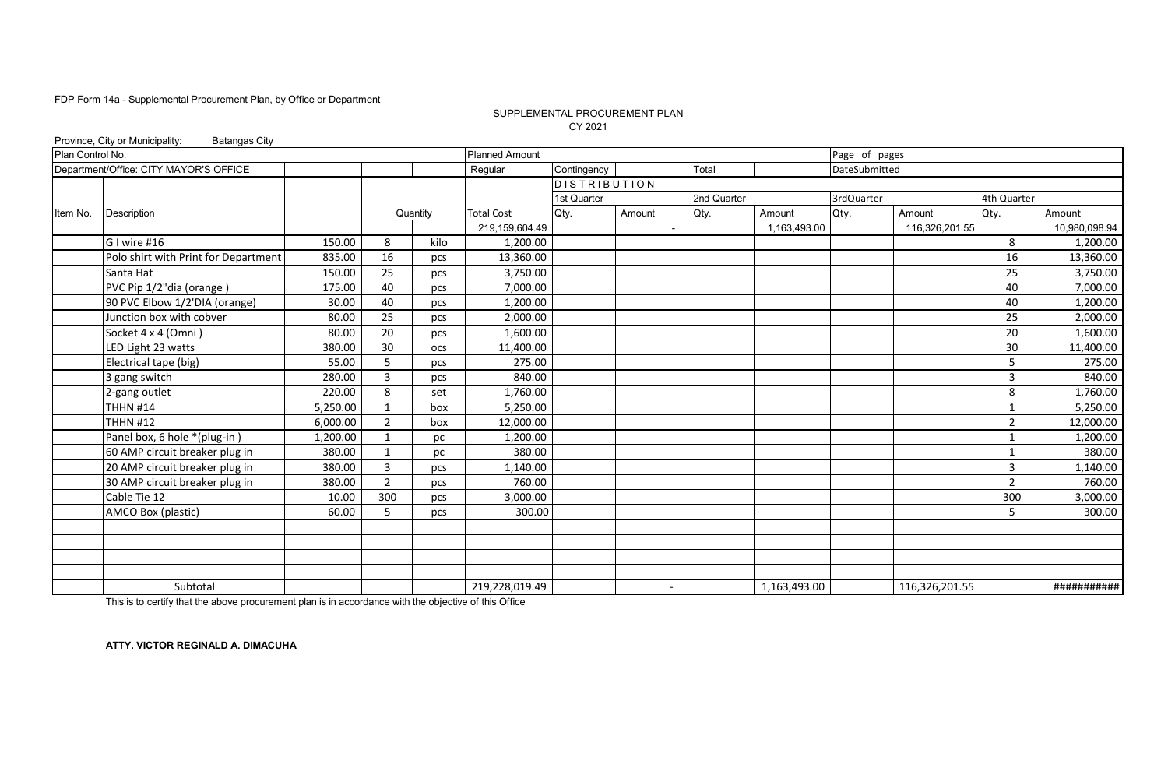#### CY 2021 SUPPLEMENTAL PROCUREMENT PLAN

|                  | Province, City or Municipality:<br><b>Batangas City</b> |          |                |            |                       |                     |                          |             |              |               |                |                |               |
|------------------|---------------------------------------------------------|----------|----------------|------------|-----------------------|---------------------|--------------------------|-------------|--------------|---------------|----------------|----------------|---------------|
| Plan Control No. |                                                         |          |                |            | <b>Planned Amount</b> |                     |                          |             |              | Page of pages |                |                |               |
|                  | Department/Office: CITY MAYOR'S OFFICE                  |          |                |            | Regular               | Contingency         |                          | Total       |              | DateSubmitted |                |                |               |
|                  |                                                         |          |                |            |                       | <b>DISTRIBUTION</b> |                          |             |              |               |                |                |               |
|                  |                                                         |          |                |            |                       | 1st Quarter         |                          | 2nd Quarter |              | 3rdQuarter    |                | 4th Quarter    |               |
| Item No.         | <b>Description</b>                                      |          |                | Quantity   | <b>Total Cost</b>     | Qty.                | Amount                   | Qty.        | Amount       | Qty.          | Amount         | Qty.           | Amount        |
|                  |                                                         |          |                |            | 219,159,604.49        |                     |                          |             | 1,163,493.00 |               | 116,326,201.55 |                | 10,980,098.94 |
|                  | G I wire #16                                            | 150.00   | 8              | kilo       | 1,200.00              |                     |                          |             |              |               |                | 8              | 1,200.00      |
|                  | Polo shirt with Print for Department                    | 835.00   | 16             | pcs        | 13,360.00             |                     |                          |             |              |               |                | 16             | 13,360.00     |
|                  | Santa Hat                                               | 150.00   | 25             | pcs        | 3,750.00              |                     |                          |             |              |               |                | 25             | 3,750.00      |
|                  | PVC Pip 1/2"dia (orange)                                | 175.00   | 40             | pcs        | 7,000.00              |                     |                          |             |              |               |                | 40             | 7,000.00      |
|                  | 90 PVC Elbow 1/2'DIA (orange)                           | 30.00    | 40             | pcs        | 1,200.00              |                     |                          |             |              |               |                | 40             | 1,200.00      |
|                  | Junction box with cobver                                | 80.00    | 25             | pcs        | 2,000.00              |                     |                          |             |              |               |                | 25             | 2,000.00      |
|                  | Socket 4 x 4 (Omni)                                     | 80.00    | 20             | pcs        | 1,600.00              |                     |                          |             |              |               |                | 20             | 1,600.00      |
|                  | LED Light 23 watts                                      | 380.00   | 30             | <b>OCS</b> | 11,400.00             |                     |                          |             |              |               |                | 30             | 11,400.00     |
|                  | Electrical tape (big)                                   | 55.00    | 5              | pcs        | 275.00                |                     |                          |             |              |               |                | 5              | 275.00        |
|                  | 3 gang switch                                           | 280.00   | 3              | pcs        | 840.00                |                     |                          |             |              |               |                | $\overline{3}$ | 840.00        |
|                  | 2-gang outlet                                           | 220.00   | 8              | set        | 1,760.00              |                     |                          |             |              |               |                | 8              | 1,760.00      |
|                  | <b>THHN #14</b>                                         | 5,250.00 |                | box        | 5,250.00              |                     |                          |             |              |               |                | 1              | 5,250.00      |
|                  | <b>THHN #12</b>                                         | 6,000.00 | 2              | box        | 12,000.00             |                     |                          |             |              |               |                | 2              | 12,000.00     |
|                  | Panel box, 6 hole *(plug-in)                            | 1,200.00 | $\mathbf{1}$   | pc         | 1,200.00              |                     |                          |             |              |               |                | $\mathbf{1}$   | 1,200.00      |
|                  | 60 AMP circuit breaker plug in                          | 380.00   | $\mathbf{1}$   | pc         | 380.00                |                     |                          |             |              |               |                | $\mathbf{1}$   | 380.00        |
|                  | 20 AMP circuit breaker plug in                          | 380.00   | $\overline{3}$ | pcs        | 1,140.00              |                     |                          |             |              |               |                | $\overline{3}$ | 1,140.00      |
|                  | 30 AMP circuit breaker plug in                          | 380.00   | $\overline{2}$ | pcs        | 760.00                |                     |                          |             |              |               |                | $\overline{2}$ | 760.00        |
|                  | Cable Tie 12                                            | 10.00    | 300            | pcs        | 3,000.00              |                     |                          |             |              |               |                | 300            | 3,000.00      |
|                  | AMCO Box (plastic)                                      | 60.00    | 5.             | pcs        | 300.00                |                     |                          |             |              |               |                | 5              | 300.00        |
|                  |                                                         |          |                |            |                       |                     |                          |             |              |               |                |                |               |
|                  |                                                         |          |                |            |                       |                     |                          |             |              |               |                |                |               |
|                  |                                                         |          |                |            |                       |                     |                          |             |              |               |                |                |               |
|                  |                                                         |          |                |            |                       |                     |                          |             |              |               |                |                |               |
|                  | Subtotal                                                |          |                |            | 219,228,019.49        |                     | $\overline{\phantom{a}}$ |             | 1,163,493.00 |               | 116,326,201.55 |                | ###########   |

This is to certify that the above procurement plan is in accordance with the objective of this Office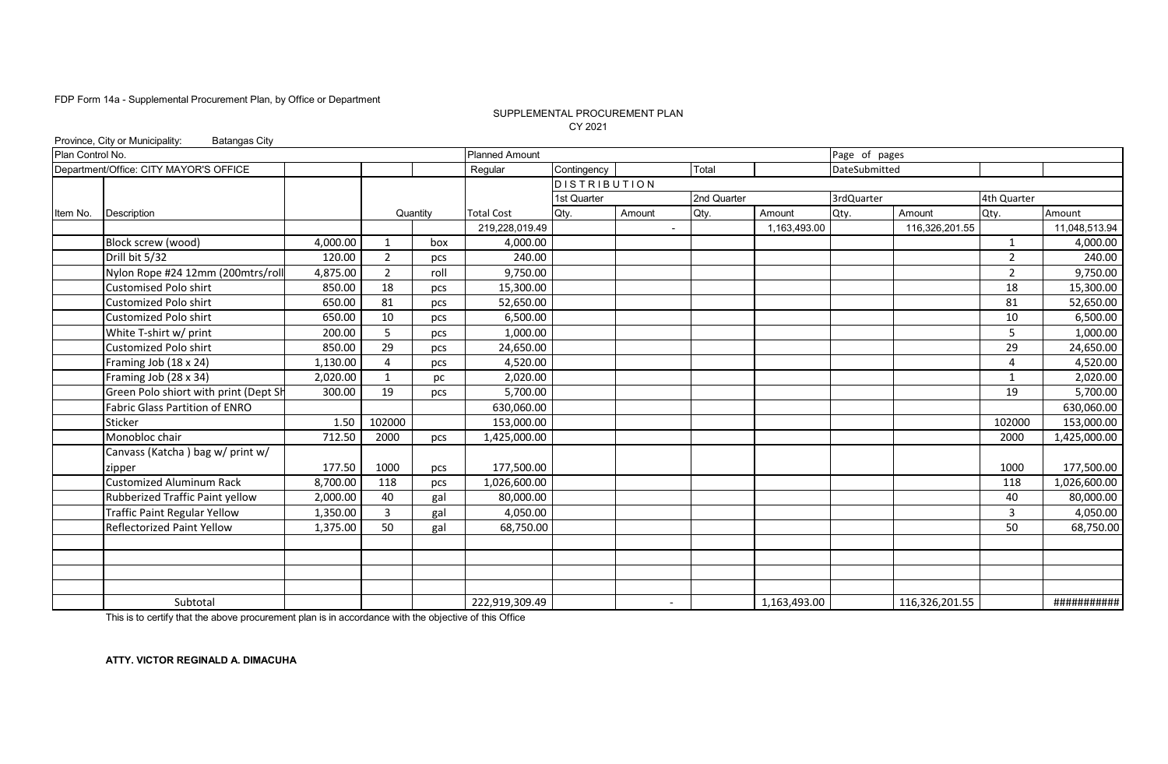#### SUPPLEMENTAL PROCUREMENT PLAN CY 2021

|                  | Province, City or Municipality:<br><b>Batangas City</b> |          |                |          |                       |                     |                          |             |              |               |                |                |               |
|------------------|---------------------------------------------------------|----------|----------------|----------|-----------------------|---------------------|--------------------------|-------------|--------------|---------------|----------------|----------------|---------------|
| Plan Control No. |                                                         |          |                |          | <b>Planned Amount</b> |                     |                          |             |              | Page of pages |                |                |               |
|                  | Department/Office: CITY MAYOR'S OFFICE                  |          |                |          | Regular               | Contingency         |                          | Total       |              | DateSubmitted |                |                |               |
|                  |                                                         |          |                |          |                       | <b>DISTRIBUTION</b> |                          |             |              |               |                |                |               |
|                  |                                                         |          |                |          |                       | 1st Quarter         |                          | 2nd Quarter |              | 3rdQuarter    |                | 4th Quarter    |               |
| Item No.         | Description                                             |          |                | Quantity | <b>Total Cost</b>     | Qty.                | Amount                   | Qty.        | Amount       | Qty.          | Amount         | Qty.           | Amount        |
|                  |                                                         |          |                |          | 219,228,019.49        |                     |                          |             | 1,163,493.00 |               | 116,326,201.55 |                | 11,048,513.94 |
|                  | Block screw (wood)                                      | 4,000.00 | 1              | box      | 4,000.00              |                     |                          |             |              |               |                | 1              | 4,000.00      |
|                  | Drill bit 5/32                                          | 120.00   | $\overline{2}$ | pcs      | 240.00                |                     |                          |             |              |               |                | $\overline{2}$ | 240.00        |
|                  | Nylon Rope #24 12mm (200mtrs/roll                       | 4,875.00 | $\overline{2}$ | roll     | 9,750.00              |                     |                          |             |              |               |                | $\overline{2}$ | 9,750.00      |
|                  | <b>Customised Polo shirt</b>                            | 850.00   | 18             | pcs      | 15,300.00             |                     |                          |             |              |               |                | 18             | 15,300.00     |
|                  | Customized Polo shirt                                   | 650.00   | 81             | pcs      | 52,650.00             |                     |                          |             |              |               |                | 81             | 52,650.00     |
|                  | Customized Polo shirt                                   | 650.00   | 10             | pcs      | 6,500.00              |                     |                          |             |              |               |                | 10             | 6,500.00      |
|                  | White T-shirt w/ print                                  | 200.00   | 5              | pcs      | 1,000.00              |                     |                          |             |              |               |                | 5              | 1,000.00      |
|                  | Customized Polo shirt                                   | 850.00   | 29             | pcs      | 24,650.00             |                     |                          |             |              |               |                | 29             | 24,650.00     |
|                  | Framing Job (18 x 24)                                   | 1,130.00 | 4              | pcs      | 4,520.00              |                     |                          |             |              |               |                | 4              | 4,520.00      |
|                  | Framing Job (28 x 34)                                   | 2.020.00 | 1              | pc       | 2,020.00              |                     |                          |             |              |               |                | $\mathbf{1}$   | 2.020.00      |
|                  | Green Polo shiort with print (Dept Sh                   | 300.00   | 19             | pcs      | 5,700.00              |                     |                          |             |              |               |                | 19             | 5,700.00      |
|                  | Fabric Glass Partition of ENRO                          |          |                |          | 630,060.00            |                     |                          |             |              |               |                |                | 630,060.00    |
|                  | Sticker                                                 | 1.50     | 102000         |          | 153,000.00            |                     |                          |             |              |               |                | 102000         | 153,000.00    |
|                  | Monobloc chair                                          | 712.50   | 2000           | pcs      | 1,425,000.00          |                     |                          |             |              |               |                | 2000           | 1,425,000.00  |
|                  | Canvass (Katcha) bag w/ print w/                        |          |                |          |                       |                     |                          |             |              |               |                |                |               |
|                  | zipper                                                  | 177.50   | 1000           | pcs      | 177,500.00            |                     |                          |             |              |               |                | 1000           | 177,500.00    |
|                  | <b>Customized Aluminum Rack</b>                         | 8,700.00 | 118            | pcs      | 1,026,600.00          |                     |                          |             |              |               |                | 118            | 1,026,600.00  |
|                  | Rubberized Traffic Paint yellow                         | 2,000.00 | 40             | gal      | 80,000.00             |                     |                          |             |              |               |                | 40             | 80,000.00     |
|                  | <b>Traffic Paint Regular Yellow</b>                     | 1,350.00 | 3              | gal      | 4,050.00              |                     |                          |             |              |               |                | $\overline{3}$ | 4,050.00      |
|                  | <b>Reflectorized Paint Yellow</b>                       | 1,375.00 | 50             | gal      | 68,750.00             |                     |                          |             |              |               |                | 50             | 68,750.00     |
|                  |                                                         |          |                |          |                       |                     |                          |             |              |               |                |                |               |
|                  |                                                         |          |                |          |                       |                     |                          |             |              |               |                |                |               |
|                  |                                                         |          |                |          |                       |                     |                          |             |              |               |                |                |               |
|                  |                                                         |          |                |          |                       |                     |                          |             |              |               |                |                |               |
|                  | Subtotal                                                |          |                |          | 222,919,309.49        |                     | $\overline{\phantom{a}}$ |             | 1,163,493.00 |               | 116,326,201.55 |                | ###########   |

This is to certify that the above procurement plan is in accordance with the objective of this Office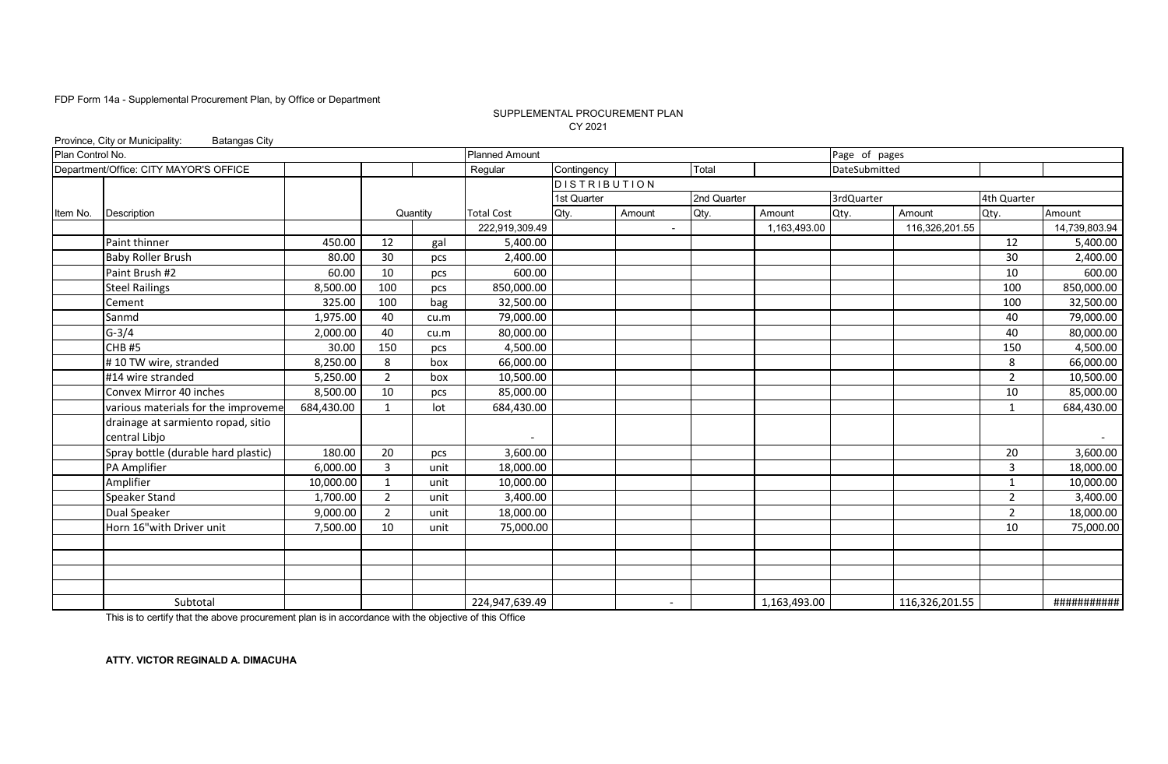#### SUPPLEMENTAL PROCUREMENT PLAN CY 2021

|                  | Province, City or Municipality:<br><b>Batangas City</b> |            |                |          |                       |                     |                          |             |              |               |                |                |               |
|------------------|---------------------------------------------------------|------------|----------------|----------|-----------------------|---------------------|--------------------------|-------------|--------------|---------------|----------------|----------------|---------------|
| Plan Control No. |                                                         |            |                |          | <b>Planned Amount</b> |                     |                          |             |              | Page of pages |                |                |               |
|                  | Department/Office: CITY MAYOR'S OFFICE                  |            |                |          | Regular               | Contingency         |                          | Total       |              | DateSubmitted |                |                |               |
|                  |                                                         |            |                |          |                       | <b>DISTRIBUTION</b> |                          |             |              |               |                |                |               |
|                  |                                                         |            |                |          |                       | 1st Quarter         |                          | 2nd Quarter |              | 3rdQuarter    |                | 4th Quarter    |               |
| Item No.         | Description                                             |            |                | Quantity | <b>Total Cost</b>     | Qty.                | Amount                   | Qty.        | Amount       | Qty.          | Amount         | Qty.           | Amount        |
|                  |                                                         |            |                |          | 222,919,309.49        |                     | $\blacksquare$           |             | 1,163,493.00 |               | 116,326,201.55 |                | 14,739,803.94 |
|                  | Paint thinner                                           | 450.00     | 12             | gal      | 5,400.00              |                     |                          |             |              |               |                | 12             | 5,400.00      |
|                  | <b>Baby Roller Brush</b>                                | 80.00      | 30             | pcs      | 2,400.00              |                     |                          |             |              |               |                | 30             | 2,400.00      |
|                  | Paint Brush #2                                          | 60.00      | 10             | pcs      | 600.00                |                     |                          |             |              |               |                | 10             | 600.00        |
|                  | <b>Steel Railings</b>                                   | 8,500.00   | 100            | pcs      | 850,000.00            |                     |                          |             |              |               |                | 100            | 850,000.00    |
|                  | Cement                                                  | 325.00     | 100            | bag      | 32,500.00             |                     |                          |             |              |               |                | 100            | 32,500.00     |
|                  | Sanmd                                                   | 1,975.00   | 40             | cu.m     | 79,000.00             |                     |                          |             |              |               |                | 40             | 79,000.00     |
|                  | $G-3/4$                                                 | 2,000.00   | 40             | cu.m     | 80,000.00             |                     |                          |             |              |               |                | 40             | 80,000.00     |
|                  | CHB <sub>#5</sub>                                       | 30.00      | 150            | pcs      | 4,500.00              |                     |                          |             |              |               |                | 150            | 4,500.00      |
|                  | #10 TW wire, stranded                                   | 8,250.00   | 8              | box      | 66,000.00             |                     |                          |             |              |               |                | 8              | 66,000.00     |
|                  | #14 wire stranded                                       | 5.250.00   | $\overline{2}$ | box      | 10,500.00             |                     |                          |             |              |               |                | $\overline{2}$ | 10,500.00     |
|                  | Convex Mirror 40 inches                                 | 8,500.00   | 10             | pcs      | 85,000.00             |                     |                          |             |              |               |                | 10             | 85,000.00     |
|                  | various materials for the improveme                     | 684,430.00 | $\mathbf{1}$   | lot      | 684,430.00            |                     |                          |             |              |               |                | $\mathbf{1}$   | 684,430.00    |
|                  | drainage at sarmiento ropad, sitio                      |            |                |          |                       |                     |                          |             |              |               |                |                |               |
|                  | central Libjo                                           |            |                |          |                       |                     |                          |             |              |               |                |                |               |
|                  | Spray bottle (durable hard plastic)                     | 180.00     | 20             | pcs      | 3,600.00              |                     |                          |             |              |               |                | 20             | 3,600.00      |
|                  | PA Amplifier                                            | 6,000.00   | 3              | unit     | 18,000.00             |                     |                          |             |              |               |                | 3              | 18,000.00     |
|                  | Amplifier                                               | 10,000.00  | $\mathbf{1}$   | unit     | 10,000.00             |                     |                          |             |              |               |                | $\mathbf{1}$   | 10,000.00     |
|                  | Speaker Stand                                           | 1,700.00   | $\overline{2}$ | unit     | 3,400.00              |                     |                          |             |              |               |                | $\overline{2}$ | 3,400.00      |
|                  | <b>Dual Speaker</b>                                     | 9,000.00   | $\overline{2}$ | unit     | 18,000.00             |                     |                          |             |              |               |                | $\overline{2}$ | 18,000.00     |
|                  | Horn 16"with Driver unit                                | 7,500.00   | 10             | unit     | 75,000.00             |                     |                          |             |              |               |                | 10             | 75,000.00     |
|                  |                                                         |            |                |          |                       |                     |                          |             |              |               |                |                |               |
|                  |                                                         |            |                |          |                       |                     |                          |             |              |               |                |                |               |
|                  |                                                         |            |                |          |                       |                     |                          |             |              |               |                |                |               |
|                  |                                                         |            |                |          |                       |                     |                          |             |              |               |                |                |               |
|                  | Subtotal                                                |            |                |          | 224,947,639.49        |                     | $\overline{\phantom{0}}$ |             | 1,163,493.00 |               | 116,326,201.55 |                | ###########   |

This is to certify that the above procurement plan is in accordance with the objective of this Office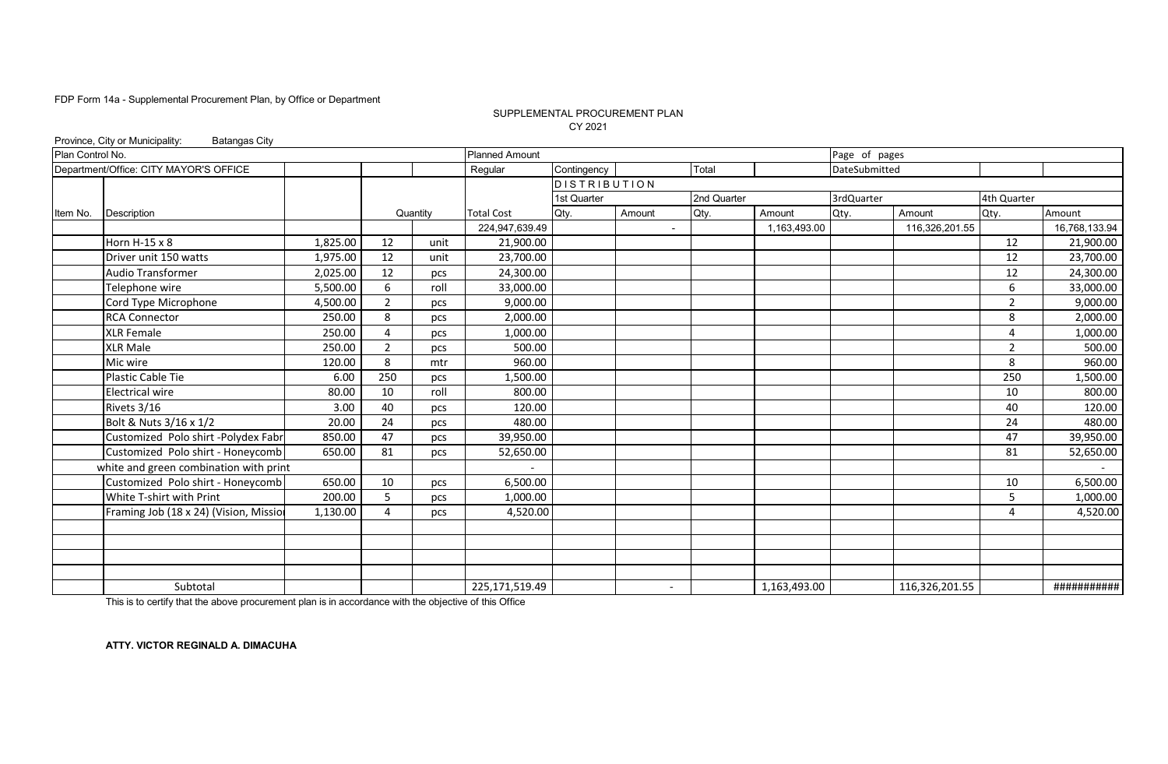#### SUPPLEMENTAL PROCUREMENT PLAN CY 2021

|                  | Province, City or Municipality:<br><b>Batangas City</b> |          |                |          |                       |                     |                          |             |              |               |                |                |               |
|------------------|---------------------------------------------------------|----------|----------------|----------|-----------------------|---------------------|--------------------------|-------------|--------------|---------------|----------------|----------------|---------------|
| Plan Control No. |                                                         |          |                |          | <b>Planned Amount</b> |                     |                          |             |              | Page of pages |                |                |               |
|                  | Department/Office: CITY MAYOR'S OFFICE                  |          |                |          | Regular               | Contingency         |                          | Total       |              | DateSubmitted |                |                |               |
|                  |                                                         |          |                |          |                       | <b>DISTRIBUTION</b> |                          |             |              |               |                |                |               |
|                  |                                                         |          |                |          |                       | 1st Quarter         |                          | 2nd Quarter |              | 3rdQuarter    |                | 4th Quarter    |               |
| Item No.         | <b>Description</b>                                      |          |                | Quantity | <b>Total Cost</b>     | Qty.                | Amount                   | Qty.        | Amount       | Qty.          | Amount         | Qty.           | Amount        |
|                  |                                                         |          |                |          | 224,947,639.49        |                     |                          |             | 1,163,493.00 |               | 116,326,201.55 |                | 16,768,133.94 |
|                  | Horn H-15 x 8                                           | 1,825.00 | 12             | unit     | 21,900.00             |                     |                          |             |              |               |                | 12             | 21,900.00     |
|                  | Driver unit 150 watts                                   | 1,975.00 | 12             | unit     | 23,700.00             |                     |                          |             |              |               |                | 12             | 23,700.00     |
|                  | <b>Audio Transformer</b>                                | 2,025.00 | 12             | pcs      | 24,300.00             |                     |                          |             |              |               |                | 12             | 24,300.00     |
|                  | Telephone wire                                          | 5,500.00 | 6              | roll     | 33,000.00             |                     |                          |             |              |               |                | 6              | 33,000.00     |
|                  | Cord Type Microphone                                    | 4,500.00 | $\overline{2}$ | pcs      | 9,000.00              |                     |                          |             |              |               |                | 2              | 9,000.00      |
|                  | <b>RCA Connector</b>                                    | 250.00   | 8              | pcs      | 2,000.00              |                     |                          |             |              |               |                | 8              | 2,000.00      |
|                  | <b>XLR Female</b>                                       | 250.00   | 4              | pcs      | 1,000.00              |                     |                          |             |              |               |                | $\overline{4}$ | 1,000.00      |
|                  | <b>XLR Male</b>                                         | 250.00   | $\overline{2}$ | pcs      | 500.00                |                     |                          |             |              |               |                | $\overline{2}$ | 500.00        |
|                  | Mic wire                                                | 120.00   | 8              | mtr      | 960.00                |                     |                          |             |              |               |                | 8              | 960.00        |
|                  | Plastic Cable Tie                                       | 6.00     | 250            | pcs      | 1,500.00              |                     |                          |             |              |               |                | 250            | 1,500.00      |
|                  | <b>Electrical wire</b>                                  | 80.00    | 10             | roll     | 800.00                |                     |                          |             |              |               |                | 10             | 800.00        |
|                  | Rivets 3/16                                             | 3.00     | 40             | pcs      | 120.00                |                     |                          |             |              |               |                | 40             | 120.00        |
|                  | Bolt & Nuts 3/16 x 1/2                                  | 20.00    | 24             | pcs      | 480.00                |                     |                          |             |              |               |                | 24             | 480.00        |
|                  | Customized Polo shirt -Polydex Fabr                     | 850.00   | 47             | pcs      | 39,950.00             |                     |                          |             |              |               |                | 47             | 39,950.00     |
|                  | Customized Polo shirt - Honeycomb                       | 650.00   | 81             | pcs      | 52,650.00             |                     |                          |             |              |               |                | 81             | 52,650.00     |
|                  | white and green combination with print                  |          |                |          |                       |                     |                          |             |              |               |                |                | $\sim$        |
|                  | Customized Polo shirt - Honeycomb                       | 650.00   | 10             | pcs      | 6,500.00              |                     |                          |             |              |               |                | 10             | 6,500.00      |
|                  | White T-shirt with Print                                | 200.00   | 5              | pcs      | 1,000.00              |                     |                          |             |              |               |                | 5              | 1,000.00      |
|                  | Framing Job (18 x 24) (Vision, Missio                   | 1,130.00 | $\Delta$       | pcs      | 4,520.00              |                     |                          |             |              |               |                | 4              | 4,520.00      |
|                  |                                                         |          |                |          |                       |                     |                          |             |              |               |                |                |               |
|                  |                                                         |          |                |          |                       |                     |                          |             |              |               |                |                |               |
|                  |                                                         |          |                |          |                       |                     |                          |             |              |               |                |                |               |
|                  |                                                         |          |                |          |                       |                     |                          |             |              |               |                |                |               |
|                  | Subtotal                                                |          |                |          | 225,171,519.49        |                     | $\overline{\phantom{a}}$ |             | 1,163,493.00 |               | 116,326,201.55 |                | ###########   |

This is to certify that the above procurement plan is in accordance with the objective of this Office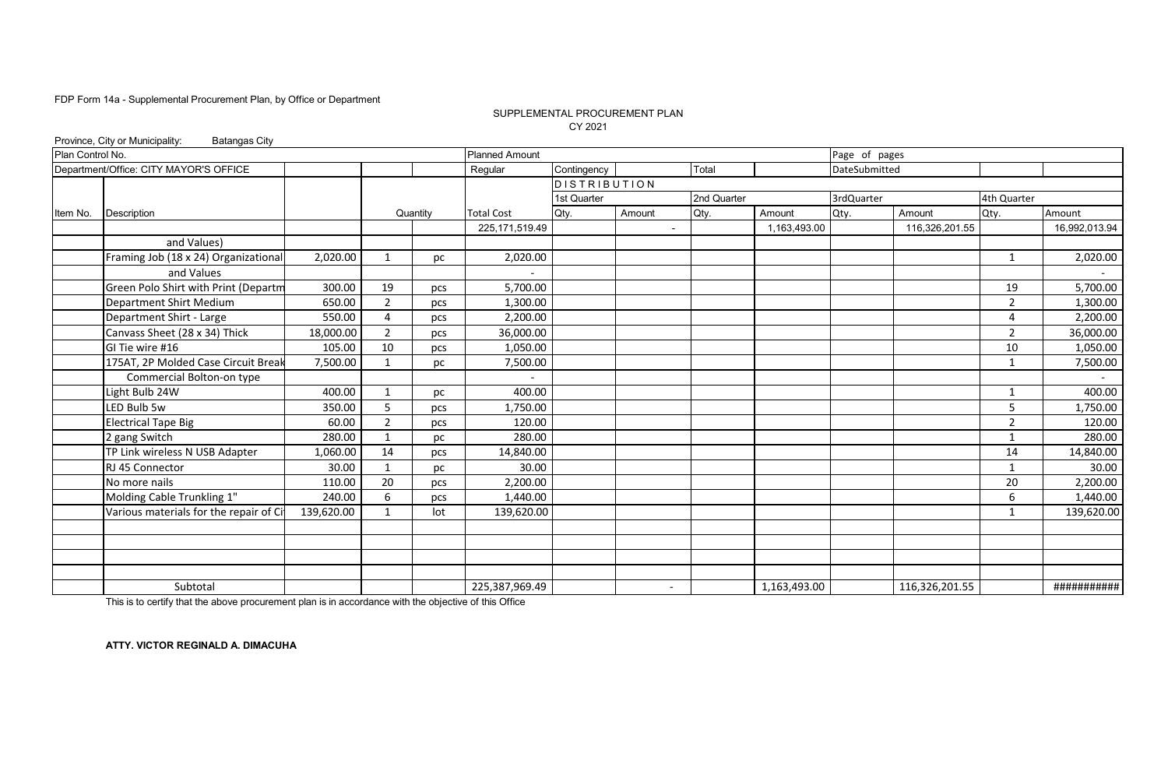### SUPPLEMENTAL PROCUREMENT PLAN CY 2021

|                  | Province, City or Municipality:<br><b>Batangas City</b> |            |                |          |                       |                     |                          |             |              |               |                |                |               |
|------------------|---------------------------------------------------------|------------|----------------|----------|-----------------------|---------------------|--------------------------|-------------|--------------|---------------|----------------|----------------|---------------|
| Plan Control No. |                                                         |            |                |          | <b>Planned Amount</b> |                     |                          |             |              | Page of pages |                |                |               |
|                  | Department/Office: CITY MAYOR'S OFFICE                  |            |                |          | Regular               | Contingency         |                          | Total       |              | DateSubmitted |                |                |               |
|                  |                                                         |            |                |          |                       | <b>DISTRIBUTION</b> |                          |             |              |               |                |                |               |
|                  |                                                         |            |                |          |                       | 1st Quarter         |                          | 2nd Quarter |              | 3rdQuarter    |                | 4th Quarter    |               |
| Item No.         | Description                                             |            |                | Quantity | <b>Total Cost</b>     | Qty.                | Amount                   | Qty.        | Amount       | Qty.          | Amount         | Qty.           | Amount        |
|                  |                                                         |            |                |          | 225, 171, 519.49      |                     | $\blacksquare$           |             | 1,163,493.00 |               | 116,326,201.55 |                | 16,992,013.94 |
|                  | and Values)                                             |            |                |          |                       |                     |                          |             |              |               |                |                |               |
|                  | Framing Job (18 x 24) Organizational                    | 2,020.00   | 1              | рc       | 2,020.00              |                     |                          |             |              |               |                | $\mathbf{1}$   | 2,020.00      |
|                  | and Values                                              |            |                |          |                       |                     |                          |             |              |               |                |                |               |
|                  | Green Polo Shirt with Print (Departm                    | 300.00     | 19             | pcs      | 5,700.00              |                     |                          |             |              |               |                | 19             | 5,700.00      |
|                  | Department Shirt Medium                                 | 650.00     | $\overline{2}$ | pcs      | 1,300.00              |                     |                          |             |              |               |                | $\overline{2}$ | 1,300.00      |
|                  | Department Shirt - Large                                | 550.00     | 4              | pcs      | 2,200.00              |                     |                          |             |              |               |                | 4              | 2,200.00      |
|                  | Canvass Sheet (28 x 34) Thick                           | 18,000.00  | $\overline{2}$ | pcs      | 36,000.00             |                     |                          |             |              |               |                | $\overline{2}$ | 36,000.00     |
|                  | GI Tie wire #16                                         | 105.00     | 10             | pcs      | 1,050.00              |                     |                          |             |              |               |                | 10             | 1,050.00      |
|                  | 175AT, 2P Molded Case Circuit Break                     | 7,500.00   | $\mathbf{1}$   | рc       | 7,500.00              |                     |                          |             |              |               |                | $\mathbf{1}$   | 7,500.00      |
|                  | Commercial Bolton-on type                               |            |                |          |                       |                     |                          |             |              |               |                |                |               |
|                  | Light Bulb 24W                                          | 400.00     | 1              | рc       | 400.00                |                     |                          |             |              |               |                | $\mathbf{1}$   | 400.00        |
|                  | LED Bulb 5w                                             | 350.00     | 5              | pcs      | 1,750.00              |                     |                          |             |              |               |                | 5              | 1,750.00      |
|                  | <b>Electrical Tape Big</b>                              | 60.00      | $\overline{2}$ | pcs      | 120.00                |                     |                          |             |              |               |                | $\overline{2}$ | 120.00        |
|                  | 2 gang Switch                                           | 280.00     | $\mathbf{1}$   | рc       | 280.00                |                     |                          |             |              |               |                | 1              | 280.00        |
|                  | TP Link wireless N USB Adapter                          | 1,060.00   | 14             | pcs      | 14,840.00             |                     |                          |             |              |               |                | 14             | 14,840.00     |
|                  | RJ 45 Connector                                         | 30.00      |                | рc       | 30.00                 |                     |                          |             |              |               |                | $\mathbf{1}$   | 30.00         |
|                  | No more nails                                           | 110.00     | 20             | pcs      | 2,200.00              |                     |                          |             |              |               |                | 20             | 2,200.00      |
|                  | Molding Cable Trunkling 1"                              | 240.00     | 6              | pcs      | 1,440.00              |                     |                          |             |              |               |                | 6              | 1,440.00      |
|                  | Various materials for the repair of C                   | 139,620.00 |                | lot      | 139,620.00            |                     |                          |             |              |               |                | 1              | 139,620.00    |
|                  |                                                         |            |                |          |                       |                     |                          |             |              |               |                |                |               |
|                  |                                                         |            |                |          |                       |                     |                          |             |              |               |                |                |               |
|                  |                                                         |            |                |          |                       |                     |                          |             |              |               |                |                |               |
|                  |                                                         |            |                |          |                       |                     |                          |             |              |               |                |                |               |
|                  | Subtotal                                                |            |                |          | 225,387,969.49        |                     | $\overline{\phantom{a}}$ |             | 1,163,493.00 |               | 116,326,201.55 |                | ###########   |

This is to certify that the above procurement plan is in accordance with the objective of this Office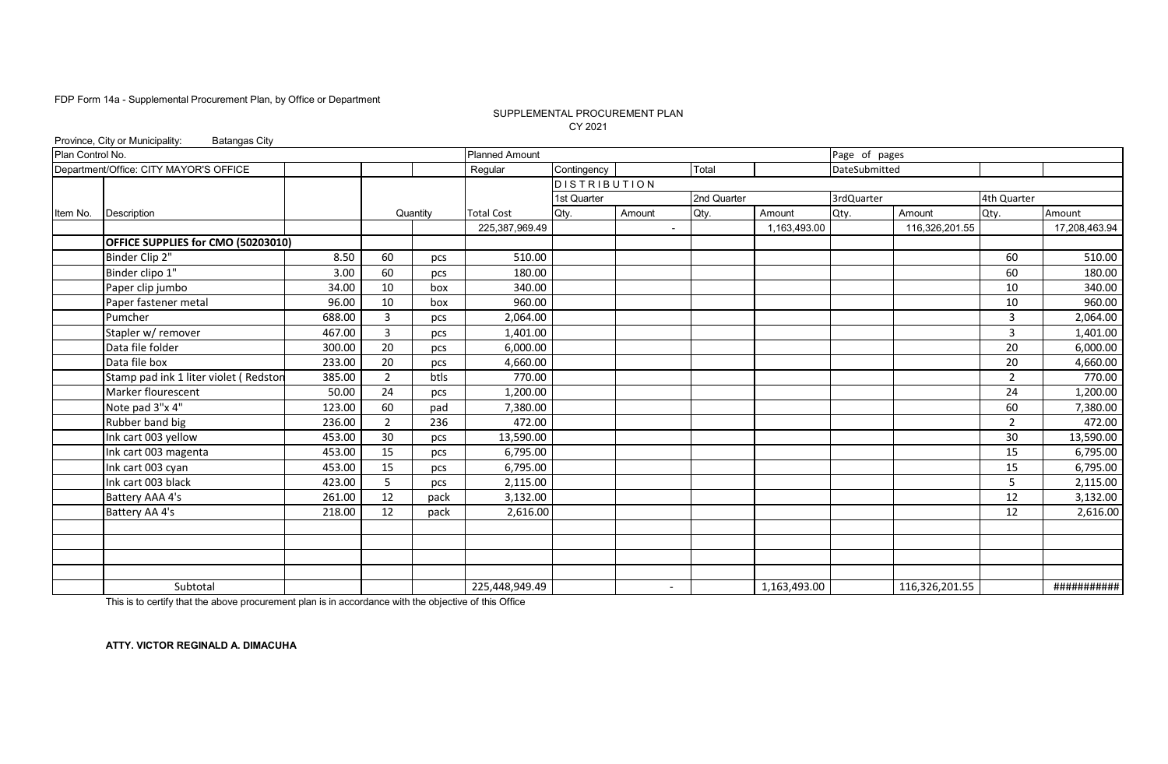### SUPPLEMENTAL PROCUREMENT PLAN CY 2021

|                  | Province, City or Municipality:<br><b>Batangas City</b> |        |                |          |                       |                     |                          |             |              |               |                |                |               |
|------------------|---------------------------------------------------------|--------|----------------|----------|-----------------------|---------------------|--------------------------|-------------|--------------|---------------|----------------|----------------|---------------|
| Plan Control No. |                                                         |        |                |          | <b>Planned Amount</b> |                     |                          |             |              | Page of pages |                |                |               |
|                  | Department/Office: CITY MAYOR'S OFFICE                  |        |                |          | Regular               | Contingency         |                          | Total       |              | DateSubmitted |                |                |               |
|                  |                                                         |        |                |          |                       | <b>DISTRIBUTION</b> |                          |             |              |               |                |                |               |
|                  |                                                         |        |                |          |                       | 1st Quarter         |                          | 2nd Quarter |              | 3rdQuarter    |                | 4th Quarter    |               |
| Item No.         | <b>Description</b>                                      |        |                | Quantity | <b>Total Cost</b>     | Qty.                | Amount                   | Qty.        | Amount       | Qty.          | Amount         | Qty.           | Amount        |
|                  |                                                         |        |                |          | 225,387,969.49        |                     | $\blacksquare$           |             | 1,163,493.00 |               | 116,326,201.55 |                | 17,208,463.94 |
|                  | OFFICE SUPPLIES for CMO (50203010)                      |        |                |          |                       |                     |                          |             |              |               |                |                |               |
|                  | Binder Clip 2"                                          | 8.50   | 60             | pcs      | 510.00                |                     |                          |             |              |               |                | 60             | 510.00        |
|                  | Binder clipo 1"                                         | 3.00   | 60             | pcs      | 180.00                |                     |                          |             |              |               |                | 60             | 180.00        |
|                  | Paper clip jumbo                                        | 34.00  | 10             | box      | 340.00                |                     |                          |             |              |               |                | 10             | 340.00        |
|                  | Paper fastener metal                                    | 96.00  | 10             | box      | 960.00                |                     |                          |             |              |               |                | 10             | 960.00        |
|                  | Pumcher                                                 | 688.00 | 3              | pcs      | 2,064.00              |                     |                          |             |              |               |                | 3              | 2,064.00      |
|                  | Stapler w/ remover                                      | 467.00 | $\overline{3}$ | pcs      | 1,401.00              |                     |                          |             |              |               |                | 3              | 1,401.00      |
|                  | Data file folder                                        | 300.00 | 20             | pcs      | 6,000.00              |                     |                          |             |              |               |                | 20             | 6,000.00      |
|                  | Data file box                                           | 233.00 | 20             | pcs      | 4,660.00              |                     |                          |             |              |               |                | 20             | 4,660.00      |
|                  | Stamp pad ink 1 liter violet (Redston                   | 385.00 | $\overline{2}$ | btls     | 770.00                |                     |                          |             |              |               |                | $\overline{2}$ | 770.00        |
|                  | Marker flourescent                                      | 50.00  | 24             | pcs      | 1,200.00              |                     |                          |             |              |               |                | 24             | 1,200.00      |
|                  | Note pad 3"x 4"                                         | 123.00 | 60             | pad      | 7,380.00              |                     |                          |             |              |               |                | 60             | 7,380.00      |
|                  | Rubber band big                                         | 236.00 | $\overline{2}$ | 236      | 472.00                |                     |                          |             |              |               |                | $\overline{2}$ | 472.00        |
|                  | Ink cart 003 yellow                                     | 453.00 | 30             | pcs      | 13,590.00             |                     |                          |             |              |               |                | 30             | 13,590.00     |
|                  | Ink cart 003 magenta                                    | 453.00 | 15             | pcs      | 6,795.00              |                     |                          |             |              |               |                | 15             | 6,795.00      |
|                  | Ink cart 003 cyan                                       | 453.00 | 15             | pcs      | 6,795.00              |                     |                          |             |              |               |                | 15             | 6,795.00      |
|                  | Ink cart 003 black                                      | 423.00 | 5              | pcs      | 2,115.00              |                     |                          |             |              |               |                | 5              | 2,115.00      |
|                  | Battery AAA 4's                                         | 261.00 | 12             | pack     | 3,132.00              |                     |                          |             |              |               |                | 12             | 3,132.00      |
|                  | Battery AA 4's                                          | 218.00 | 12             | pack     | 2,616.00              |                     |                          |             |              |               |                | 12             | 2,616.00      |
|                  |                                                         |        |                |          |                       |                     |                          |             |              |               |                |                |               |
|                  |                                                         |        |                |          |                       |                     |                          |             |              |               |                |                |               |
|                  |                                                         |        |                |          |                       |                     |                          |             |              |               |                |                |               |
|                  |                                                         |        |                |          |                       |                     |                          |             |              |               |                |                |               |
|                  | Subtotal                                                |        |                |          | 225,448,949.49        |                     | $\overline{\phantom{a}}$ |             | 1,163,493.00 |               | 116,326,201.55 |                | ###########   |

This is to certify that the above procurement plan is in accordance with the objective of this Office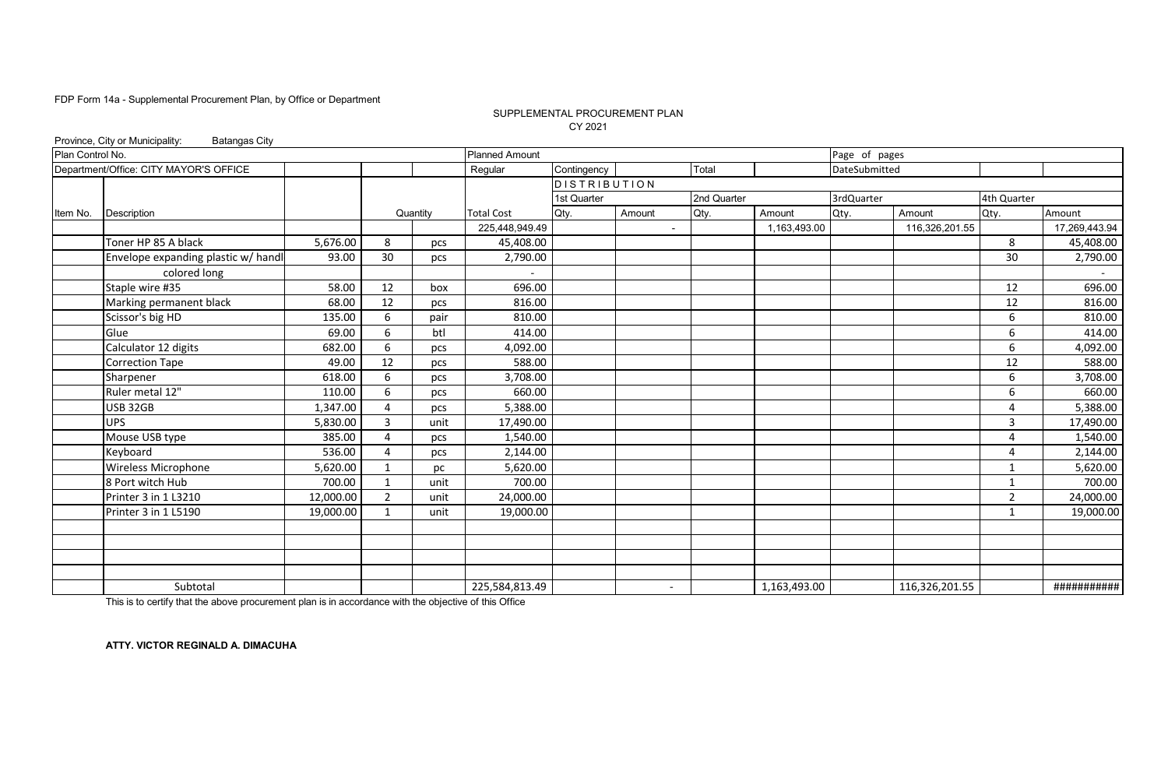### SUPPLEMENTAL PROCUREMENT PLAN CY 2021

|                  | Province, City or Municipality:<br><b>Batangas City</b> |           |                |          |                       |                     |                          |             |              |               |                |             |               |
|------------------|---------------------------------------------------------|-----------|----------------|----------|-----------------------|---------------------|--------------------------|-------------|--------------|---------------|----------------|-------------|---------------|
| Plan Control No. |                                                         |           |                |          | <b>Planned Amount</b> |                     |                          |             |              | Page of pages |                |             |               |
|                  | Department/Office: CITY MAYOR'S OFFICE                  |           |                |          | Regular               | Contingency         |                          | Total       |              | DateSubmitted |                |             |               |
|                  |                                                         |           |                |          |                       | <b>DISTRIBUTION</b> |                          |             |              |               |                |             |               |
|                  |                                                         |           |                |          |                       | 1st Quarter         |                          | 2nd Quarter |              | 3rdQuarter    |                | 4th Quarter |               |
| Item No.         | Description                                             |           |                | Quantity | <b>Total Cost</b>     | Qty.                | Amount                   | Qty.        | Amount       | Qty.          | Amount         | Qty.        | Amount        |
|                  |                                                         |           |                |          | 225,448,949.49        |                     | $\blacksquare$           |             | 1,163,493.00 |               | 116,326,201.55 |             | 17,269,443.94 |
|                  | Toner HP 85 A black                                     | 5,676.00  | 8              | pcs      | 45,408.00             |                     |                          |             |              |               |                | 8           | 45,408.00     |
|                  | Envelope expanding plastic w/ handl                     | 93.00     | 30             | pcs      | 2,790.00              |                     |                          |             |              |               |                | 30          | 2,790.00      |
|                  | colored long                                            |           |                |          |                       |                     |                          |             |              |               |                |             |               |
|                  | Staple wire #35                                         | 58.00     | 12             | box      | 696.00                |                     |                          |             |              |               |                | 12          | 696.00        |
|                  | Marking permanent black                                 | 68.00     | 12             | pcs      | 816.00                |                     |                          |             |              |               |                | 12          | 816.00        |
|                  | Scissor's big HD                                        | 135.00    | 6              | pair     | 810.00                |                     |                          |             |              |               |                | 6           | 810.00        |
|                  | Glue                                                    | 69.00     | 6              | btl      | 414.00                |                     |                          |             |              |               |                | 6           | 414.00        |
|                  | Calculator 12 digits                                    | 682.00    | 6              | pcs      | 4,092.00              |                     |                          |             |              |               |                | 6           | 4,092.00      |
|                  | Correction Tape                                         | 49.00     | 12             | pcs      | 588.00                |                     |                          |             |              |               |                | 12          | 588.00        |
|                  | Sharpener                                               | 618.00    | 6              | pcs      | 3,708.00              |                     |                          |             |              |               |                | 6           | 3,708.00      |
|                  | Ruler metal 12"                                         | 110.00    | 6              | pcs      | 660.00                |                     |                          |             |              |               |                | 6           | 660.00        |
|                  | <b>USB 32GB</b>                                         | 1,347.00  | 4              | pcs      | 5,388.00              |                     |                          |             |              |               |                | 4           | 5,388.00      |
|                  | <b>UPS</b>                                              | 5,830.00  | 3              | unit     | 17,490.00             |                     |                          |             |              |               |                | 3           | 17,490.00     |
|                  | Mouse USB type                                          | 385.00    | 4              | pcs      | 1,540.00              |                     |                          |             |              |               |                | 4           | 1,540.00      |
|                  | Keyboard                                                | 536.00    | 4              | pcs      | 2,144.00              |                     |                          |             |              |               |                | 4           | 2,144.00      |
|                  | <b>Wireless Microphone</b>                              | 5,620.00  | $\mathbf{1}$   | рc       | 5,620.00              |                     |                          |             |              |               |                | 1           | 5,620.00      |
|                  | 8 Port witch Hub                                        | 700.00    | $\mathbf{1}$   | unit     | 700.00                |                     |                          |             |              |               |                | 1           | 700.00        |
|                  | Printer 3 in 1 L3210                                    | 12,000.00 | $\overline{2}$ | unit     | 24,000.00             |                     |                          |             |              |               |                | 2           | 24,000.00     |
|                  | Printer 3 in 1 L5190                                    | 19,000.00 |                | unit     | 19,000.00             |                     |                          |             |              |               |                | 1           | 19,000.00     |
|                  |                                                         |           |                |          |                       |                     |                          |             |              |               |                |             |               |
|                  |                                                         |           |                |          |                       |                     |                          |             |              |               |                |             |               |
|                  |                                                         |           |                |          |                       |                     |                          |             |              |               |                |             |               |
|                  |                                                         |           |                |          |                       |                     |                          |             |              |               |                |             |               |
|                  | Subtotal                                                |           |                |          | 225,584,813.49        |                     | $\overline{\phantom{a}}$ |             | 1,163,493.00 |               | 116,326,201.55 |             | ###########   |

This is to certify that the above procurement plan is in accordance with the objective of this Office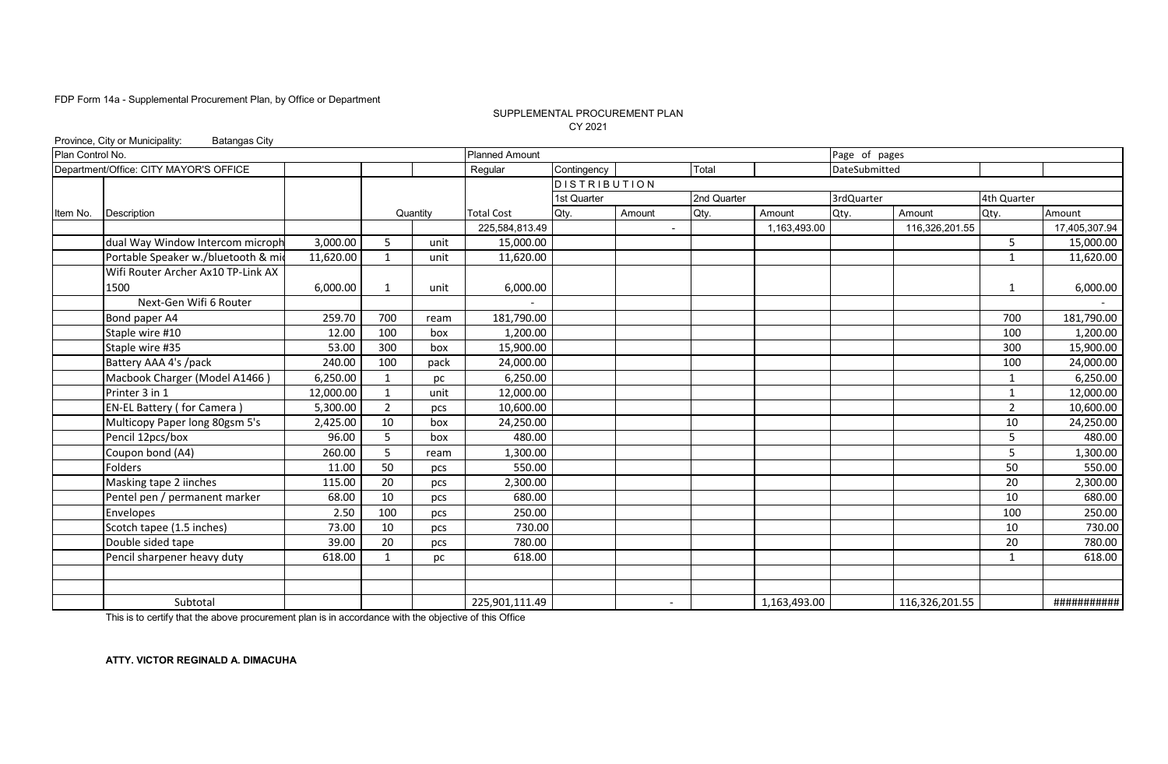### SUPPLEMENTAL PROCUREMENT PLAN CY 2021

|                  | Province, City or Municipality:<br><b>Batangas City</b> |           |                |          |                       |                     |                |             |              |               |                |                |               |
|------------------|---------------------------------------------------------|-----------|----------------|----------|-----------------------|---------------------|----------------|-------------|--------------|---------------|----------------|----------------|---------------|
| Plan Control No. |                                                         |           |                |          | <b>Planned Amount</b> |                     |                |             |              | Page of pages |                |                |               |
|                  | Department/Office: CITY MAYOR'S OFFICE                  |           |                |          | Regular               | Contingency         |                | Total       |              | DateSubmitted |                |                |               |
|                  |                                                         |           |                |          |                       | <b>DISTRIBUTION</b> |                |             |              |               |                |                |               |
|                  |                                                         |           |                |          |                       | 1st Quarter         |                | 2nd Quarter |              | 3rdQuarter    |                | 4th Quarter    |               |
| Item No.         | Description                                             |           |                | Quantity | <b>Total Cost</b>     | Qty.                | Amount         | Qty.        | Amount       | Qty.          | Amount         | Qty.           | Amount        |
|                  |                                                         |           |                |          | 225,584,813.49        |                     | $\blacksquare$ |             | 1,163,493.00 |               | 116,326,201.55 |                | 17,405,307.94 |
|                  | dual Way Window Intercom microph                        | 3,000.00  | 5              | unit     | 15,000.00             |                     |                |             |              |               |                | 5              | 15,000.00     |
|                  | Portable Speaker w./bluetooth & mid                     | 11,620.00 | $\mathbf{1}$   | unit     | 11,620.00             |                     |                |             |              |               |                | $\mathbf{1}$   | 11,620.00     |
|                  | Wifi Router Archer Ax10 TP-Link AX                      |           |                |          |                       |                     |                |             |              |               |                |                |               |
|                  | 1500                                                    | 6,000.00  | 1              | unit     | 6,000.00              |                     |                |             |              |               |                | 1              | 6,000.00      |
|                  | Next-Gen Wifi 6 Router                                  |           |                |          |                       |                     |                |             |              |               |                |                |               |
|                  | Bond paper A4                                           | 259.70    | 700            | ream     | 181,790.00            |                     |                |             |              |               |                | 700            | 181,790.00    |
|                  | Staple wire #10                                         | 12.00     | 100            | box      | 1,200.00              |                     |                |             |              |               |                | 100            | 1,200.00      |
|                  | Staple wire #35                                         | 53.00     | 300            | box      | 15,900.00             |                     |                |             |              |               |                | 300            | 15,900.00     |
|                  | Battery AAA 4's /pack                                   | 240.00    | 100            | pack     | 24,000.00             |                     |                |             |              |               |                | 100            | 24,000.00     |
|                  | Macbook Charger (Model A1466)                           | 6,250.00  | 1              | pc       | 6,250.00              |                     |                |             |              |               |                | $\mathbf{1}$   | 6,250.00      |
|                  | Printer 3 in 1                                          | 12,000.00 | $\mathbf{1}$   | unit     | 12,000.00             |                     |                |             |              |               |                | 1              | 12,000.00     |
|                  | <b>EN-EL Battery (for Camera)</b>                       | 5,300.00  | $\overline{2}$ | pcs      | 10,600.00             |                     |                |             |              |               |                | $\overline{2}$ | 10,600.00     |
|                  | Multicopy Paper long 80gsm 5's                          | 2,425.00  | 10             | box      | 24,250.00             |                     |                |             |              |               |                | 10             | 24,250.00     |
|                  | Pencil 12pcs/box                                        | 96.00     | 5              | box      | 480.00                |                     |                |             |              |               |                | 5              | 480.00        |
|                  | Coupon bond (A4)                                        | 260.00    | 5              | ream     | 1,300.00              |                     |                |             |              |               |                | 5              | 1,300.00      |
|                  | <b>Folders</b>                                          | 11.00     | 50             | pcs      | 550.00                |                     |                |             |              |               |                | 50             | 550.00        |
|                  | Masking tape 2 iinches                                  | 115.00    | 20             | pcs      | 2,300.00              |                     |                |             |              |               |                | 20             | 2,300.00      |
|                  | Pentel pen / permanent marker                           | 68.00     | 10             | pcs      | 680.00                |                     |                |             |              |               |                | 10             | 680.00        |
|                  | Envelopes                                               | 2.50      | 100            | pcs      | 250.00                |                     |                |             |              |               |                | 100            | 250.00        |
|                  | Scotch tapee (1.5 inches)                               | 73.00     | 10             | pcs      | 730.00                |                     |                |             |              |               |                | 10             | 730.00        |
|                  | Double sided tape                                       | 39.00     | 20             | pcs      | 780.00                |                     |                |             |              |               |                | 20             | 780.00        |
|                  | Pencil sharpener heavy duty                             | 618.00    | 1              | рc       | 618.00                |                     |                |             |              |               |                | $\mathbf{1}$   | 618.00        |
|                  |                                                         |           |                |          |                       |                     |                |             |              |               |                |                |               |
|                  |                                                         |           |                |          |                       |                     |                |             |              |               |                |                |               |
|                  | Subtotal                                                |           |                |          | 225,901,111.49        |                     |                |             | 1,163,493.00 |               | 116,326,201.55 |                | ###########   |

This is to certify that the above procurement plan is in accordance with the objective of this Office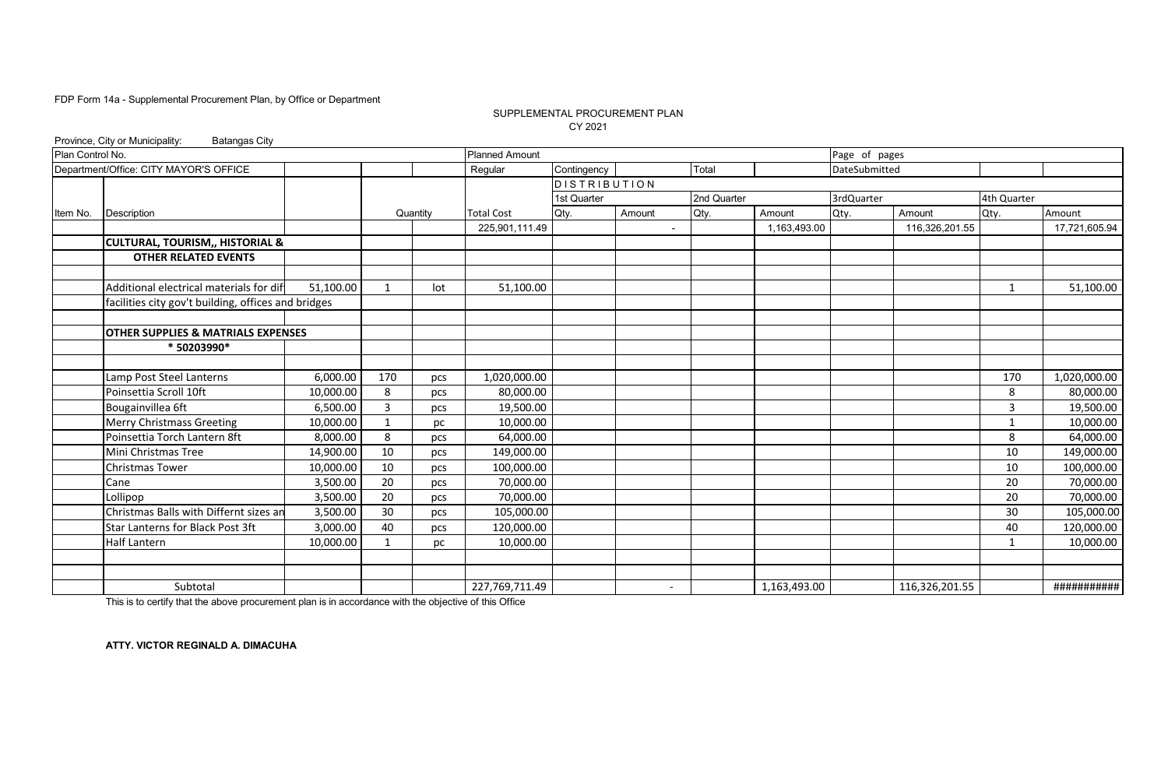### SUPPLEMENTAL PROCUREMENT PLAN CY 2021

|                  | Province, City or Municipality:<br><b>Batangas City</b> |           |             |          |                       |                     |                |             |              |               |                |              |               |
|------------------|---------------------------------------------------------|-----------|-------------|----------|-----------------------|---------------------|----------------|-------------|--------------|---------------|----------------|--------------|---------------|
| Plan Control No. |                                                         |           |             |          | <b>Planned Amount</b> |                     |                |             |              | Page of pages |                |              |               |
|                  | Department/Office: CITY MAYOR'S OFFICE                  |           |             |          | Regular               | Contingency         |                | Total       |              | DateSubmitted |                |              |               |
|                  |                                                         |           |             |          |                       | <b>DISTRIBUTION</b> |                |             |              |               |                |              |               |
|                  |                                                         |           |             |          |                       | 1st Quarter         |                | 2nd Quarter |              | 3rdQuarter    |                | 4th Quarter  |               |
| Item No.         | Description                                             |           |             | Quantity | <b>Total Cost</b>     | Qty.                | Amount         | Qty.        | Amount       | Qty.          | Amount         | Qty.         | Amount        |
|                  |                                                         |           |             |          | 225,901,111.49        |                     | $\blacksquare$ |             | 1,163,493.00 |               | 116,326,201.55 |              | 17,721,605.94 |
|                  | <b>CULTURAL, TOURISM,, HISTORIAL &amp;</b>              |           |             |          |                       |                     |                |             |              |               |                |              |               |
|                  | <b>OTHER RELATED EVENTS</b>                             |           |             |          |                       |                     |                |             |              |               |                |              |               |
|                  |                                                         |           |             |          |                       |                     |                |             |              |               |                |              |               |
|                  | Additional electrical materials for dif                 | 51,100.00 | 1           | lot      | 51,100.00             |                     |                |             |              |               |                | -1           | 51,100.00     |
|                  | facilities city gov't building, offices and bridges     |           |             |          |                       |                     |                |             |              |               |                |              |               |
|                  |                                                         |           |             |          |                       |                     |                |             |              |               |                |              |               |
|                  | <b>OTHER SUPPLIES &amp; MATRIALS EXPENSES</b>           |           |             |          |                       |                     |                |             |              |               |                |              |               |
|                  | * 50203990*                                             |           |             |          |                       |                     |                |             |              |               |                |              |               |
|                  |                                                         |           |             |          |                       |                     |                |             |              |               |                |              |               |
|                  | Lamp Post Steel Lanterns                                | 6,000.00  | 170         | pcs      | 1,020,000.00          |                     |                |             |              |               |                | 170          | 1,020,000.00  |
|                  | Poinsettia Scroll 10ft                                  | 10,000.00 | 8           | pcs      | 80,000.00             |                     |                |             |              |               |                | 8            | 80,000.00     |
|                  | Bougainvillea 6ft                                       | 6.500.00  | 3           | pcs      | 19,500.00             |                     |                |             |              |               |                | 3            | 19,500.00     |
|                  | <b>Merry Christmass Greeting</b>                        | 10,000.00 | $\mathbf 1$ | рc       | 10,000.00             |                     |                |             |              |               |                | $\mathbf{1}$ | 10,000.00     |
|                  | Poinsettia Torch Lantern 8ft                            | 8,000.00  | 8           | pcs      | 64,000.00             |                     |                |             |              |               |                | 8            | 64,000.00     |
|                  | Mini Christmas Tree                                     | 14,900.00 | 10          | pcs      | 149,000.00            |                     |                |             |              |               |                | 10           | 149,000.00    |
|                  | <b>Christmas Tower</b>                                  | 10,000.00 | 10          | pcs      | 100,000.00            |                     |                |             |              |               |                | 10           | 100,000.00    |
|                  | Cane                                                    | 3,500.00  | 20          | pcs      | 70,000.00             |                     |                |             |              |               |                | 20           | 70,000.00     |
|                  | Lollipop                                                | 3,500.00  | 20          | pcs      | 70,000.00             |                     |                |             |              |               |                | 20           | 70,000.00     |
|                  | Christmas Balls with Differnt sizes an                  | 3,500.00  | 30          | pcs      | 105,000.00            |                     |                |             |              |               |                | 30           | 105,000.00    |
|                  | Star Lanterns for Black Post 3ft                        | 3,000.00  | 40          | pcs      | 120,000.00            |                     |                |             |              |               |                | 40           | 120,000.00    |
|                  | <b>Half Lantern</b>                                     | 10,000.00 | -1          | рc       | 10,000.00             |                     |                |             |              |               |                | -1           | 10,000.00     |
|                  |                                                         |           |             |          |                       |                     |                |             |              |               |                |              |               |
|                  |                                                         |           |             |          |                       |                     |                |             |              |               |                |              |               |
|                  | Subtotal                                                |           |             |          | 227,769,711.49        |                     | $\overline{a}$ |             | 1,163,493.00 |               | 116,326,201.55 |              | ###########   |

This is to certify that the above procurement plan is in accordance with the objective of this Office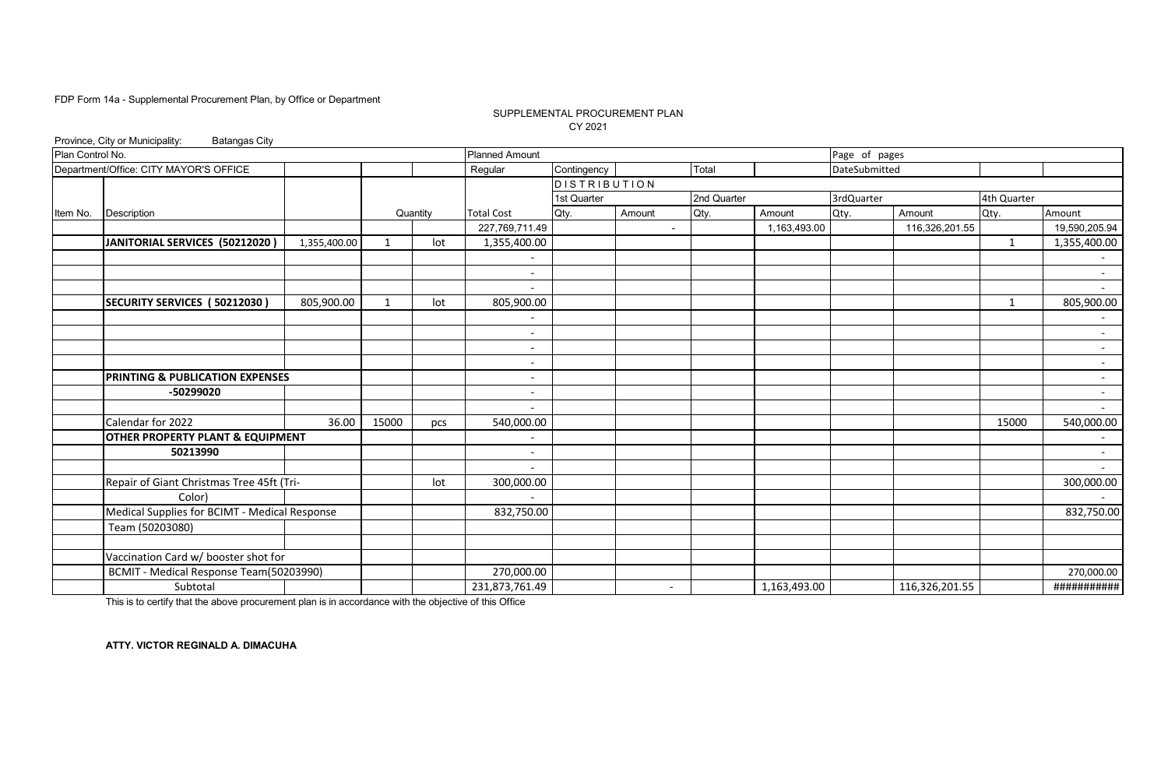### SUPPLEMENTAL PROCUREMENT PLAN CY 2021

|                  | Province, City or Municipality:<br><b>Batangas City</b> |              |              |          |                          |                     |                          |             |              |               |                |              |                          |
|------------------|---------------------------------------------------------|--------------|--------------|----------|--------------------------|---------------------|--------------------------|-------------|--------------|---------------|----------------|--------------|--------------------------|
| Plan Control No. |                                                         |              |              |          | <b>Planned Amount</b>    |                     |                          |             |              | Page of pages |                |              |                          |
|                  | Department/Office: CITY MAYOR'S OFFICE                  |              |              |          | Regular                  | Contingency         |                          | Total       |              | DateSubmitted |                |              |                          |
|                  |                                                         |              |              |          |                          | <b>DISTRIBUTION</b> |                          |             |              |               |                |              |                          |
|                  |                                                         |              |              |          |                          | 1st Quarter         |                          | 2nd Quarter |              | 3rdQuarter    |                | 4th Quarter  |                          |
| Item No.         | Description                                             |              |              | Quantity | <b>Total Cost</b>        | Qty.                | Amount                   | Qty.        | Amount       | Qty.          | Amount         | Qty.         | Amount                   |
|                  |                                                         |              |              |          | 227,769,711.49           |                     | $\overline{\phantom{a}}$ |             | 1,163,493.00 |               | 116,326,201.55 |              | 19,590,205.94            |
|                  | JANITORIAL SERVICES (50212020)                          | 1,355,400.00 | 1            | lot      | 1,355,400.00             |                     |                          |             |              |               |                | $\mathbf{1}$ | 1,355,400.00             |
|                  |                                                         |              |              |          |                          |                     |                          |             |              |               |                |              | $\overline{\phantom{a}}$ |
|                  |                                                         |              |              |          | $\overline{\phantom{a}}$ |                     |                          |             |              |               |                |              | $\sim$                   |
|                  |                                                         |              |              |          |                          |                     |                          |             |              |               |                |              | $\sim$                   |
|                  | SECURITY SERVICES (50212030)                            | 805,900.00   | $\mathbf{1}$ | lot      | 805,900.00               |                     |                          |             |              |               |                | $\mathbf{1}$ | 805,900.00               |
|                  |                                                         |              |              |          |                          |                     |                          |             |              |               |                |              |                          |
|                  |                                                         |              |              |          | $\overline{\phantom{0}}$ |                     |                          |             |              |               |                |              | $\sim$                   |
|                  |                                                         |              |              |          |                          |                     |                          |             |              |               |                |              | $\sim$                   |
|                  |                                                         |              |              |          |                          |                     |                          |             |              |               |                |              | $\sim$                   |
|                  | PRINTING & PUBLICATION EXPENSES                         |              |              |          |                          |                     |                          |             |              |               |                |              | $\sim$                   |
|                  | -50299020                                               |              |              |          | $\overline{\phantom{a}}$ |                     |                          |             |              |               |                |              | $\sim$                   |
|                  |                                                         |              |              |          |                          |                     |                          |             |              |               |                |              | $\sim$                   |
|                  | Calendar for 2022                                       | 36.00        | 15000        | pcs      | 540,000.00               |                     |                          |             |              |               |                | 15000        | 540,000.00               |
|                  | OTHER PROPERTY PLANT & EQUIPMENT                        |              |              |          |                          |                     |                          |             |              |               |                |              | $\sim$                   |
|                  | 50213990                                                |              |              |          |                          |                     |                          |             |              |               |                |              | $\overline{a}$           |
|                  |                                                         |              |              |          |                          |                     |                          |             |              |               |                |              | $\sim$                   |
|                  | Repair of Giant Christmas Tree 45ft (Tri-               |              |              | lot      | 300,000.00               |                     |                          |             |              |               |                |              | 300,000.00               |
|                  | Color)                                                  |              |              |          |                          |                     |                          |             |              |               |                |              |                          |
|                  | Medical Supplies for BCIMT - Medical Response           |              |              |          | 832,750.00               |                     |                          |             |              |               |                |              | 832,750.00               |
|                  | Team (50203080)                                         |              |              |          |                          |                     |                          |             |              |               |                |              |                          |
|                  |                                                         |              |              |          |                          |                     |                          |             |              |               |                |              |                          |
|                  | Vaccination Card w/ booster shot for                    |              |              |          |                          |                     |                          |             |              |               |                |              |                          |
|                  | BCMIT - Medical Response Team(50203990)                 |              |              |          | 270,000.00               |                     |                          |             |              |               |                |              | 270,000.00               |
|                  | Subtotal                                                |              |              |          | 231,873,761.49           |                     | $\overline{\phantom{a}}$ |             | 1,163,493.00 |               | 116,326,201.55 |              | ###########              |

This is to certify that the above procurement plan is in accordance with the objective of this Office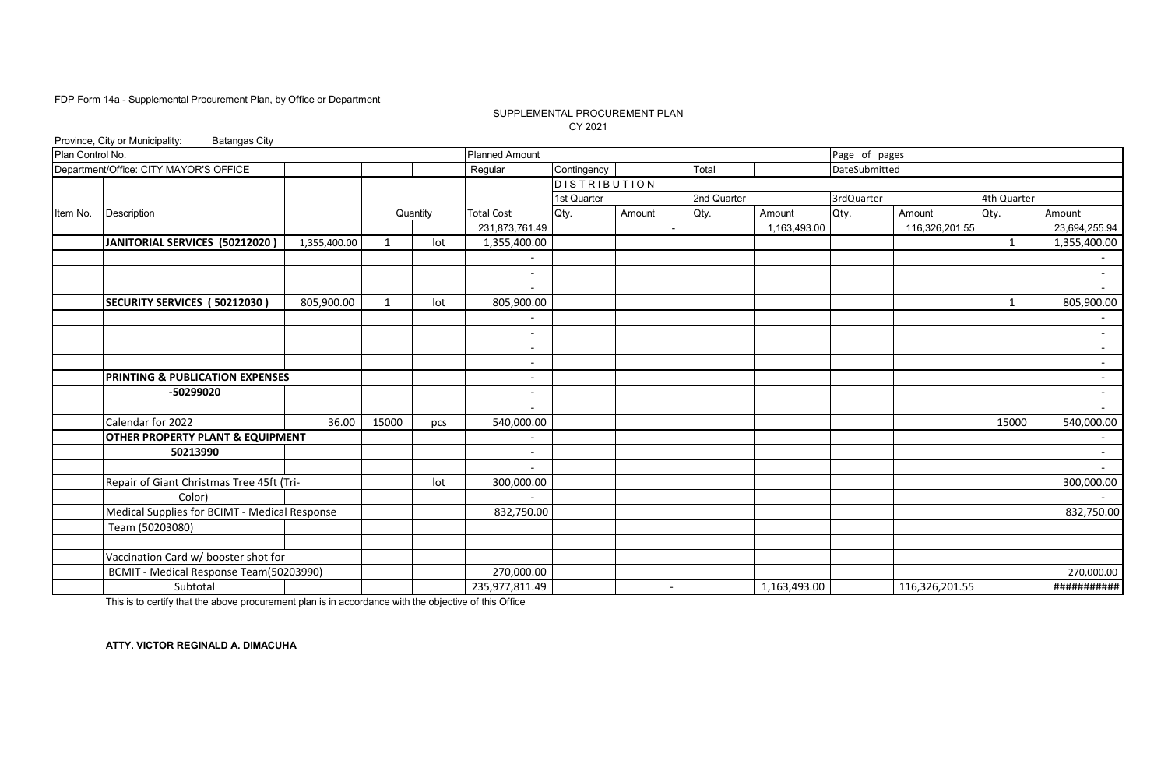### SUPPLEMENTAL PROCUREMENT PLAN CY 2021

|                  | Province, City or Municipality:<br><b>Batangas City</b> |              |              |          |                          |                     |                          |             |              |               |                |              |                          |
|------------------|---------------------------------------------------------|--------------|--------------|----------|--------------------------|---------------------|--------------------------|-------------|--------------|---------------|----------------|--------------|--------------------------|
| Plan Control No. |                                                         |              |              |          | <b>Planned Amount</b>    |                     |                          |             |              | Page of pages |                |              |                          |
|                  | Department/Office: CITY MAYOR'S OFFICE                  |              |              |          | Regular                  | Contingency         |                          | Total       |              | DateSubmitted |                |              |                          |
|                  |                                                         |              |              |          |                          | <b>DISTRIBUTION</b> |                          |             |              |               |                |              |                          |
|                  |                                                         |              |              |          |                          | 1st Quarter         |                          | 2nd Quarter |              | 3rdQuarter    |                | 4th Quarter  |                          |
| Item No.         | Description                                             |              |              | Quantity | <b>Total Cost</b>        | Qty.                | Amount                   | Qty.        | Amount       | Qty.          | Amount         | Qty.         | Amount                   |
|                  |                                                         |              |              |          | 231,873,761.49           |                     | $\blacksquare$           |             | 1,163,493.00 |               | 116,326,201.55 |              | 23,694,255.94            |
|                  | JANITORIAL SERVICES (50212020)                          | 1,355,400.00 | 1            | lot      | 1,355,400.00             |                     |                          |             |              |               |                | 1            | 1,355,400.00             |
|                  |                                                         |              |              |          |                          |                     |                          |             |              |               |                |              | $\sim$                   |
|                  |                                                         |              |              |          | $\overline{\phantom{a}}$ |                     |                          |             |              |               |                |              | $\sim$                   |
|                  |                                                         |              |              |          |                          |                     |                          |             |              |               |                |              | $\sim$                   |
|                  | SECURITY SERVICES (50212030)                            | 805,900.00   | $\mathbf{1}$ | lot      | 805,900.00               |                     |                          |             |              |               |                | $\mathbf{1}$ | 805,900.00               |
|                  |                                                         |              |              |          |                          |                     |                          |             |              |               |                |              | $\overline{\phantom{a}}$ |
|                  |                                                         |              |              |          | $\overline{\phantom{a}}$ |                     |                          |             |              |               |                |              | $\sim$                   |
|                  |                                                         |              |              |          |                          |                     |                          |             |              |               |                |              | $\overline{\phantom{a}}$ |
|                  |                                                         |              |              |          |                          |                     |                          |             |              |               |                |              | $\sim$                   |
|                  | PRINTING & PUBLICATION EXPENSES                         |              |              |          |                          |                     |                          |             |              |               |                |              | $\sim$                   |
|                  | -50299020                                               |              |              |          |                          |                     |                          |             |              |               |                |              | $\sim$                   |
|                  |                                                         |              |              |          |                          |                     |                          |             |              |               |                |              | $\sim$                   |
|                  | Calendar for 2022                                       | 36.00        | 15000        | pcs      | 540,000.00               |                     |                          |             |              |               |                | 15000        | 540,000.00               |
|                  | OTHER PROPERTY PLANT & EQUIPMENT                        |              |              |          |                          |                     |                          |             |              |               |                |              | $\sim$                   |
|                  | 50213990                                                |              |              |          |                          |                     |                          |             |              |               |                |              | $\sim$                   |
|                  |                                                         |              |              |          |                          |                     |                          |             |              |               |                |              | $\sim$                   |
|                  | Repair of Giant Christmas Tree 45ft (Tri-               |              |              | lot      | 300,000.00               |                     |                          |             |              |               |                |              | 300,000.00               |
|                  | Color)                                                  |              |              |          |                          |                     |                          |             |              |               |                |              |                          |
|                  | Medical Supplies for BCIMT - Medical Response           |              |              |          | 832,750.00               |                     |                          |             |              |               |                |              | 832,750.00               |
|                  | Team (50203080)                                         |              |              |          |                          |                     |                          |             |              |               |                |              |                          |
|                  |                                                         |              |              |          |                          |                     |                          |             |              |               |                |              |                          |
|                  | Vaccination Card w/ booster shot for                    |              |              |          |                          |                     |                          |             |              |               |                |              |                          |
|                  | BCMIT - Medical Response Team(50203990)                 |              |              |          | 270,000.00               |                     |                          |             |              |               |                |              | 270,000.00               |
|                  | Subtotal                                                |              |              |          | 235,977,811.49           |                     | $\overline{\phantom{a}}$ |             | 1,163,493.00 |               | 116,326,201.55 |              | ###########              |

This is to certify that the above procurement plan is in accordance with the objective of this Office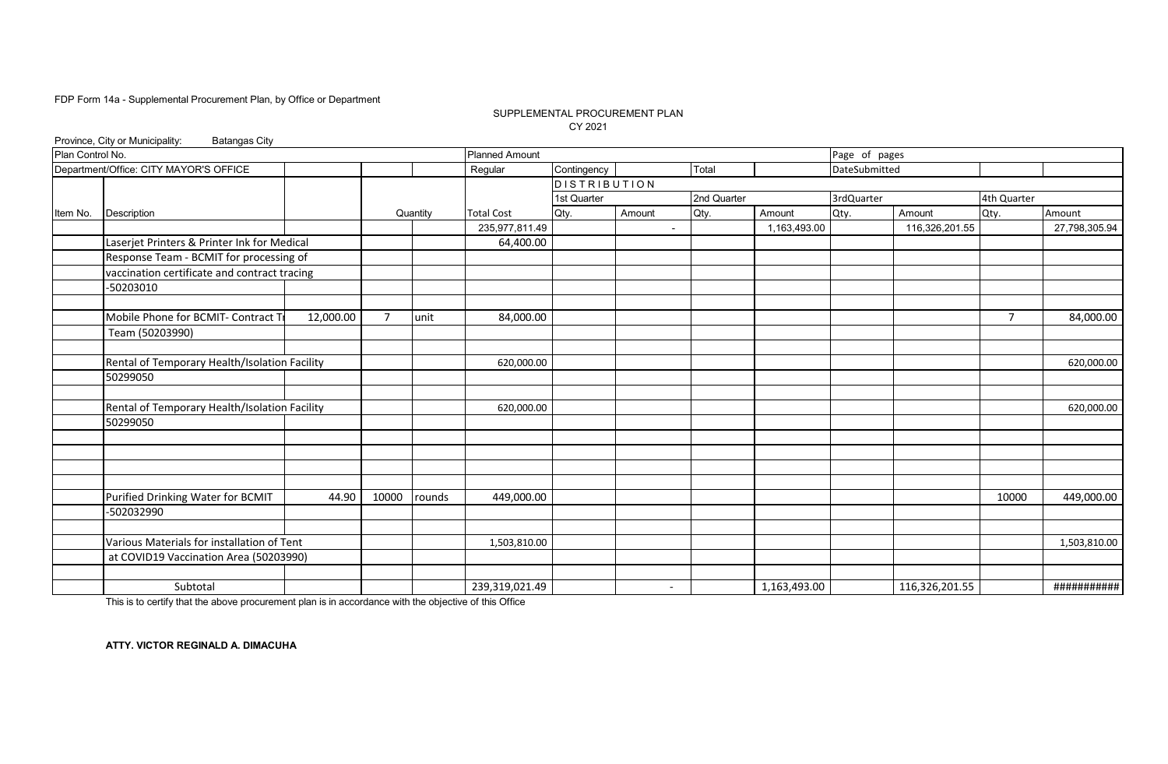### SUPPLEMENTAL PROCUREMENT PLAN CY 2021

|                  | Province, City or Municipality:<br><b>Batangas City</b> |           |                |          |                       |                     |                          |             |              |               |                |                |               |
|------------------|---------------------------------------------------------|-----------|----------------|----------|-----------------------|---------------------|--------------------------|-------------|--------------|---------------|----------------|----------------|---------------|
| Plan Control No. |                                                         |           |                |          | <b>Planned Amount</b> |                     |                          |             |              | Page of pages |                |                |               |
|                  | Department/Office: CITY MAYOR'S OFFICE                  |           |                |          | Regular               | Contingency         |                          | Total       |              | DateSubmitted |                |                |               |
|                  |                                                         |           |                |          |                       | <b>DISTRIBUTION</b> |                          |             |              |               |                |                |               |
|                  |                                                         |           |                |          |                       | 1st Quarter         |                          | 2nd Quarter |              | 3rdQuarter    |                | 4th Quarter    |               |
| Item No.         | Description                                             |           |                | Quantity | <b>Total Cost</b>     | Qty.                | Amount                   | Qty.        | Amount       | Qty.          | Amount         | Qty.           | Amount        |
|                  |                                                         |           |                |          | 235,977,811.49        |                     | $\overline{\phantom{a}}$ |             | 1,163,493.00 |               | 116,326,201.55 |                | 27,798,305.94 |
|                  | Laserjet Printers & Printer Ink for Medical             |           |                |          | 64,400.00             |                     |                          |             |              |               |                |                |               |
|                  | Response Team - BCMIT for processing of                 |           |                |          |                       |                     |                          |             |              |               |                |                |               |
|                  | vaccination certificate and contract tracing            |           |                |          |                       |                     |                          |             |              |               |                |                |               |
|                  | $-50203010$                                             |           |                |          |                       |                     |                          |             |              |               |                |                |               |
|                  |                                                         |           |                |          |                       |                     |                          |             |              |               |                |                |               |
|                  | Mobile Phone for BCMIT- Contract T                      | 12,000.00 | $\overline{7}$ | unit     | 84,000.00             |                     |                          |             |              |               |                | $\overline{7}$ | 84,000.00     |
|                  | Team (50203990)                                         |           |                |          |                       |                     |                          |             |              |               |                |                |               |
|                  |                                                         |           |                |          |                       |                     |                          |             |              |               |                |                |               |
|                  | Rental of Temporary Health/Isolation Facility           |           |                |          | 620,000.00            |                     |                          |             |              |               |                |                | 620,000.00    |
|                  | 50299050                                                |           |                |          |                       |                     |                          |             |              |               |                |                |               |
|                  |                                                         |           |                |          |                       |                     |                          |             |              |               |                |                |               |
|                  | Rental of Temporary Health/Isolation Facility           |           |                |          | 620,000.00            |                     |                          |             |              |               |                |                | 620,000.00    |
|                  | 50299050                                                |           |                |          |                       |                     |                          |             |              |               |                |                |               |
|                  |                                                         |           |                |          |                       |                     |                          |             |              |               |                |                |               |
|                  |                                                         |           |                |          |                       |                     |                          |             |              |               |                |                |               |
|                  |                                                         |           |                |          |                       |                     |                          |             |              |               |                |                |               |
|                  |                                                         |           |                |          |                       |                     |                          |             |              |               |                |                |               |
|                  | Purified Drinking Water for BCMIT                       | 44.90     | 10000          | rounds   | 449,000.00            |                     |                          |             |              |               |                | 10000          | 449,000.00    |
|                  | -502032990                                              |           |                |          |                       |                     |                          |             |              |               |                |                |               |
|                  |                                                         |           |                |          |                       |                     |                          |             |              |               |                |                |               |
|                  | Various Materials for installation of Tent              |           |                |          | 1,503,810.00          |                     |                          |             |              |               |                |                | 1,503,810.00  |
|                  | at COVID19 Vaccination Area (50203990)                  |           |                |          |                       |                     |                          |             |              |               |                |                |               |
|                  |                                                         |           |                |          |                       |                     |                          |             |              |               |                |                |               |
|                  | Subtotal                                                |           |                |          | 239,319,021.49        |                     | $\overline{\phantom{a}}$ |             | 1,163,493.00 |               | 116,326,201.55 |                | ###########   |

This is to certify that the above procurement plan is in accordance with the objective of this Office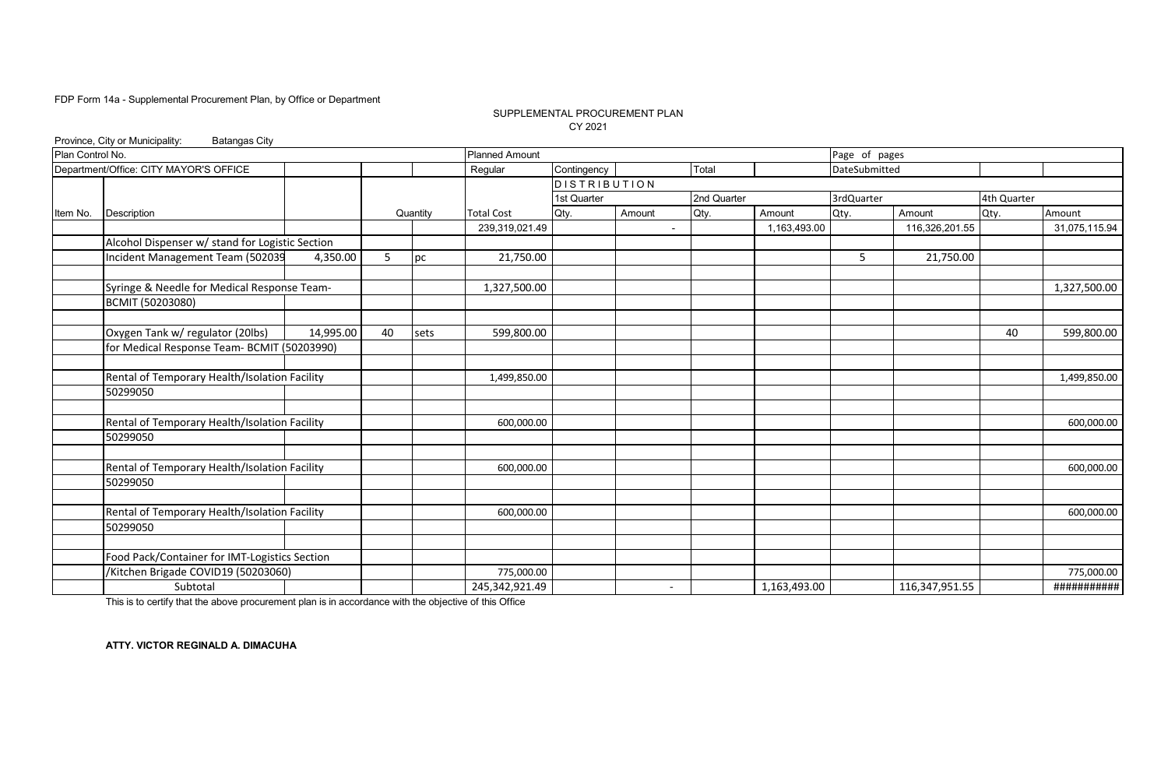### SUPPLEMENTAL PROCUREMENT PLAN CY 2021

|                  | Province, City or Municipality:<br><b>Batangas City</b> |           |    |                           |                       |                     |                          |             |              |               |                |             |               |
|------------------|---------------------------------------------------------|-----------|----|---------------------------|-----------------------|---------------------|--------------------------|-------------|--------------|---------------|----------------|-------------|---------------|
| Plan Control No. |                                                         |           |    |                           | <b>Planned Amount</b> |                     |                          |             |              | Page of pages |                |             |               |
|                  | Department/Office: CITY MAYOR'S OFFICE                  |           |    |                           | Regular               | Contingency         |                          | Total       |              | DateSubmitted |                |             |               |
|                  |                                                         |           |    |                           |                       | <b>DISTRIBUTION</b> |                          |             |              |               |                |             |               |
|                  |                                                         |           |    |                           |                       | 1st Quarter         |                          | 2nd Quarter |              | 3rdQuarter    |                | 4th Quarter |               |
| Item No.         | Description                                             |           |    | Quantity                  | <b>Total Cost</b>     | Qty.                | Amount                   | Qty.        | Amount       | Qty.          | Amount         | Qty.        | Amount        |
|                  |                                                         |           |    |                           | 239,319,021.49        |                     | $\blacksquare$           |             | 1,163,493.00 |               | 116,326,201.55 |             | 31,075,115.94 |
|                  | Alcohol Dispenser w/ stand for Logistic Section         |           |    |                           |                       |                     |                          |             |              |               |                |             |               |
|                  | Incident Management Team (502039                        | 4,350.00  | 5  | $\overline{\mathsf{p}}$ c | 21,750.00             |                     |                          |             |              | 5             | 21,750.00      |             |               |
|                  | Syringe & Needle for Medical Response Team-             |           |    |                           | 1,327,500.00          |                     |                          |             |              |               |                |             | 1,327,500.00  |
|                  | BCMIT (50203080)                                        |           |    |                           |                       |                     |                          |             |              |               |                |             |               |
|                  | Oxygen Tank w/ regulator (20lbs)                        | 14,995.00 | 40 |                           | 599,800.00            |                     |                          |             |              |               |                | 40          | 599,800.00    |
|                  | for Medical Response Team- BCMIT (50203990)             |           |    | sets                      |                       |                     |                          |             |              |               |                |             |               |
|                  |                                                         |           |    |                           |                       |                     |                          |             |              |               |                |             |               |
|                  | Rental of Temporary Health/Isolation Facility           |           |    |                           | 1,499,850.00          |                     |                          |             |              |               |                |             | 1,499,850.00  |
|                  | 50299050                                                |           |    |                           |                       |                     |                          |             |              |               |                |             |               |
|                  | Rental of Temporary Health/Isolation Facility           |           |    |                           | 600,000.00            |                     |                          |             |              |               |                |             | 600,000.00    |
|                  | 50299050                                                |           |    |                           |                       |                     |                          |             |              |               |                |             |               |
|                  |                                                         |           |    |                           |                       |                     |                          |             |              |               |                |             |               |
|                  | Rental of Temporary Health/Isolation Facility           |           |    |                           | 600,000.00            |                     |                          |             |              |               |                |             | 600,000.00    |
|                  | 50299050                                                |           |    |                           |                       |                     |                          |             |              |               |                |             |               |
|                  | Rental of Temporary Health/Isolation Facility           |           |    |                           | 600,000.00            |                     |                          |             |              |               |                |             | 600,000.00    |
|                  | 50299050                                                |           |    |                           |                       |                     |                          |             |              |               |                |             |               |
|                  |                                                         |           |    |                           |                       |                     |                          |             |              |               |                |             |               |
|                  | Food Pack/Container for IMT-Logistics Section           |           |    |                           |                       |                     |                          |             |              |               |                |             |               |
|                  | /Kitchen Brigade COVID19 (50203060)                     |           |    |                           | 775,000.00            |                     |                          |             |              |               |                |             | 775,000.00    |
|                  | Subtotal                                                |           |    |                           | 245,342,921.49        |                     | $\overline{\phantom{a}}$ |             | 1,163,493.00 |               | 116,347,951.55 |             | ###########   |

This is to certify that the above procurement plan is in accordance with the objective of this Office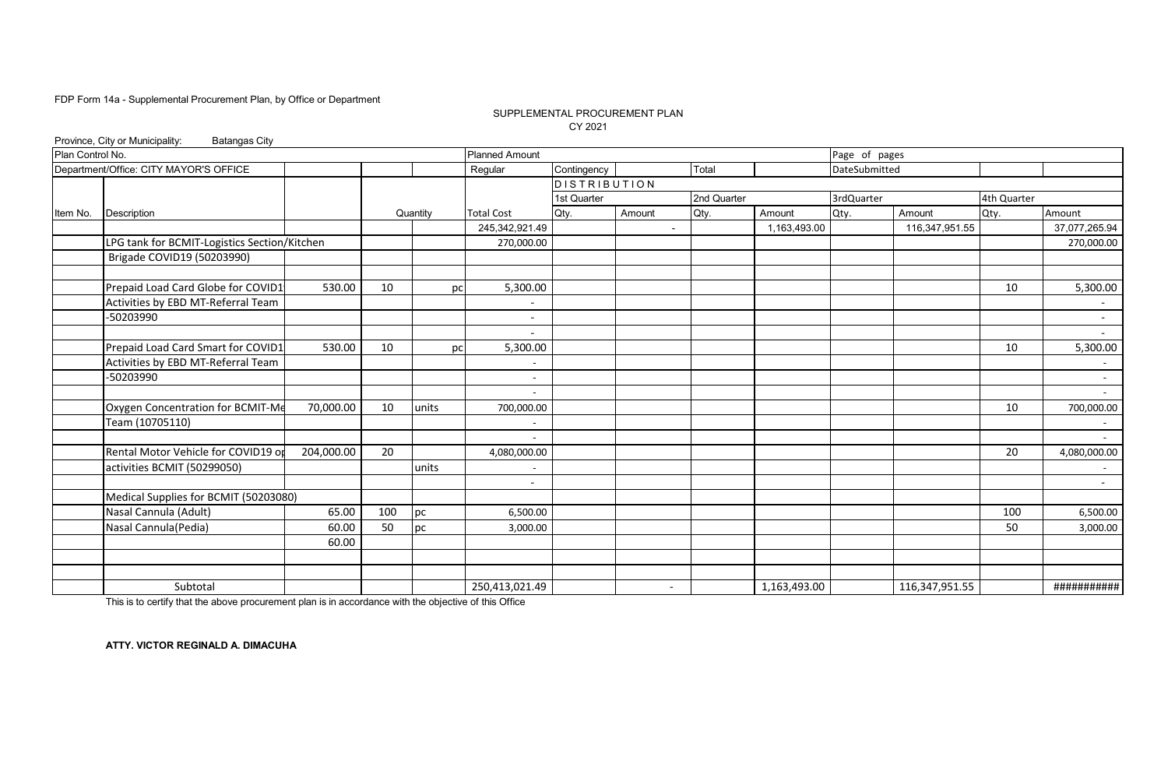### SUPPLEMENTAL PROCUREMENT PLAN CY 2021

|                  | Province, City or Municipality:<br><b>Batangas City</b> |                                                                                                                                                                                                                                                                                                                                         |                          |                     |                          |             |              |               |                |             |                  |
|------------------|---------------------------------------------------------|-----------------------------------------------------------------------------------------------------------------------------------------------------------------------------------------------------------------------------------------------------------------------------------------------------------------------------------------|--------------------------|---------------------|--------------------------|-------------|--------------|---------------|----------------|-------------|------------------|
| Plan Control No. |                                                         |                                                                                                                                                                                                                                                                                                                                         | <b>Planned Amount</b>    |                     |                          |             |              | Page of pages |                |             |                  |
|                  | Department/Office: CITY MAYOR'S OFFICE                  |                                                                                                                                                                                                                                                                                                                                         | Regular                  | Contingency         |                          | Total       |              | DateSubmitted |                |             |                  |
|                  |                                                         |                                                                                                                                                                                                                                                                                                                                         |                          | <b>DISTRIBUTION</b> |                          |             |              |               |                |             |                  |
|                  |                                                         |                                                                                                                                                                                                                                                                                                                                         |                          | 1st Quarter         |                          | 2nd Quarter |              | 3rdQuarter    |                | 4th Quarter |                  |
| Item No.         | Description                                             |                                                                                                                                                                                                                                                                                                                                         | <b>Total Cost</b>        | Qty.                | Amount                   | Qty.        | Amount       | Qty.          | Amount         | Qty.        | Amount           |
|                  |                                                         |                                                                                                                                                                                                                                                                                                                                         |                          |                     | $\blacksquare$           |             | 1,163,493.00 |               | 116,347,951.55 |             | 37,077,265.94    |
|                  | LPG tank for BCMIT-Logistics Section/Kitchen            |                                                                                                                                                                                                                                                                                                                                         |                          |                     |                          |             |              |               |                |             | 270,000.00       |
|                  | Brigade COVID19 (50203990)                              |                                                                                                                                                                                                                                                                                                                                         |                          |                     |                          |             |              |               |                |             |                  |
|                  |                                                         |                                                                                                                                                                                                                                                                                                                                         |                          |                     |                          |             |              |               |                |             |                  |
|                  | Prepaid Load Card Globe for COVID1                      |                                                                                                                                                                                                                                                                                                                                         |                          |                     |                          |             |              |               |                | 10          | 5,300.00         |
|                  | Activities by EBD MT-Referral Team                      |                                                                                                                                                                                                                                                                                                                                         |                          |                     |                          |             |              |               |                |             | $\sim$           |
|                  | -50203990                                               |                                                                                                                                                                                                                                                                                                                                         |                          |                     |                          |             |              |               |                |             | $\sim$           |
|                  |                                                         |                                                                                                                                                                                                                                                                                                                                         |                          |                     |                          |             |              |               |                |             | $\sim$           |
|                  | Prepaid Load Card Smart for COVID1                      |                                                                                                                                                                                                                                                                                                                                         |                          |                     |                          |             |              |               |                | 10          | 5,300.00         |
|                  | Activities by EBD MT-Referral Team                      |                                                                                                                                                                                                                                                                                                                                         |                          |                     |                          |             |              |               |                |             | $\sim$           |
|                  | -50203990                                               |                                                                                                                                                                                                                                                                                                                                         | $\overline{\phantom{a}}$ |                     |                          |             |              |               |                |             | $\sim$           |
|                  |                                                         |                                                                                                                                                                                                                                                                                                                                         |                          |                     |                          |             |              |               |                |             | $\sim$           |
|                  | Oxygen Concentration for BCMIT-Me                       |                                                                                                                                                                                                                                                                                                                                         |                          |                     |                          |             |              |               |                | 10          | 700,000.00       |
|                  | Team (10705110)                                         |                                                                                                                                                                                                                                                                                                                                         |                          |                     |                          |             |              |               |                |             |                  |
|                  | Rental Motor Vehicle for COVID19 op                     |                                                                                                                                                                                                                                                                                                                                         |                          |                     |                          |             |              |               |                | 20          | $\sim$           |
|                  |                                                         |                                                                                                                                                                                                                                                                                                                                         |                          |                     |                          |             |              |               |                |             | 4,080,000.00     |
|                  | activities BCMIT (50299050)                             |                                                                                                                                                                                                                                                                                                                                         |                          |                     |                          |             |              |               |                |             | $\sim$<br>$\sim$ |
|                  | Medical Supplies for BCMIT (50203080)                   |                                                                                                                                                                                                                                                                                                                                         |                          |                     |                          |             |              |               |                |             |                  |
|                  | Nasal Cannula (Adult)                                   |                                                                                                                                                                                                                                                                                                                                         |                          |                     |                          |             |              |               |                | 100         | 6,500.00         |
|                  | Nasal Cannula(Pedia)                                    |                                                                                                                                                                                                                                                                                                                                         |                          |                     |                          |             |              |               |                | 50          | 3,000.00         |
|                  |                                                         |                                                                                                                                                                                                                                                                                                                                         |                          |                     |                          |             |              |               |                |             |                  |
|                  |                                                         |                                                                                                                                                                                                                                                                                                                                         |                          |                     |                          |             |              |               |                |             |                  |
|                  |                                                         | Quantity<br>245,342,921.49<br>270,000.00<br>530.00<br>10<br>5,300.00<br>pc<br>$\overline{\phantom{0}}$<br>530.00<br>10<br>5,300.00<br>pc<br>70,000.00<br>10<br>units<br>700,000.00<br>204,000.00<br>20<br>4,080,000.00<br>units<br>$\overline{\phantom{a}}$<br>65.00<br>100<br>pc<br>6,500.00<br>50<br>60.00<br>pc<br>3,000.00<br>60.00 |                          |                     |                          |             |              |               |                |             |                  |
|                  | Subtotal                                                |                                                                                                                                                                                                                                                                                                                                         | 250,413,021.49           |                     | $\overline{\phantom{a}}$ |             | 1,163,493.00 |               | 116,347,951.55 |             | ###########      |

This is to certify that the above procurement plan is in accordance with the objective of this Office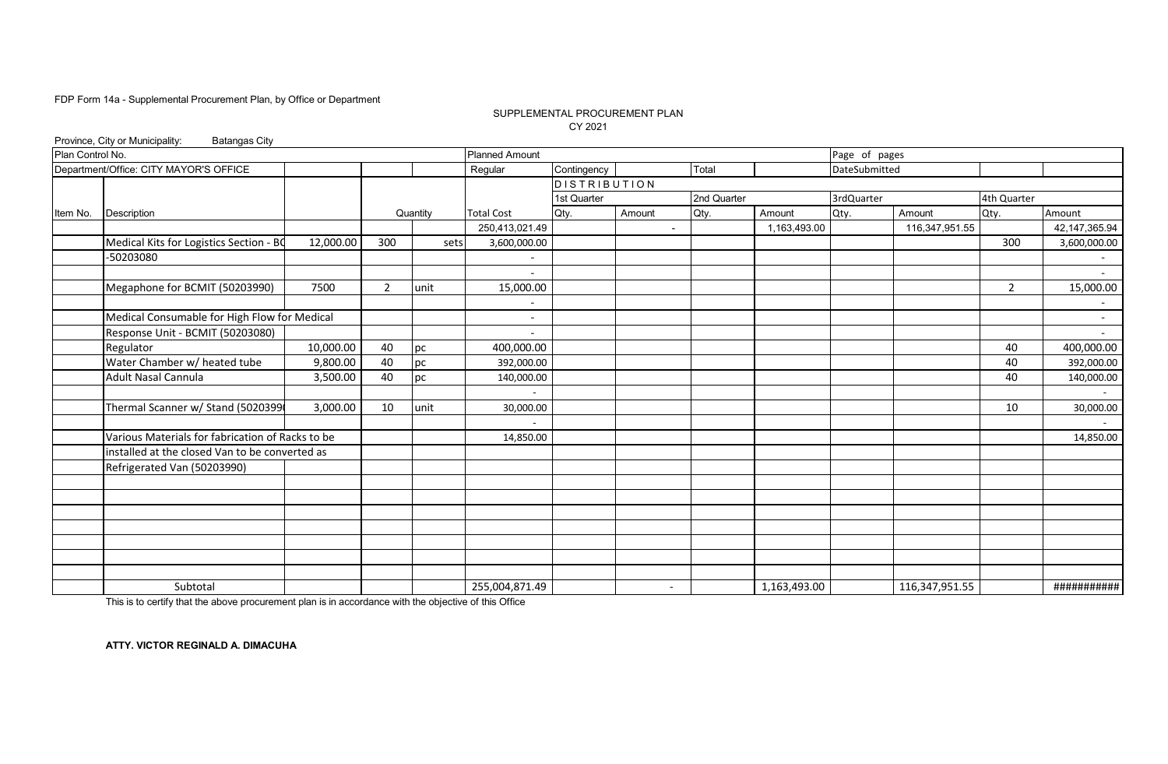### SUPPLEMENTAL PROCUREMENT PLAN CY 2021

|                  | Province, City or Municipality:<br><b>Batangas City</b> |           |     |          |                       |              |                          |             |              |               |                |                |                          |
|------------------|---------------------------------------------------------|-----------|-----|----------|-----------------------|--------------|--------------------------|-------------|--------------|---------------|----------------|----------------|--------------------------|
| Plan Control No. |                                                         |           |     |          | <b>Planned Amount</b> |              |                          |             |              | Page of pages |                |                |                          |
|                  | Department/Office: CITY MAYOR'S OFFICE                  |           |     |          | Regular               | Contingency  |                          | Total       |              | DateSubmitted |                |                |                          |
|                  |                                                         |           |     |          |                       | DISTRIBUTION |                          |             |              |               |                |                |                          |
|                  |                                                         |           |     |          |                       | 1st Quarter  |                          | 2nd Quarter |              | 3rdQuarter    |                | 4th Quarter    |                          |
| Item No.         | <b>Description</b>                                      |           |     | Quantity | <b>Total Cost</b>     | Qty.         | Amount                   | Qty.        | Amount       | Qty.          | Amount         | Qty.           | Amount                   |
|                  |                                                         |           |     |          | 250,413,021.49        |              | $\blacksquare$           |             | 1,163,493.00 |               | 116,347,951.55 |                | 42,147,365.94            |
|                  | Medical Kits for Logistics Section - BO                 | 12,000.00 | 300 | sets     | 3,600,000.00          |              |                          |             |              |               |                | 300            | 3,600,000.00             |
|                  | -50203080                                               |           |     |          |                       |              |                          |             |              |               |                |                | $\sim$                   |
|                  |                                                         |           |     |          |                       |              |                          |             |              |               |                |                | $\sim$                   |
|                  | Megaphone for BCMIT (50203990)                          | 7500      | 2   | unit     | 15,000.00             |              |                          |             |              |               |                | $\overline{2}$ | 15,000.00                |
|                  |                                                         |           |     |          |                       |              |                          |             |              |               |                |                | $ \,$                    |
|                  | Medical Consumable for High Flow for Medical            |           |     |          |                       |              |                          |             |              |               |                |                | $\overline{\phantom{a}}$ |
|                  | Response Unit - BCMIT (50203080)                        |           |     |          |                       |              |                          |             |              |               |                |                | $\overline{\phantom{a}}$ |
|                  | Regulator                                               | 10,000.00 | 40  | pc       | 400,000.00            |              |                          |             |              |               |                | 40             | 400,000.00               |
|                  | Water Chamber w/ heated tube                            | 9,800.00  | 40  | pc       | 392,000.00            |              |                          |             |              |               |                | 40             | 392,000.00               |
|                  | Adult Nasal Cannula                                     | 3,500.00  | 40  | pc       | 140,000.00            |              |                          |             |              |               |                | 40             | 140,000.00               |
|                  |                                                         |           |     |          |                       |              |                          |             |              |               |                |                |                          |
|                  | Thermal Scanner w/ Stand (5020399                       | 3,000.00  | 10  | unit     | 30,000.00             |              |                          |             |              |               |                | 10             | 30,000.00                |
|                  |                                                         |           |     |          |                       |              |                          |             |              |               |                |                |                          |
|                  | Various Materials for fabrication of Racks to be        |           |     |          | 14,850.00             |              |                          |             |              |               |                |                | 14,850.00                |
|                  | installed at the closed Van to be converted as          |           |     |          |                       |              |                          |             |              |               |                |                |                          |
|                  | Refrigerated Van (50203990)                             |           |     |          |                       |              |                          |             |              |               |                |                |                          |
|                  |                                                         |           |     |          |                       |              |                          |             |              |               |                |                |                          |
|                  |                                                         |           |     |          |                       |              |                          |             |              |               |                |                |                          |
|                  |                                                         |           |     |          |                       |              |                          |             |              |               |                |                |                          |
|                  |                                                         |           |     |          |                       |              |                          |             |              |               |                |                |                          |
|                  |                                                         |           |     |          |                       |              |                          |             |              |               |                |                |                          |
|                  |                                                         |           |     |          |                       |              |                          |             |              |               |                |                |                          |
|                  |                                                         |           |     |          |                       |              |                          |             |              |               |                |                |                          |
|                  | Subtotal                                                |           |     |          | 255,004,871.49        |              | $\overline{\phantom{a}}$ |             | 1,163,493.00 |               | 116,347,951.55 |                | ###########              |

This is to certify that the above procurement plan is in accordance with the objective of this Office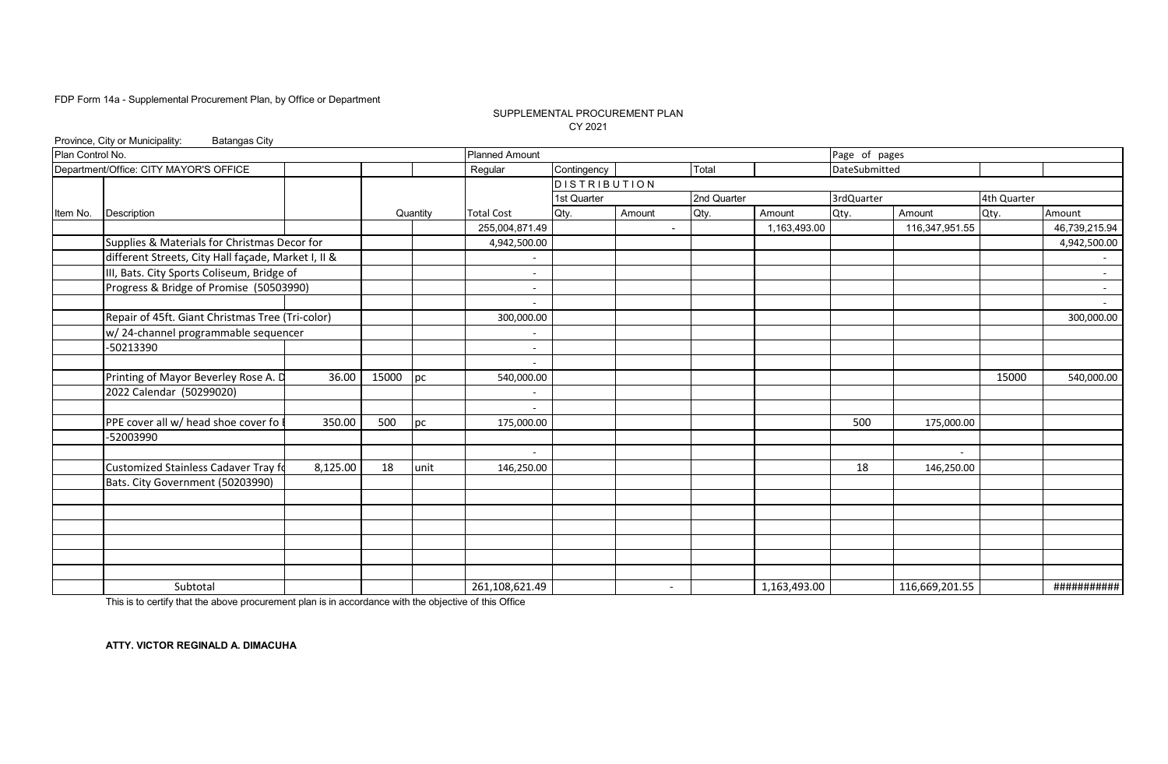### SUPPLEMENTAL PROCUREMENT PLAN CY 2021

|                  | Province, City or Municipality:<br><b>Batangas City</b> |          |       |          |                          |              |                          |             |              |                         |                |                                                   |               |
|------------------|---------------------------------------------------------|----------|-------|----------|--------------------------|--------------|--------------------------|-------------|--------------|-------------------------|----------------|---------------------------------------------------|---------------|
| Plan Control No. |                                                         |          |       |          | <b>Planned Amount</b>    |              |                          |             |              | Page of pages           |                |                                                   |               |
|                  | Department/Office: CITY MAYOR'S OFFICE                  |          |       |          | Regular                  | Contingency  |                          | Total       |              | DateSubmitted           |                |                                                   |               |
|                  |                                                         |          |       |          |                          | DISTRIBUTION |                          |             |              |                         |                |                                                   |               |
|                  |                                                         |          |       |          |                          | 1st Quarter  |                          | 2nd Quarter |              | 3rdQuarter              |                |                                                   |               |
| Item No.         | <b>Description</b>                                      |          |       | Quantity | <b>Total Cost</b>        | Qty.         | Amount                   | Qty.        | Amount       | Qty.                    | Amount         | Qty.                                              | Amount        |
|                  |                                                         |          |       |          | 255,004,871.49           |              | $\blacksquare$           |             | 1,163,493.00 |                         |                |                                                   | 46,739,215.94 |
|                  | Supplies & Materials for Christmas Decor for            |          |       |          | 4,942,500.00             |              |                          |             |              |                         |                |                                                   | 4,942,500.00  |
|                  | different Streets, City Hall façade, Market I, II &     |          |       |          | ٠                        |              |                          |             |              | 116,347,951.55<br>15000 | $\sim$         |                                                   |               |
|                  | III, Bats. City Sports Coliseum, Bridge of              |          |       |          |                          |              |                          |             |              |                         |                |                                                   |               |
|                  | Progress & Bridge of Promise (50503990)                 |          |       |          | $\overline{\phantom{a}}$ |              |                          |             |              |                         |                | 4th Quarter<br>175,000.00<br>$\sim$<br>146,250.00 | $\sim$        |
|                  |                                                         |          |       |          | $\overline{\phantom{a}}$ |              |                          |             |              |                         |                |                                                   | $\sim$        |
|                  | Repair of 45ft. Giant Christmas Tree (Tri-color)        |          |       |          | 300,000.00               |              |                          |             |              |                         |                |                                                   | 300,000.00    |
|                  | w/24-channel programmable sequencer                     |          |       |          |                          |              |                          |             |              |                         |                |                                                   |               |
|                  | -50213390                                               |          |       |          | $\overline{\phantom{a}}$ |              |                          |             |              |                         |                |                                                   |               |
|                  |                                                         |          |       |          |                          |              |                          |             |              |                         |                |                                                   |               |
|                  | Printing of Mayor Beverley Rose A. D                    | 36.00    | 15000 | pc       | 540,000.00               |              |                          |             |              |                         |                |                                                   | 540,000.00    |
|                  | 2022 Calendar (50299020)                                |          |       |          |                          |              |                          |             |              |                         |                |                                                   |               |
|                  |                                                         |          |       |          | $\overline{\phantom{a}}$ |              |                          |             |              |                         |                |                                                   |               |
|                  | PPE cover all w/ head shoe cover fo                     | 350.00   | 500   | pc       | 175,000.00               |              |                          |             |              | 500                     |                |                                                   |               |
|                  | -52003990                                               |          |       |          |                          |              |                          |             |              |                         |                |                                                   |               |
|                  |                                                         |          |       |          | ٠                        |              |                          |             |              |                         |                |                                                   |               |
|                  | Customized Stainless Cadaver Tray fo                    | 8,125.00 | 18    | unit     | 146,250.00               |              |                          |             |              | 18                      |                |                                                   |               |
|                  | Bats. City Government (50203990)                        |          |       |          |                          |              |                          |             |              |                         |                |                                                   |               |
|                  |                                                         |          |       |          |                          |              |                          |             |              |                         |                |                                                   |               |
|                  |                                                         |          |       |          |                          |              |                          |             |              |                         |                |                                                   |               |
|                  |                                                         |          |       |          |                          |              |                          |             |              |                         |                |                                                   |               |
|                  |                                                         |          |       |          |                          |              |                          |             |              |                         |                |                                                   |               |
|                  |                                                         |          |       |          |                          |              |                          |             |              |                         |                |                                                   |               |
|                  |                                                         |          |       |          |                          |              |                          |             |              |                         |                |                                                   |               |
|                  | Subtotal                                                |          |       |          | 261,108,621.49           |              | $\overline{\phantom{a}}$ |             | 1,163,493.00 |                         | 116,669,201.55 |                                                   | ###########   |

This is to certify that the above procurement plan is in accordance with the objective of this Office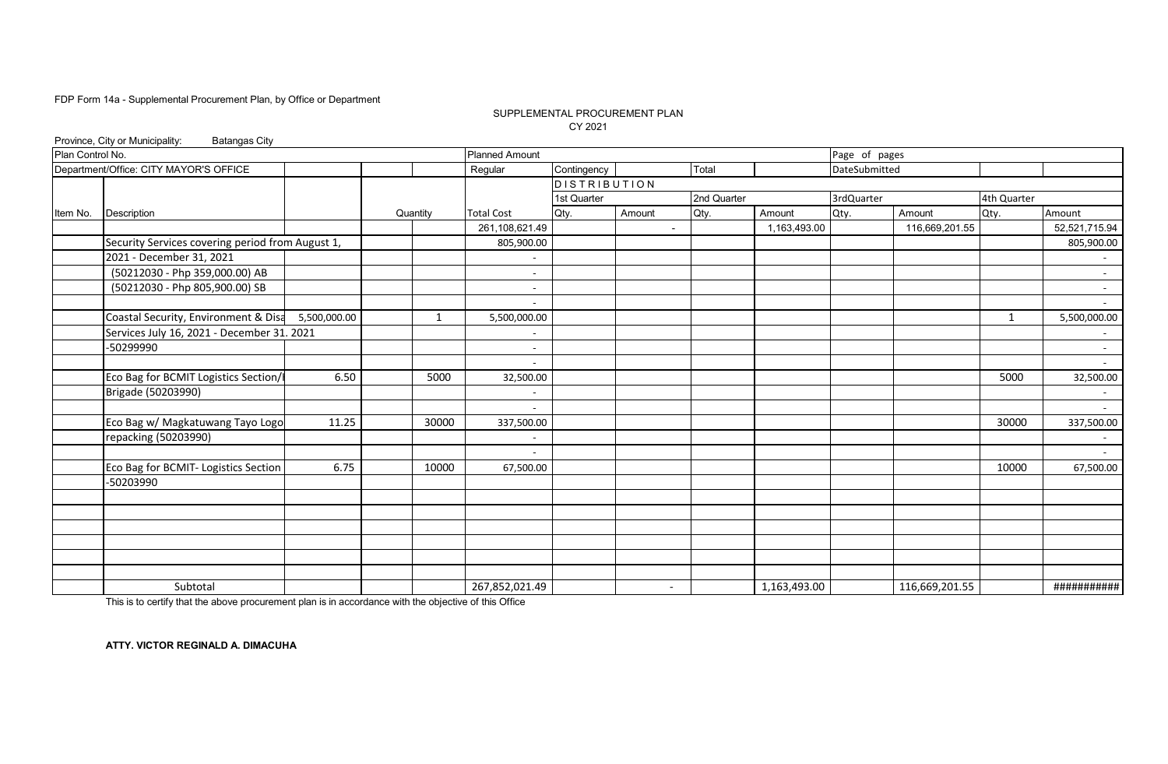### SUPPLEMENTAL PROCUREMENT PLAN CY 2021

|                  | Province, City or Municipality:<br><b>Batangas City</b> |              |          |                          |              |                          |             |              |               |                |              |               |
|------------------|---------------------------------------------------------|--------------|----------|--------------------------|--------------|--------------------------|-------------|--------------|---------------|----------------|--------------|---------------|
| Plan Control No. |                                                         |              |          | <b>Planned Amount</b>    |              |                          |             |              | Page of pages |                |              |               |
|                  | Department/Office: CITY MAYOR'S OFFICE                  |              |          | Regular                  | Contingency  |                          | Total       |              | DateSubmitted |                |              |               |
|                  |                                                         |              |          |                          | DISTRIBUTION |                          |             |              |               |                |              |               |
|                  |                                                         |              |          |                          | 1st Quarter  |                          | 2nd Quarter |              | 3rdQuarter    |                | 4th Quarter  |               |
| Item No.         | <b>Description</b>                                      |              | Quantity | <b>Total Cost</b>        | Qty.         | Amount                   | Qty.        | Amount       | Qty.          | Amount         | Qty.         | Amount        |
|                  |                                                         |              |          | 261,108,621.49           |              | $\blacksquare$           |             | 1,163,493.00 |               | 116,669,201.55 |              | 52,521,715.94 |
|                  | Security Services covering period from August 1,        |              |          | 805,900.00               |              |                          |             |              |               |                |              | 805,900.00    |
|                  | 2021 - December 31, 2021                                |              |          | $\overline{\phantom{a}}$ |              |                          |             |              |               |                |              | $\sim$        |
|                  | (50212030 - Php 359,000.00) AB                          |              |          |                          |              |                          |             |              |               |                |              |               |
|                  | (50212030 - Php 805,900.00) SB                          |              |          | $\overline{\phantom{a}}$ |              |                          |             |              |               |                |              | $\sim$        |
|                  |                                                         |              |          |                          |              |                          |             |              |               |                |              | $\sim$        |
|                  | Coastal Security, Environment & Disa                    | 5,500,000.00 | 1        | 5,500,000.00             |              |                          |             |              |               |                | $\mathbf{1}$ | 5,500,000.00  |
|                  | Services July 16, 2021 - December 31. 2021              |              |          |                          |              |                          |             |              |               |                |              | $\sim$        |
|                  | -50299990                                               |              |          | ٠                        |              |                          |             |              |               |                |              | $\sim$        |
|                  |                                                         |              |          |                          |              |                          |             |              |               |                |              | $\sim$        |
|                  | Eco Bag for BCMIT Logistics Section/                    | 6.50         | 5000     | 32,500.00                |              |                          |             |              |               |                | 5000         | 32,500.00     |
|                  | Brigade (50203990)                                      |              |          |                          |              |                          |             |              |               |                |              |               |
|                  |                                                         |              |          | $\overline{\phantom{a}}$ |              |                          |             |              |               |                |              | $\sim$        |
|                  | Eco Bag w/ Magkatuwang Tayo Logo                        | 11.25        | 30000    | 337,500.00               |              |                          |             |              |               |                | 30000        | 337,500.00    |
|                  | repacking (50203990)                                    |              |          |                          |              |                          |             |              |               |                |              | $\sim$        |
|                  |                                                         |              |          | $\sim$                   |              |                          |             |              |               |                |              | $\sim 10$     |
|                  | Eco Bag for BCMIT- Logistics Section                    | 6.75         | 10000    | 67,500.00                |              |                          |             |              |               |                | 10000        | 67,500.00     |
|                  | -50203990                                               |              |          |                          |              |                          |             |              |               |                |              |               |
|                  |                                                         |              |          |                          |              |                          |             |              |               |                |              |               |
|                  |                                                         |              |          |                          |              |                          |             |              |               |                |              |               |
|                  |                                                         |              |          |                          |              |                          |             |              |               |                |              |               |
|                  |                                                         |              |          |                          |              |                          |             |              |               |                |              |               |
|                  |                                                         |              |          |                          |              |                          |             |              |               |                |              |               |
|                  |                                                         |              |          |                          |              |                          |             |              |               |                |              |               |
|                  | Subtotal                                                |              |          | 267,852,021.49           |              | $\overline{\phantom{a}}$ |             | 1,163,493.00 |               | 116,669,201.55 |              | ###########   |

This is to certify that the above procurement plan is in accordance with the objective of this Office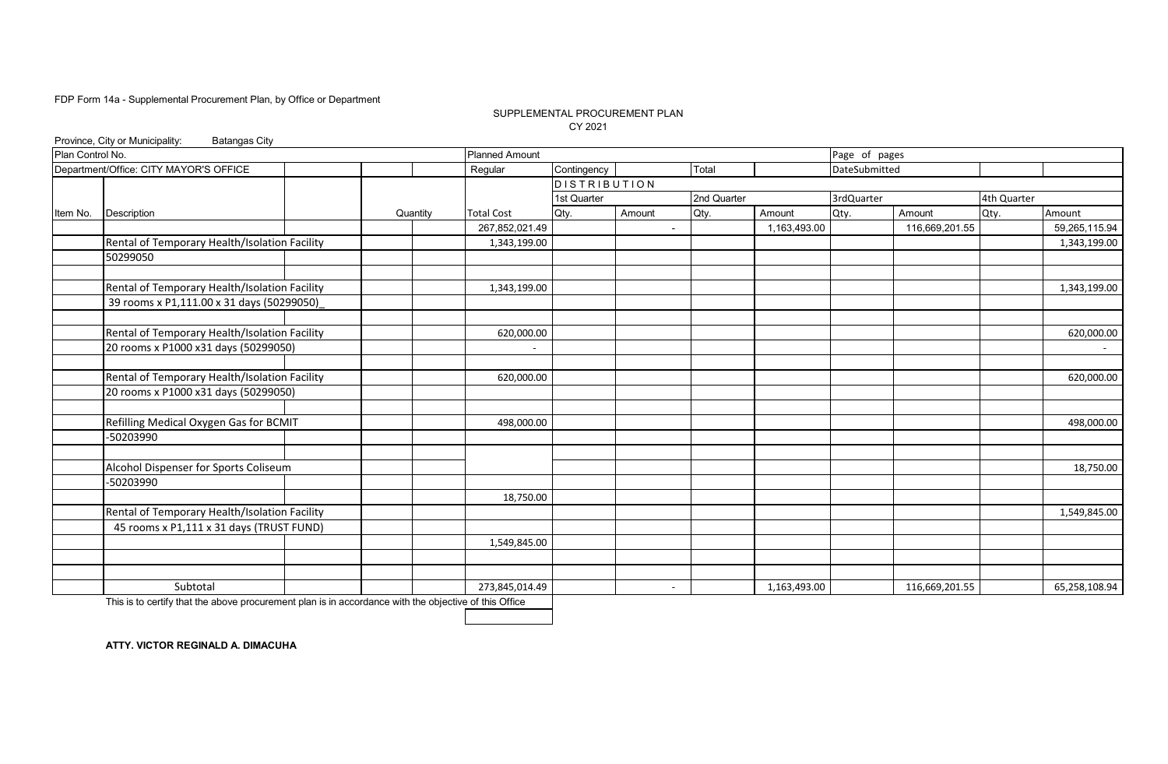### SUPPLEMENTAL PROCUREMENT PLAN CY 2021

|                  | Province, City or Municipality:<br><b>Batangas City</b> |          |                       |                     |                          |             |              |               |                |             |               |
|------------------|---------------------------------------------------------|----------|-----------------------|---------------------|--------------------------|-------------|--------------|---------------|----------------|-------------|---------------|
| Plan Control No. |                                                         |          | <b>Planned Amount</b> |                     |                          |             |              | Page of pages |                |             |               |
|                  | Department/Office: CITY MAYOR'S OFFICE                  |          | Regular               | Contingency         |                          | Total       |              | DateSubmitted |                |             |               |
|                  |                                                         |          |                       | <b>DISTRIBUTION</b> |                          |             |              |               |                |             |               |
|                  |                                                         |          |                       | 1st Quarter         |                          | 2nd Quarter |              | 3rdQuarter    |                | 4th Quarter |               |
| Item No.         | Description                                             | Quantity | <b>Total Cost</b>     | Qty.                | Amount                   | Qty.        | Amount       | Qty.          | Amount         | Qty.        | Amount        |
|                  |                                                         |          | 267,852,021.49        |                     | $\overline{\phantom{a}}$ |             | 1,163,493.00 |               | 116,669,201.55 |             | 59,265,115.94 |
|                  | Rental of Temporary Health/Isolation Facility           |          | 1,343,199.00          |                     |                          |             |              |               |                |             | 1,343,199.00  |
|                  | 50299050                                                |          |                       |                     |                          |             |              |               |                |             |               |
|                  |                                                         |          |                       |                     |                          |             |              |               |                |             |               |
|                  | Rental of Temporary Health/Isolation Facility           |          | 1,343,199.00          |                     |                          |             |              |               |                |             | 1,343,199.00  |
|                  | 39 rooms x P1,111.00 x 31 days (50299050)               |          |                       |                     |                          |             |              |               |                |             |               |
|                  |                                                         |          |                       |                     |                          |             |              |               |                |             |               |
|                  | Rental of Temporary Health/Isolation Facility           |          | 620,000.00            |                     |                          |             |              |               |                |             | 620,000.00    |
|                  | 20 rooms x P1000 x31 days (50299050)                    |          |                       |                     |                          |             |              |               |                |             | $\sim$        |
|                  |                                                         |          |                       |                     |                          |             |              |               |                |             |               |
|                  | Rental of Temporary Health/Isolation Facility           |          | 620,000.00            |                     |                          |             |              |               |                |             | 620,000.00    |
|                  | 20 rooms x P1000 x31 days (50299050)                    |          |                       |                     |                          |             |              |               |                |             |               |
|                  |                                                         |          |                       |                     |                          |             |              |               |                |             |               |
|                  | Refilling Medical Oxygen Gas for BCMIT                  |          | 498,000.00            |                     |                          |             |              |               |                |             | 498,000.00    |
|                  | -50203990                                               |          |                       |                     |                          |             |              |               |                |             |               |
|                  |                                                         |          |                       |                     |                          |             |              |               |                |             |               |
|                  | Alcohol Dispenser for Sports Coliseum                   |          |                       |                     |                          |             |              |               |                |             | 18,750.00     |
|                  | -50203990                                               |          |                       |                     |                          |             |              |               |                |             |               |
|                  |                                                         |          | 18,750.00             |                     |                          |             |              |               |                |             |               |
|                  | Rental of Temporary Health/Isolation Facility           |          |                       |                     |                          |             |              |               |                |             | 1,549,845.00  |
|                  | 45 rooms x P1,111 x 31 days (TRUST FUND)                |          |                       |                     |                          |             |              |               |                |             |               |
|                  |                                                         |          | 1,549,845.00          |                     |                          |             |              |               |                |             |               |
|                  |                                                         |          |                       |                     |                          |             |              |               |                |             |               |
|                  |                                                         |          |                       |                     |                          |             |              |               |                |             |               |
|                  | Subtotal                                                |          | 273,845,014.49        |                     |                          |             | 1,163,493.00 |               | 116,669,201.55 |             | 65,258,108.94 |

This is to certify that the above procurement plan is in accordance with the objective of this Office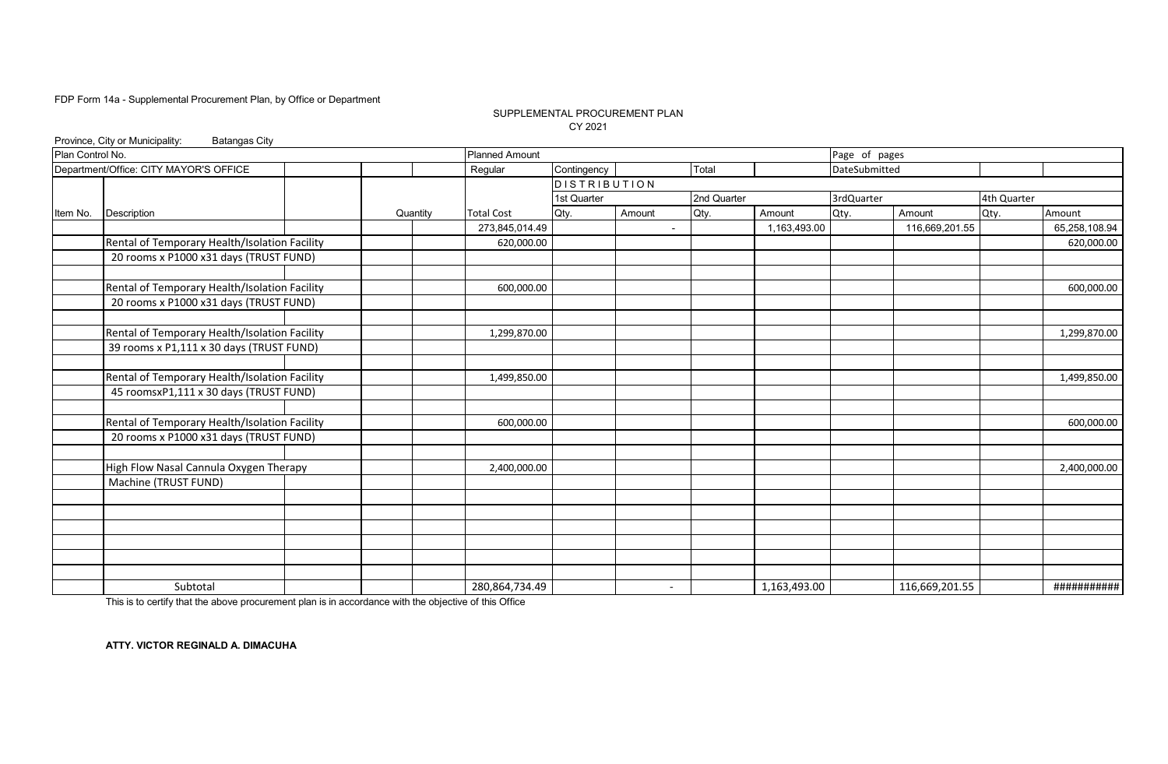### SUPPLEMENTAL PROCUREMENT PLAN CY 2021

|                  | Province, City or Municipality:<br><b>Batangas City</b> |          |                       |              |                          |             |              |               |                |             |               |
|------------------|---------------------------------------------------------|----------|-----------------------|--------------|--------------------------|-------------|--------------|---------------|----------------|-------------|---------------|
| Plan Control No. |                                                         |          | <b>Planned Amount</b> |              |                          |             |              | Page of pages |                |             |               |
|                  | Department/Office: CITY MAYOR'S OFFICE                  |          | Regular               | Contingency  |                          | Total       |              | DateSubmitted |                |             |               |
|                  |                                                         |          |                       | DISTRIBUTION |                          |             |              |               |                |             |               |
|                  |                                                         |          |                       | 1st Quarter  |                          | 2nd Quarter |              | 3rdQuarter    |                | 4th Quarter |               |
| Item No.         | Description                                             | Quantity | <b>Total Cost</b>     | Qty.         | Amount                   | Qty.        | Amount       | Qty.          | Amount         | Qty.        | Amount        |
|                  |                                                         |          | 273,845,014.49        |              | $\overline{\phantom{a}}$ |             | 1,163,493.00 |               | 116,669,201.55 |             | 65,258,108.94 |
|                  | Rental of Temporary Health/Isolation Facility           |          | 620,000.00            |              |                          |             |              |               |                |             | 620,000.00    |
|                  | 20 rooms x P1000 x31 days (TRUST FUND)                  |          |                       |              |                          |             |              |               |                |             |               |
|                  | Rental of Temporary Health/Isolation Facility           |          | 600,000.00            |              |                          |             |              |               |                |             | 600,000.00    |
|                  | 20 rooms x P1000 x31 days (TRUST FUND)                  |          |                       |              |                          |             |              |               |                |             |               |
|                  | Rental of Temporary Health/Isolation Facility           |          | 1,299,870.00          |              |                          |             |              |               |                |             | 1,299,870.00  |
|                  | 39 rooms x P1,111 x 30 days (TRUST FUND)                |          |                       |              |                          |             |              |               |                |             |               |
|                  |                                                         |          |                       |              |                          |             |              |               |                |             |               |
|                  | Rental of Temporary Health/Isolation Facility           |          | 1,499,850.00          |              |                          |             |              |               |                |             | 1,499,850.00  |
|                  | 45 roomsxP1,111 x 30 days (TRUST FUND)                  |          |                       |              |                          |             |              |               |                |             |               |
|                  | Rental of Temporary Health/Isolation Facility           |          | 600,000.00            |              |                          |             |              |               |                |             | 600,000.00    |
|                  | 20 rooms x P1000 x31 days (TRUST FUND)                  |          |                       |              |                          |             |              |               |                |             |               |
|                  | High Flow Nasal Cannula Oxygen Therapy                  |          | 2,400,000.00          |              |                          |             |              |               |                |             | 2,400,000.00  |
|                  | Machine (TRUST FUND)                                    |          |                       |              |                          |             |              |               |                |             |               |
|                  |                                                         |          |                       |              |                          |             |              |               |                |             |               |
|                  |                                                         |          |                       |              |                          |             |              |               |                |             |               |
|                  |                                                         |          |                       |              |                          |             |              |               |                |             |               |
|                  |                                                         |          |                       |              |                          |             |              |               |                |             |               |
|                  |                                                         |          |                       |              |                          |             |              |               |                |             |               |
|                  | Subtotal                                                |          | 280,864,734.49        |              | $\overline{\phantom{a}}$ |             | 1,163,493.00 |               | 116,669,201.55 |             | ###########   |

This is to certify that the above procurement plan is in accordance with the objective of this Office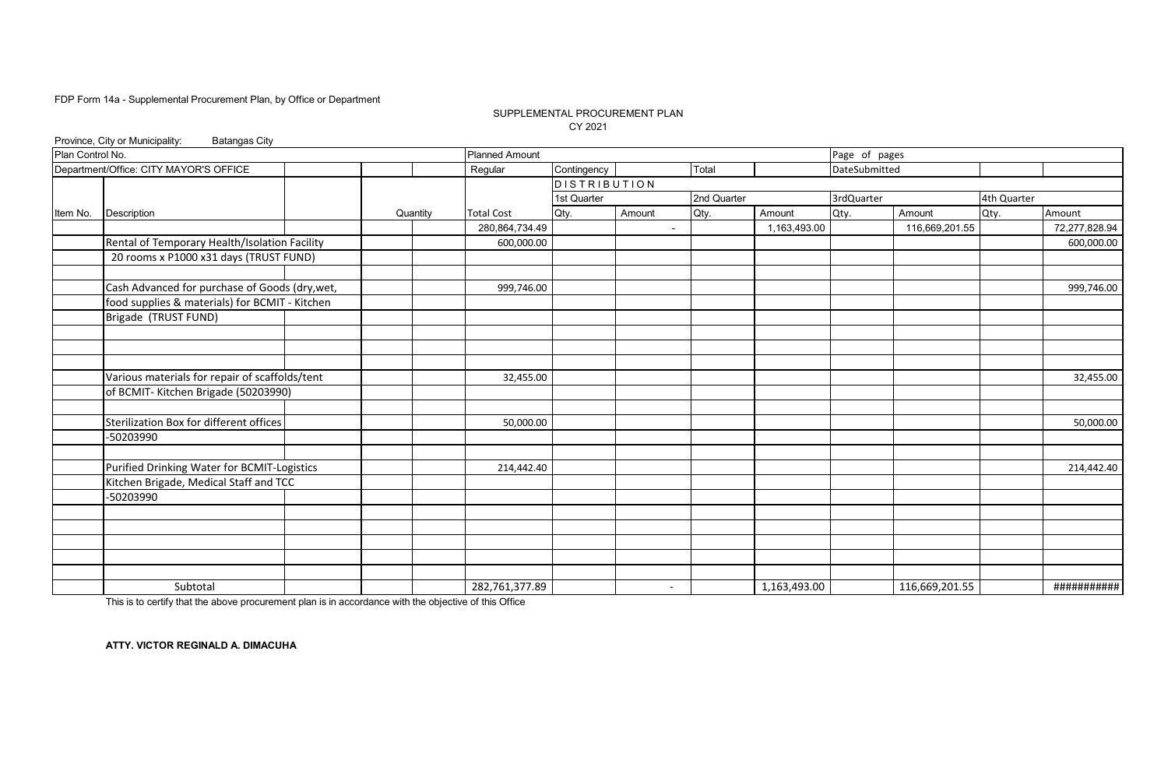### SUPPLEMENTAL PROCUREMENT PLAN CY 2021

| Plan Control No. |                                                |          |                       |              |                          |             |              |               |                |             |               |
|------------------|------------------------------------------------|----------|-----------------------|--------------|--------------------------|-------------|--------------|---------------|----------------|-------------|---------------|
|                  |                                                |          | <b>Planned Amount</b> |              |                          |             |              | Page of pages |                |             |               |
|                  | Department/Office: CITY MAYOR'S OFFICE         |          | Regular               | Contingency  |                          | Total       |              | DateSubmitted |                |             |               |
|                  |                                                |          |                       | DISTRIBUTION |                          |             |              |               |                |             |               |
|                  |                                                |          |                       | 1st Quarter  |                          | 2nd Quarter |              | 3rdQuarter    |                | 4th Quarter |               |
| Item No.         | Description                                    | Quantity | <b>Total Cost</b>     | Qty.         | Amount                   | Qty.        | Amount       | Qty.          | Amount         | Qty.        | Amount        |
|                  |                                                |          | 280,864,734.49        |              | $\blacksquare$           |             | 1,163,493.00 |               | 116,669,201.55 |             | 72,277,828.94 |
|                  | Rental of Temporary Health/Isolation Facility  |          | 600,000.00            |              |                          |             |              |               |                |             | 600,000.00    |
|                  | 20 rooms x P1000 x31 days (TRUST FUND)         |          |                       |              |                          |             |              |               |                |             |               |
|                  | Cash Advanced for purchase of Goods (dry, wet, |          | 999,746.00            |              |                          |             |              |               |                |             | 999,746.00    |
|                  | food supplies & materials) for BCMIT - Kitchen |          |                       |              |                          |             |              |               |                |             |               |
|                  | Brigade (TRUST FUND)                           |          |                       |              |                          |             |              |               |                |             |               |
|                  |                                                |          |                       |              |                          |             |              |               |                |             |               |
|                  |                                                |          |                       |              |                          |             |              |               |                |             |               |
|                  | Various materials for repair of scaffolds/tent |          | 32,455.00             |              |                          |             |              |               |                |             | 32,455.00     |
|                  | of BCMIT-Kitchen Brigade (50203990)            |          |                       |              |                          |             |              |               |                |             |               |
|                  | Sterilization Box for different offices        |          | 50,000.00             |              |                          |             |              |               |                |             | 50,000.00     |
|                  | -50203990                                      |          |                       |              |                          |             |              |               |                |             |               |
|                  | Purified Drinking Water for BCMIT-Logistics    |          | 214,442.40            |              |                          |             |              |               |                |             | 214,442.40    |
|                  | Kitchen Brigade, Medical Staff and TCC         |          |                       |              |                          |             |              |               |                |             |               |
|                  | -50203990                                      |          |                       |              |                          |             |              |               |                |             |               |
|                  |                                                |          |                       |              |                          |             |              |               |                |             |               |
|                  |                                                |          |                       |              |                          |             |              |               |                |             |               |
|                  |                                                |          |                       |              |                          |             |              |               |                |             |               |
|                  | Subtotal                                       |          | 282,761,377.89        |              | $\overline{\phantom{a}}$ |             | 1,163,493.00 |               | 116,669,201.55 |             | ###########   |

This is to certify that the above procurement plan is in accordance with the objective of this Office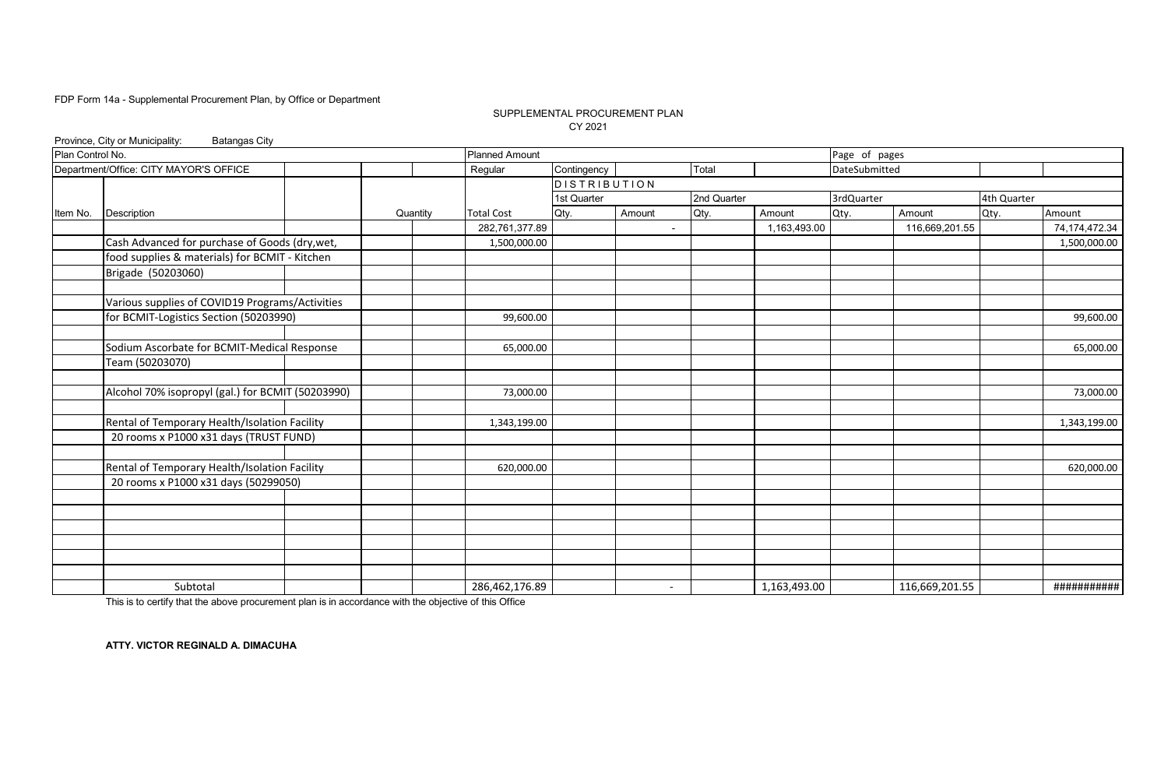### SUPPLEMENTAL PROCUREMENT PLAN CY 2021

|                  | Province, City or Municipality:<br><b>Batangas City</b> |          |                       |                     |                          |             |              |               |                |             |               |
|------------------|---------------------------------------------------------|----------|-----------------------|---------------------|--------------------------|-------------|--------------|---------------|----------------|-------------|---------------|
| Plan Control No. |                                                         |          | <b>Planned Amount</b> |                     |                          |             |              | Page of pages |                |             |               |
|                  | Department/Office: CITY MAYOR'S OFFICE                  |          | Regular               | Contingency         |                          | Total       |              | DateSubmitted |                |             |               |
|                  |                                                         |          |                       | <b>DISTRIBUTION</b> |                          |             |              |               |                |             |               |
|                  |                                                         |          |                       | 1st Quarter         |                          | 2nd Quarter |              | 3rdQuarter    |                | 4th Quarter |               |
| Item No.         | Description                                             | Quantity | <b>Total Cost</b>     | Qty.                | Amount                   | Qty.        | Amount       | Qty.          | Amount         | Qty.        | Amount        |
|                  |                                                         |          | 282,761,377.89        |                     | $\overline{\phantom{a}}$ |             | 1,163,493.00 |               | 116,669,201.55 |             | 74,174,472.34 |
|                  | Cash Advanced for purchase of Goods (dry, wet,          |          | 1,500,000.00          |                     |                          |             |              |               |                |             | 1,500,000.00  |
|                  | food supplies & materials) for BCMIT - Kitchen          |          |                       |                     |                          |             |              |               |                |             |               |
|                  | Brigade (50203060)                                      |          |                       |                     |                          |             |              |               |                |             |               |
|                  |                                                         |          |                       |                     |                          |             |              |               |                |             |               |
|                  | Various supplies of COVID19 Programs/Activities         |          |                       |                     |                          |             |              |               |                |             |               |
|                  | for BCMIT-Logistics Section (50203990)                  |          | 99,600.00             |                     |                          |             |              |               |                |             | 99,600.00     |
|                  |                                                         |          |                       |                     |                          |             |              |               |                |             |               |
|                  | Sodium Ascorbate for BCMIT-Medical Response             |          | 65,000.00             |                     |                          |             |              |               |                |             | 65,000.00     |
|                  | Team (50203070)                                         |          |                       |                     |                          |             |              |               |                |             |               |
|                  |                                                         |          |                       |                     |                          |             |              |               |                |             |               |
|                  | Alcohol 70% isopropyl (gal.) for BCMIT (50203990)       |          | 73,000.00             |                     |                          |             |              |               |                |             | 73,000.00     |
|                  |                                                         |          |                       |                     |                          |             |              |               |                |             |               |
|                  | Rental of Temporary Health/Isolation Facility           |          | 1,343,199.00          |                     |                          |             |              |               |                |             | 1,343,199.00  |
|                  | 20 rooms x P1000 x31 days (TRUST FUND)                  |          |                       |                     |                          |             |              |               |                |             |               |
|                  |                                                         |          |                       |                     |                          |             |              |               |                |             |               |
|                  | Rental of Temporary Health/Isolation Facility           |          | 620,000.00            |                     |                          |             |              |               |                |             | 620,000.00    |
|                  | 20 rooms x P1000 x31 days (50299050)                    |          |                       |                     |                          |             |              |               |                |             |               |
|                  |                                                         |          |                       |                     |                          |             |              |               |                |             |               |
|                  |                                                         |          |                       |                     |                          |             |              |               |                |             |               |
|                  |                                                         |          |                       |                     |                          |             |              |               |                |             |               |
|                  |                                                         |          |                       |                     |                          |             |              |               |                |             |               |
|                  |                                                         |          |                       |                     |                          |             |              |               |                |             |               |
|                  |                                                         |          |                       |                     |                          |             |              |               |                |             |               |
|                  | Subtotal                                                |          | 286,462,176.89        |                     | $\overline{\phantom{a}}$ |             | 1,163,493.00 |               | 116,669,201.55 |             | ###########   |

This is to certify that the above procurement plan is in accordance with the objective of this Office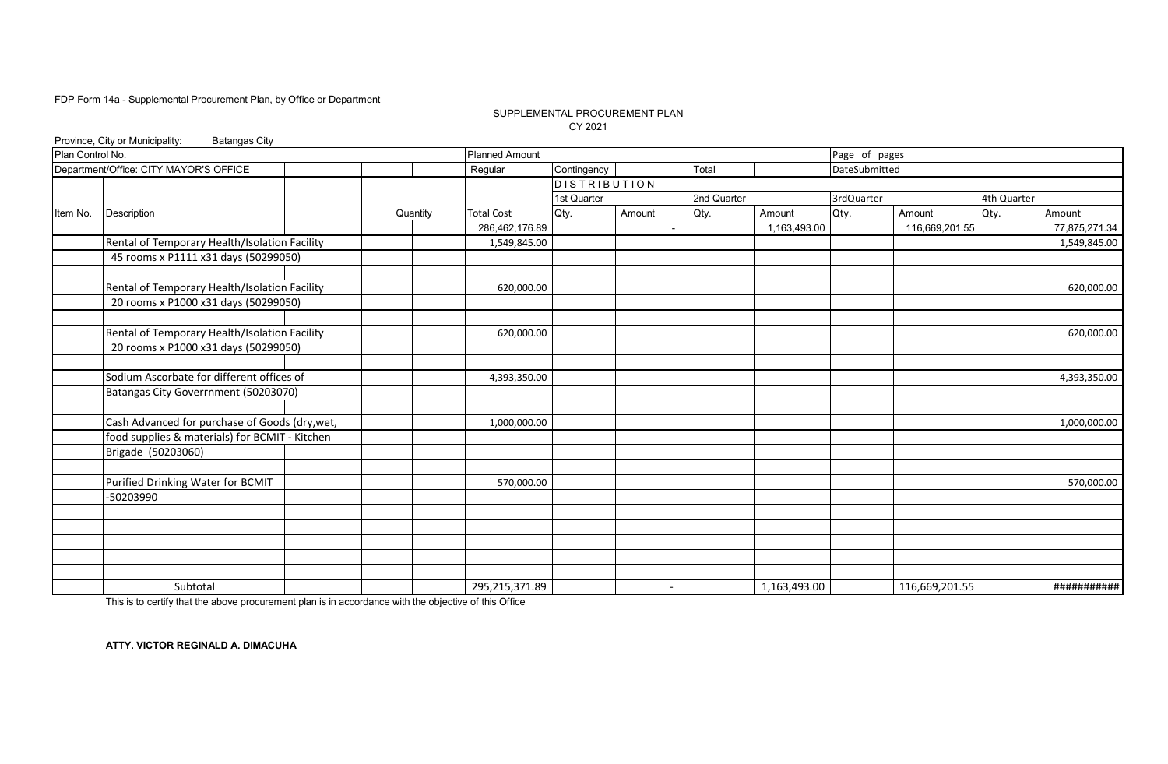### SUPPLEMENTAL PROCUREMENT PLAN CY 2021

|                  | Province, City or Municipality:<br><b>Batangas City</b> |          |                       |                     |                          |             |              |               |                |             |               |
|------------------|---------------------------------------------------------|----------|-----------------------|---------------------|--------------------------|-------------|--------------|---------------|----------------|-------------|---------------|
| Plan Control No. |                                                         |          | <b>Planned Amount</b> |                     |                          |             |              | Page of pages |                |             |               |
|                  | Department/Office: CITY MAYOR'S OFFICE                  |          | Regular               | Contingency         |                          | Total       |              | DateSubmitted |                |             |               |
|                  |                                                         |          |                       | <b>DISTRIBUTION</b> |                          |             |              |               |                |             |               |
|                  |                                                         |          |                       | 1st Quarter         |                          | 2nd Quarter |              | 3rdQuarter    |                | 4th Quarter |               |
| Item No.         | <b>Description</b>                                      | Quantity | <b>Total Cost</b>     | Qty.                | Amount                   | Qty.        | Amount       | Qty.          | Amount         | Qty.        | Amount        |
|                  |                                                         |          | 286,462,176.89        |                     | $\blacksquare$           |             | 1,163,493.00 |               | 116,669,201.55 |             | 77,875,271.34 |
|                  | Rental of Temporary Health/Isolation Facility           |          | 1,549,845.00          |                     |                          |             |              |               |                |             | 1,549,845.00  |
|                  | 45 rooms x P1111 x31 days (50299050)                    |          |                       |                     |                          |             |              |               |                |             |               |
|                  | Rental of Temporary Health/Isolation Facility           |          | 620,000.00            |                     |                          |             |              |               |                |             | 620,000.00    |
|                  | 20 rooms x P1000 x31 days (50299050)                    |          |                       |                     |                          |             |              |               |                |             |               |
|                  |                                                         |          |                       |                     |                          |             |              |               |                |             |               |
|                  | Rental of Temporary Health/Isolation Facility           |          | 620,000.00            |                     |                          |             |              |               |                |             | 620,000.00    |
|                  | 20 rooms x P1000 x31 days (50299050)                    |          |                       |                     |                          |             |              |               |                |             |               |
|                  | Sodium Ascorbate for different offices of               |          | 4,393,350.00          |                     |                          |             |              |               |                |             | 4,393,350.00  |
|                  | Batangas City Goverrnment (50203070)                    |          |                       |                     |                          |             |              |               |                |             |               |
|                  | Cash Advanced for purchase of Goods (dry, wet,          |          | 1,000,000.00          |                     |                          |             |              |               |                |             | 1,000,000.00  |
|                  | food supplies & materials) for BCMIT - Kitchen          |          |                       |                     |                          |             |              |               |                |             |               |
|                  | Brigade (50203060)                                      |          |                       |                     |                          |             |              |               |                |             |               |
|                  |                                                         |          |                       |                     |                          |             |              |               |                |             |               |
|                  | Purified Drinking Water for BCMIT<br>-50203990          |          | 570,000.00            |                     |                          |             |              |               |                |             | 570,000.00    |
|                  |                                                         |          |                       |                     |                          |             |              |               |                |             |               |
|                  |                                                         |          |                       |                     |                          |             |              |               |                |             |               |
|                  |                                                         |          |                       |                     |                          |             |              |               |                |             |               |
|                  |                                                         |          |                       |                     |                          |             |              |               |                |             |               |
|                  | Subtotal                                                |          | 295,215,371.89        |                     | $\overline{\phantom{a}}$ |             | 1,163,493.00 |               | 116,669,201.55 |             | ###########   |

This is to certify that the above procurement plan is in accordance with the objective of this Office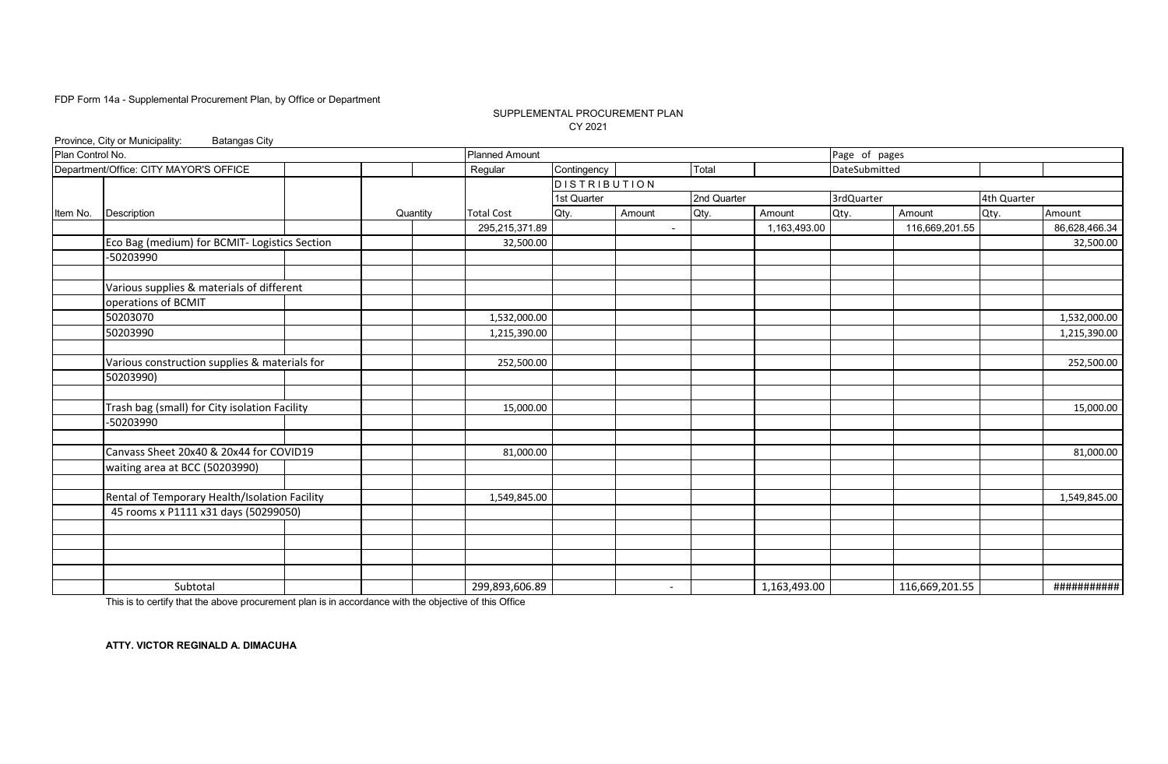### SUPPLEMENTAL PROCUREMENT PLAN CY 2021

|                  | Province, City or Municipality:<br><b>Batangas City</b> |          |                       |                 |        |                          |              |               |                |             |               |
|------------------|---------------------------------------------------------|----------|-----------------------|-----------------|--------|--------------------------|--------------|---------------|----------------|-------------|---------------|
| Plan Control No. |                                                         |          | <b>Planned Amount</b> |                 |        |                          |              | Page of pages |                |             |               |
|                  | Department/Office: CITY MAYOR'S OFFICE                  |          | Regular               | Contingency     |        | Total                    |              | DateSubmitted |                |             |               |
|                  |                                                         |          |                       | $D$ ISTRIBUTION |        |                          |              |               |                |             |               |
|                  |                                                         |          |                       | 1st Quarter     |        | 2nd Quarter              |              | 3rdQuarter    |                | 4th Quarter |               |
| Item No.         | Description                                             | Quantity | <b>Total Cost</b>     | Qty.            | Amount | Qty.                     | Amount       | Qty.          | Amount         | Qty.        | Amount        |
|                  |                                                         |          | 295,215,371.89        |                 |        | $\overline{a}$           | 1,163,493.00 |               | 116,669,201.55 |             | 86,628,466.34 |
|                  | Eco Bag (medium) for BCMIT- Logistics Section           |          | 32,500.00             |                 |        |                          |              |               |                |             | 32,500.00     |
|                  | -50203990                                               |          |                       |                 |        |                          |              |               |                |             |               |
|                  |                                                         |          |                       |                 |        |                          |              |               |                |             |               |
|                  | Various supplies & materials of different               |          |                       |                 |        |                          |              |               |                |             |               |
|                  | operations of BCMIT                                     |          |                       |                 |        |                          |              |               |                |             |               |
|                  | 50203070                                                |          | 1,532,000.00          |                 |        |                          |              |               |                |             | 1,532,000.00  |
|                  | 50203990                                                |          | 1,215,390.00          |                 |        |                          |              |               |                |             | 1,215,390.00  |
|                  |                                                         |          |                       |                 |        |                          |              |               |                |             |               |
|                  | Various construction supplies & materials for           |          | 252,500.00            |                 |        |                          |              |               |                |             | 252,500.00    |
|                  | 50203990)                                               |          |                       |                 |        |                          |              |               |                |             |               |
|                  |                                                         |          |                       |                 |        |                          |              |               |                |             |               |
|                  | Trash bag (small) for City isolation Facility           |          | 15,000.00             |                 |        |                          |              |               |                |             | 15,000.00     |
|                  | -50203990                                               |          |                       |                 |        |                          |              |               |                |             |               |
|                  |                                                         |          |                       |                 |        |                          |              |               |                |             |               |
|                  | Canvass Sheet 20x40 & 20x44 for COVID19                 |          | 81,000.00             |                 |        |                          |              |               |                |             | 81,000.00     |
|                  | waiting area at BCC (50203990)                          |          |                       |                 |        |                          |              |               |                |             |               |
|                  |                                                         |          |                       |                 |        |                          |              |               |                |             |               |
|                  | Rental of Temporary Health/Isolation Facility           |          | 1,549,845.00          |                 |        |                          |              |               |                |             | 1,549,845.00  |
|                  | 45 rooms x P1111 x31 days (50299050)                    |          |                       |                 |        |                          |              |               |                |             |               |
|                  |                                                         |          |                       |                 |        |                          |              |               |                |             |               |
|                  |                                                         |          |                       |                 |        |                          |              |               |                |             |               |
|                  |                                                         |          |                       |                 |        |                          |              |               |                |             |               |
|                  |                                                         |          |                       |                 |        |                          |              |               |                |             |               |
|                  | Subtotal                                                |          | 299,893,606.89        |                 |        | $\overline{\phantom{a}}$ | 1,163,493.00 |               | 116,669,201.55 |             | ###########   |

This is to certify that the above procurement plan is in accordance with the objective of this Office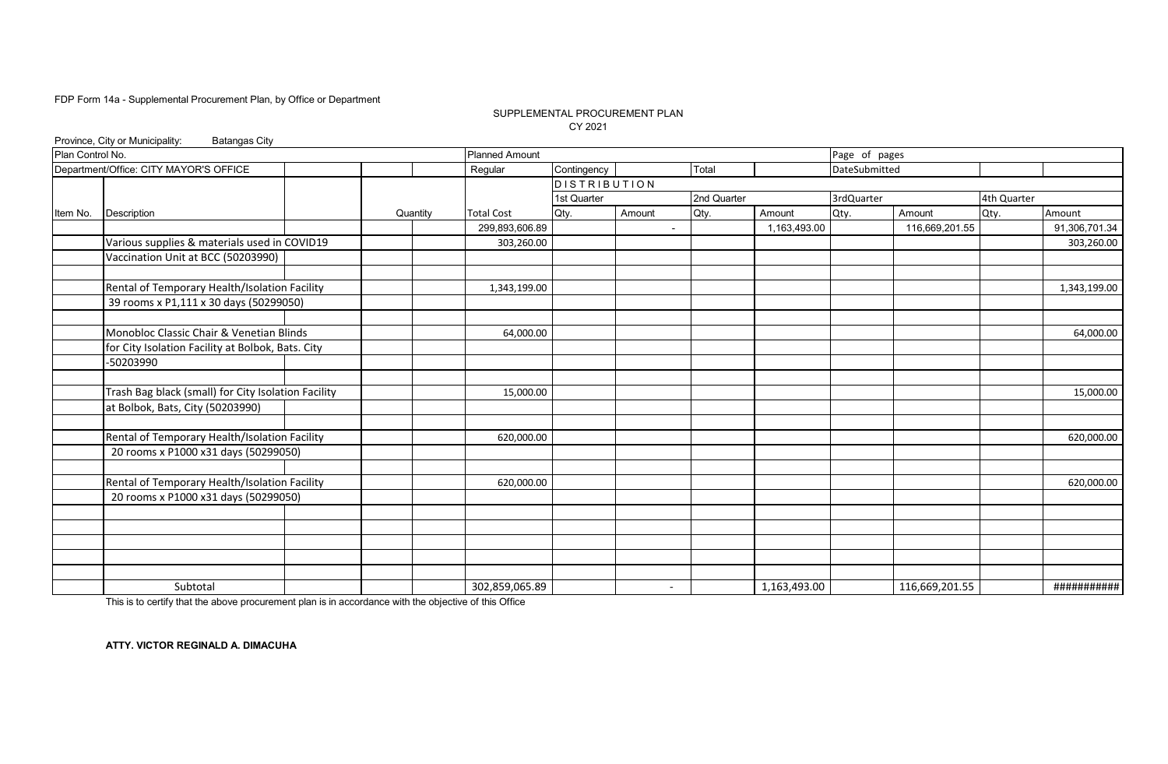### SUPPLEMENTAL PROCUREMENT PLAN CY 2021

|                  | Province, City or Municipality:<br><b>Batangas City</b> |          |                       |                     |                |             |              |               |                |             |               |
|------------------|---------------------------------------------------------|----------|-----------------------|---------------------|----------------|-------------|--------------|---------------|----------------|-------------|---------------|
| Plan Control No. |                                                         |          | <b>Planned Amount</b> |                     |                |             |              | Page of pages |                |             |               |
|                  | Department/Office: CITY MAYOR'S OFFICE                  |          | Regular               | Contingency         |                | Total       |              | DateSubmitted |                |             |               |
|                  |                                                         |          |                       | <b>DISTRIBUTION</b> |                |             |              |               |                |             |               |
|                  |                                                         |          |                       | 1st Quarter         |                | 2nd Quarter |              | 3rdQuarter    |                | 4th Quarter |               |
| Item No.         | <b>Description</b>                                      | Quantity | <b>Total Cost</b>     | Qty.                | Amount         | Qty.        | Amount       | Qty.          | Amount         | Qty.        | Amount        |
|                  |                                                         |          | 299,893,606.89        |                     | $\blacksquare$ |             | 1,163,493.00 |               | 116,669,201.55 |             | 91,306,701.34 |
|                  | Various supplies & materials used in COVID19            |          | 303,260.00            |                     |                |             |              |               |                |             | 303,260.00    |
|                  | Vaccination Unit at BCC (50203990)                      |          |                       |                     |                |             |              |               |                |             |               |
|                  | Rental of Temporary Health/Isolation Facility           |          | 1,343,199.00          |                     |                |             |              |               |                |             | 1,343,199.00  |
|                  | 39 rooms x P1,111 x 30 days (50299050)                  |          |                       |                     |                |             |              |               |                |             |               |
|                  | Monobloc Classic Chair & Venetian Blinds                |          | 64,000.00             |                     |                |             |              |               |                |             | 64,000.00     |
|                  | for City Isolation Facility at Bolbok, Bats. City       |          |                       |                     |                |             |              |               |                |             |               |
|                  | -50203990                                               |          |                       |                     |                |             |              |               |                |             |               |
|                  | Trash Bag black (small) for City Isolation Facility     |          | 15,000.00             |                     |                |             |              |               |                |             | 15,000.00     |
|                  | at Bolbok, Bats, City (50203990)                        |          |                       |                     |                |             |              |               |                |             |               |
|                  | Rental of Temporary Health/Isolation Facility           |          | 620,000.00            |                     |                |             |              |               |                |             | 620,000.00    |
|                  | 20 rooms x P1000 x31 days (50299050)                    |          |                       |                     |                |             |              |               |                |             |               |
|                  | Rental of Temporary Health/Isolation Facility           |          | 620,000.00            |                     |                |             |              |               |                |             | 620,000.00    |
|                  | 20 rooms x P1000 x31 days (50299050)                    |          |                       |                     |                |             |              |               |                |             |               |
|                  |                                                         |          |                       |                     |                |             |              |               |                |             |               |
|                  |                                                         |          |                       |                     |                |             |              |               |                |             |               |
|                  |                                                         |          |                       |                     |                |             |              |               |                |             |               |
|                  | Subtotal                                                |          | 302,859,065.89        |                     | $\sim$         |             | 1,163,493.00 |               | 116,669,201.55 |             | ###########   |

This is to certify that the above procurement plan is in accordance with the objective of this Office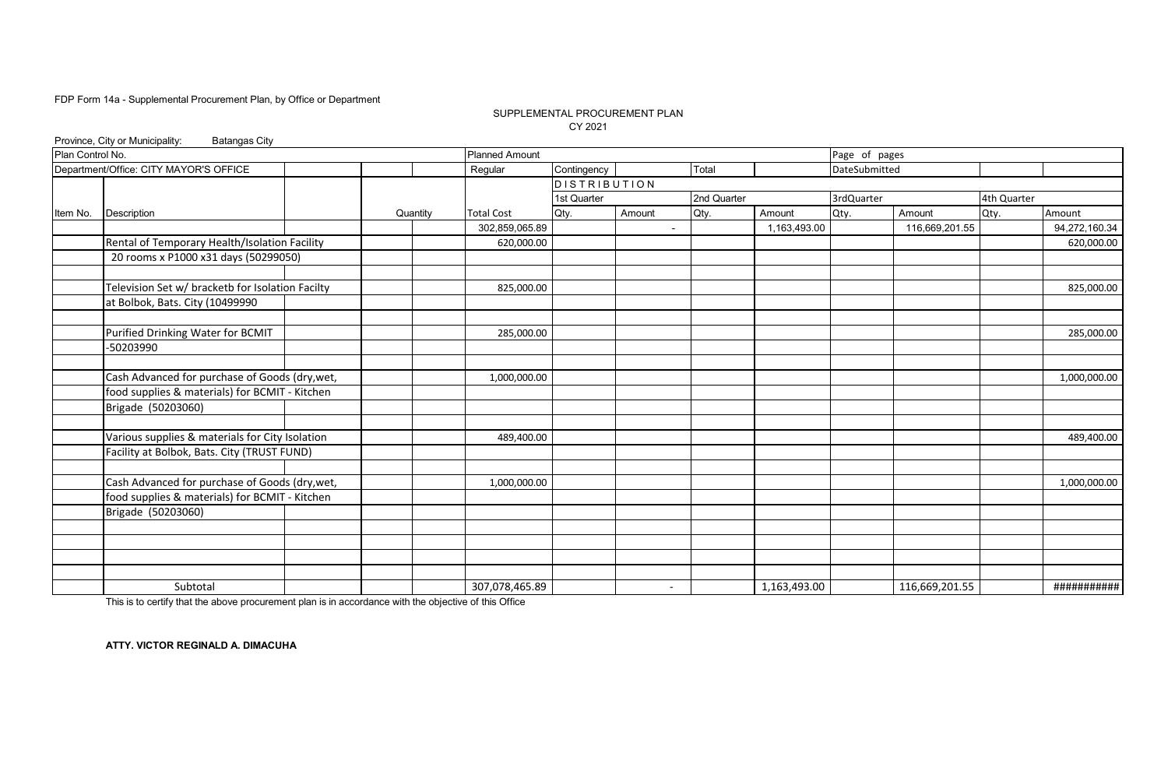### SUPPLEMENTAL PROCUREMENT PLAN CY 2021

|                  | Province, City or Municipality:<br><b>Batangas City</b> |          |                       |              |                          |             |              |               |                |             |               |
|------------------|---------------------------------------------------------|----------|-----------------------|--------------|--------------------------|-------------|--------------|---------------|----------------|-------------|---------------|
| Plan Control No. |                                                         |          | <b>Planned Amount</b> |              |                          |             |              | Page of pages |                |             |               |
|                  | Department/Office: CITY MAYOR'S OFFICE                  |          | Regular               | Contingency  |                          | Total       |              | DateSubmitted |                |             |               |
|                  |                                                         |          |                       | DISTRIBUTION |                          |             |              |               |                |             |               |
|                  |                                                         |          |                       | 1st Quarter  |                          | 2nd Quarter |              | 3rdQuarter    |                | 4th Quarter |               |
| Item No.         | <b>Description</b>                                      | Quantity | <b>Total Cost</b>     | Qty.         | Amount                   | Qty.        | Amount       | Qty.          | Amount         | Qty.        | Amount        |
|                  |                                                         |          | 302,859,065.89        |              | $\blacksquare$           |             | 1,163,493.00 |               | 116,669,201.55 |             | 94,272,160.34 |
|                  | Rental of Temporary Health/Isolation Facility           |          | 620,000.00            |              |                          |             |              |               |                |             | 620,000.00    |
|                  | 20 rooms x P1000 x31 days (50299050)                    |          |                       |              |                          |             |              |               |                |             |               |
|                  | Television Set w/ bracketb for Isolation Facilty        |          | 825,000.00            |              |                          |             |              |               |                |             | 825,000.00    |
|                  | at Bolbok, Bats. City (10499990                         |          |                       |              |                          |             |              |               |                |             |               |
|                  |                                                         |          |                       |              |                          |             |              |               |                |             |               |
|                  | Purified Drinking Water for BCMIT                       |          | 285,000.00            |              |                          |             |              |               |                |             | 285,000.00    |
|                  | -50203990                                               |          |                       |              |                          |             |              |               |                |             |               |
|                  | Cash Advanced for purchase of Goods (dry, wet,          |          | 1,000,000.00          |              |                          |             |              |               |                |             | 1,000,000.00  |
|                  | food supplies & materials) for BCMIT - Kitchen          |          |                       |              |                          |             |              |               |                |             |               |
|                  | Brigade (50203060)                                      |          |                       |              |                          |             |              |               |                |             |               |
|                  |                                                         |          |                       |              |                          |             |              |               |                |             |               |
|                  | Various supplies & materials for City Isolation         |          | 489,400.00            |              |                          |             |              |               |                |             | 489,400.00    |
|                  | Facility at Bolbok, Bats. City (TRUST FUND)             |          |                       |              |                          |             |              |               |                |             |               |
|                  | Cash Advanced for purchase of Goods (dry, wet,          |          | 1,000,000.00          |              |                          |             |              |               |                |             | 1,000,000.00  |
|                  | food supplies & materials) for BCMIT - Kitchen          |          |                       |              |                          |             |              |               |                |             |               |
|                  | Brigade (50203060)                                      |          |                       |              |                          |             |              |               |                |             |               |
|                  |                                                         |          |                       |              |                          |             |              |               |                |             |               |
|                  |                                                         |          |                       |              |                          |             |              |               |                |             |               |
|                  |                                                         |          |                       |              |                          |             |              |               |                |             |               |
|                  | Subtotal                                                |          | 307,078,465.89        |              | $\overline{\phantom{a}}$ |             | 1,163,493.00 |               | 116,669,201.55 |             | ###########   |

This is to certify that the above procurement plan is in accordance with the objective of this Office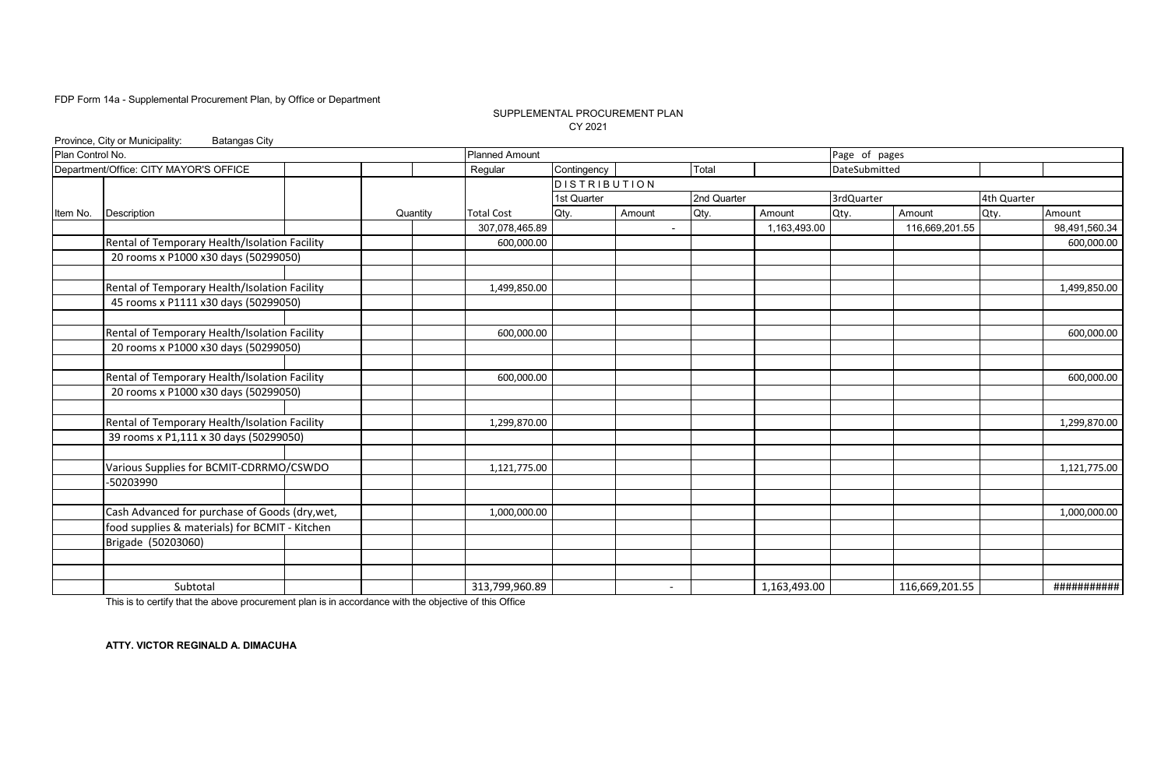### SUPPLEMENTAL PROCUREMENT PLAN CY 2021

|                  | Province, City or Municipality:<br><b>Batangas City</b> |          |                       |                     |                          |             |              |               |                |             |               |
|------------------|---------------------------------------------------------|----------|-----------------------|---------------------|--------------------------|-------------|--------------|---------------|----------------|-------------|---------------|
| Plan Control No. |                                                         |          | <b>Planned Amount</b> |                     |                          |             |              | Page of pages |                |             |               |
|                  | Department/Office: CITY MAYOR'S OFFICE                  |          | Regular               | Contingency         |                          | Total       |              | DateSubmitted |                |             |               |
|                  |                                                         |          |                       | <b>DISTRIBUTION</b> |                          |             |              |               |                |             |               |
|                  |                                                         |          |                       | 1st Quarter         |                          | 2nd Quarter |              | 3rdQuarter    |                | 4th Quarter |               |
| Item No.         | Description                                             | Quantity | <b>Total Cost</b>     | Qty.                | Amount                   | Qty.        | Amount       | Qty.          | Amount         | Qty.        | Amount        |
|                  |                                                         |          | 307,078,465.89        |                     | $\blacksquare$           |             | 1,163,493.00 |               | 116,669,201.55 |             | 98,491,560.34 |
|                  | Rental of Temporary Health/Isolation Facility           |          | 600,000.00            |                     |                          |             |              |               |                |             | 600,000.00    |
|                  | 20 rooms x P1000 x30 days (50299050)                    |          |                       |                     |                          |             |              |               |                |             |               |
|                  |                                                         |          |                       |                     |                          |             |              |               |                |             |               |
|                  | Rental of Temporary Health/Isolation Facility           |          | 1,499,850.00          |                     |                          |             |              |               |                |             | 1,499,850.00  |
|                  | 45 rooms x P1111 x30 days (50299050)                    |          |                       |                     |                          |             |              |               |                |             |               |
|                  |                                                         |          |                       |                     |                          |             |              |               |                |             |               |
|                  | Rental of Temporary Health/Isolation Facility           |          | 600,000.00            |                     |                          |             |              |               |                |             | 600,000.00    |
|                  | 20 rooms x P1000 x30 days (50299050)                    |          |                       |                     |                          |             |              |               |                |             |               |
|                  |                                                         |          |                       |                     |                          |             |              |               |                |             |               |
|                  | Rental of Temporary Health/Isolation Facility           |          | 600,000.00            |                     |                          |             |              |               |                |             | 600,000.00    |
|                  | 20 rooms x P1000 x30 days (50299050)                    |          |                       |                     |                          |             |              |               |                |             |               |
|                  |                                                         |          |                       |                     |                          |             |              |               |                |             |               |
|                  | Rental of Temporary Health/Isolation Facility           |          | 1,299,870.00          |                     |                          |             |              |               |                |             | 1,299,870.00  |
|                  | 39 rooms x P1,111 x 30 days (50299050)                  |          |                       |                     |                          |             |              |               |                |             |               |
|                  |                                                         |          |                       |                     |                          |             |              |               |                |             |               |
|                  | Various Supplies for BCMIT-CDRRMO/CSWDO                 |          | 1,121,775.00          |                     |                          |             |              |               |                |             | 1,121,775.00  |
|                  | -50203990                                               |          |                       |                     |                          |             |              |               |                |             |               |
|                  |                                                         |          |                       |                     |                          |             |              |               |                |             |               |
|                  | Cash Advanced for purchase of Goods (dry, wet,          |          | 1,000,000.00          |                     |                          |             |              |               |                |             | 1,000,000.00  |
|                  | food supplies & materials) for BCMIT - Kitchen          |          |                       |                     |                          |             |              |               |                |             |               |
|                  | Brigade (50203060)                                      |          |                       |                     |                          |             |              |               |                |             |               |
|                  |                                                         |          |                       |                     |                          |             |              |               |                |             |               |
|                  |                                                         |          |                       |                     |                          |             |              |               |                |             |               |
|                  | Subtotal                                                |          | 313,799,960.89        |                     | $\overline{\phantom{a}}$ |             | 1,163,493.00 |               | 116,669,201.55 |             | ###########   |

This is to certify that the above procurement plan is in accordance with the objective of this Office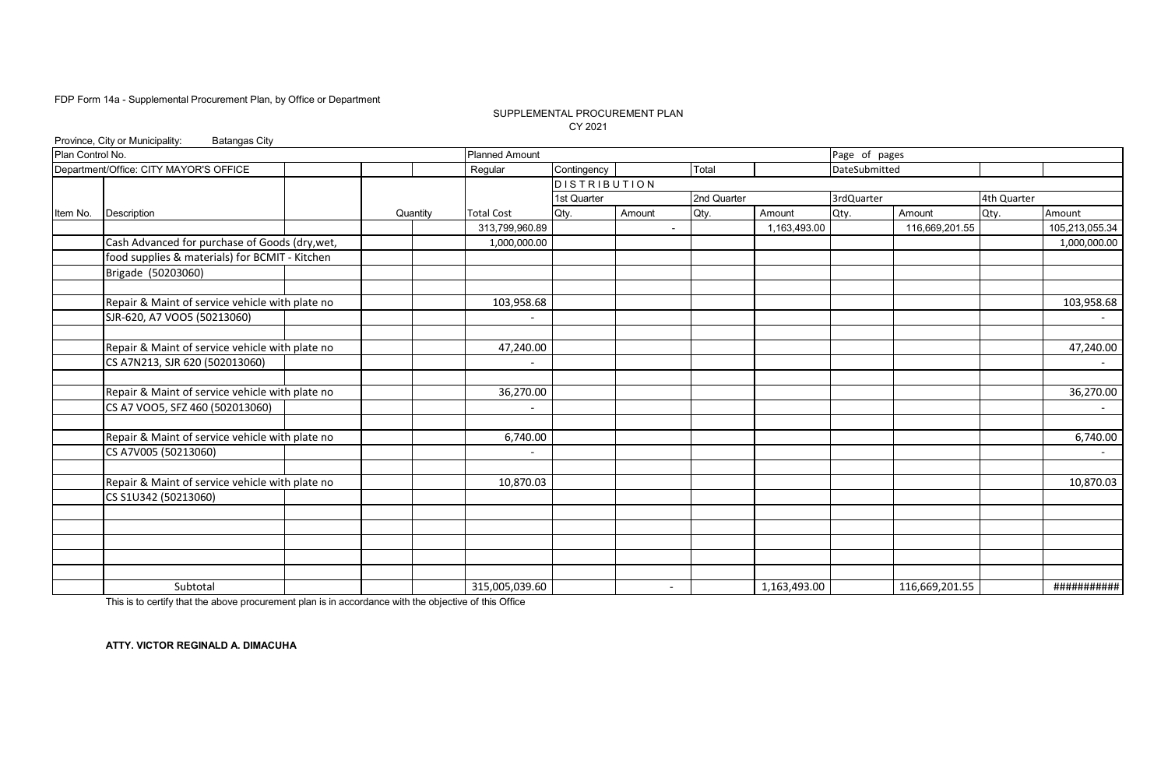### SUPPLEMENTAL PROCUREMENT PLAN CY 2021

|                  | Province, City or Municipality:<br><b>Batangas City</b> |          |                       |              |                |             |              |               |                |             |                |
|------------------|---------------------------------------------------------|----------|-----------------------|--------------|----------------|-------------|--------------|---------------|----------------|-------------|----------------|
| Plan Control No. |                                                         |          | <b>Planned Amount</b> |              |                |             |              | Page of pages |                |             |                |
|                  | Department/Office: CITY MAYOR'S OFFICE                  |          | Regular               | Contingency  |                | Total       |              | DateSubmitted |                |             |                |
|                  |                                                         |          |                       | DISTRIBUTION |                |             |              |               |                |             |                |
|                  |                                                         |          |                       | 1st Quarter  |                | 2nd Quarter |              | 3rdQuarter    |                | 4th Quarter |                |
| Item No.         | <b>Description</b>                                      | Quantity | <b>Total Cost</b>     | Qty.         | Amount         | Qty.        | Amount       | Qty.          | Amount         | Qty.        | Amount         |
|                  |                                                         |          | 313,799,960.89        |              | $\blacksquare$ |             | 1,163,493.00 |               | 116,669,201.55 |             | 105,213,055.34 |
|                  | Cash Advanced for purchase of Goods (dry, wet,          |          | 1,000,000.00          |              |                |             |              |               |                |             | 1,000,000.00   |
|                  | food supplies & materials) for BCMIT - Kitchen          |          |                       |              |                |             |              |               |                |             |                |
|                  | Brigade (50203060)                                      |          |                       |              |                |             |              |               |                |             |                |
|                  |                                                         |          |                       |              |                |             |              |               |                |             |                |
|                  | Repair & Maint of service vehicle with plate no         |          | 103,958.68            |              |                |             |              |               |                |             | 103,958.68     |
|                  | SJR-620, A7 VOO5 (50213060)                             |          |                       |              |                |             |              |               |                |             | $\sim$         |
|                  |                                                         |          |                       |              |                |             |              |               |                |             |                |
|                  | Repair & Maint of service vehicle with plate no         |          | 47,240.00             |              |                |             |              |               |                |             | 47,240.00      |
|                  | CS A7N213, SJR 620 (502013060)                          |          |                       |              |                |             |              |               |                |             |                |
|                  |                                                         |          |                       |              |                |             |              |               |                |             |                |
|                  | Repair & Maint of service vehicle with plate no         |          | 36,270.00             |              |                |             |              |               |                |             | 36,270.00      |
|                  | CS A7 VOO5, SFZ 460 (502013060)                         |          |                       |              |                |             |              |               |                |             | $\sim$         |
|                  |                                                         |          |                       |              |                |             |              |               |                |             |                |
|                  | Repair & Maint of service vehicle with plate no         |          | 6,740.00              |              |                |             |              |               |                |             | 6,740.00       |
|                  | CS A7V005 (50213060)                                    |          |                       |              |                |             |              |               |                |             |                |
|                  |                                                         |          |                       |              |                |             |              |               |                |             |                |
|                  | Repair & Maint of service vehicle with plate no         |          | 10,870.03             |              |                |             |              |               |                |             | 10,870.03      |
|                  | CS S1U342 (50213060)                                    |          |                       |              |                |             |              |               |                |             |                |
|                  |                                                         |          |                       |              |                |             |              |               |                |             |                |
|                  |                                                         |          |                       |              |                |             |              |               |                |             |                |
|                  |                                                         |          |                       |              |                |             |              |               |                |             |                |
|                  |                                                         |          |                       |              |                |             |              |               |                |             |                |
|                  |                                                         |          |                       |              |                |             |              |               |                |             |                |
|                  | Subtotal                                                |          | 315,005,039.60        |              | $\overline{a}$ |             | 1,163,493.00 |               | 116,669,201.55 |             | ###########    |

This is to certify that the above procurement plan is in accordance with the objective of this Office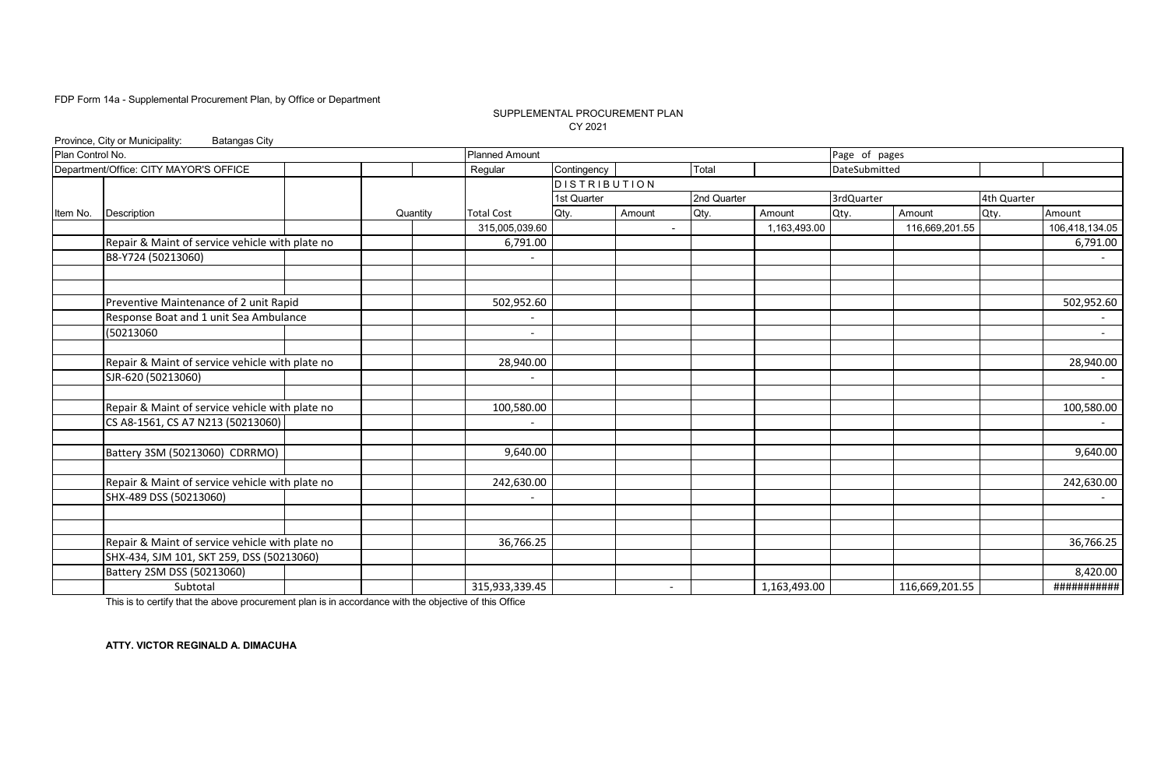### SUPPLEMENTAL PROCUREMENT PLAN CY 2021

|                  | Province, City or Municipality:<br><b>Batangas City</b> |          |                       |                     |                          |             |              |               |                |             |                |
|------------------|---------------------------------------------------------|----------|-----------------------|---------------------|--------------------------|-------------|--------------|---------------|----------------|-------------|----------------|
| Plan Control No. |                                                         |          | <b>Planned Amount</b> |                     |                          |             |              | Page of pages |                |             |                |
|                  | Department/Office: CITY MAYOR'S OFFICE                  |          | Regular               | Contingency         |                          | Total       |              | DateSubmitted |                |             |                |
|                  |                                                         |          |                       | <b>DISTRIBUTION</b> |                          |             |              |               |                |             |                |
|                  |                                                         |          |                       | 1st Quarter         |                          | 2nd Quarter |              | 3rdQuarter    |                | 4th Quarter |                |
| Item No.         | <b>Description</b>                                      | Quantity | <b>Total Cost</b>     | Qty.                | Amount                   | Qty.        | Amount       | Qty.          | Amount         | Qty.        | Amount         |
|                  |                                                         |          | 315,005,039.60        |                     | $\blacksquare$           |             | 1,163,493.00 |               | 116,669,201.55 |             | 106,418,134.05 |
|                  | Repair & Maint of service vehicle with plate no         |          | 6,791.00              |                     |                          |             |              |               |                |             | 6,791.00       |
|                  | B8-Y724 (50213060)                                      |          |                       |                     |                          |             |              |               |                |             | $\sim$         |
|                  |                                                         |          |                       |                     |                          |             |              |               |                |             |                |
|                  | Preventive Maintenance of 2 unit Rapid                  |          | 502,952.60            |                     |                          |             |              |               |                |             | 502,952.60     |
|                  | Response Boat and 1 unit Sea Ambulance                  |          |                       |                     |                          |             |              |               |                |             |                |
|                  | (50213060                                               |          |                       |                     |                          |             |              |               |                |             | $\sim$         |
|                  | Repair & Maint of service vehicle with plate no         |          | 28,940.00             |                     |                          |             |              |               |                |             | 28,940.00      |
|                  | SJR-620 (50213060)                                      |          |                       |                     |                          |             |              |               |                |             |                |
|                  | Repair & Maint of service vehicle with plate no         |          | 100,580.00            |                     |                          |             |              |               |                |             | 100,580.00     |
|                  | CS A8-1561, CS A7 N213 (50213060)                       |          |                       |                     |                          |             |              |               |                |             |                |
|                  | Battery 3SM (50213060) CDRRMO)                          |          | 9,640.00              |                     |                          |             |              |               |                |             | 9,640.00       |
|                  |                                                         |          |                       |                     |                          |             |              |               |                |             |                |
|                  | Repair & Maint of service vehicle with plate no         |          | 242,630.00            |                     |                          |             |              |               |                |             | 242,630.00     |
|                  | SHX-489 DSS (50213060)                                  |          |                       |                     |                          |             |              |               |                |             |                |
|                  |                                                         |          |                       |                     |                          |             |              |               |                |             |                |
|                  | Repair & Maint of service vehicle with plate no         |          | 36,766.25             |                     |                          |             |              |               |                |             | 36,766.25      |
|                  | SHX-434, SJM 101, SKT 259, DSS (50213060)               |          |                       |                     |                          |             |              |               |                |             |                |
|                  | Battery 2SM DSS (50213060)                              |          |                       |                     |                          |             |              |               |                |             | 8,420.00       |
|                  | Subtotal                                                |          | 315,933,339.45        |                     | $\overline{\phantom{a}}$ |             | 1,163,493.00 |               | 116,669,201.55 |             | ###########    |

This is to certify that the above procurement plan is in accordance with the objective of this Office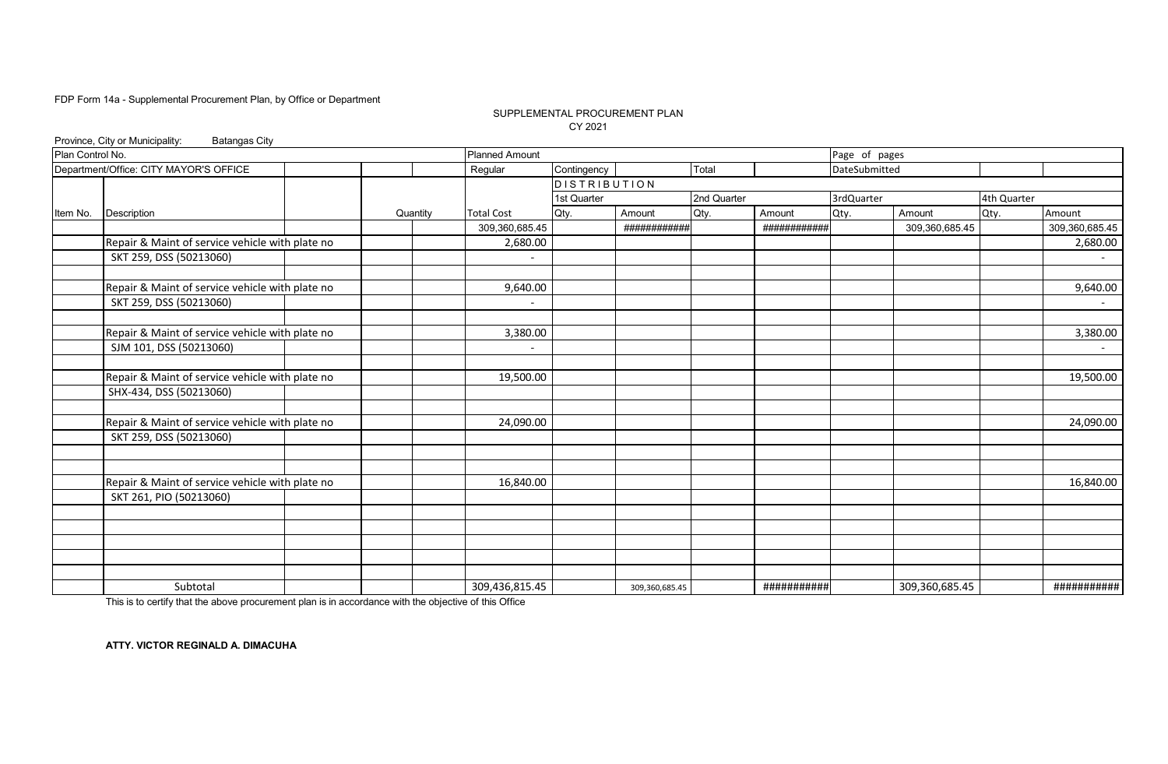### SUPPLEMENTAL PROCUREMENT PLAN CY 2021

|                  | Province, City or Municipality:<br><b>Batangas City</b> |          |                       |              |                |             |              |               |                |             |                |
|------------------|---------------------------------------------------------|----------|-----------------------|--------------|----------------|-------------|--------------|---------------|----------------|-------------|----------------|
| Plan Control No. |                                                         |          | <b>Planned Amount</b> |              |                |             |              | Page of pages |                |             |                |
|                  | Department/Office: CITY MAYOR'S OFFICE                  |          | Regular               | Contingency  |                | Total       |              | DateSubmitted |                |             |                |
|                  |                                                         |          |                       | DISTRIBUTION |                |             |              |               |                |             |                |
|                  |                                                         |          |                       | 1st Quarter  |                | 2nd Quarter |              | 3rdQuarter    |                | 4th Quarter |                |
| Item No.         | Description                                             | Quantity | <b>Total Cost</b>     | Qty.         | Amount         | Qty.        | Amount       | Qty.          | Amount         | Qty.        | Amount         |
|                  |                                                         |          | 309,360,685.45        |              | ############   |             | ############ |               | 309,360,685.45 |             | 309,360,685.45 |
|                  | Repair & Maint of service vehicle with plate no         |          | 2,680.00              |              |                |             |              |               |                |             | 2,680.00       |
|                  | SKT 259, DSS (50213060)                                 |          |                       |              |                |             |              |               |                |             | $\sim$         |
|                  | Repair & Maint of service vehicle with plate no         |          | 9,640.00              |              |                |             |              |               |                |             | 9,640.00       |
|                  | SKT 259, DSS (50213060)                                 |          |                       |              |                |             |              |               |                |             | $\sim$         |
|                  |                                                         |          |                       |              |                |             |              |               |                |             |                |
|                  | Repair & Maint of service vehicle with plate no         |          | 3,380.00              |              |                |             |              |               |                |             | 3,380.00       |
|                  | SJM 101, DSS (50213060)                                 |          |                       |              |                |             |              |               |                |             | $\sim$         |
|                  | Repair & Maint of service vehicle with plate no         |          | 19,500.00             |              |                |             |              |               |                |             | 19,500.00      |
|                  | SHX-434, DSS (50213060)                                 |          |                       |              |                |             |              |               |                |             |                |
|                  |                                                         |          |                       |              |                |             |              |               |                |             |                |
|                  | Repair & Maint of service vehicle with plate no         |          | 24,090.00             |              |                |             |              |               |                |             | 24,090.00      |
|                  | SKT 259, DSS (50213060)                                 |          |                       |              |                |             |              |               |                |             |                |
|                  |                                                         |          |                       |              |                |             |              |               |                |             |                |
|                  | Repair & Maint of service vehicle with plate no         |          | 16,840.00             |              |                |             |              |               |                |             | 16,840.00      |
|                  | SKT 261, PIO (50213060)                                 |          |                       |              |                |             |              |               |                |             |                |
|                  |                                                         |          |                       |              |                |             |              |               |                |             |                |
|                  |                                                         |          |                       |              |                |             |              |               |                |             |                |
|                  |                                                         |          |                       |              |                |             |              |               |                |             |                |
|                  |                                                         |          |                       |              |                |             |              |               |                |             |                |
|                  | Subtotal                                                |          | 309,436,815.45        |              | 309,360,685.45 |             | ###########  |               | 309,360,685.45 |             | ###########    |

This is to certify that the above procurement plan is in accordance with the objective of this Office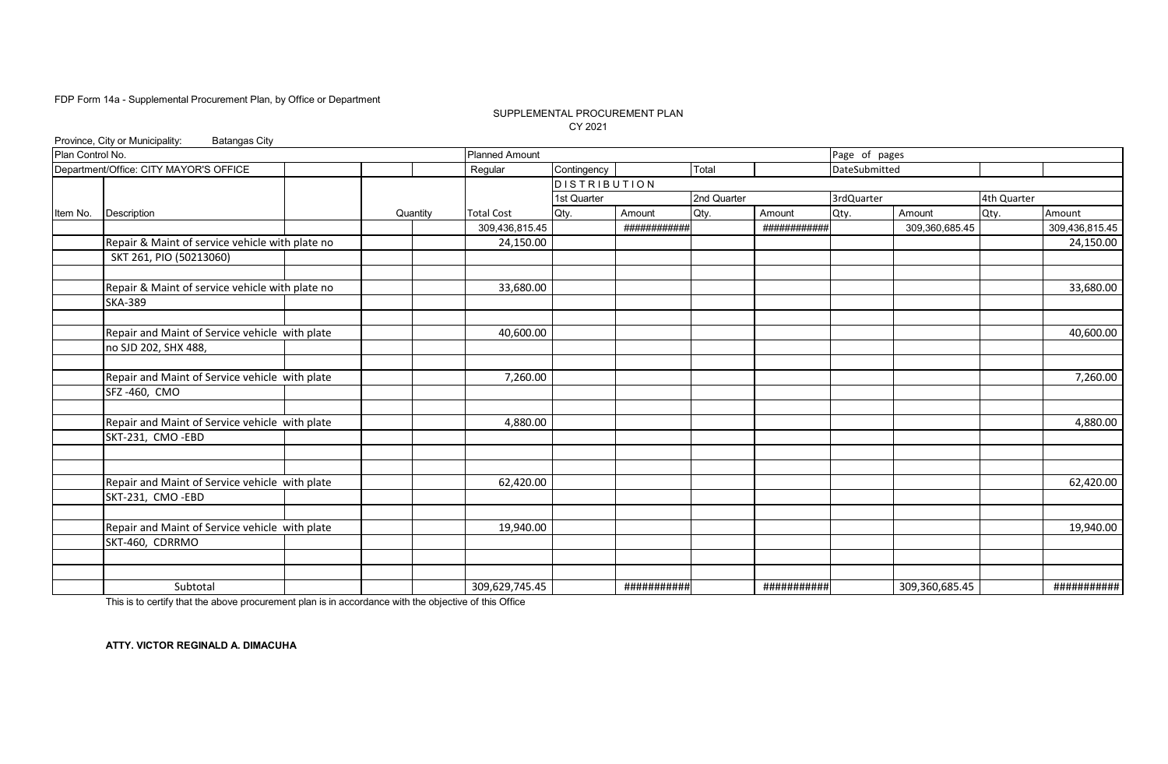### SUPPLEMENTAL PROCUREMENT PLAN CY 2021

|                  | Province, City or Municipality:<br><b>Batangas City</b> |          |                       |              |              |             |              |               |                |             |                |
|------------------|---------------------------------------------------------|----------|-----------------------|--------------|--------------|-------------|--------------|---------------|----------------|-------------|----------------|
| Plan Control No. |                                                         |          | <b>Planned Amount</b> |              |              |             |              | Page of pages |                |             |                |
|                  | Department/Office: CITY MAYOR'S OFFICE                  |          | Regular               | Contingency  |              | Total       |              | DateSubmitted |                |             |                |
|                  |                                                         |          |                       | DISTRIBUTION |              |             |              |               |                |             |                |
|                  |                                                         |          |                       | 1st Quarter  |              | 2nd Quarter |              | 3rdQuarter    |                | 4th Quarter |                |
| Item No.         | Description                                             | Quantity | <b>Total Cost</b>     | Qty.         | Amount       | Qty.        | Amount       | Qty.          | Amount         | Qty.        | Amount         |
|                  |                                                         |          | 309,436,815.45        |              | ############ |             | ############ |               | 309,360,685.45 |             | 309,436,815.45 |
|                  | Repair & Maint of service vehicle with plate no         |          | 24,150.00             |              |              |             |              |               |                |             | 24,150.00      |
|                  | SKT 261, PIO (50213060)                                 |          |                       |              |              |             |              |               |                |             |                |
|                  | Repair & Maint of service vehicle with plate no         |          | 33,680.00             |              |              |             |              |               |                |             | 33,680.00      |
|                  | <b>SKA-389</b>                                          |          |                       |              |              |             |              |               |                |             |                |
|                  | Repair and Maint of Service vehicle with plate          |          | 40,600.00             |              |              |             |              |               |                |             | 40,600.00      |
|                  | no SJD 202, SHX 488,                                    |          |                       |              |              |             |              |               |                |             |                |
|                  | Repair and Maint of Service vehicle with plate          |          | 7,260.00              |              |              |             |              |               |                |             | 7,260.00       |
|                  | SFZ-460, CMO                                            |          |                       |              |              |             |              |               |                |             |                |
|                  | Repair and Maint of Service vehicle with plate          |          | 4,880.00              |              |              |             |              |               |                |             | 4,880.00       |
|                  | SKT-231, CMO-EBD                                        |          |                       |              |              |             |              |               |                |             |                |
|                  |                                                         |          |                       |              |              |             |              |               |                |             |                |
|                  | Repair and Maint of Service vehicle with plate          |          | 62,420.00             |              |              |             |              |               |                |             | 62,420.00      |
|                  | SKT-231, CMO-EBD                                        |          |                       |              |              |             |              |               |                |             |                |
|                  | Repair and Maint of Service vehicle with plate          |          | 19,940.00             |              |              |             |              |               |                |             | 19,940.00      |
|                  | SKT-460, CDRRMO                                         |          |                       |              |              |             |              |               |                |             |                |
|                  |                                                         |          |                       |              |              |             |              |               |                |             |                |
|                  | Subtotal                                                |          | 309,629,745.45        |              | ###########  |             | ###########  |               | 309,360,685.45 |             | ###########    |

This is to certify that the above procurement plan is in accordance with the objective of this Office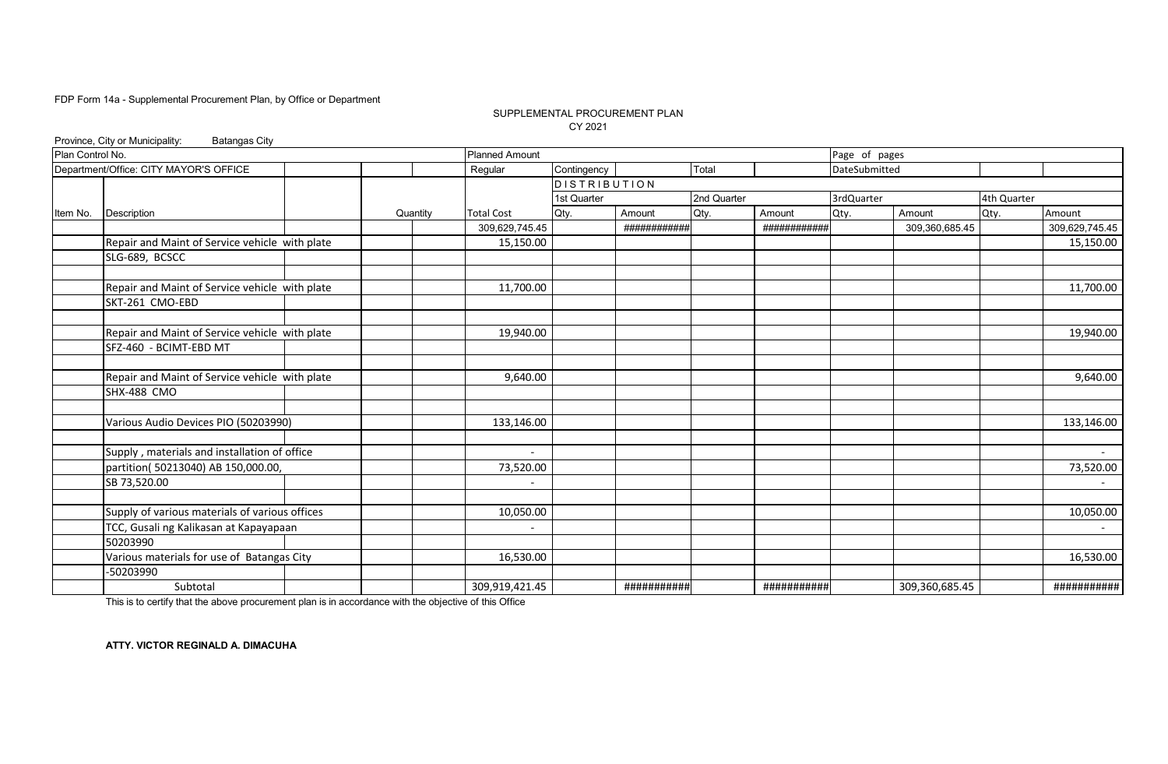### SUPPLEMENTAL PROCUREMENT PLAN CY 2021

|                  | Province, City or Municipality:<br><b>Batangas City</b> |          |                          |                     |              |             |              |               |                |             |                |
|------------------|---------------------------------------------------------|----------|--------------------------|---------------------|--------------|-------------|--------------|---------------|----------------|-------------|----------------|
| Plan Control No. |                                                         |          | <b>Planned Amount</b>    |                     |              |             |              | Page of pages |                |             |                |
|                  | Department/Office: CITY MAYOR'S OFFICE                  |          | Regular                  | Contingency         |              | Total       |              | DateSubmitted |                |             |                |
|                  |                                                         |          |                          | <b>DISTRIBUTION</b> |              |             |              |               |                |             |                |
|                  |                                                         |          |                          | 1st Quarter         |              | 2nd Quarter |              | 3rdQuarter    |                | 4th Quarter |                |
| Item No.         | Description                                             | Quantity | <b>Total Cost</b>        | Qty.                | Amount       | Qty.        | Amount       | Qty.          | Amount         | Qty.        | Amount         |
|                  |                                                         |          | 309,629,745.45           |                     | ############ |             | ############ |               | 309,360,685.45 |             | 309,629,745.45 |
|                  | Repair and Maint of Service vehicle with plate          |          | 15,150.00                |                     |              |             |              |               |                |             | 15,150.00      |
|                  | SLG-689, BCSCC                                          |          |                          |                     |              |             |              |               |                |             |                |
|                  |                                                         |          |                          |                     |              |             |              |               |                |             |                |
|                  | Repair and Maint of Service vehicle with plate          |          | 11,700.00                |                     |              |             |              |               |                |             | 11,700.00      |
|                  | SKT-261 CMO-EBD                                         |          |                          |                     |              |             |              |               |                |             |                |
|                  | Repair and Maint of Service vehicle with plate          |          | 19,940.00                |                     |              |             |              |               |                |             | 19,940.00      |
|                  | SFZ-460 - BCIMT-EBD MT                                  |          |                          |                     |              |             |              |               |                |             |                |
|                  |                                                         |          |                          |                     |              |             |              |               |                |             |                |
|                  | Repair and Maint of Service vehicle with plate          |          | 9,640.00                 |                     |              |             |              |               |                |             | 9,640.00       |
|                  | <b>SHX-488 CMO</b>                                      |          |                          |                     |              |             |              |               |                |             |                |
|                  | Various Audio Devices PIO (50203990)                    |          | 133,146.00               |                     |              |             |              |               |                |             | 133,146.00     |
|                  | Supply, materials and installation of office            |          | $\overline{\phantom{a}}$ |                     |              |             |              |               |                |             |                |
|                  | partition( 50213040) AB 150,000.00,                     |          | 73,520.00                |                     |              |             |              |               |                |             | 73,520.00      |
|                  | SB 73,520.00                                            |          |                          |                     |              |             |              |               |                |             |                |
|                  |                                                         |          |                          |                     |              |             |              |               |                |             |                |
|                  | Supply of various materials of various offices          |          | 10,050.00                |                     |              |             |              |               |                |             | 10,050.00      |
|                  | TCC, Gusali ng Kalikasan at Kapayapaan                  |          | $\overline{\phantom{a}}$ |                     |              |             |              |               |                |             |                |
|                  | 50203990                                                |          |                          |                     |              |             |              |               |                |             |                |
|                  | Various materials for use of Batangas City              |          | 16,530.00                |                     |              |             |              |               |                |             | 16,530.00      |
|                  | -50203990                                               |          |                          |                     |              |             |              |               |                |             |                |
|                  | Subtotal                                                |          | 309,919,421.45           |                     | ###########  |             | ###########  |               | 309,360,685.45 |             | ###########    |

This is to certify that the above procurement plan is in accordance with the objective of this Office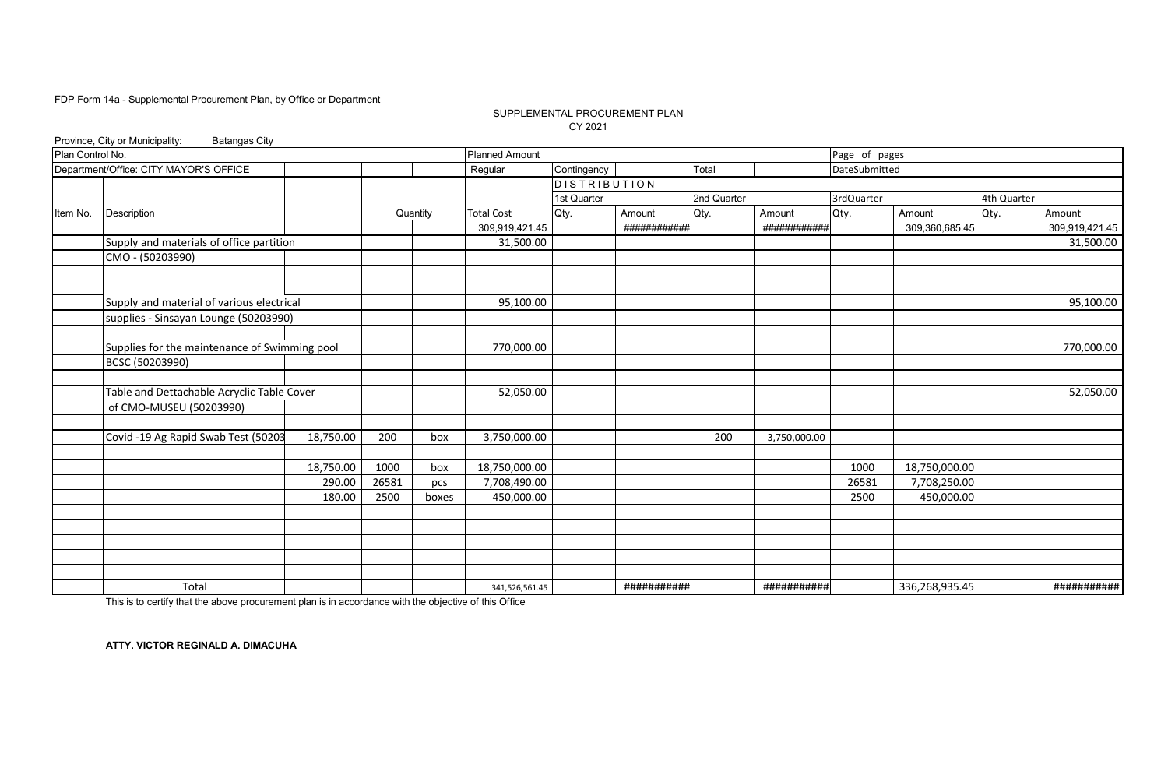### SUPPLEMENTAL PROCUREMENT PLAN CY 2021

|                  | Province, City or Municipality:<br><b>Batangas City</b> |           |       |          |                       |              |              |             |              |               |                |             |                |
|------------------|---------------------------------------------------------|-----------|-------|----------|-----------------------|--------------|--------------|-------------|--------------|---------------|----------------|-------------|----------------|
| Plan Control No. |                                                         |           |       |          | <b>Planned Amount</b> |              |              |             |              | Page of pages |                |             |                |
|                  | Department/Office: CITY MAYOR'S OFFICE                  |           |       |          | Regular               | Contingency  |              | Total       |              | DateSubmitted |                |             |                |
|                  |                                                         |           |       |          |                       | DISTRIBUTION |              |             |              |               |                |             |                |
|                  |                                                         |           |       |          |                       | 1st Quarter  |              | 2nd Quarter |              | 3rdQuarter    |                | 4th Quarter |                |
| Item No.         | Description                                             |           |       | Quantity | <b>Total Cost</b>     | Qty.         | Amount       | Qty.        | Amount       | Qty.          | Amount         | Qty.        | Amount         |
|                  |                                                         |           |       |          | 309,919,421.45        |              | ############ |             | ############ |               | 309,360,685.45 |             | 309,919,421.45 |
|                  | Supply and materials of office partition                |           |       |          | 31,500.00             |              |              |             |              |               |                |             | 31,500.00      |
|                  | CMO - (50203990)                                        |           |       |          |                       |              |              |             |              |               |                |             |                |
|                  |                                                         |           |       |          |                       |              |              |             |              |               |                |             |                |
|                  |                                                         |           |       |          |                       |              |              |             |              |               |                |             |                |
|                  | Supply and material of various electrical               |           |       |          | 95,100.00             |              |              |             |              |               |                |             | 95,100.00      |
|                  | supplies - Sinsayan Lounge (50203990)                   |           |       |          |                       |              |              |             |              |               |                |             |                |
|                  |                                                         |           |       |          |                       |              |              |             |              |               |                |             |                |
|                  | Supplies for the maintenance of Swimming pool           |           |       |          | 770,000.00            |              |              |             |              |               |                |             | 770,000.00     |
|                  | BCSC (50203990)                                         |           |       |          |                       |              |              |             |              |               |                |             |                |
|                  |                                                         |           |       |          |                       |              |              |             |              |               |                |             |                |
|                  | Table and Dettachable Acryclic Table Cover              |           |       |          | 52,050.00             |              |              |             |              |               |                |             | 52,050.00      |
|                  | of CMO-MUSEU (50203990)                                 |           |       |          |                       |              |              |             |              |               |                |             |                |
|                  |                                                         |           |       |          |                       |              |              |             |              |               |                |             |                |
|                  | Covid -19 Ag Rapid Swab Test (50203                     | 18,750.00 | 200   | box      | 3,750,000.00          |              |              | 200         | 3,750,000.00 |               |                |             |                |
|                  |                                                         |           |       |          |                       |              |              |             |              |               |                |             |                |
|                  |                                                         | 18,750.00 | 1000  | box      | 18,750,000.00         |              |              |             |              | 1000          | 18,750,000.00  |             |                |
|                  |                                                         | 290.00    | 26581 | pcs      | 7,708,490.00          |              |              |             |              | 26581         | 7,708,250.00   |             |                |
|                  |                                                         | 180.00    | 2500  | boxes    | 450,000.00            |              |              |             |              | 2500          | 450,000.00     |             |                |
|                  |                                                         |           |       |          |                       |              |              |             |              |               |                |             |                |
|                  |                                                         |           |       |          |                       |              |              |             |              |               |                |             |                |
|                  |                                                         |           |       |          |                       |              |              |             |              |               |                |             |                |
|                  |                                                         |           |       |          |                       |              |              |             |              |               |                |             |                |
|                  |                                                         |           |       |          |                       |              |              |             |              |               |                |             |                |
|                  | Total                                                   |           |       |          | 341,526,561.45        |              | ###########  |             | ###########  |               | 336,268,935.45 |             | ###########    |

This is to certify that the above procurement plan is in accordance with the objective of this Office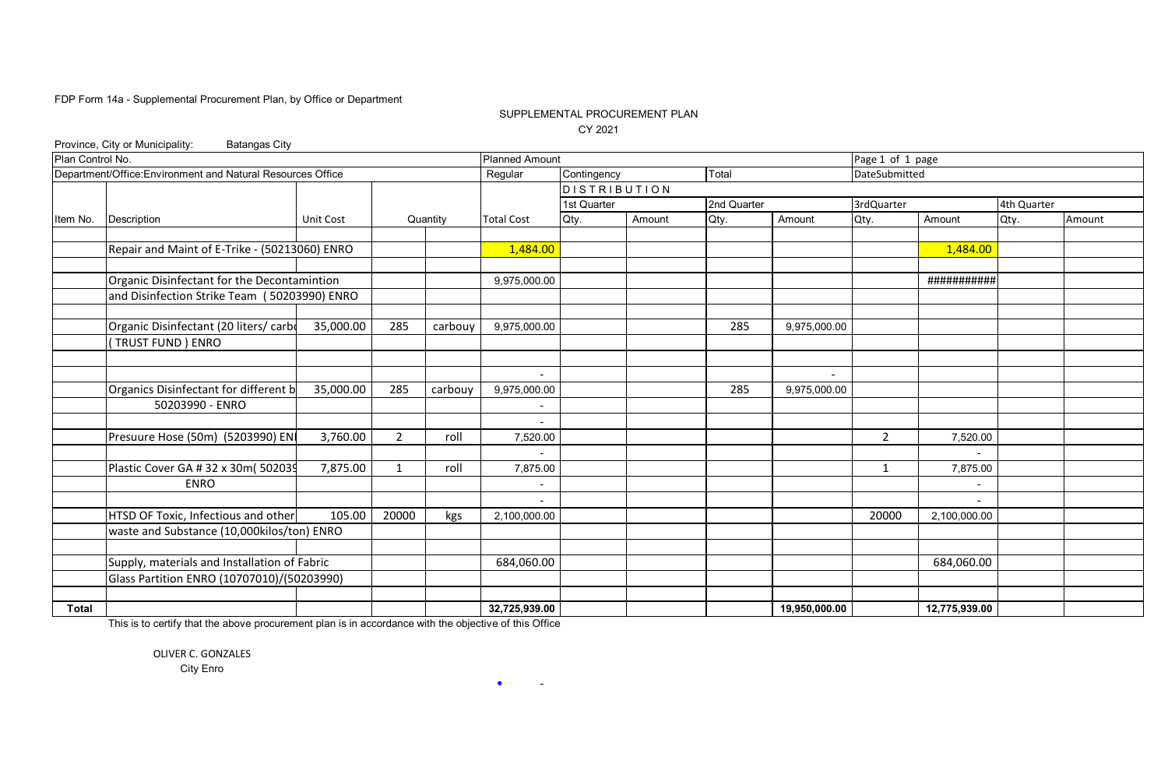# SUPPLEMENTAL PROCUREMENT PLAN CY 2021

|                                            | Province, City or Municipality:<br><b>Batangas City</b>     |                  |                |          |                          |                     |        |             |               |                  |                          |             |        |
|--------------------------------------------|-------------------------------------------------------------|------------------|----------------|----------|--------------------------|---------------------|--------|-------------|---------------|------------------|--------------------------|-------------|--------|
| Plan Control No.                           |                                                             |                  |                |          | <b>Planned Amount</b>    |                     |        |             |               | Page 1 of 1 page |                          |             |        |
|                                            | Department/Office: Environment and Natural Resources Office |                  |                |          | Regular                  | Contingency         |        | Total       |               | DateSubmitted    |                          |             |        |
|                                            |                                                             |                  |                |          |                          | <b>DISTRIBUTION</b> |        |             |               |                  |                          |             |        |
|                                            |                                                             |                  |                |          |                          | 1st Quarter         |        | 2nd Quarter |               | 3rdQuarter       |                          | 4th Quarter |        |
| Item No.                                   | Description                                                 | <b>Unit Cost</b> |                | Quantity | <b>Total Cost</b>        | Qty.                | Amount | Qty.        | Amount        | Qty.             | Amount                   | Qty.        | Amount |
|                                            |                                                             |                  |                |          |                          |                     |        |             |               |                  |                          |             |        |
|                                            | Repair and Maint of E-Trike - (50213060) ENRO               |                  |                |          | 1,484.00                 |                     |        |             |               |                  | 1,484.00                 |             |        |
|                                            |                                                             |                  |                |          |                          |                     |        |             |               |                  |                          |             |        |
|                                            | Organic Disinfectant for the Decontamintion                 |                  |                |          | 9,975,000.00             |                     |        |             |               |                  | ###########              |             |        |
|                                            | and Disinfection Strike Team (50203990) ENRO                |                  |                |          |                          |                     |        |             |               |                  |                          |             |        |
|                                            |                                                             |                  |                |          |                          |                     |        |             |               |                  |                          |             |        |
|                                            | Organic Disinfectant (20 liters/ carbe                      | 35,000.00        | 285            | carbouy  | 9,975,000.00             |                     |        | 285         | 9,975,000.00  |                  |                          |             |        |
|                                            | (TRUST FUND) ENRO                                           |                  |                |          |                          |                     |        |             |               |                  |                          |             |        |
|                                            |                                                             |                  |                |          |                          |                     |        |             |               |                  |                          |             |        |
|                                            |                                                             |                  |                |          | $\overline{\phantom{a}}$ |                     |        |             |               |                  |                          |             |        |
|                                            | Organics Disinfectant for different b                       | 35,000.00        | 285            | carbouy  | 9,975,000.00             |                     |        | 285         | 9,975,000.00  |                  |                          |             |        |
|                                            | 50203990 - ENRO                                             |                  |                |          | $\overline{\phantom{a}}$ |                     |        |             |               |                  |                          |             |        |
|                                            |                                                             |                  |                |          | $\overline{\phantom{a}}$ |                     |        |             |               |                  |                          |             |        |
|                                            | Presuure Hose (50m) (5203990) EN                            | 3,760.00         | $\overline{2}$ | roll     | 7,520.00                 |                     |        |             |               | $\overline{2}$   | 7,520.00                 |             |        |
|                                            |                                                             |                  |                |          |                          |                     |        |             |               |                  |                          |             |        |
|                                            | Plastic Cover GA # 32 x 30m( 502039                         | 7,875.00         | 1              | roll     | 7,875.00                 |                     |        |             |               | 1                | 7,875.00                 |             |        |
|                                            | <b>ENRO</b>                                                 |                  |                |          | $\overline{\phantom{a}}$ |                     |        |             |               |                  | $\overline{\phantom{a}}$ |             |        |
|                                            |                                                             |                  |                |          |                          |                     |        |             |               |                  |                          |             |        |
|                                            | HTSD OF Toxic, Infectious and other                         | 105.00           | 20000          | kgs      | 2,100,000.00             |                     |        |             |               | 20000            | 2,100,000.00             |             |        |
|                                            | waste and Substance (10,000kilos/ton) ENRO                  |                  |                |          |                          |                     |        |             |               |                  |                          |             |        |
|                                            |                                                             |                  |                |          |                          |                     |        |             |               |                  |                          |             |        |
|                                            | Supply, materials and Installation of Fabric                |                  |                |          | 684,060.00               |                     |        |             |               |                  | 684,060.00               |             |        |
| Glass Partition ENRO (10707010)/(50203990) |                                                             |                  |                |          |                          |                     |        |             |               |                  |                          |             |        |
|                                            |                                                             |                  |                |          |                          |                     |        |             |               |                  |                          |             |        |
| <b>Total</b>                               |                                                             |                  |                |          | 32,725,939.00            |                     |        |             | 19,950,000.00 |                  | 12,775,939.00            |             |        |

 $\bullet$  -  $\bullet$  -  $\bullet$ 

This is to certify that the above procurement plan is in accordance with the objective of this Office

OLIVER C. GONZALES City Enro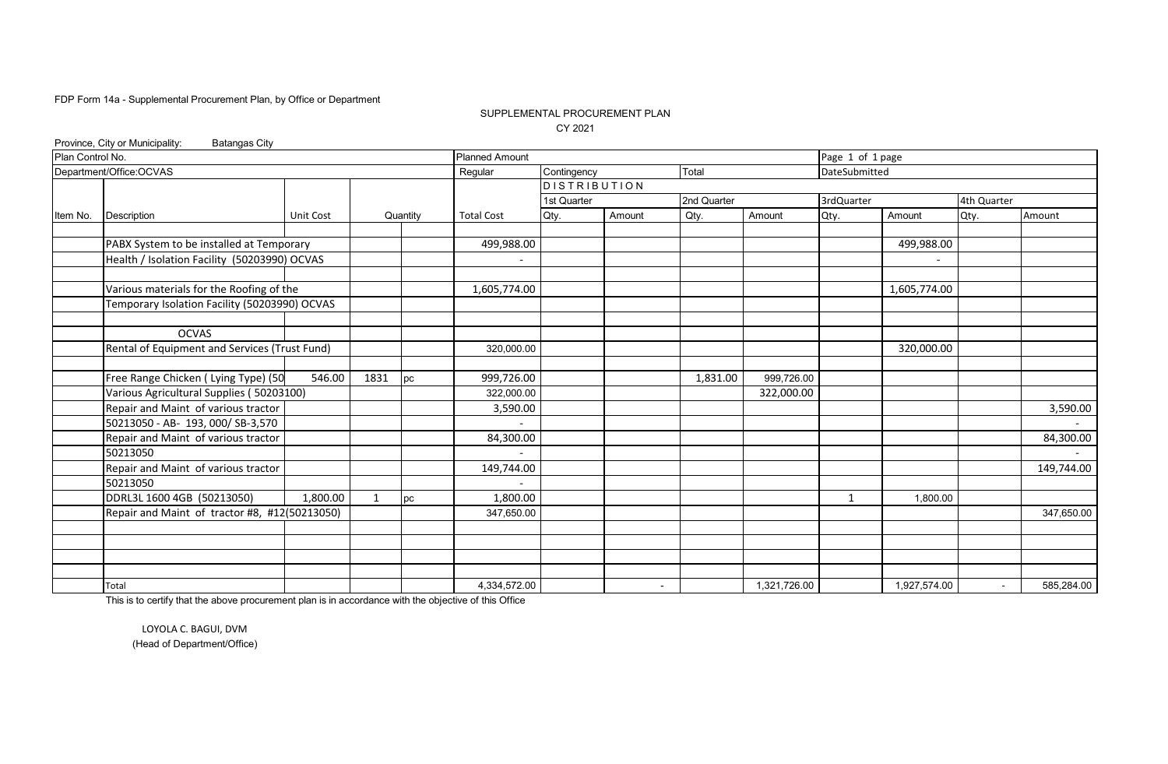### SUPPLEMENTAL PROCUREMENT PLAN CY 2021

|                  | Province, City or Municipality:<br><b>Batangas City</b> |                  |              |          |                       |                     |        |                          |              |                  |                          |             |            |
|------------------|---------------------------------------------------------|------------------|--------------|----------|-----------------------|---------------------|--------|--------------------------|--------------|------------------|--------------------------|-------------|------------|
| Plan Control No. |                                                         |                  |              |          | <b>Planned Amount</b> |                     |        |                          |              | Page 1 of 1 page |                          |             |            |
|                  | Department/Office:OCVAS                                 |                  |              |          | Regular               | Contingency         |        | Total                    |              | DateSubmitted    |                          |             |            |
|                  |                                                         |                  |              |          |                       | <b>DISTRIBUTION</b> |        |                          |              |                  |                          |             |            |
|                  |                                                         |                  |              |          |                       | 1st Quarter         |        | 2nd Quarter              |              | 3rdQuarter       |                          | 4th Quarter |            |
| Item No.         | Description                                             | <b>Unit Cost</b> |              | Quantity | <b>Total Cost</b>     | Qty.                | Amount | Qty.                     | Amount       | Qty.             | Amount                   | Qty.        | Amount     |
|                  |                                                         |                  |              |          |                       |                     |        |                          |              |                  |                          |             |            |
|                  | PABX System to be installed at Temporary                |                  |              |          | 499,988.00            |                     |        |                          |              |                  | 499,988.00               |             |            |
|                  | Health / Isolation Facility (50203990) OCVAS            |                  |              |          |                       |                     |        |                          |              |                  | $\overline{\phantom{a}}$ |             |            |
|                  |                                                         |                  |              |          |                       |                     |        |                          |              |                  |                          |             |            |
|                  | Various materials for the Roofing of the                |                  |              |          | 1,605,774.00          |                     |        |                          |              |                  | 1,605,774.00             |             |            |
|                  | Temporary Isolation Facility (50203990) OCVAS           |                  |              |          |                       |                     |        |                          |              |                  |                          |             |            |
|                  |                                                         |                  |              |          |                       |                     |        |                          |              |                  |                          |             |            |
|                  | <b>OCVAS</b>                                            |                  |              |          |                       |                     |        |                          |              |                  |                          |             |            |
|                  | Rental of Equipment and Services (Trust Fund)           |                  |              |          | 320,000.00            |                     |        |                          |              |                  | 320,000.00               |             |            |
|                  |                                                         |                  |              |          |                       |                     |        |                          |              |                  |                          |             |            |
|                  | Free Range Chicken ( Lying Type) (50                    | 546.00           | 1831         | pc       | 999,726.00            |                     |        | 1,831.00                 | 999,726.00   |                  |                          |             |            |
|                  | Various Agricultural Supplies (50203100)                |                  |              |          | 322,000.00            |                     |        |                          | 322,000.00   |                  |                          |             |            |
|                  | Repair and Maint of various tractor                     |                  |              |          | 3,590.00              |                     |        |                          |              |                  |                          |             | 3,590.00   |
|                  | 50213050 - AB- 193, 000/ SB-3,570                       |                  |              |          |                       |                     |        |                          |              |                  |                          |             |            |
|                  | Repair and Maint of various tractor                     |                  |              |          | 84,300.00             |                     |        |                          |              |                  |                          |             | 84,300.00  |
|                  | 50213050                                                |                  |              |          |                       |                     |        |                          |              |                  |                          |             |            |
|                  | Repair and Maint of various tractor                     |                  |              |          | 149,744.00            |                     |        |                          |              |                  |                          |             | 149,744.00 |
|                  | 50213050                                                |                  |              |          |                       |                     |        |                          |              |                  |                          |             |            |
|                  | DDRL3L 1600 4GB (50213050)                              | 1,800.00         | $\mathbf{1}$ | pc       | 1,800.00              |                     |        |                          |              | $\mathbf 1$      | 1,800.00                 |             |            |
|                  | Repair and Maint of tractor #8, #12(50213050)           |                  |              |          | 347,650.00            |                     |        |                          |              |                  |                          |             | 347,650.00 |
|                  |                                                         |                  |              |          |                       |                     |        |                          |              |                  |                          |             |            |
|                  |                                                         |                  |              |          |                       |                     |        |                          |              |                  |                          |             |            |
|                  |                                                         |                  |              |          |                       |                     |        |                          |              |                  |                          |             |            |
|                  |                                                         |                  |              |          |                       |                     |        |                          |              |                  |                          |             |            |
|                  | Total                                                   |                  |              |          | 4,334,572.00          |                     |        | $\overline{\phantom{a}}$ | 1,321,726.00 |                  | 1,927,574.00             | $\sim$      | 585,284.00 |

This is to certify that the above procurement plan is in accordance with the objective of this Office

LOYOLA C. BAGUI, DVM (Head of Department/Office)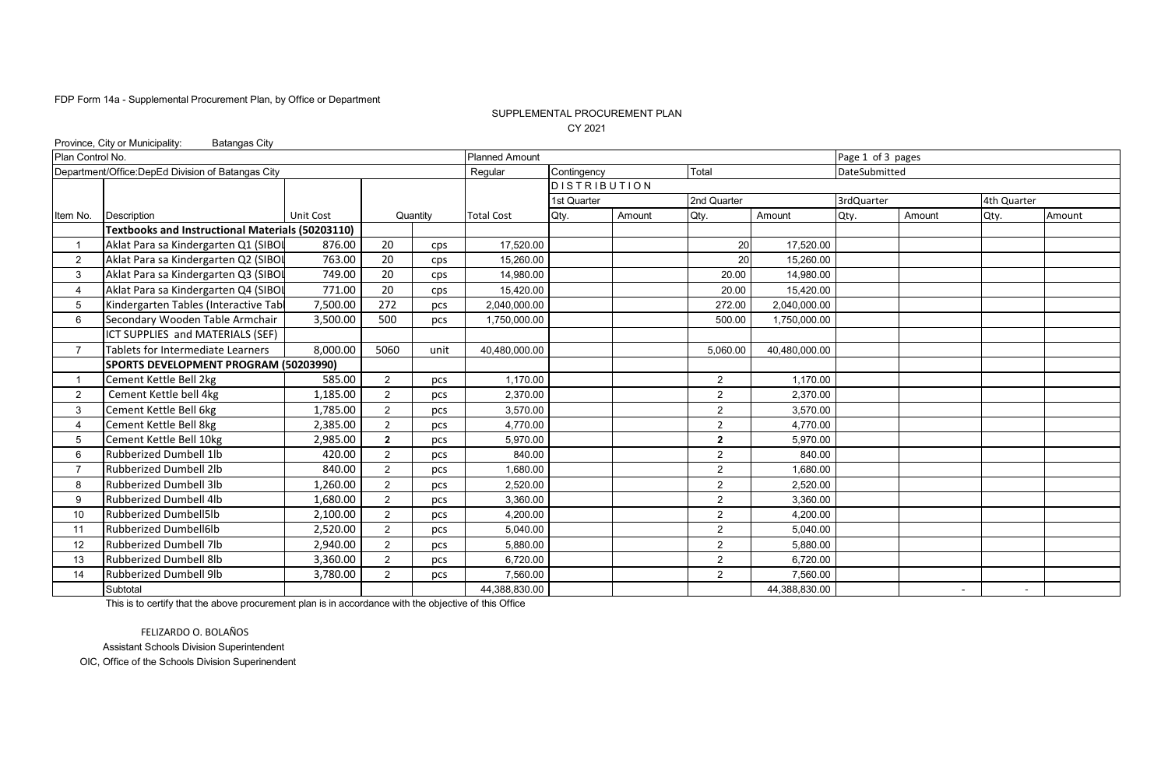### SUPPLEMENTAL PROCUREMENT PLAN CY 2021

|                  | Province, City or Municipality:<br><b>Batangas City</b> |           |                |          |                       |                     |        |                |               |                   |        |             |        |  |
|------------------|---------------------------------------------------------|-----------|----------------|----------|-----------------------|---------------------|--------|----------------|---------------|-------------------|--------|-------------|--------|--|
| Plan Control No. |                                                         |           |                |          | <b>Planned Amount</b> |                     |        |                |               | Page 1 of 3 pages |        |             |        |  |
|                  | Department/Office:DepEd Division of Batangas City       |           |                |          | Regular               | Contingency         |        | Total          |               | DateSubmitted     |        |             |        |  |
|                  |                                                         |           |                |          |                       | <b>DISTRIBUTION</b> |        |                |               |                   |        |             |        |  |
|                  |                                                         |           |                |          |                       | 1st Quarter         |        | 2nd Quarter    |               | 3rdQuarter        |        | 4th Quarter |        |  |
| Item No.         | Description                                             | Unit Cost |                | Quantity | <b>Total Cost</b>     | Qty.                | Amount | Qty.           | Amount        | Qty.              | Amount | Qty.        | Amount |  |
|                  | <b>Textbooks and Instructional Materials (50203110)</b> |           |                |          |                       |                     |        |                |               |                   |        |             |        |  |
|                  | Aklat Para sa Kindergarten Q1 (SIBOL                    | 876.00    | 20             | cps      | 17,520.00             |                     |        | 20             | 17,520.00     |                   |        |             |        |  |
| $\overline{2}$   | Aklat Para sa Kindergarten Q2 (SIBOI                    | 763.00    | 20             | cps      | 15,260.00             |                     |        | 20             | 15,260.00     |                   |        |             |        |  |
| 3                | Aklat Para sa Kindergarten Q3 (SIBOI                    | 749.00    | 20             | cps      | 14,980.00             |                     |        | 20.00          | 14,980.00     |                   |        |             |        |  |
| 4                | Aklat Para sa Kindergarten Q4 (SIBOL                    | 771.00    | 20             | cps      | 15,420.00             |                     |        | 20.00          | 15,420.00     |                   |        |             |        |  |
| 5                | Kindergarten Tables (Interactive Tabl                   | 7,500.00  | 272            | pcs      | 2,040,000.00          |                     |        | 272.00         | 2,040,000.00  |                   |        |             |        |  |
| 6                | Secondary Wooden Table Armchair                         | 3,500.00  | 500            | pcs      | 1,750,000.00          |                     |        | 500.00         | 1,750,000.00  |                   |        |             |        |  |
|                  | ICT SUPPLIES and MATERIALS (SEF)                        |           |                |          |                       |                     |        |                |               |                   |        |             |        |  |
| $\overline{7}$   | Tablets for Intermediate Learners                       | 8,000.00  | 5060           | unit     | 40,480,000.00         |                     |        | 5,060.00       | 40,480,000.00 |                   |        |             |        |  |
|                  | SPORTS DEVELOPMENT PROGRAM (50203990)                   |           |                |          |                       |                     |        |                |               |                   |        |             |        |  |
|                  | Cement Kettle Bell 2kg                                  | 585.00    | 2              | pcs      | 1,170.00              |                     |        | $\overline{2}$ | 1,170.00      |                   |        |             |        |  |
| 2                | Cement Kettle bell 4kg                                  | 1,185.00  | 2              | pcs      | 2,370.00              |                     |        | 2              | 2,370.00      |                   |        |             |        |  |
| 3                | Cement Kettle Bell 6kg                                  | 1,785.00  | 2              | pcs      | 3,570.00              |                     |        | $\overline{2}$ | 3,570.00      |                   |        |             |        |  |
|                  | Cement Kettle Bell 8kg                                  | 2.385.00  | $\overline{2}$ | pcs      | 4.770.00              |                     |        | $\overline{2}$ | 4.770.00      |                   |        |             |        |  |
| 5                | Cement Kettle Bell 10kg                                 | 2.985.00  | $\mathbf{2}$   | pcs      | 5,970.00              |                     |        | $\mathbf{2}$   | 5,970.00      |                   |        |             |        |  |
| 6                | Rubberized Dumbell 1lb                                  | 420.00    | $\overline{2}$ | pcs      | 840.00                |                     |        | $\overline{2}$ | 840.00        |                   |        |             |        |  |
|                  | <b>Rubberized Dumbell 2lb</b>                           | 840.00    | $\overline{2}$ | pcs      | 1,680.00              |                     |        | $\overline{2}$ | 1,680.00      |                   |        |             |        |  |
| 8                | <b>Rubberized Dumbell 3lb</b>                           | 1,260.00  | 2              | pcs      | 2,520.00              |                     |        | $\overline{2}$ | 2,520.00      |                   |        |             |        |  |
| 9                | <b>Rubberized Dumbell 4lb</b>                           | 1,680.00  | 2              | pcs      | 3,360.00              |                     |        | 2              | 3,360.00      |                   |        |             |        |  |
| 10               | <b>Rubberized Dumbell5lb</b>                            | 2,100.00  | 2              | pcs      | 4,200.00              |                     |        | $\overline{2}$ | 4,200.00      |                   |        |             |        |  |
| 11               | <b>Rubberized Dumbell6lb</b>                            | 2,520.00  | $\overline{2}$ | pcs      | 5,040.00              |                     |        | $\overline{2}$ | 5,040.00      |                   |        |             |        |  |
| 12               | <b>Rubberized Dumbell 7lb</b>                           | 2,940.00  | 2              | pcs      | 5,880.00              |                     |        | $\overline{2}$ | 5,880.00      |                   |        |             |        |  |
| 13               | Rubberized Dumbell 8lb                                  | 3,360.00  | 2              | pcs      | 6,720.00              |                     |        | $\overline{2}$ | 6,720.00      |                   |        |             |        |  |
| 14               | <b>Rubberized Dumbell 9lb</b>                           | 3,780.00  | 2              | pcs      | 7,560.00              |                     |        | $\overline{2}$ | 7,560.00      |                   |        |             |        |  |
|                  | Subtotal                                                |           |                |          | 44,388,830.00         |                     |        |                | 44,388,830.00 |                   | $\sim$ | $\sim$      |        |  |

This is to certify that the above procurement plan is in accordance with the objective of this Office

FELIZARDO O. BOLAÑOS Assistant Schools Division Superintendent OIC, Office of the Schools Division Superinendent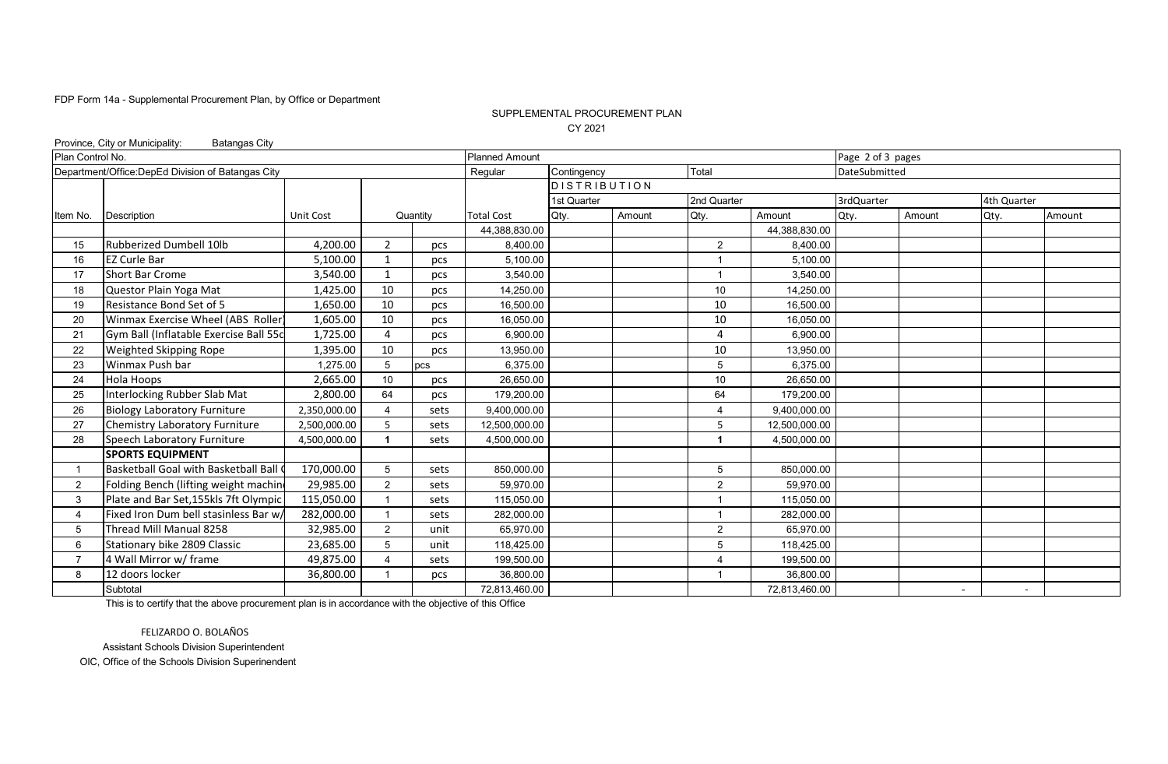### SUPPLEMENTAL PROCUREMENT PLAN CY 2021

| Province, City or Municipality:<br><b>Batangas City</b> |                                                   |              |                |          |                       |                     |        |                |               |                   |        |             |        |
|---------------------------------------------------------|---------------------------------------------------|--------------|----------------|----------|-----------------------|---------------------|--------|----------------|---------------|-------------------|--------|-------------|--------|
| Plan Control No.                                        |                                                   |              |                |          | <b>Planned Amount</b> |                     |        |                |               | Page 2 of 3 pages |        |             |        |
|                                                         | Department/Office:DepEd Division of Batangas City |              |                |          | Regular               | Contingency         |        | Total          |               | DateSubmitted     |        |             |        |
|                                                         |                                                   |              |                |          |                       | <b>DISTRIBUTION</b> |        |                |               |                   |        |             |        |
|                                                         |                                                   |              |                |          |                       | 1st Quarter         |        | 2nd Quarter    |               | 3rdQuarter        |        | 4th Quarter |        |
| Item No.                                                | Description                                       | Unit Cost    |                | Quantity | <b>Total Cost</b>     | Qty.                | Amount | Qty.           | Amount        | Qty.              | Amount | Qty.        | Amount |
|                                                         |                                                   |              |                |          | 44,388,830.00         |                     |        |                | 44,388,830.00 |                   |        |             |        |
| 15                                                      | Rubberized Dumbell 10lb                           | 4,200.00     | $\overline{2}$ | pcs      | 8,400.00              |                     |        | $\overline{2}$ | 8,400.00      |                   |        |             |        |
| 16                                                      | <b>EZ Curle Bar</b>                               | 5,100.00     | -1             | pcs      | 5,100.00              |                     |        |                | 5,100.00      |                   |        |             |        |
| 17                                                      | <b>Short Bar Crome</b>                            | 3,540.00     | $\overline{1}$ | pcs      | 3,540.00              |                     |        |                | 3,540.00      |                   |        |             |        |
| 18                                                      | Questor Plain Yoga Mat                            | 1,425.00     | 10             | pcs      | 14,250.00             |                     |        | 10             | 14,250.00     |                   |        |             |        |
| 19                                                      | Resistance Bond Set of 5                          | 1,650.00     | 10             | pcs      | 16,500.00             |                     |        | 10             | 16,500.00     |                   |        |             |        |
| 20                                                      | Winmax Exercise Wheel (ABS Roller                 | 1,605.00     | 10             | pcs      | 16,050.00             |                     |        | 10             | 16,050.00     |                   |        |             |        |
| 21                                                      | Gym Ball (Inflatable Exercise Ball 55c            | 1,725.00     | 4              | pcs      | 6,900.00              |                     |        | 4              | 6,900.00      |                   |        |             |        |
| 22                                                      | Weighted Skipping Rope                            | 1,395.00     | 10             | pcs      | 13,950.00             |                     |        | 10             | 13,950.00     |                   |        |             |        |
| 23                                                      | Winmax Push bar                                   | 1.275.00     | 5              | pcs      | 6,375.00              |                     |        | 5              | 6,375.00      |                   |        |             |        |
| 24                                                      | Hola Hoops                                        | 2,665.00     | 10             | pcs      | 26,650.00             |                     |        | 10             | 26,650.00     |                   |        |             |        |
| 25                                                      | Interlocking Rubber Slab Mat                      | 2,800.00     | 64             | pcs      | 179,200.00            |                     |        | 64             | 179,200.00    |                   |        |             |        |
| 26                                                      | <b>Biology Laboratory Furniture</b>               | 2,350,000.00 |                | sets     | 9,400,000.00          |                     |        | 4              | 9,400,000.00  |                   |        |             |        |
| 27                                                      | <b>Chemistry Laboratory Furniture</b>             | 2,500,000.00 | 5              | sets     | 12,500,000.00         |                     |        | 5              | 12,500,000.00 |                   |        |             |        |
| 28                                                      | Speech Laboratory Furniture                       | 4,500,000.00 |                | sets     | 4.500.000.00          |                     |        | 1              | 4.500.000.00  |                   |        |             |        |
|                                                         | <b>SPORTS EQUIPMENT</b>                           |              |                |          |                       |                     |        |                |               |                   |        |             |        |
|                                                         | Basketball Goal with Basketball Ball (            | 170,000.00   | 5              | sets     | 850,000.00            |                     |        | 5              | 850,000.00    |                   |        |             |        |
| $\overline{2}$                                          | Folding Bench (lifting weight machine             | 29,985.00    | 2              | sets     | 59,970.00             |                     |        | $\overline{2}$ | 59,970.00     |                   |        |             |        |
| 3                                                       | Plate and Bar Set, 155kls 7ft Olympic             | 115,050.00   |                | sets     | 115,050.00            |                     |        |                | 115,050.00    |                   |        |             |        |
| 4                                                       | Fixed Iron Dum bell stasinless Bar w/             | 282,000.00   |                | sets     | 282,000.00            |                     |        |                | 282,000.00    |                   |        |             |        |
| 5                                                       | Thread Mill Manual 8258                           | 32,985.00    | $\overline{2}$ | unit     | 65.970.00             |                     |        | $\overline{2}$ | 65,970.00     |                   |        |             |        |
| 6                                                       | Stationary bike 2809 Classic                      | 23,685.00    | 5              | unit     | 118,425.00            |                     |        | 5              | 118,425.00    |                   |        |             |        |
|                                                         | 4 Wall Mirror w/ frame                            | 49,875.00    | 4              | sets     | 199,500.00            |                     |        | Δ              | 199,500.00    |                   |        |             |        |
| 8                                                       | 12 doors locker                                   | 36,800.00    |                | pcs      | 36,800.00             |                     |        |                | 36,800.00     |                   |        |             |        |
|                                                         | Subtotal                                          |              |                |          | 72,813,460.00         |                     |        |                | 72,813,460.00 |                   | $\sim$ | $\sim$      |        |

This is to certify that the above procurement plan is in accordance with the objective of this Office

FELIZARDO O. BOLAÑOS Assistant Schools Division Superintendent

OIC, Office of the Schools Division Superinendent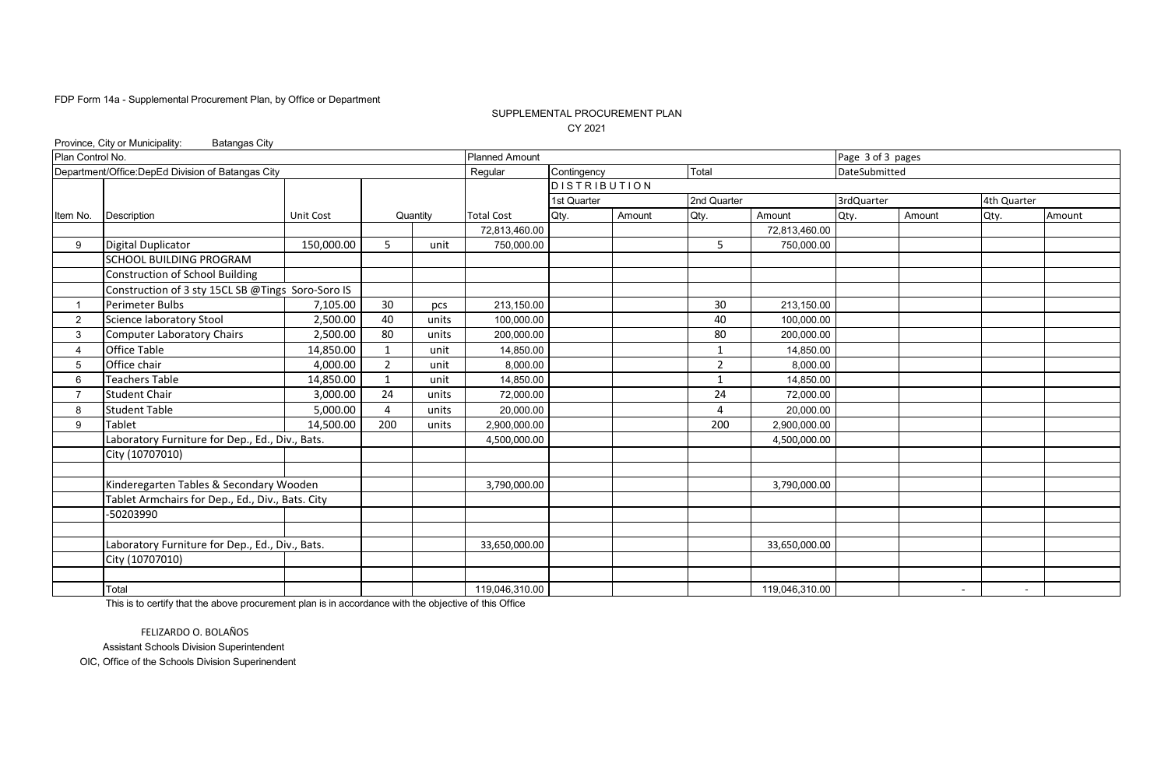### CY 2021 SUPPLEMENTAL PROCUREMENT PLAN

|                  | Province, City or Municipality:<br><b>Batangas City</b> |                  |                |          |                       |                     |        |             |                |                   |        |             |        |
|------------------|---------------------------------------------------------|------------------|----------------|----------|-----------------------|---------------------|--------|-------------|----------------|-------------------|--------|-------------|--------|
| Plan Control No. |                                                         |                  |                |          | <b>Planned Amount</b> |                     |        |             |                | Page 3 of 3 pages |        |             |        |
|                  | Department/Office:DepEd Division of Batangas City       |                  |                |          | Regular               | Contingency         |        | Total       |                | DateSubmitted     |        |             |        |
|                  |                                                         |                  |                |          |                       | <b>DISTRIBUTION</b> |        |             |                |                   |        |             |        |
|                  |                                                         |                  |                |          |                       | 1st Quarter         |        | 2nd Quarter |                | 3rdQuarter        |        | 4th Quarter |        |
| Item No.         | Description                                             | <b>Unit Cost</b> |                | Quantity | <b>Total Cost</b>     | Qty.                | Amount | Qty.        | Amount         | Qty.              | Amount | Qty.        | Amount |
|                  |                                                         |                  |                |          | 72,813,460.00         |                     |        |             | 72,813,460.00  |                   |        |             |        |
| 9                | <b>Digital Duplicator</b>                               | 150,000.00       | 5              | unit     | 750,000.00            |                     |        | 5           | 750,000.00     |                   |        |             |        |
|                  | <b>SCHOOL BUILDING PROGRAM</b>                          |                  |                |          |                       |                     |        |             |                |                   |        |             |        |
|                  | Construction of School Building                         |                  |                |          |                       |                     |        |             |                |                   |        |             |        |
|                  | Construction of 3 sty 15CL SB @Tings Soro-Soro IS       |                  |                |          |                       |                     |        |             |                |                   |        |             |        |
|                  | Perimeter Bulbs                                         | 7,105.00         | 30             | pcs      | 213,150.00            |                     |        | 30          | 213,150.00     |                   |        |             |        |
| $\overline{2}$   | Science laboratory Stool                                | 2,500.00         | 40             | units    | 100,000.00            |                     |        | 40          | 100,000.00     |                   |        |             |        |
| 3                | <b>Computer Laboratory Chairs</b>                       | 2,500.00         | 80             | units    | 200,000.00            |                     |        | 80          | 200,000.00     |                   |        |             |        |
|                  | Office Table                                            | 14,850.00        | $\mathbf{1}$   | unit     | 14,850.00             |                     |        | 1           | 14,850.00      |                   |        |             |        |
| 5                | Office chair                                            | 4,000.00         | $\overline{2}$ | unit     | 8,000.00              |                     |        | 2           | 8,000.00       |                   |        |             |        |
| 6                | <b>Teachers Table</b>                                   | 14,850.00        | $\overline{1}$ | unit     | 14,850.00             |                     |        |             | 14,850.00      |                   |        |             |        |
|                  | <b>Student Chair</b>                                    | 3,000.00         | 24             | units    | 72,000.00             |                     |        | 24          | 72,000.00      |                   |        |             |        |
| 8                | <b>Student Table</b>                                    | 5,000.00         | Δ              | units    | 20,000.00             |                     |        | 4           | 20,000.00      |                   |        |             |        |
| 9                | <b>Tablet</b>                                           | 14,500.00        | 200            | units    | 2,900,000.00          |                     |        | 200         | 2,900,000.00   |                   |        |             |        |
|                  | Laboratory Furniture for Dep., Ed., Div., Bats.         |                  |                |          | 4,500,000.00          |                     |        |             | 4,500,000.00   |                   |        |             |        |
|                  | City (10707010)                                         |                  |                |          |                       |                     |        |             |                |                   |        |             |        |
|                  |                                                         |                  |                |          |                       |                     |        |             |                |                   |        |             |        |
|                  | Kinderegarten Tables & Secondary Wooden                 |                  |                |          | 3,790,000.00          |                     |        |             | 3,790,000.00   |                   |        |             |        |
|                  | Tablet Armchairs for Dep., Ed., Div., Bats. City        |                  |                |          |                       |                     |        |             |                |                   |        |             |        |
|                  | -50203990                                               |                  |                |          |                       |                     |        |             |                |                   |        |             |        |
|                  |                                                         |                  |                |          |                       |                     |        |             |                |                   |        |             |        |
|                  | Laboratory Furniture for Dep., Ed., Div., Bats.         |                  |                |          | 33,650,000.00         |                     |        |             | 33,650,000.00  |                   |        |             |        |
|                  | City (10707010)                                         |                  |                |          |                       |                     |        |             |                |                   |        |             |        |
|                  |                                                         |                  |                |          |                       |                     |        |             |                |                   |        |             |        |
|                  | Total                                                   |                  |                |          | 119,046,310.00        |                     |        |             | 119,046,310.00 |                   | $\sim$ | $\sim$      |        |

This is to certify that the above procurement plan is in accordance with the objective of this Office

FELIZARDO O. BOLAÑOS Assistant Schools Division Superintendent OIC, Office of the Schools Division Superinendent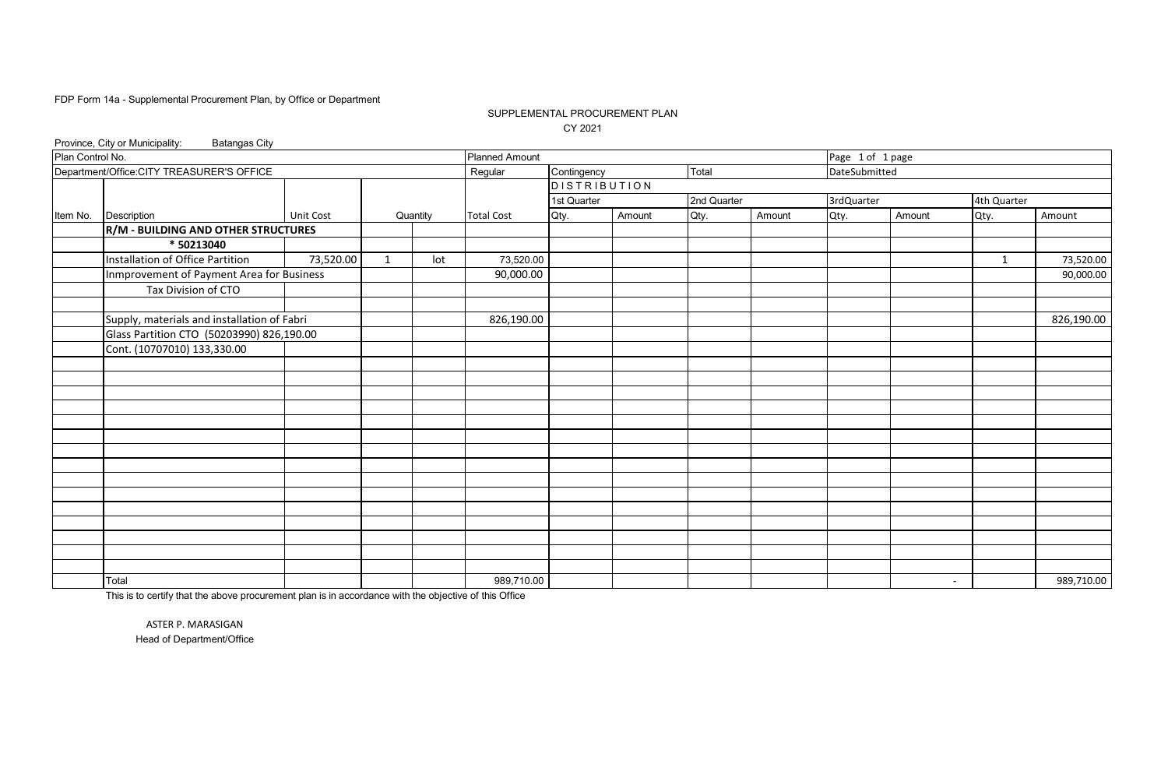### SUPPLEMENTAL PROCUREMENT PLAN CY 2021

|                  | Province, City or Municipality:<br><b>Batangas City</b> |           |                |          |                       |                     |        |             |        |                  |        |             |            |
|------------------|---------------------------------------------------------|-----------|----------------|----------|-----------------------|---------------------|--------|-------------|--------|------------------|--------|-------------|------------|
| Plan Control No. |                                                         |           |                |          | <b>Planned Amount</b> |                     |        |             |        | Page 1 of 1 page |        |             |            |
|                  | Department/Office.CITY TREASURER'S OFFICE               |           |                |          | Regular               | Contingency         |        | Total       |        | DateSubmitted    |        |             |            |
|                  |                                                         |           |                |          |                       | <b>DISTRIBUTION</b> |        |             |        |                  |        |             |            |
|                  |                                                         |           |                |          |                       | 1st Quarter         |        | 2nd Quarter |        | 3rdQuarter       |        | 4th Quarter |            |
| Item No.         | <b>Description</b>                                      | Unit Cost |                | Quantity | <b>Total Cost</b>     | Qty.                | Amount | Qty.        | Amount | Qty.             | Amount | Qty.        | Amount     |
|                  | R/M - BUILDING AND OTHER STRUCTURES                     |           |                |          |                       |                     |        |             |        |                  |        |             |            |
|                  | * 50213040                                              |           |                |          |                       |                     |        |             |        |                  |        |             |            |
|                  | Installation of Office Partition                        | 73,520.00 | $\overline{1}$ | lot      | 73,520.00             |                     |        |             |        |                  |        | 1           | 73,520.00  |
|                  | Inmprovement of Payment Area for Business               |           |                |          | 90,000.00             |                     |        |             |        |                  |        |             | 90,000.00  |
|                  | Tax Division of CTO                                     |           |                |          |                       |                     |        |             |        |                  |        |             |            |
|                  |                                                         |           |                |          |                       |                     |        |             |        |                  |        |             |            |
|                  | Supply, materials and installation of Fabri             |           |                |          | 826,190.00            |                     |        |             |        |                  |        |             | 826,190.00 |
|                  | Glass Partition CTO (50203990) 826,190.00               |           |                |          |                       |                     |        |             |        |                  |        |             |            |
|                  | Cont. (10707010) 133,330.00                             |           |                |          |                       |                     |        |             |        |                  |        |             |            |
|                  |                                                         |           |                |          |                       |                     |        |             |        |                  |        |             |            |
|                  |                                                         |           |                |          |                       |                     |        |             |        |                  |        |             |            |
|                  |                                                         |           |                |          |                       |                     |        |             |        |                  |        |             |            |
|                  |                                                         |           |                |          |                       |                     |        |             |        |                  |        |             |            |
|                  |                                                         |           |                |          |                       |                     |        |             |        |                  |        |             |            |
|                  |                                                         |           |                |          |                       |                     |        |             |        |                  |        |             |            |
|                  |                                                         |           |                |          |                       |                     |        |             |        |                  |        |             |            |
|                  |                                                         |           |                |          |                       |                     |        |             |        |                  |        |             |            |
|                  |                                                         |           |                |          |                       |                     |        |             |        |                  |        |             |            |
|                  |                                                         |           |                |          |                       |                     |        |             |        |                  |        |             |            |
|                  |                                                         |           |                |          |                       |                     |        |             |        |                  |        |             |            |
|                  |                                                         |           |                |          |                       |                     |        |             |        |                  |        |             |            |
|                  |                                                         |           |                |          |                       |                     |        |             |        |                  |        |             |            |
|                  |                                                         |           |                |          |                       |                     |        |             |        |                  |        |             |            |
|                  |                                                         |           |                |          |                       |                     |        |             |        |                  |        |             |            |
|                  | Total                                                   |           |                |          | 989,710.00            |                     |        |             |        |                  | $\sim$ |             | 989,710.00 |

This is to certify that the above procurement plan is in accordance with the objective of this Office

ASTER P. MARASIGAN Head of Department/Office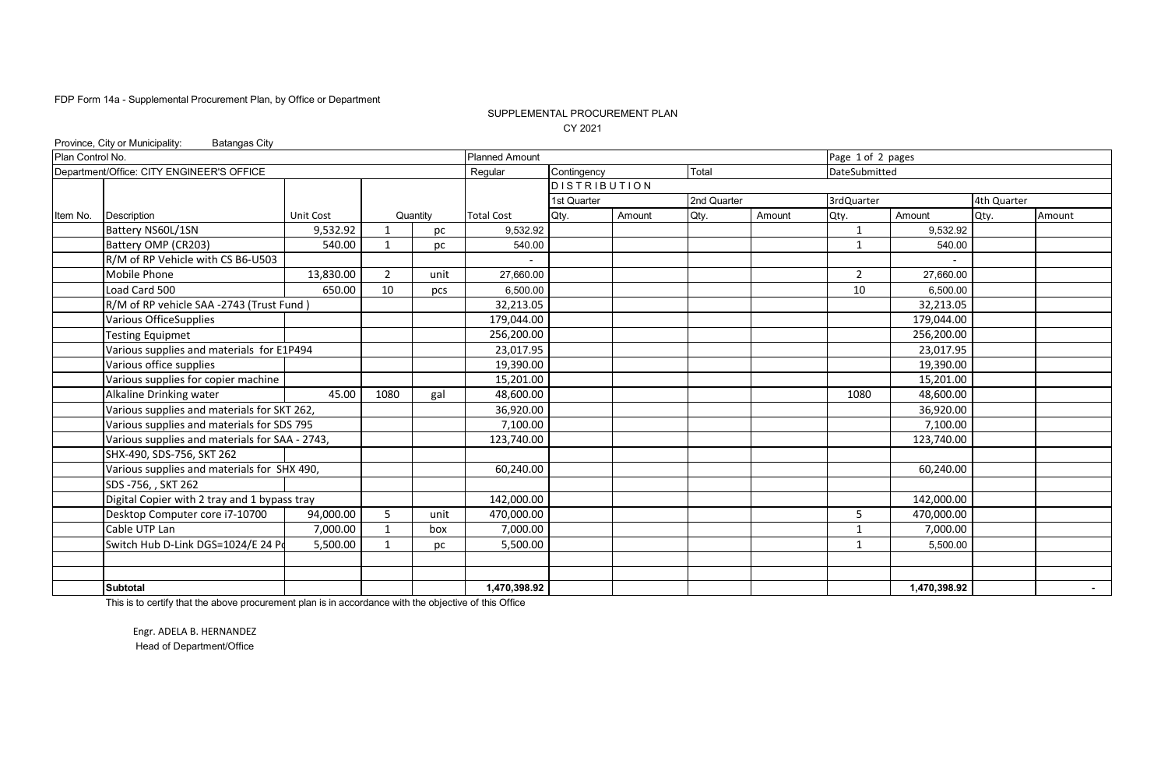### SUPPLEMENTAL PROCUREMENT PLAN CY 2021

| <b>Batangas City</b>                |                                                                                                                                                                                       |                                                                                                                                                                                                                                                                                                                                                                                                                |      |                       |                                                                                                                                   |             |                     |        |                |            |                                                |                                                                                                                                                                           |
|-------------------------------------|---------------------------------------------------------------------------------------------------------------------------------------------------------------------------------------|----------------------------------------------------------------------------------------------------------------------------------------------------------------------------------------------------------------------------------------------------------------------------------------------------------------------------------------------------------------------------------------------------------------|------|-----------------------|-----------------------------------------------------------------------------------------------------------------------------------|-------------|---------------------|--------|----------------|------------|------------------------------------------------|---------------------------------------------------------------------------------------------------------------------------------------------------------------------------|
|                                     |                                                                                                                                                                                       |                                                                                                                                                                                                                                                                                                                                                                                                                |      | <b>Planned Amount</b> |                                                                                                                                   |             |                     |        |                |            |                                                |                                                                                                                                                                           |
|                                     |                                                                                                                                                                                       |                                                                                                                                                                                                                                                                                                                                                                                                                |      | Regular               |                                                                                                                                   |             | Total               |        |                |            |                                                |                                                                                                                                                                           |
|                                     |                                                                                                                                                                                       |                                                                                                                                                                                                                                                                                                                                                                                                                |      |                       |                                                                                                                                   |             |                     |        |                |            |                                                |                                                                                                                                                                           |
|                                     |                                                                                                                                                                                       |                                                                                                                                                                                                                                                                                                                                                                                                                |      |                       | 1st Quarter                                                                                                                       |             |                     |        | 3rdQuarter     |            |                                                |                                                                                                                                                                           |
|                                     | Unit Cost                                                                                                                                                                             |                                                                                                                                                                                                                                                                                                                                                                                                                |      | <b>Total Cost</b>     | Qty.                                                                                                                              | Amount      | Qty.                | Amount | Qty.           | Amount     | Qty.                                           | Amount                                                                                                                                                                    |
| Battery NS60L/1SN                   | 9,532.92                                                                                                                                                                              | $\mathbf 1$                                                                                                                                                                                                                                                                                                                                                                                                    | рc   | 9,532.92              |                                                                                                                                   |             |                     |        | $\mathbf{1}$   |            |                                                |                                                                                                                                                                           |
| Battery OMP (CR203)                 | 540.00                                                                                                                                                                                | $\mathbf{1}$                                                                                                                                                                                                                                                                                                                                                                                                   | рc   | 540.00                |                                                                                                                                   |             |                     |        | $\mathbf{1}$   | 540.00     |                                                |                                                                                                                                                                           |
| R/M of RP Vehicle with CS B6-U503   |                                                                                                                                                                                       |                                                                                                                                                                                                                                                                                                                                                                                                                |      |                       |                                                                                                                                   |             |                     |        |                |            |                                                |                                                                                                                                                                           |
| Mobile Phone                        | 13,830.00                                                                                                                                                                             | $\overline{2}$                                                                                                                                                                                                                                                                                                                                                                                                 | unit | 27,660.00             |                                                                                                                                   |             |                     |        | $\overline{2}$ | 27.660.00  |                                                |                                                                                                                                                                           |
| Load Card 500                       | 650.00                                                                                                                                                                                | 10                                                                                                                                                                                                                                                                                                                                                                                                             | pcs  | 6,500.00              |                                                                                                                                   |             |                     |        | 10             |            |                                                |                                                                                                                                                                           |
|                                     |                                                                                                                                                                                       |                                                                                                                                                                                                                                                                                                                                                                                                                |      | 32,213.05             |                                                                                                                                   |             |                     |        |                |            |                                                |                                                                                                                                                                           |
| <b>Various OfficeSupplies</b>       |                                                                                                                                                                                       |                                                                                                                                                                                                                                                                                                                                                                                                                |      |                       |                                                                                                                                   |             |                     |        |                | 179,044.00 |                                                |                                                                                                                                                                           |
| <b>Testing Equipmet</b>             |                                                                                                                                                                                       |                                                                                                                                                                                                                                                                                                                                                                                                                |      | 256,200.00            |                                                                                                                                   |             |                     |        |                | 256,200.00 |                                                |                                                                                                                                                                           |
|                                     |                                                                                                                                                                                       |                                                                                                                                                                                                                                                                                                                                                                                                                |      | 23,017.95             |                                                                                                                                   |             |                     |        |                |            |                                                |                                                                                                                                                                           |
| Various office supplies             |                                                                                                                                                                                       |                                                                                                                                                                                                                                                                                                                                                                                                                |      |                       |                                                                                                                                   |             |                     |        |                |            |                                                |                                                                                                                                                                           |
| Various supplies for copier machine |                                                                                                                                                                                       |                                                                                                                                                                                                                                                                                                                                                                                                                |      | 15,201.00             |                                                                                                                                   |             |                     |        |                |            |                                                |                                                                                                                                                                           |
| Alkaline Drinking water             | 45.00                                                                                                                                                                                 | 1080                                                                                                                                                                                                                                                                                                                                                                                                           | gal  | 48,600.00             |                                                                                                                                   |             |                     |        | 1080           | 48,600.00  |                                                |                                                                                                                                                                           |
|                                     |                                                                                                                                                                                       |                                                                                                                                                                                                                                                                                                                                                                                                                |      |                       |                                                                                                                                   |             |                     |        |                |            |                                                |                                                                                                                                                                           |
|                                     |                                                                                                                                                                                       |                                                                                                                                                                                                                                                                                                                                                                                                                |      |                       |                                                                                                                                   |             |                     |        |                | 7,100.00   |                                                |                                                                                                                                                                           |
|                                     |                                                                                                                                                                                       |                                                                                                                                                                                                                                                                                                                                                                                                                |      | 123,740.00            |                                                                                                                                   |             |                     |        |                | 123,740.00 |                                                |                                                                                                                                                                           |
|                                     |                                                                                                                                                                                       |                                                                                                                                                                                                                                                                                                                                                                                                                |      |                       |                                                                                                                                   |             |                     |        |                |            |                                                |                                                                                                                                                                           |
|                                     |                                                                                                                                                                                       |                                                                                                                                                                                                                                                                                                                                                                                                                |      |                       |                                                                                                                                   |             |                     |        |                |            |                                                |                                                                                                                                                                           |
| SDS -756, , SKT 262                 |                                                                                                                                                                                       |                                                                                                                                                                                                                                                                                                                                                                                                                |      |                       |                                                                                                                                   |             |                     |        |                |            |                                                |                                                                                                                                                                           |
|                                     |                                                                                                                                                                                       |                                                                                                                                                                                                                                                                                                                                                                                                                |      |                       |                                                                                                                                   |             |                     |        |                |            |                                                |                                                                                                                                                                           |
|                                     |                                                                                                                                                                                       | .5                                                                                                                                                                                                                                                                                                                                                                                                             | unit |                       |                                                                                                                                   |             |                     |        | 5              |            |                                                |                                                                                                                                                                           |
| Cable UTP Lan                       |                                                                                                                                                                                       | $\mathbf{1}$                                                                                                                                                                                                                                                                                                                                                                                                   | box  |                       |                                                                                                                                   |             |                     |        | $\mathbf{1}$   |            |                                                |                                                                                                                                                                           |
|                                     |                                                                                                                                                                                       |                                                                                                                                                                                                                                                                                                                                                                                                                | рc   |                       |                                                                                                                                   |             |                     |        | $\mathbf{1}$   |            |                                                |                                                                                                                                                                           |
|                                     |                                                                                                                                                                                       |                                                                                                                                                                                                                                                                                                                                                                                                                |      |                       |                                                                                                                                   |             |                     |        |                |            |                                                |                                                                                                                                                                           |
|                                     |                                                                                                                                                                                       |                                                                                                                                                                                                                                                                                                                                                                                                                |      |                       |                                                                                                                                   |             |                     |        |                |            |                                                |                                                                                                                                                                           |
| <b>Subtotal</b>                     |                                                                                                                                                                                       |                                                                                                                                                                                                                                                                                                                                                                                                                |      |                       |                                                                                                                                   |             |                     |        |                |            |                                                |                                                                                                                                                                           |
|                                     | Province, City or Municipality:<br>Plan Control No.<br>Department/Office: CITY ENGINEER'S OFFICE<br><b>Description</b><br>SHX-490, SDS-756, SKT 262<br>Desktop Computer core i7-10700 | R/M of RP vehicle SAA -2743 (Trust Fund)<br>Various supplies and materials for E1P494<br>Various supplies and materials for SKT 262,<br>Various supplies and materials for SDS 795<br>Various supplies and materials for SAA - 2743,<br>Various supplies and materials for SHX 490,<br>Digital Copier with 2 tray and 1 bypass tray<br>94,000.00<br>7,000.00<br>Switch Hub D-Link DGS=1024/E 24 Pd<br>5,500.00 |      | Quantity              | 179,044.00<br>19,390.00<br>36,920.00<br>7,100.00<br>60,240.00<br>142,000.00<br>470,000.00<br>7,000.00<br>5,500.00<br>1,470,398.92 | Contingency | <b>DISTRIBUTION</b> |        | 2nd Quarter    |            | Page 1 of 2 pages<br>DateSubmitted<br>7,000.00 | 4th Quarter<br>9.532.92<br>6.500.00<br>32,213.05<br>23,017.95<br>19,390.00<br>15,201.00<br>36,920.00<br>60,240.00<br>142,000.00<br>470,000.00<br>5,500.00<br>1,470,398.92 |

This is to certify that the above procurement plan is in accordance with the objective of this Office

Engr. ADELA B. HERNANDEZ Head of Department/Office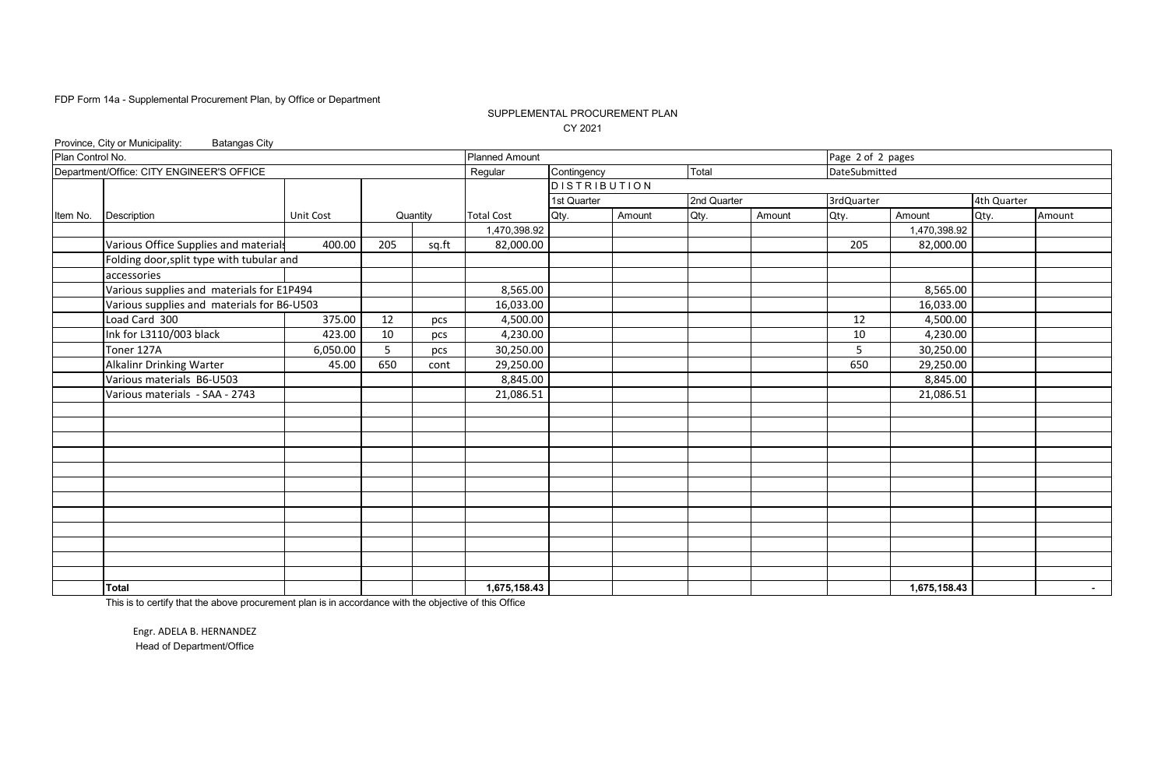### SUPPLEMENTAL PROCUREMENT PLAN CY 2021

| Province, City or Municipality:<br><b>Batangas City</b> |                                                                                                                                     |                                                                                                                                                                               |       |                       |             |                                                                                                                                 |                     |        |            |              |                                    |                                                      |
|---------------------------------------------------------|-------------------------------------------------------------------------------------------------------------------------------------|-------------------------------------------------------------------------------------------------------------------------------------------------------------------------------|-------|-----------------------|-------------|---------------------------------------------------------------------------------------------------------------------------------|---------------------|--------|------------|--------------|------------------------------------|------------------------------------------------------|
|                                                         |                                                                                                                                     |                                                                                                                                                                               |       | <b>Planned Amount</b> |             |                                                                                                                                 |                     |        |            |              |                                    |                                                      |
|                                                         |                                                                                                                                     |                                                                                                                                                                               |       | Regular               |             |                                                                                                                                 | Total               |        |            |              |                                    |                                                      |
|                                                         |                                                                                                                                     |                                                                                                                                                                               |       |                       |             |                                                                                                                                 |                     |        |            |              |                                    |                                                      |
|                                                         |                                                                                                                                     |                                                                                                                                                                               |       |                       | 1st Quarter |                                                                                                                                 | 2nd Quarter         |        | 3rdQuarter |              |                                    |                                                      |
|                                                         | Unit Cost                                                                                                                           |                                                                                                                                                                               |       | <b>Total Cost</b>     | Qty.        | Amount                                                                                                                          | Qty.                | Amount | Qty.       | Amount       | Qty.                               | Amount                                               |
|                                                         |                                                                                                                                     |                                                                                                                                                                               |       |                       |             |                                                                                                                                 |                     |        |            |              |                                    |                                                      |
|                                                         | 400.00                                                                                                                              | 205                                                                                                                                                                           | sq.ft |                       |             |                                                                                                                                 |                     |        | 205        | 82,000.00    |                                    |                                                      |
|                                                         |                                                                                                                                     |                                                                                                                                                                               |       |                       |             |                                                                                                                                 |                     |        |            |              |                                    |                                                      |
| accessories                                             |                                                                                                                                     |                                                                                                                                                                               |       |                       |             |                                                                                                                                 |                     |        |            |              |                                    |                                                      |
|                                                         |                                                                                                                                     |                                                                                                                                                                               |       |                       |             |                                                                                                                                 |                     |        |            | 8,565.00     |                                    |                                                      |
|                                                         |                                                                                                                                     |                                                                                                                                                                               |       |                       |             |                                                                                                                                 |                     |        |            | 16,033.00    |                                    |                                                      |
| Load Card 300                                           | 375.00                                                                                                                              | 12                                                                                                                                                                            | pcs   |                       |             |                                                                                                                                 |                     |        | 12         |              |                                    |                                                      |
|                                                         | 423.00                                                                                                                              | 10                                                                                                                                                                            | pcs   |                       |             |                                                                                                                                 |                     |        | 10         | 4,230.00     |                                    |                                                      |
| Toner 127A                                              | 6,050.00                                                                                                                            | 5 <sup>5</sup>                                                                                                                                                                | pcs   |                       |             |                                                                                                                                 |                     |        | 5          |              |                                    |                                                      |
|                                                         | 45.00                                                                                                                               | 650                                                                                                                                                                           | cont  |                       |             |                                                                                                                                 |                     |        | 650        | 29,250.00    |                                    |                                                      |
| Various materials B6-U503                               |                                                                                                                                     |                                                                                                                                                                               |       |                       |             |                                                                                                                                 |                     |        |            | 8,845.00     |                                    |                                                      |
| Various materials - SAA - 2743                          |                                                                                                                                     |                                                                                                                                                                               |       | 21,086.51             |             |                                                                                                                                 |                     |        |            | 21,086.51    |                                    |                                                      |
|                                                         |                                                                                                                                     |                                                                                                                                                                               |       |                       |             |                                                                                                                                 |                     |        |            |              |                                    |                                                      |
|                                                         |                                                                                                                                     |                                                                                                                                                                               |       |                       |             |                                                                                                                                 |                     |        |            |              |                                    |                                                      |
|                                                         |                                                                                                                                     |                                                                                                                                                                               |       |                       |             |                                                                                                                                 |                     |        |            |              |                                    |                                                      |
|                                                         |                                                                                                                                     |                                                                                                                                                                               |       |                       |             |                                                                                                                                 |                     |        |            |              |                                    |                                                      |
|                                                         |                                                                                                                                     |                                                                                                                                                                               |       |                       |             |                                                                                                                                 |                     |        |            |              |                                    |                                                      |
|                                                         |                                                                                                                                     |                                                                                                                                                                               |       |                       |             |                                                                                                                                 |                     |        |            |              |                                    |                                                      |
|                                                         |                                                                                                                                     |                                                                                                                                                                               |       |                       |             |                                                                                                                                 |                     |        |            |              |                                    |                                                      |
|                                                         |                                                                                                                                     |                                                                                                                                                                               |       |                       |             |                                                                                                                                 |                     |        |            |              |                                    |                                                      |
|                                                         |                                                                                                                                     |                                                                                                                                                                               |       |                       |             |                                                                                                                                 |                     |        |            |              |                                    |                                                      |
|                                                         |                                                                                                                                     |                                                                                                                                                                               |       |                       |             |                                                                                                                                 |                     |        |            |              |                                    |                                                      |
|                                                         |                                                                                                                                     |                                                                                                                                                                               |       |                       |             |                                                                                                                                 |                     |        |            |              |                                    |                                                      |
|                                                         |                                                                                                                                     |                                                                                                                                                                               |       |                       |             |                                                                                                                                 |                     |        |            |              |                                    |                                                      |
| Total                                                   |                                                                                                                                     |                                                                                                                                                                               |       | 1,675,158.43          |             |                                                                                                                                 |                     |        |            | 1,675,158.43 |                                    | $\sim$ 100 $\mu$                                     |
|                                                         | Plan Control No.<br>Department/Office: CITY ENGINEER'S OFFICE<br>Description<br>Ink for L3110/003 black<br>Alkalinr Drinking Warter | Various Office Supplies and materials<br>Folding door, split type with tubular and<br>Various supplies and materials for E1P494<br>Various supplies and materials for B6-U503 |       | Quantity              |             | Contingency<br>1,470,398.92<br>82,000.00<br>8,565.00<br>16,033.00<br>4,500.00<br>4,230.00<br>30,250.00<br>29,250.00<br>8,845.00 | <b>DISTRIBUTION</b> |        |            |              | Page 2 of 2 pages<br>DateSubmitted | 4th Quarter<br>1,470,398.92<br>4,500.00<br>30,250.00 |

This is to certify that the above procurement plan is in accordance with the objective of this Office

Engr. ADELA B. HERNANDEZ Head of Department/Office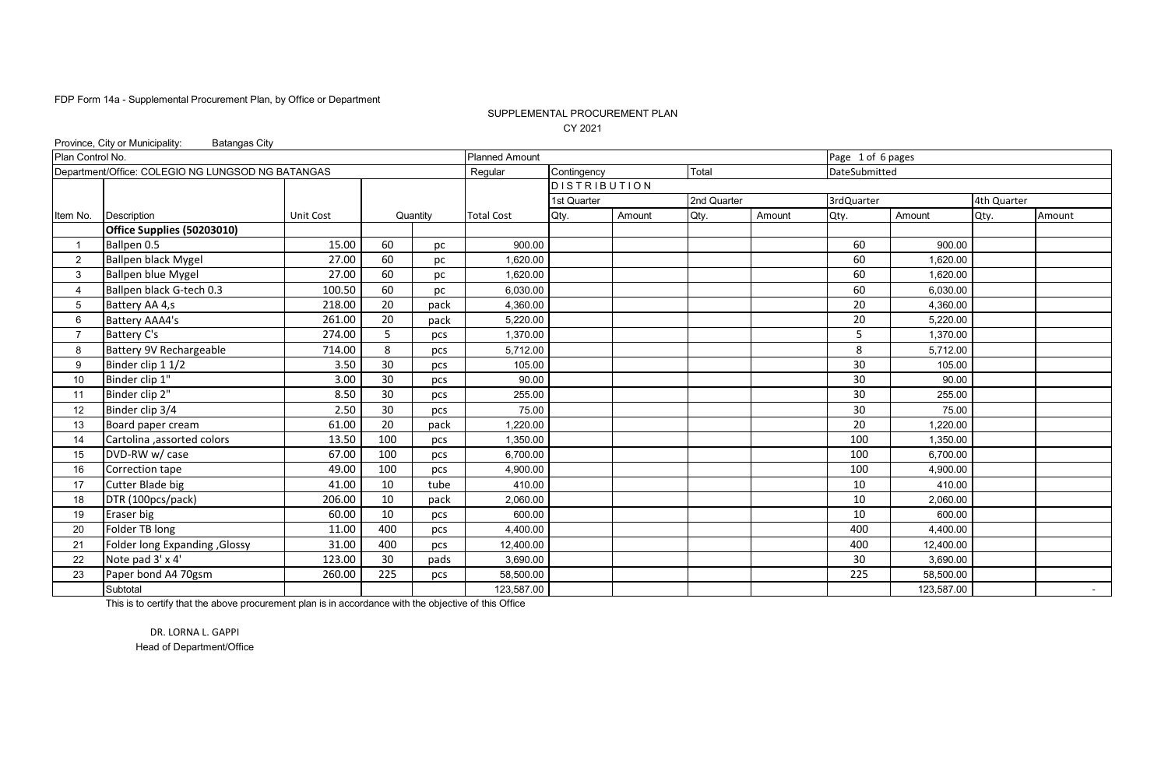### SUPPLEMENTAL PROCUREMENT PLAN CY 2021

|                  | Province, City or Municipality:<br><b>Batangas City</b> |           |     |          |                       |                     |        |             |        |                   |            |             |        |
|------------------|---------------------------------------------------------|-----------|-----|----------|-----------------------|---------------------|--------|-------------|--------|-------------------|------------|-------------|--------|
| Plan Control No. |                                                         |           |     |          | <b>Planned Amount</b> |                     |        |             |        | Page 1 of 6 pages |            |             |        |
|                  | Department/Office: COLEGIO NG LUNGSOD NG BATANGAS       |           |     |          | Regular               | Contingency         |        | Total       |        | DateSubmitted     |            |             |        |
|                  |                                                         |           |     |          |                       | <b>DISTRIBUTION</b> |        |             |        |                   |            |             |        |
|                  |                                                         |           |     |          |                       | 1st Quarter         |        | 2nd Quarter |        | 3rdQuarter        |            | 4th Quarter |        |
| Item No.         | Description                                             | Unit Cost |     | Quantity | <b>Total Cost</b>     | Qty.                | Amount | Qty.        | Amount | Qty.              | Amount     | Qty.        | Amount |
|                  | Office Supplies (50203010)                              |           |     |          |                       |                     |        |             |        |                   |            |             |        |
|                  | Ballpen 0.5                                             | 15.00     | 60  | рc       | 900.00                |                     |        |             |        | 60                | 900.00     |             |        |
| $\overline{2}$   | <b>Ballpen black Mygel</b>                              | 27.00     | 60  | рc       | 1.620.00              |                     |        |             |        | 60                | 1,620.00   |             |        |
| 3                | <b>Ballpen blue Mygel</b>                               | 27.00     | 60  | pc       | 1,620.00              |                     |        |             |        | 60                | 1,620.00   |             |        |
|                  | Ballpen black G-tech 0.3                                | 100.50    | 60  | pc       | 6,030.00              |                     |        |             |        | 60                | 6,030.00   |             |        |
| 5                | Battery AA 4,s                                          | 218.00    | 20  | pack     | 4,360.00              |                     |        |             |        | 20                | 4,360.00   |             |        |
| 6                | Battery AAA4's                                          | 261.00    | 20  | pack     | 5,220.00              |                     |        |             |        | 20                | 5,220.00   |             |        |
|                  | Battery C's                                             | 274.00    | 5   | pcs      | 1,370.00              |                     |        |             |        | 5                 | 1,370.00   |             |        |
| 8                | Battery 9V Rechargeable                                 | 714.00    | 8   | pcs      | 5,712.00              |                     |        |             |        | 8                 | 5,712.00   |             |        |
| 9                | Binder clip 1 1/2                                       | 3.50      | 30  | pcs      | 105.00                |                     |        |             |        | 30                | 105.00     |             |        |
| 10               | Binder clip 1"                                          | 3.00      | 30  | pcs      | 90.00                 |                     |        |             |        | 30                | 90.00      |             |        |
| 11               | Binder clip 2"                                          | 8.50      | 30  | pcs      | 255.00                |                     |        |             |        | 30                | 255.00     |             |        |
| 12               | Binder clip 3/4                                         | 2.50      | 30  | pcs      | 75.00                 |                     |        |             |        | 30                | 75.00      |             |        |
| 13               | Board paper cream                                       | 61.00     | 20  | pack     | 1.220.00              |                     |        |             |        | 20                | 1,220.00   |             |        |
| 14               | Cartolina ,assorted colors                              | 13.50     | 100 | pcs      | 1,350.00              |                     |        |             |        | 100               | 1,350.00   |             |        |
| 15               | DVD-RW w/ case                                          | 67.00     | 100 | pcs      | 6,700.00              |                     |        |             |        | 100               | 6,700.00   |             |        |
| 16               | Correction tape                                         | 49.00     | 100 | pcs      | 4,900.00              |                     |        |             |        | 100               | 4,900.00   |             |        |
| 17               | Cutter Blade big                                        | 41.00     | 10  | tube     | 410.00                |                     |        |             |        | 10                | 410.00     |             |        |
| 18               | DTR (100pcs/pack)                                       | 206.00    | 10  | pack     | 2,060.00              |                     |        |             |        | 10                | 2,060.00   |             |        |
| 19               | Eraser big                                              | 60.00     | 10  | pcs      | 600.00                |                     |        |             |        | 10                | 600.00     |             |        |
| 20               | Folder TB long                                          | 11.00     | 400 | pcs      | 4,400.00              |                     |        |             |        | 400               | 4,400.00   |             |        |
| 21               | <b>Folder long Expanding , Glossy</b>                   | 31.00     | 400 | pcs      | 12,400.00             |                     |        |             |        | 400               | 12,400.00  |             |        |
| 22               | Note pad 3' x 4'                                        | 123.00    | 30  | pads     | 3,690.00              |                     |        |             |        | 30                | 3,690.00   |             |        |
| 23               | Paper bond A4 70gsm                                     | 260.00    | 225 | pcs      | 58,500.00             |                     |        |             |        | 225               | 58,500.00  |             |        |
|                  | Subtotal                                                |           |     |          | 123,587.00            |                     |        |             |        |                   | 123,587.00 |             | $\sim$ |

This is to certify that the above procurement plan is in accordance with the objective of this Office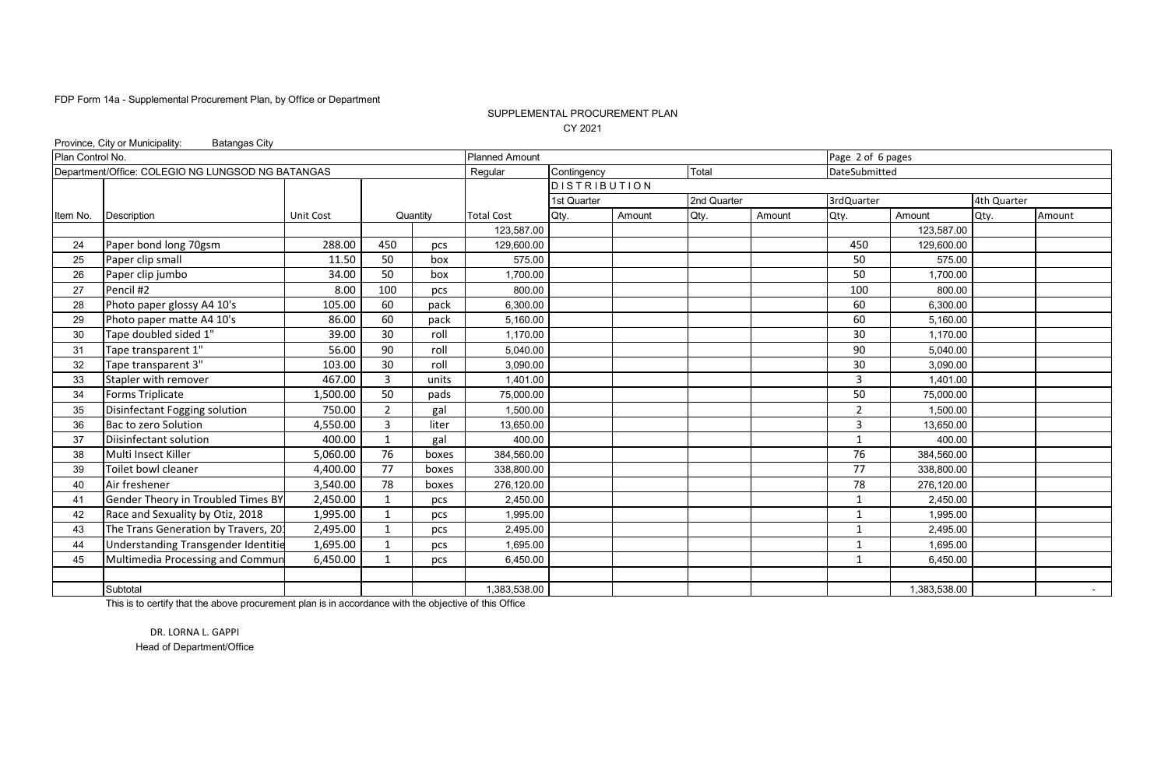### SUPPLEMENTAL PROCUREMENT PLAN CY 2021

|                  | Province, City or Municipality:<br><b>Batangas City</b> |                  |                         |          |                       |                     |        |             |        |                   |              |             |        |
|------------------|---------------------------------------------------------|------------------|-------------------------|----------|-----------------------|---------------------|--------|-------------|--------|-------------------|--------------|-------------|--------|
| Plan Control No. |                                                         |                  |                         |          | <b>Planned Amount</b> |                     |        |             |        | Page 2 of 6 pages |              |             |        |
|                  | Department/Office: COLEGIO NG LUNGSOD NG BATANGAS       |                  |                         |          | Regular               | Contingency         |        | Total       |        | DateSubmitted     |              |             |        |
|                  |                                                         |                  |                         |          |                       | <b>DISTRIBUTION</b> |        |             |        |                   |              |             |        |
|                  |                                                         |                  |                         |          |                       | 1st Quarter         |        | 2nd Quarter |        | 3rdQuarter        |              | 4th Quarter |        |
| Item No.         | <b>Description</b>                                      | <b>Unit Cost</b> |                         | Quantity | <b>Total Cost</b>     | Qty.                | Amount | Qty.        | Amount | Qty.              | Amount       | Qty.        | Amount |
|                  |                                                         |                  |                         |          | 123.587.00            |                     |        |             |        |                   | 123,587.00   |             |        |
| 24               | Paper bond long 70gsm                                   | 288.00           | 450                     | pcs      | 129,600.00            |                     |        |             |        | 450               | 129,600.00   |             |        |
| 25               | Paper clip small                                        | 11.50            | 50                      | box      | 575.00                |                     |        |             |        | 50                | 575.00       |             |        |
| 26               | Paper clip jumbo                                        | 34.00            | 50                      | box      | 1.700.00              |                     |        |             |        | 50                | 1,700.00     |             |        |
| 27               | Pencil #2                                               | 8.00             | 100                     | pcs      | 800.00                |                     |        |             |        | 100               | 800.00       |             |        |
| 28               | Photo paper glossy A4 10's                              | 105.00           | 60                      | pack     | 6,300.00              |                     |        |             |        | 60                | 6,300.00     |             |        |
| 29               | Photo paper matte A4 10's                               | 86.00            | 60                      | pack     | 5,160.00              |                     |        |             |        | 60                | 5,160.00     |             |        |
| 30               | Tape doubled sided 1"                                   | 39.00            | 30                      | roll     | 1,170.00              |                     |        |             |        | 30                | 1,170.00     |             |        |
| 31               | Tape transparent 1"                                     | 56.00            | 90                      | roll     | 5,040.00              |                     |        |             |        | 90                | 5,040.00     |             |        |
| 32               | Tape transparent 3"                                     | 103.00           | 30                      | roll     | 3,090.00              |                     |        |             |        | 30                | 3,090.00     |             |        |
| 33               | Stapler with remover                                    | 467.00           | 3                       | units    | 1,401.00              |                     |        |             |        | 3                 | 1,401.00     |             |        |
| 34               | Forms Triplicate                                        | 1,500.00         | 50                      | pads     | 75,000.00             |                     |        |             |        | 50                | 75,000.00    |             |        |
| 35               | Disinfectant Fogging solution                           | 750.00           | $\overline{2}$          | gal      | 1,500.00              |                     |        |             |        | $\overline{2}$    | 1,500.00     |             |        |
| 36               | Bac to zero Solution                                    | 4,550.00         | $\overline{3}$          | liter    | 13,650.00             |                     |        |             |        | 3                 | 13,650.00    |             |        |
| 37               | Diisinfectant solution                                  | 400.00           | $\overline{1}$          | gal      | 400.00                |                     |        |             |        | $\mathbf{1}$      | 400.00       |             |        |
| 38               | Multi Insect Killer                                     | 5,060.00         | 76                      | boxes    | 384,560.00            |                     |        |             |        | 76                | 384,560.00   |             |        |
| 39               | <b>Toilet bowl cleaner</b>                              | 4,400.00         | 77                      | boxes    | 338,800.00            |                     |        |             |        | 77                | 338,800.00   |             |        |
| 40               | Air freshener                                           | 3,540.00         | 78                      | boxes    | 276.120.00            |                     |        |             |        | 78                | 276.120.00   |             |        |
| 41               | Gender Theory in Troubled Times BY                      | 2,450.00         | $\mathbf 1$             | pcs      | 2,450.00              |                     |        |             |        | 1                 | 2,450.00     |             |        |
| 42               | Race and Sexuality by Otiz, 2018                        | 1,995.00         | $\overline{\mathbf{1}}$ | pcs      | 1,995.00              |                     |        |             |        | 1                 | 1,995.00     |             |        |
| 43               | The Trans Generation by Travers, 20:                    | 2,495.00         | $\mathbf{1}$            | pcs      | 2,495.00              |                     |        |             |        | $\mathbf{1}$      | 2,495.00     |             |        |
| 44               | Understanding Transgender Identitie                     | 1,695.00         | $\mathbf 1$             | pcs      | 1,695.00              |                     |        |             |        | 1                 | 1,695.00     |             |        |
| 45               | Multimedia Processing and Commun                        | 6,450.00         | $\mathbf{1}$            | pcs      | 6,450.00              |                     |        |             |        | $\mathbf{1}$      | 6,450.00     |             |        |
|                  |                                                         |                  |                         |          |                       |                     |        |             |        |                   |              |             |        |
|                  | Subtotal                                                |                  |                         |          | 1,383,538.00          |                     |        |             |        |                   | 1,383,538.00 |             |        |

This is to certify that the above procurement plan is in accordance with the objective of this Office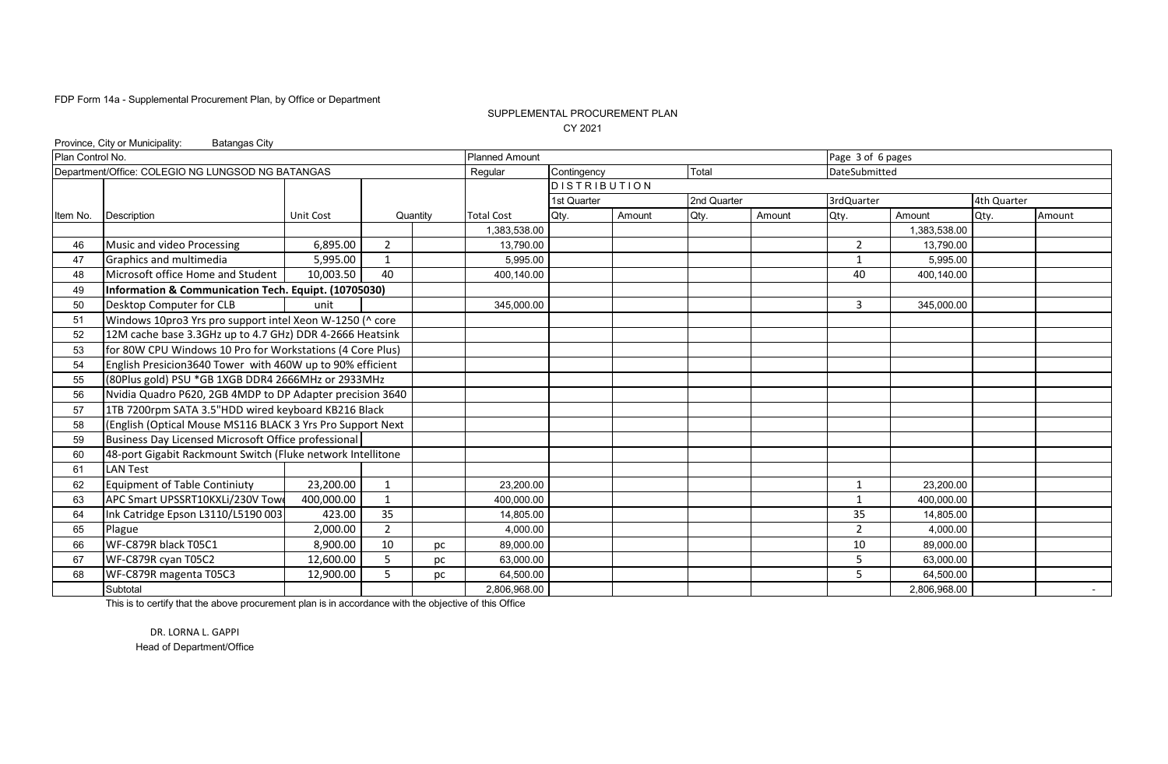### SUPPLEMENTAL PROCUREMENT PLAN CY 2021

|                  | Province, City or Municipality:<br><b>Batangas City</b>     |                  |                |          |                       |                     |        |             |                                                                                                                                                                                                                                                                                                                                                            |   |              |  |  |  |
|------------------|-------------------------------------------------------------|------------------|----------------|----------|-----------------------|---------------------|--------|-------------|------------------------------------------------------------------------------------------------------------------------------------------------------------------------------------------------------------------------------------------------------------------------------------------------------------------------------------------------------------|---|--------------|--|--|--|
| Plan Control No. |                                                             |                  |                |          | <b>Planned Amount</b> |                     |        |             | Page 3 of 6 pages<br>DateSubmitted<br>3rdQuarter<br>4th Quarter<br>Qty.<br>Amount<br>Amount<br>Qty.<br>Amount<br>1,383,538.00<br>$\overline{2}$<br>13,790.00<br>5.995.00<br>1<br>40<br>400.140.00<br>3<br>345,000.00<br>23,200.00<br>$\mathbf{1}$<br>400,000.00<br>1<br>35<br>14,805.00<br>$\overline{2}$<br>4.000.00<br>10<br>89,000.00<br>5<br>63,000.00 |   |              |  |  |  |
|                  | Department/Office: COLEGIO NG LUNGSOD NG BATANGAS           |                  |                |          | Regular               | Contingency         |        | Total       |                                                                                                                                                                                                                                                                                                                                                            |   |              |  |  |  |
|                  |                                                             |                  |                |          |                       | <b>DISTRIBUTION</b> |        |             |                                                                                                                                                                                                                                                                                                                                                            |   |              |  |  |  |
|                  |                                                             |                  |                |          |                       | 1st Quarter         |        | 2nd Quarter |                                                                                                                                                                                                                                                                                                                                                            |   |              |  |  |  |
| Item No.         | <b>Description</b>                                          | <b>Unit Cost</b> |                | Quantity | <b>Total Cost</b>     | Qty.                | Amount | Qty.        |                                                                                                                                                                                                                                                                                                                                                            |   |              |  |  |  |
|                  |                                                             |                  |                |          | 1,383,538.00          |                     |        |             |                                                                                                                                                                                                                                                                                                                                                            |   |              |  |  |  |
| 46               | Music and video Processing                                  | 6,895.00         | 2              |          | 13,790.00             |                     |        |             |                                                                                                                                                                                                                                                                                                                                                            |   |              |  |  |  |
| 47               | Graphics and multimedia                                     | 5,995.00         | $\mathbf 1$    |          | 5,995.00              |                     |        |             |                                                                                                                                                                                                                                                                                                                                                            |   |              |  |  |  |
| 48               | Microsoft office Home and Student                           | 10,003.50        | 40             |          | 400,140.00            |                     |        |             |                                                                                                                                                                                                                                                                                                                                                            |   |              |  |  |  |
| 49               | Information & Communication Tech. Equipt. (10705030)        |                  |                |          |                       |                     |        |             |                                                                                                                                                                                                                                                                                                                                                            |   |              |  |  |  |
| 50               | Desktop Computer for CLB                                    | unit             |                |          | 345,000.00            |                     |        |             |                                                                                                                                                                                                                                                                                                                                                            |   |              |  |  |  |
| 51               | Windows 10pro3 Yrs pro support intel Xeon W-1250 (^ core    |                  |                |          |                       |                     |        |             |                                                                                                                                                                                                                                                                                                                                                            |   |              |  |  |  |
| 52               | 12M cache base 3.3GHz up to 4.7 GHz) DDR 4-2666 Heatsink    |                  |                |          |                       |                     |        |             |                                                                                                                                                                                                                                                                                                                                                            |   |              |  |  |  |
| 53               | for 80W CPU Windows 10 Pro for Workstations (4 Core Plus)   |                  |                |          |                       |                     |        |             |                                                                                                                                                                                                                                                                                                                                                            |   |              |  |  |  |
| 54               | English Presicion3640 Tower with 460W up to 90% efficient   |                  |                |          |                       |                     |        |             |                                                                                                                                                                                                                                                                                                                                                            |   |              |  |  |  |
| 55               | (80Plus gold) PSU *GB 1XGB DDR4 2666MHz or 2933MHz          |                  |                |          |                       |                     |        |             |                                                                                                                                                                                                                                                                                                                                                            |   |              |  |  |  |
| 56               | Nvidia Quadro P620, 2GB 4MDP to DP Adapter precision 3640   |                  |                |          |                       |                     |        |             |                                                                                                                                                                                                                                                                                                                                                            |   |              |  |  |  |
| 57               | 1TB 7200rpm SATA 3.5"HDD wired keyboard KB216 Black         |                  |                |          |                       |                     |        |             |                                                                                                                                                                                                                                                                                                                                                            |   |              |  |  |  |
| 58               | (English (Optical Mouse MS116 BLACK 3 Yrs Pro Support Next  |                  |                |          |                       |                     |        |             |                                                                                                                                                                                                                                                                                                                                                            |   |              |  |  |  |
| 59               | Business Day Licensed Microsoft Office professional         |                  |                |          |                       |                     |        |             |                                                                                                                                                                                                                                                                                                                                                            |   |              |  |  |  |
| 60               | 48-port Gigabit Rackmount Switch (Fluke network Intellitone |                  |                |          |                       |                     |        |             |                                                                                                                                                                                                                                                                                                                                                            |   |              |  |  |  |
| 61               | <b>LAN Test</b>                                             |                  |                |          |                       |                     |        |             |                                                                                                                                                                                                                                                                                                                                                            |   |              |  |  |  |
| 62               | <b>Equipment of Table Continiuty</b>                        | 23,200.00        | 1              |          | 23,200.00             |                     |        |             |                                                                                                                                                                                                                                                                                                                                                            |   |              |  |  |  |
| 63               | APC Smart UPSSRT10KXLi/230V Towe                            | 400,000.00       | $\overline{1}$ |          | 400,000.00            |                     |        |             |                                                                                                                                                                                                                                                                                                                                                            |   |              |  |  |  |
| 64               | Ink Catridge Epson L3110/L5190 003                          | 423.00           | 35             |          | 14,805.00             |                     |        |             |                                                                                                                                                                                                                                                                                                                                                            |   |              |  |  |  |
| 65               | Plague                                                      | 2,000.00         | $\overline{2}$ |          | 4.000.00              |                     |        |             |                                                                                                                                                                                                                                                                                                                                                            |   |              |  |  |  |
| 66               | WF-C879R black T05C1                                        | 8,900.00         | 10             | рc       | 89,000.00             |                     |        |             |                                                                                                                                                                                                                                                                                                                                                            |   |              |  |  |  |
| 67               | WF-C879R cyan T05C2                                         | 12,600.00        | 5              | рc       | 63,000.00             |                     |        |             |                                                                                                                                                                                                                                                                                                                                                            |   |              |  |  |  |
| 68               | WF-C879R magenta T05C3                                      | 12,900.00        | 5              | рc       | 64,500.00             |                     |        |             |                                                                                                                                                                                                                                                                                                                                                            | 5 | 64,500.00    |  |  |  |
|                  | Subtotal                                                    |                  |                |          | 2,806,968.00          |                     |        |             |                                                                                                                                                                                                                                                                                                                                                            |   | 2,806,968.00 |  |  |  |

This is to certify that the above procurement plan is in accordance with the objective of this Office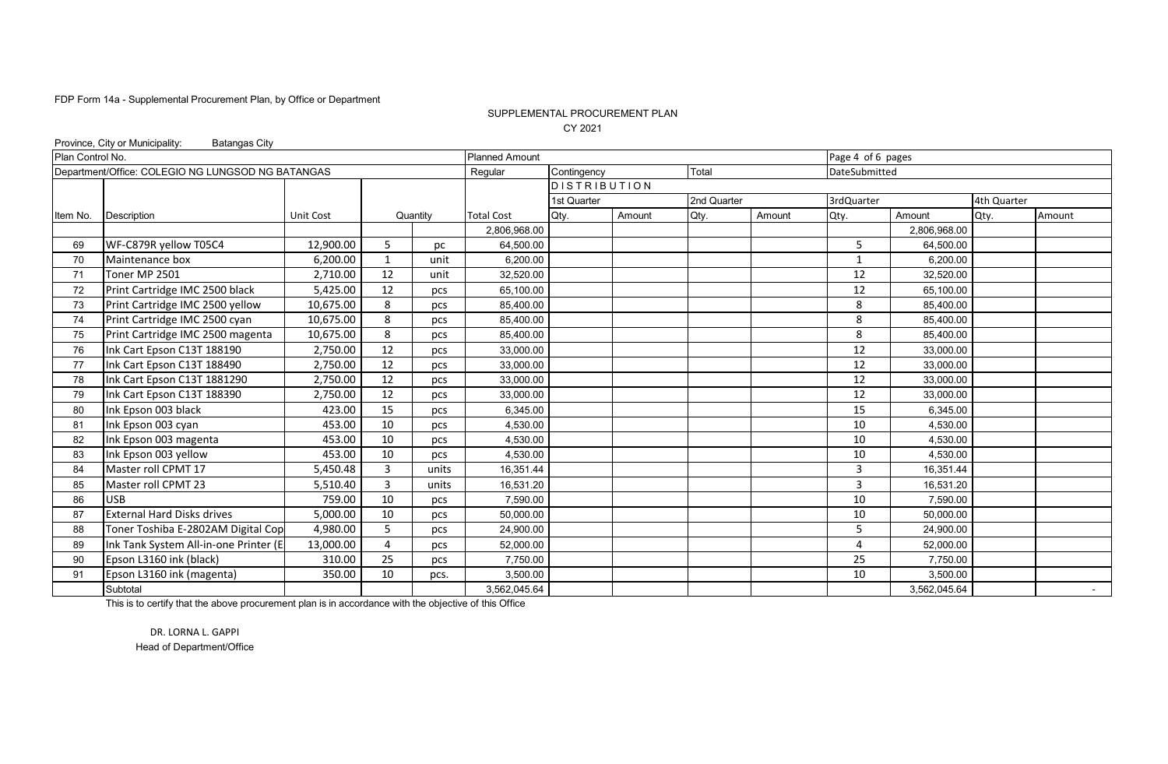### SUPPLEMENTAL PROCUREMENT PLAN CY 2021

|                  | Province, City or Municipality:<br><b>Batangas City</b> |                  |              |          |                       |                     |        |             |        |                   |              |             |        |
|------------------|---------------------------------------------------------|------------------|--------------|----------|-----------------------|---------------------|--------|-------------|--------|-------------------|--------------|-------------|--------|
| Plan Control No. |                                                         |                  |              |          | <b>Planned Amount</b> |                     |        |             |        | Page 4 of 6 pages |              |             |        |
|                  | Department/Office: COLEGIO NG LUNGSOD NG BATANGAS       |                  |              |          | Regular               | Contingency         |        | Total       |        | DateSubmitted     |              |             |        |
|                  |                                                         |                  |              |          |                       | <b>DISTRIBUTION</b> |        |             |        |                   |              |             |        |
|                  |                                                         |                  |              |          |                       | 1st Quarter         |        | 2nd Quarter |        | 3rdQuarter        |              | 4th Quarter |        |
| Item No.         | Description                                             | <b>Unit Cost</b> |              | Quantity | <b>Total Cost</b>     | Qty.                | Amount | Qty.        | Amount | Qty.              | Amount       | Qty.        | Amount |
|                  |                                                         |                  |              |          | 2,806,968.00          |                     |        |             |        |                   | 2,806,968.00 |             |        |
| 69               | WF-C879R yellow T05C4                                   | 12,900.00        | 5            | рc       | 64,500.00             |                     |        |             |        | 5                 | 64,500.00    |             |        |
| 70               | Maintenance box                                         | 6,200.00         | 1            | unit     | 6,200.00              |                     |        |             |        | $\mathbf{1}$      | 6,200.00     |             |        |
| 71               | Toner MP 2501                                           | 2,710.00         | 12           | unit     | 32,520.00             |                     |        |             |        | 12                | 32,520.00    |             |        |
| 72               | Print Cartridge IMC 2500 black                          | 5,425.00         | 12           | pcs      | 65.100.00             |                     |        |             |        | 12                | 65.100.00    |             |        |
| 73               | Print Cartridge IMC 2500 yellow                         | 10,675.00        | 8            | pcs      | 85,400.00             |                     |        |             |        | 8                 | 85.400.00    |             |        |
| 74               | Print Cartridge IMC 2500 cyan                           | 10,675.00        | 8            | pcs      | 85,400.00             |                     |        |             |        | 8                 | 85,400.00    |             |        |
| 75               | Print Cartridge IMC 2500 magenta                        | 10,675.00        | 8            | pcs      | 85,400.00             |                     |        |             |        | 8                 | 85,400.00    |             |        |
| 76               | Ink Cart Epson C13T 188190                              | 2,750.00         | 12           | pcs      | 33,000.00             |                     |        |             |        | 12                | 33,000.00    |             |        |
| 77               | Ink Cart Epson C13T 188490                              | 2,750.00         | 12           | pcs      | 33,000.00             |                     |        |             |        | 12                | 33,000.00    |             |        |
| 78               | Ink Cart Epson C13T 1881290                             | 2,750.00         | 12           | pcs      | 33,000.00             |                     |        |             |        | 12                | 33,000.00    |             |        |
| 79               | Ink Cart Epson C13T 188390                              | 2,750.00         | 12           | pcs      | 33,000.00             |                     |        |             |        | 12                | 33,000.00    |             |        |
| 80               | Ink Epson 003 black                                     | 423.00           | 15           | pcs      | 6,345.00              |                     |        |             |        | 15                | 6,345.00     |             |        |
| 81               | Ink Epson 003 cyan                                      | 453.00           | 10           | pcs      | 4,530.00              |                     |        |             |        | 10                | 4,530.00     |             |        |
| 82               | Ink Epson 003 magenta                                   | 453.00           | 10           | pcs      | 4,530.00              |                     |        |             |        | 10                | 4,530.00     |             |        |
| 83               | Ink Epson 003 yellow                                    | 453.00           | 10           | pcs      | 4,530.00              |                     |        |             |        | 10                | 4.530.00     |             |        |
| 84               | Master roll CPMT 17                                     | 5,450.48         | 3            | units    | 16.351.44             |                     |        |             |        | 3                 | 16.351.44    |             |        |
| 85               | Master roll CPMT 23                                     | 5,510.40         | $\mathbf{3}$ | units    | 16,531.20             |                     |        |             |        | 3                 | 16,531.20    |             |        |
| 86               | <b>USB</b>                                              | 759.00           | 10           | pcs      | 7,590.00              |                     |        |             |        | 10                | 7,590.00     |             |        |
| 87               | <b>External Hard Disks drives</b>                       | 5,000.00         | 10           | pcs      | 50,000.00             |                     |        |             |        | 10                | 50,000.00    |             |        |
| 88               | Toner Toshiba E-2802AM Digital Cop                      | 4,980.00         | 5            | pcs      | 24,900.00             |                     |        |             |        | 5                 | 24,900.00    |             |        |
| 89               | Ink Tank System All-in-one Printer (E                   | 13,000.00        | Δ            | pcs      | 52,000.00             |                     |        |             |        | 4                 | 52,000.00    |             |        |
| 90               | Epson L3160 ink (black)                                 | 310.00           | 25           | pcs      | 7,750.00              |                     |        |             |        | 25                | 7,750.00     |             |        |
| 91               | Epson L3160 ink (magenta)                               | 350.00           | 10           | pcs.     | 3,500.00              |                     |        |             |        | 10                | 3,500.00     |             |        |
|                  | Subtotal                                                |                  |              |          | 3,562,045.64          |                     |        |             |        |                   | 3,562,045.64 |             |        |

This is to certify that the above procurement plan is in accordance with the objective of this Office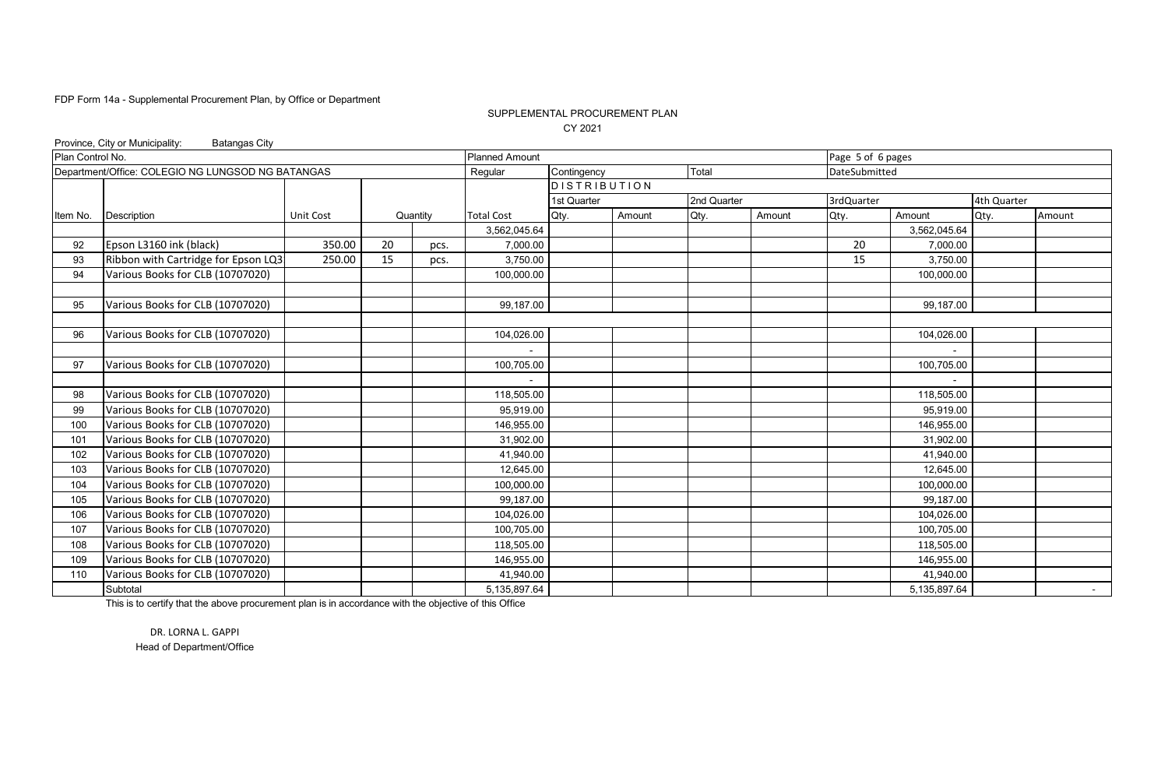### SUPPLEMENTAL PROCUREMENT PLAN CY 2021

|                  | Province, City or Municipality:<br><b>Batangas City</b> |           |    |          |                       |                     |        |             |        |                   |              |             |        |
|------------------|---------------------------------------------------------|-----------|----|----------|-----------------------|---------------------|--------|-------------|--------|-------------------|--------------|-------------|--------|
| Plan Control No. |                                                         |           |    |          | <b>Planned Amount</b> |                     |        |             |        | Page 5 of 6 pages |              |             |        |
|                  | Department/Office: COLEGIO NG LUNGSOD NG BATANGAS       |           |    |          | Regular               | Contingency         |        | Total       |        | DateSubmitted     |              |             |        |
|                  |                                                         |           |    |          |                       | <b>DISTRIBUTION</b> |        |             |        |                   |              |             |        |
|                  |                                                         |           |    |          |                       | 1st Quarter         |        | 2nd Quarter |        | 3rdQuarter        |              | 4th Quarter |        |
| Item No.         | <b>Description</b>                                      | Unit Cost |    | Quantity | <b>Total Cost</b>     | Qty.                | Amount | Qty.        | Amount | Qty.              | Amount       | Qty.        | Amount |
|                  |                                                         |           |    |          | 3,562,045.64          |                     |        |             |        |                   | 3,562,045.64 |             |        |
| 92               | Epson L3160 ink (black)                                 | 350.00    | 20 | pcs.     | 7,000.00              |                     |        |             |        | 20                | 7,000.00     |             |        |
| 93               | Ribbon with Cartridge for Epson LQ3                     | 250.00    | 15 | pcs.     | 3,750.00              |                     |        |             |        | 15                | 3,750.00     |             |        |
| 94               | Various Books for CLB (10707020)                        |           |    |          | 100,000.00            |                     |        |             |        |                   | 100,000.00   |             |        |
|                  |                                                         |           |    |          |                       |                     |        |             |        |                   |              |             |        |
| 95               | Various Books for CLB (10707020)                        |           |    |          | 99,187.00             |                     |        |             |        |                   | 99,187.00    |             |        |
|                  |                                                         |           |    |          |                       |                     |        |             |        |                   |              |             |        |
| 96               | Various Books for CLB (10707020)                        |           |    |          | 104,026.00            |                     |        |             |        |                   | 104,026.00   |             |        |
|                  |                                                         |           |    |          |                       |                     |        |             |        |                   |              |             |        |
| 97               | Various Books for CLB (10707020)                        |           |    |          | 100,705.00            |                     |        |             |        |                   | 100,705.00   |             |        |
|                  |                                                         |           |    |          |                       |                     |        |             |        |                   |              |             |        |
| 98               | Various Books for CLB (10707020)                        |           |    |          | 118,505.00            |                     |        |             |        |                   | 118,505.00   |             |        |
| 99               | Various Books for CLB (10707020)                        |           |    |          | 95,919.00             |                     |        |             |        |                   | 95,919.00    |             |        |
| 100              | Various Books for CLB (10707020)                        |           |    |          | 146.955.00            |                     |        |             |        |                   | 146.955.00   |             |        |
| 101              | Various Books for CLB (10707020)                        |           |    |          | 31,902.00             |                     |        |             |        |                   | 31,902.00    |             |        |
| 102              | Various Books for CLB (10707020)                        |           |    |          | 41,940.00             |                     |        |             |        |                   | 41,940.00    |             |        |
| 103              | Various Books for CLB (10707020)                        |           |    |          | 12,645.00             |                     |        |             |        |                   | 12,645.00    |             |        |
| 104              | Various Books for CLB (10707020)                        |           |    |          | 100,000.00            |                     |        |             |        |                   | 100,000.00   |             |        |
| 105              | Various Books for CLB (10707020)                        |           |    |          | 99,187.00             |                     |        |             |        |                   | 99,187.00    |             |        |
| 106              | Various Books for CLB (10707020)                        |           |    |          | 104,026.00            |                     |        |             |        |                   | 104,026.00   |             |        |
| 107              | Various Books for CLB (10707020)                        |           |    |          | 100,705.00            |                     |        |             |        |                   | 100,705.00   |             |        |
| 108              | Various Books for CLB (10707020)                        |           |    |          | 118,505.00            |                     |        |             |        |                   | 118,505.00   |             |        |
| 109              | Various Books for CLB (10707020)                        |           |    |          | 146,955.00            |                     |        |             |        |                   | 146,955.00   |             |        |
| 110              | Various Books for CLB (10707020)                        |           |    |          | 41,940.00             |                     |        |             |        |                   | 41,940.00    |             |        |
|                  | Subtotal                                                |           |    |          | 5,135,897.64          |                     |        |             |        |                   | 5,135,897.64 |             | $\sim$ |

This is to certify that the above procurement plan is in accordance with the objective of this Office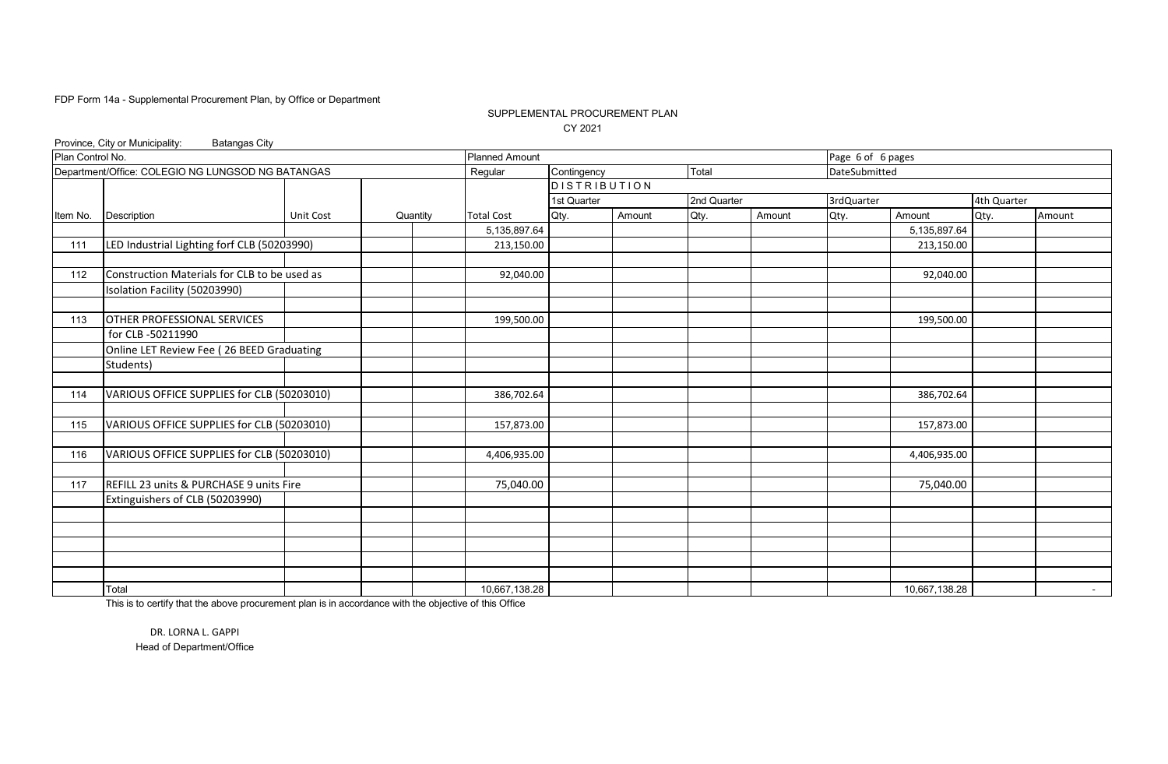### SUPPLEMENTAL PROCUREMENT PLAN CY 2021

|                  | Province, City or Municipality:<br><b>Batangas City</b> |                  |          |                       |                     |        |             |        |                   |               |             |                 |
|------------------|---------------------------------------------------------|------------------|----------|-----------------------|---------------------|--------|-------------|--------|-------------------|---------------|-------------|-----------------|
| Plan Control No. |                                                         |                  |          | <b>Planned Amount</b> |                     |        |             |        | Page 6 of 6 pages |               |             |                 |
|                  | Department/Office: COLEGIO NG LUNGSOD NG BATANGAS       |                  |          | Regular               | Contingency         |        | Total       |        | DateSubmitted     |               |             |                 |
|                  |                                                         |                  |          |                       | <b>DISTRIBUTION</b> |        |             |        |                   |               |             |                 |
|                  |                                                         |                  |          |                       | 1st Quarter         |        | 2nd Quarter |        | 3rdQuarter        |               | 4th Quarter |                 |
| Item No.         | Description                                             | <b>Unit Cost</b> | Quantity | <b>Total Cost</b>     | Qty.                | Amount | Qty.        | Amount | Qty.              | Amount        | Qty.        | Amount          |
|                  |                                                         |                  |          | 5,135,897.64          |                     |        |             |        |                   | 5,135,897.64  |             |                 |
| 111              | LED Industrial Lighting forf CLB (50203990)             |                  |          | 213,150.00            |                     |        |             |        |                   | 213,150.00    |             |                 |
|                  |                                                         |                  |          |                       |                     |        |             |        |                   |               |             |                 |
| 112              | Construction Materials for CLB to be used as            |                  |          | 92,040.00             |                     |        |             |        |                   | 92,040.00     |             |                 |
|                  | Isolation Facility (50203990)                           |                  |          |                       |                     |        |             |        |                   |               |             |                 |
|                  |                                                         |                  |          |                       |                     |        |             |        |                   |               |             |                 |
| 113              | OTHER PROFESSIONAL SERVICES                             |                  |          | 199,500.00            |                     |        |             |        |                   | 199,500.00    |             |                 |
|                  | for CLB -50211990                                       |                  |          |                       |                     |        |             |        |                   |               |             |                 |
|                  | Online LET Review Fee (26 BEED Graduating               |                  |          |                       |                     |        |             |        |                   |               |             |                 |
|                  | Students)                                               |                  |          |                       |                     |        |             |        |                   |               |             |                 |
|                  |                                                         |                  |          |                       |                     |        |             |        |                   |               |             |                 |
| 114              | VARIOUS OFFICE SUPPLIES for CLB (50203010)              |                  |          | 386,702.64            |                     |        |             |        |                   | 386,702.64    |             |                 |
|                  |                                                         |                  |          |                       |                     |        |             |        |                   |               |             |                 |
| 115              | VARIOUS OFFICE SUPPLIES for CLB (50203010)              |                  |          | 157,873.00            |                     |        |             |        |                   | 157,873.00    |             |                 |
|                  |                                                         |                  |          |                       |                     |        |             |        |                   |               |             |                 |
| 116              | VARIOUS OFFICE SUPPLIES for CLB (50203010)              |                  |          | 4,406,935.00          |                     |        |             |        |                   | 4,406,935.00  |             |                 |
|                  |                                                         |                  |          |                       |                     |        |             |        |                   |               |             |                 |
| 117              | REFILL 23 units & PURCHASE 9 units Fire                 |                  |          | 75,040.00             |                     |        |             |        |                   | 75,040.00     |             |                 |
|                  | Extinguishers of CLB (50203990)                         |                  |          |                       |                     |        |             |        |                   |               |             |                 |
|                  |                                                         |                  |          |                       |                     |        |             |        |                   |               |             |                 |
|                  |                                                         |                  |          |                       |                     |        |             |        |                   |               |             |                 |
|                  |                                                         |                  |          |                       |                     |        |             |        |                   |               |             |                 |
|                  |                                                         |                  |          |                       |                     |        |             |        |                   |               |             |                 |
|                  |                                                         |                  |          |                       |                     |        |             |        |                   |               |             |                 |
|                  | Total                                                   |                  |          | 10,667,138.28         |                     |        |             |        |                   | 10,667,138.28 |             | $\sim$ 10 $\pm$ |

This is to certify that the above procurement plan is in accordance with the objective of this Office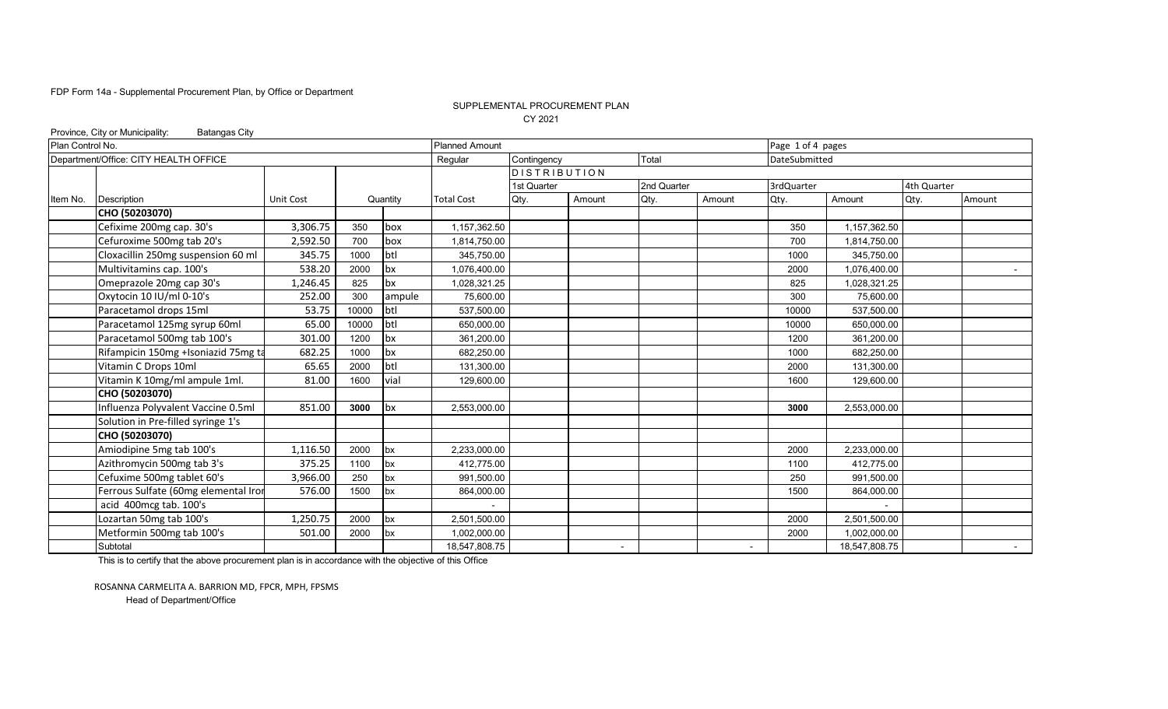#### SUPPLEMENTAL PROCUREMENT PLAN CY 2021

|                  | <b>Batangas City</b>                                                                                                                                                                                                                                                                                                                                                                                                                                                                                                                                                                                                                                                                                                                                                                                                              |          |       |          |                       |                     |                          |             |                          |                   |               |             |                  |
|------------------|-----------------------------------------------------------------------------------------------------------------------------------------------------------------------------------------------------------------------------------------------------------------------------------------------------------------------------------------------------------------------------------------------------------------------------------------------------------------------------------------------------------------------------------------------------------------------------------------------------------------------------------------------------------------------------------------------------------------------------------------------------------------------------------------------------------------------------------|----------|-------|----------|-----------------------|---------------------|--------------------------|-------------|--------------------------|-------------------|---------------|-------------|------------------|
| Plan Control No. |                                                                                                                                                                                                                                                                                                                                                                                                                                                                                                                                                                                                                                                                                                                                                                                                                                   |          |       |          | <b>Planned Amount</b> |                     |                          |             |                          | Page 1 of 4 pages |               |             |                  |
|                  | Province, City or Municipality:<br>Department/Office: CITY HEALTH OFFICE<br><b>Description</b><br>Unit Cost<br>CHO (50203070)<br>Cefixime 200mg cap. 30's<br>3,306.75<br>350<br>Cefuroxime 500mg tab 20's<br>2,592.50<br>700<br>Cloxacillin 250mg suspension 60 ml<br>345.75<br>Multivitamins cap. 100's<br>538.20<br>Omeprazole 20mg cap 30's<br>1,246.45<br>825<br>Oxytocin 10 IU/ml 0-10's<br>300<br>252.00<br>Paracetamol drops 15ml<br>53.75<br>Paracetamol 125mg syrup 60ml<br>65.00<br>Paracetamol 500mg tab 100's<br>301.00<br>Rifampicin 150mg +Isoniazid 75mg ta<br>682.25<br>Vitamin C Drops 10ml<br>65.65<br>Vitamin K 10mg/ml ampule 1ml.<br>81.00<br>CHO (50203070)<br>Influenza Polyvalent Vaccine 0.5ml<br>851.00<br>Solution in Pre-filled syringe 1's<br>CHO (50203070)<br>Amiodipine 5mg tab 100's<br>1,116.50 |          |       |          | Regular               | Contingency         |                          | Total       |                          | DateSubmitted     |               |             |                  |
|                  |                                                                                                                                                                                                                                                                                                                                                                                                                                                                                                                                                                                                                                                                                                                                                                                                                                   |          |       |          |                       | <b>DISTRIBUTION</b> |                          |             |                          |                   |               |             |                  |
|                  |                                                                                                                                                                                                                                                                                                                                                                                                                                                                                                                                                                                                                                                                                                                                                                                                                                   |          |       |          |                       | 1st Quarter         |                          | 2nd Quarter |                          | 3rdQuarter        |               | 4th Quarter |                  |
| Item No.         |                                                                                                                                                                                                                                                                                                                                                                                                                                                                                                                                                                                                                                                                                                                                                                                                                                   |          |       | Quantity | <b>Total Cost</b>     | Qty.                | Amount                   | Qty.        | Amount                   | Qty.              | Amount        | Qty.        | Amount           |
|                  |                                                                                                                                                                                                                                                                                                                                                                                                                                                                                                                                                                                                                                                                                                                                                                                                                                   |          |       |          |                       |                     |                          |             |                          |                   |               |             |                  |
|                  |                                                                                                                                                                                                                                                                                                                                                                                                                                                                                                                                                                                                                                                                                                                                                                                                                                   |          |       | box      | 1,157,362.50          |                     |                          |             |                          | 350               | 1,157,362.50  |             |                  |
|                  |                                                                                                                                                                                                                                                                                                                                                                                                                                                                                                                                                                                                                                                                                                                                                                                                                                   |          |       | box      | 1,814,750.00          |                     |                          |             |                          | 700               | 1,814,750.00  |             |                  |
|                  |                                                                                                                                                                                                                                                                                                                                                                                                                                                                                                                                                                                                                                                                                                                                                                                                                                   |          | 1000  | btl      | 345.750.00            |                     |                          |             |                          | 1000              | 345.750.00    |             |                  |
|                  |                                                                                                                                                                                                                                                                                                                                                                                                                                                                                                                                                                                                                                                                                                                                                                                                                                   |          | 2000  | bx       | 1,076,400.00          |                     |                          |             |                          | 2000              | 1,076,400.00  |             |                  |
|                  |                                                                                                                                                                                                                                                                                                                                                                                                                                                                                                                                                                                                                                                                                                                                                                                                                                   |          |       | bx       | 1,028,321.25          |                     |                          |             |                          | 825               | 1,028,321.25  |             |                  |
|                  |                                                                                                                                                                                                                                                                                                                                                                                                                                                                                                                                                                                                                                                                                                                                                                                                                                   |          |       | ampule   | 75,600.00             |                     |                          |             |                          | 300               | 75,600.00     |             |                  |
|                  |                                                                                                                                                                                                                                                                                                                                                                                                                                                                                                                                                                                                                                                                                                                                                                                                                                   |          | 10000 | btl      | 537,500.00            |                     |                          |             |                          | 10000             | 537,500.00    |             |                  |
|                  |                                                                                                                                                                                                                                                                                                                                                                                                                                                                                                                                                                                                                                                                                                                                                                                                                                   |          | 10000 | btl      | 650,000.00            |                     |                          |             |                          | 10000             | 650,000.00    |             |                  |
|                  |                                                                                                                                                                                                                                                                                                                                                                                                                                                                                                                                                                                                                                                                                                                                                                                                                                   |          | 1200  | bx       | 361,200.00            |                     |                          |             |                          | 1200              | 361,200.00    |             |                  |
|                  |                                                                                                                                                                                                                                                                                                                                                                                                                                                                                                                                                                                                                                                                                                                                                                                                                                   |          | 1000  | bx       | 682,250.00            |                     |                          |             |                          | 1000              | 682,250.00    |             |                  |
|                  |                                                                                                                                                                                                                                                                                                                                                                                                                                                                                                                                                                                                                                                                                                                                                                                                                                   |          | 2000  | btl      | 131,300.00            |                     |                          |             |                          | 2000              | 131,300.00    |             |                  |
|                  |                                                                                                                                                                                                                                                                                                                                                                                                                                                                                                                                                                                                                                                                                                                                                                                                                                   |          | 1600  | vial     | 129,600.00            |                     |                          |             |                          | 1600              | 129,600.00    |             |                  |
|                  |                                                                                                                                                                                                                                                                                                                                                                                                                                                                                                                                                                                                                                                                                                                                                                                                                                   |          |       |          |                       |                     |                          |             |                          |                   |               |             |                  |
|                  |                                                                                                                                                                                                                                                                                                                                                                                                                                                                                                                                                                                                                                                                                                                                                                                                                                   |          | 3000  | bx       | 2,553,000.00          |                     |                          |             |                          | 3000              | 2,553,000.00  |             |                  |
|                  |                                                                                                                                                                                                                                                                                                                                                                                                                                                                                                                                                                                                                                                                                                                                                                                                                                   |          |       |          |                       |                     |                          |             |                          |                   |               |             |                  |
|                  |                                                                                                                                                                                                                                                                                                                                                                                                                                                                                                                                                                                                                                                                                                                                                                                                                                   |          |       |          |                       |                     |                          |             |                          |                   |               |             |                  |
|                  |                                                                                                                                                                                                                                                                                                                                                                                                                                                                                                                                                                                                                                                                                                                                                                                                                                   |          | 2000  | bx       | 2,233,000.00          |                     |                          |             |                          | 2000              | 2,233,000.00  |             |                  |
|                  | Azithromycin 500mg tab 3's                                                                                                                                                                                                                                                                                                                                                                                                                                                                                                                                                                                                                                                                                                                                                                                                        | 375.25   | 1100  | bx       | 412.775.00            |                     |                          |             |                          | 1100              | 412.775.00    |             |                  |
|                  | Cefuxime 500mg tablet 60's                                                                                                                                                                                                                                                                                                                                                                                                                                                                                                                                                                                                                                                                                                                                                                                                        | 3,966.00 | 250   | bx       | 991,500.00            |                     |                          |             |                          | 250               | 991,500.00    |             |                  |
|                  | Ferrous Sulfate (60mg elemental Iror                                                                                                                                                                                                                                                                                                                                                                                                                                                                                                                                                                                                                                                                                                                                                                                              | 576.00   | 1500  | bx       | 864,000.00            |                     |                          |             |                          | 1500              | 864,000.00    |             |                  |
|                  | acid 400mcg tab. 100's                                                                                                                                                                                                                                                                                                                                                                                                                                                                                                                                                                                                                                                                                                                                                                                                            |          |       |          |                       |                     |                          |             |                          |                   |               |             |                  |
|                  | Lozartan 50mg tab 100's                                                                                                                                                                                                                                                                                                                                                                                                                                                                                                                                                                                                                                                                                                                                                                                                           | 1,250.75 | 2000  | bx       | 2,501,500.00          |                     |                          |             |                          | 2000              | 2,501,500.00  |             |                  |
|                  | Metformin 500mg tab 100's                                                                                                                                                                                                                                                                                                                                                                                                                                                                                                                                                                                                                                                                                                                                                                                                         | 501.00   | 2000  | bx       | 1,002,000.00          |                     |                          |             |                          | 2000              | 1,002,000.00  |             |                  |
|                  | Subtotal                                                                                                                                                                                                                                                                                                                                                                                                                                                                                                                                                                                                                                                                                                                                                                                                                          |          |       |          | 18,547,808.75         |                     | $\overline{\phantom{a}}$ |             | $\overline{\phantom{a}}$ |                   | 18,547,808.75 |             | $\sim$ 100 $\mu$ |

This is to certify that the above procurement plan is in accordance with the objective of this Office

ROSANNA CARMELITA A. BARRION MD, FPCR, MPH, FPSMS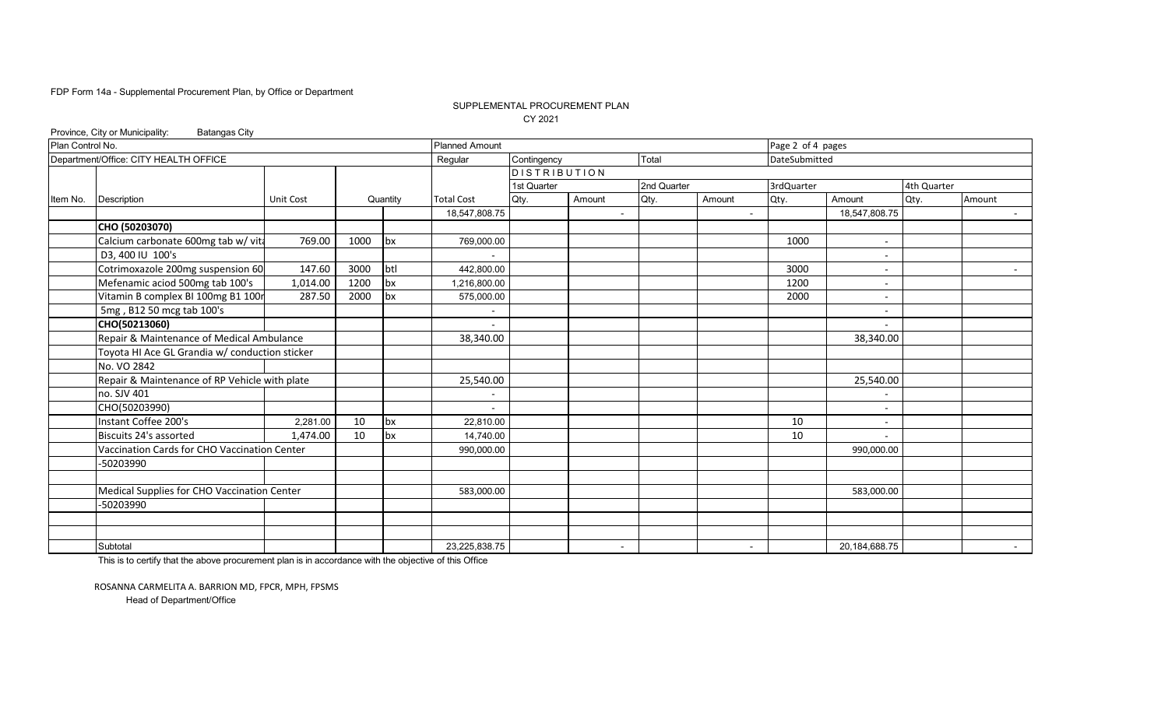#### SUPPLEMENTAL PROCUREMENT PLAN CY 2021

|                  | Province, City or Municipality:<br><b>Batangas City</b> |           |      |          |                       |                     |        |                |                          |                   |                          |             |            |
|------------------|---------------------------------------------------------|-----------|------|----------|-----------------------|---------------------|--------|----------------|--------------------------|-------------------|--------------------------|-------------|------------|
| Plan Control No. |                                                         |           |      |          | <b>Planned Amount</b> |                     |        |                |                          | Page 2 of 4 pages |                          |             |            |
|                  | Department/Office: CITY HEALTH OFFICE                   |           |      |          | Regular               | Contingency         |        | Total          |                          | DateSubmitted     |                          |             |            |
|                  |                                                         |           |      |          |                       | <b>DISTRIBUTION</b> |        |                |                          |                   |                          |             |            |
|                  |                                                         |           |      |          |                       | 1st Quarter         |        | 2nd Quarter    |                          | 3rdQuarter        |                          | 4th Quarter |            |
| Item No.         | <b>Description</b>                                      | Unit Cost |      | Quantity | <b>Total Cost</b>     | Qty.                | Amount | Qty.           | Amount                   | Qty.              | Amount                   | Qty.        | Amount     |
|                  |                                                         |           |      |          | 18,547,808.75         |                     |        | $\overline{a}$ | $\overline{\phantom{0}}$ |                   | 18,547,808.75            |             | $\sim 100$ |
|                  | CHO (50203070)                                          |           |      |          |                       |                     |        |                |                          |                   |                          |             |            |
|                  | Calcium carbonate 600mg tab w/ vita                     | 769.00    | 1000 | bx       | 769,000.00            |                     |        |                |                          | 1000              | $\sim$                   |             |            |
|                  | D3, 400 IU 100's                                        |           |      |          |                       |                     |        |                |                          |                   | $\overline{\phantom{a}}$ |             |            |
|                  | Cotrimoxazole 200mg suspension 60                       | 147.60    | 3000 | btl      | 442,800.00            |                     |        |                |                          | 3000              | $\overline{\phantom{a}}$ |             |            |
|                  | Mefenamic aciod 500mg tab 100's                         | 1,014.00  | 1200 | bx       | 1,216,800.00          |                     |        |                |                          | 1200              |                          |             |            |
|                  | Vitamin B complex BI 100mg B1 100r                      | 287.50    | 2000 | bx       | 575,000.00            |                     |        |                |                          | 2000              | $\overline{\phantom{a}}$ |             |            |
|                  | 5mg, B12 50 mcg tab 100's                               |           |      |          |                       |                     |        |                |                          |                   | $\overline{\phantom{a}}$ |             |            |
|                  | CHO(50213060)                                           |           |      |          |                       |                     |        |                |                          |                   |                          |             |            |
|                  | Repair & Maintenance of Medical Ambulance               |           |      |          | 38,340.00             |                     |        |                |                          |                   | 38,340.00                |             |            |
|                  | Toyota HI Ace GL Grandia w/ conduction sticker          |           |      |          |                       |                     |        |                |                          |                   |                          |             |            |
|                  | No. VO 2842                                             |           |      |          |                       |                     |        |                |                          |                   |                          |             |            |
|                  | Repair & Maintenance of RP Vehicle with plate           |           |      |          | 25,540.00             |                     |        |                |                          |                   | 25,540.00                |             |            |
|                  | no. SJV 401                                             |           |      |          |                       |                     |        |                |                          |                   |                          |             |            |
|                  | CHO(50203990)                                           |           |      |          |                       |                     |        |                |                          |                   | $\overline{\phantom{a}}$ |             |            |
|                  | Instant Coffee 200's                                    | 2,281.00  | 10   | bx       | 22.810.00             |                     |        |                |                          | 10                | $\overline{\phantom{a}}$ |             |            |
|                  | Biscuits 24's assorted                                  | 1,474.00  | 10   | bx       | 14,740.00             |                     |        |                |                          | 10                | $\overline{\phantom{a}}$ |             |            |
|                  | Vaccination Cards for CHO Vaccination Center            |           |      |          | 990,000.00            |                     |        |                |                          |                   | 990,000.00               |             |            |
|                  | -50203990                                               |           |      |          |                       |                     |        |                |                          |                   |                          |             |            |
|                  |                                                         |           |      |          |                       |                     |        |                |                          |                   |                          |             |            |
|                  | Medical Supplies for CHO Vaccination Center             |           |      |          | 583,000.00            |                     |        |                |                          |                   | 583,000.00               |             |            |
|                  | -50203990                                               |           |      |          |                       |                     |        |                |                          |                   |                          |             |            |
|                  |                                                         |           |      |          |                       |                     |        |                |                          |                   |                          |             |            |
|                  |                                                         |           |      |          |                       |                     |        |                |                          |                   |                          |             |            |
|                  | Subtotal                                                |           |      |          | 23,225,838.75         |                     |        | $\blacksquare$ | $\overline{\phantom{a}}$ |                   | 20,184,688.75            |             | $\sim$ $-$ |

This is to certify that the above procurement plan is in accordance with the objective of this Office

ROSANNA CARMELITA A. BARRION MD, FPCR, MPH, FPSMS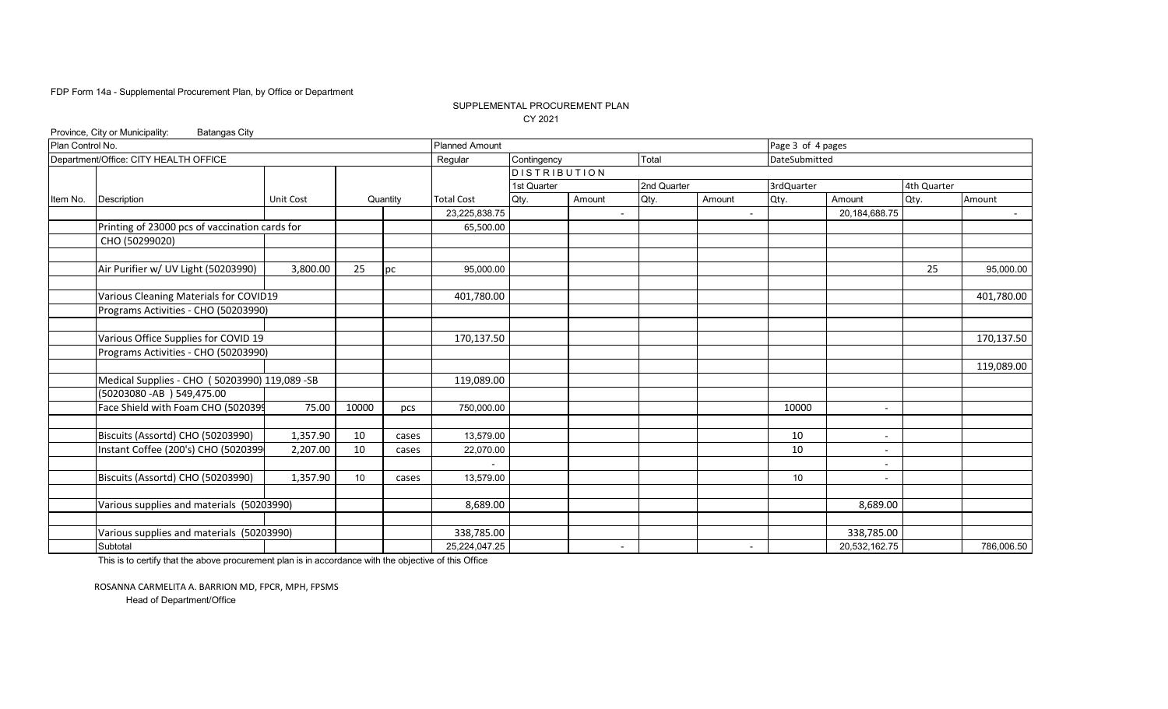#### SUPPLEMENTAL PROCUREMENT PLAN CY 2021

|                  | Province, City or Municipality:<br><b>Batangas City</b> |           |                 |          |                       |                     |                          |             |                          |                   |                          |             |            |
|------------------|---------------------------------------------------------|-----------|-----------------|----------|-----------------------|---------------------|--------------------------|-------------|--------------------------|-------------------|--------------------------|-------------|------------|
| Plan Control No. |                                                         |           |                 |          | <b>Planned Amount</b> |                     |                          |             |                          | Page 3 of 4 pages |                          |             |            |
|                  | Department/Office: CITY HEALTH OFFICE                   |           |                 |          | Regular               | Contingency         |                          | Total       |                          | DateSubmitted     |                          |             |            |
|                  |                                                         |           |                 |          |                       | <b>DISTRIBUTION</b> |                          |             |                          |                   |                          |             |            |
|                  |                                                         |           |                 |          |                       | 1st Quarter         |                          | 2nd Quarter |                          | 3rdQuarter        |                          | 4th Quarter |            |
| Item No.         | <b>Description</b>                                      | Unit Cost |                 | Quantity | <b>Total Cost</b>     | Qty.                | Amount                   | Qty.        | Amount                   | Qty.              | Amount                   | Qty.        | Amount     |
|                  |                                                         |           |                 |          | 23,225,838.75         |                     |                          |             |                          |                   | 20,184,688.75            |             | $\sim$     |
|                  | Printing of 23000 pcs of vaccination cards for          |           |                 |          | 65,500.00             |                     |                          |             |                          |                   |                          |             |            |
|                  | CHO (50299020)                                          |           |                 |          |                       |                     |                          |             |                          |                   |                          |             |            |
|                  |                                                         |           |                 |          |                       |                     |                          |             |                          |                   |                          |             |            |
|                  | Air Purifier w/ UV Light (50203990)                     | 3,800.00  | 25              | pc       | 95,000.00             |                     |                          |             |                          |                   |                          | 25          | 95,000.00  |
|                  |                                                         |           |                 |          |                       |                     |                          |             |                          |                   |                          |             |            |
|                  | Various Cleaning Materials for COVID19                  |           |                 |          | 401,780.00            |                     |                          |             |                          |                   |                          |             | 401,780.00 |
|                  | Programs Activities - CHO (50203990)                    |           |                 |          |                       |                     |                          |             |                          |                   |                          |             |            |
|                  |                                                         |           |                 |          |                       |                     |                          |             |                          |                   |                          |             |            |
|                  | Various Office Supplies for COVID 19                    |           |                 |          | 170,137.50            |                     |                          |             |                          |                   |                          |             | 170,137.50 |
|                  | Programs Activities - CHO (50203990)                    |           |                 |          |                       |                     |                          |             |                          |                   |                          |             |            |
|                  |                                                         |           |                 |          |                       |                     |                          |             |                          |                   |                          |             | 119,089.00 |
|                  | Medical Supplies - CHO (50203990) 119,089 -SB           |           |                 |          | 119,089.00            |                     |                          |             |                          |                   |                          |             |            |
|                  | (50203080 - AB) 549,475.00                              |           |                 |          |                       |                     |                          |             |                          |                   |                          |             |            |
|                  | Face Shield with Foam CHO (5020399                      | 75.00     | 10000           | pcs      | 750,000.00            |                     |                          |             |                          | 10000             | $\overline{\phantom{a}}$ |             |            |
|                  |                                                         |           |                 |          |                       |                     |                          |             |                          |                   |                          |             |            |
|                  | Biscuits (Assortd) CHO (50203990)                       | 1,357.90  | 10              | cases    | 13,579.00             |                     |                          |             |                          | 10                | $\overline{\phantom{a}}$ |             |            |
|                  | Instant Coffee (200's) CHO (5020399                     | 2,207.00  | 10              | cases    | 22,070.00             |                     |                          |             |                          | 10                |                          |             |            |
|                  |                                                         |           |                 |          |                       |                     |                          |             |                          |                   |                          |             |            |
|                  | Biscuits (Assortd) CHO (50203990)                       | 1,357.90  | 10 <sup>°</sup> | cases    | 13.579.00             |                     |                          |             |                          | 10 <sup>°</sup>   |                          |             |            |
|                  |                                                         |           |                 |          |                       |                     |                          |             |                          |                   |                          |             |            |
|                  | Various supplies and materials (50203990)               |           |                 |          | 8,689.00              |                     |                          |             |                          |                   | 8,689.00                 |             |            |
|                  |                                                         |           |                 |          |                       |                     |                          |             |                          |                   |                          |             |            |
|                  | Various supplies and materials (50203990)               |           |                 |          | 338,785.00            |                     |                          |             |                          |                   | 338,785.00               |             |            |
|                  | Subtotal                                                |           |                 |          | 25,224,047.25         |                     | $\overline{\phantom{a}}$ |             | $\overline{\phantom{a}}$ |                   | 20,532,162.75            |             | 786,006.50 |

This is to certify that the above procurement plan is in accordance with the objective of this Office

ROSANNA CARMELITA A. BARRION MD, FPCR, MPH, FPSMS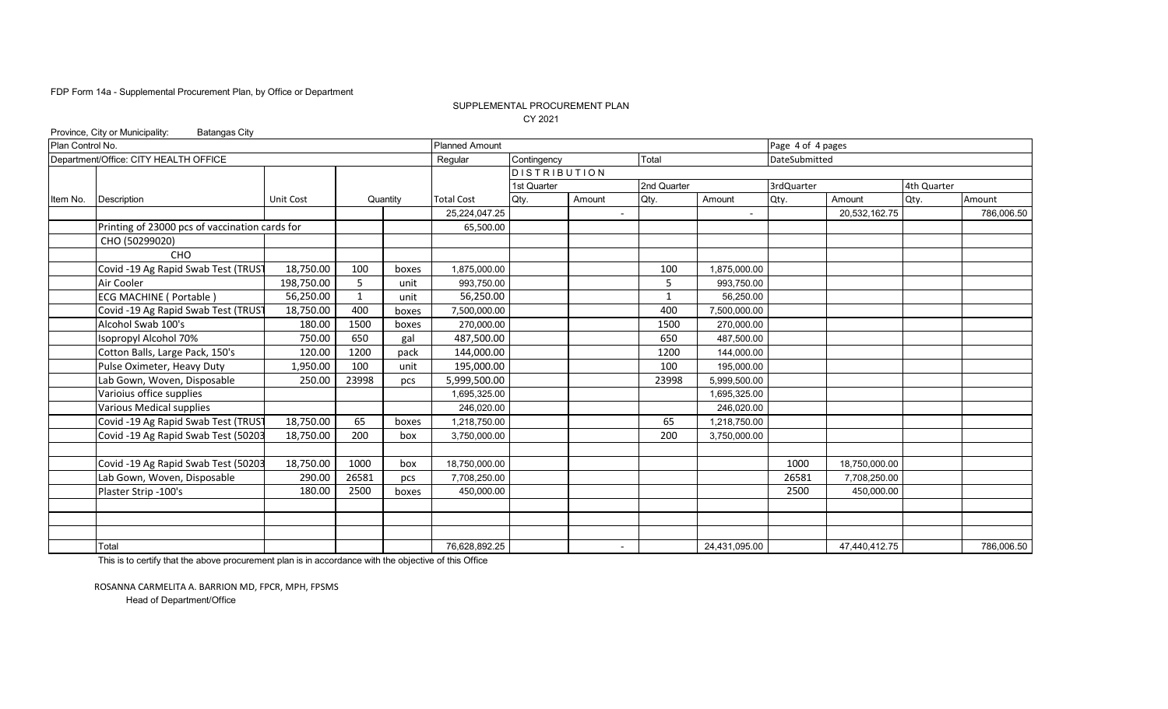#### SUPPLEMENTAL PROCUREMENT PLAN CY 2021

|                  | Province, City or Municipality:<br><b>Batangas City</b> |            |              |          |                       |                     |        |              |                |                   |               |             |            |
|------------------|---------------------------------------------------------|------------|--------------|----------|-----------------------|---------------------|--------|--------------|----------------|-------------------|---------------|-------------|------------|
| Plan Control No. |                                                         |            |              |          | <b>Planned Amount</b> |                     |        |              |                | Page 4 of 4 pages |               |             |            |
|                  | Department/Office: CITY HEALTH OFFICE                   |            |              |          | Regular               | Contingency         |        | Total        |                | DateSubmitted     |               |             |            |
|                  |                                                         |            |              |          |                       | <b>DISTRIBUTION</b> |        |              |                |                   |               |             |            |
|                  |                                                         |            |              |          |                       | 1st Quarter         |        | 2nd Quarter  |                | 3rdQuarter        |               | 4th Quarter |            |
| Item No.         | <b>Description</b>                                      | Unit Cost  |              | Quantity | <b>Total Cost</b>     | Qty.                | Amount | Qty.         | Amount         | Qty.              | Amount        | Qty.        | Amount     |
|                  |                                                         |            |              |          | 25,224,047.25         |                     |        |              | $\blacksquare$ |                   | 20,532,162.75 |             | 786,006.50 |
|                  | Printing of 23000 pcs of vaccination cards for          |            |              |          | 65,500.00             |                     |        |              |                |                   |               |             |            |
|                  | CHO (50299020)                                          |            |              |          |                       |                     |        |              |                |                   |               |             |            |
|                  | CHO                                                     |            |              |          |                       |                     |        |              |                |                   |               |             |            |
|                  | Covid -19 Ag Rapid Swab Test (TRUST                     | 18,750.00  | 100          | boxes    | 1,875,000.00          |                     |        | 100          | 1,875,000.00   |                   |               |             |            |
|                  | Air Cooler                                              | 198,750.00 | 5            | unit     | 993,750.00            |                     |        | 5            | 993,750.00     |                   |               |             |            |
|                  | <b>ECG MACHINE ( Portable )</b>                         | 56,250.00  | $\mathbf{1}$ | unit     | 56,250.00             |                     |        | $\mathbf{1}$ | 56,250.00      |                   |               |             |            |
|                  | Covid -19 Ag Rapid Swab Test (TRUST                     | 18,750.00  | 400          | boxes    | 7,500,000.00          |                     |        | 400          | 7,500,000.00   |                   |               |             |            |
|                  | Alcohol Swab 100's                                      | 180.00     | 1500         | boxes    | 270,000.00            |                     |        | 1500         | 270,000.00     |                   |               |             |            |
|                  | Isopropyl Alcohol 70%                                   | 750.00     | 650          | gal      | 487,500.00            |                     |        | 650          | 487,500.00     |                   |               |             |            |
|                  | Cotton Balls, Large Pack, 150's                         | 120.00     | 1200         | pack     | 144,000.00            |                     |        | 1200         | 144,000.00     |                   |               |             |            |
|                  | Pulse Oximeter, Heavy Duty                              | 1,950.00   | 100          | unit     | 195,000.00            |                     |        | 100          | 195,000.00     |                   |               |             |            |
|                  | Lab Gown, Woven, Disposable                             | 250.00     | 23998        | pcs      | 5,999,500.00          |                     |        | 23998        | 5,999,500.00   |                   |               |             |            |
|                  | Varioius office supplies                                |            |              |          | 1,695,325.00          |                     |        |              | 1,695,325.00   |                   |               |             |            |
|                  | Various Medical supplies                                |            |              |          | 246,020.00            |                     |        |              | 246,020.00     |                   |               |             |            |
|                  | Covid -19 Ag Rapid Swab Test (TRUST                     | 18,750.00  | 65           | boxes    | 1,218,750.00          |                     |        | 65           | 1,218,750.00   |                   |               |             |            |
|                  | Covid -19 Ag Rapid Swab Test (50203                     | 18,750.00  | 200          | box      | 3,750,000.00          |                     |        | 200          | 3,750,000.00   |                   |               |             |            |
|                  |                                                         |            |              |          |                       |                     |        |              |                |                   |               |             |            |
|                  | Covid -19 Ag Rapid Swab Test (50203                     | 18,750.00  | 1000         | box      | 18,750,000.00         |                     |        |              |                | 1000              | 18,750,000.00 |             |            |
|                  | Lab Gown, Woven, Disposable                             | 290.00     | 26581        | pcs      | 7,708,250.00          |                     |        |              |                | 26581             | 7,708,250.00  |             |            |
|                  | Plaster Strip - 100's                                   | 180.00     | 2500         | boxes    | 450,000.00            |                     |        |              |                | 2500              | 450,000.00    |             |            |
|                  |                                                         |            |              |          |                       |                     |        |              |                |                   |               |             |            |
|                  |                                                         |            |              |          |                       |                     |        |              |                |                   |               |             |            |
|                  |                                                         |            |              |          |                       |                     |        |              |                |                   |               |             |            |
|                  | Total                                                   |            |              |          | 76,628,892.25         |                     |        |              | 24,431,095.00  |                   | 47,440,412.75 |             | 786,006.50 |

This is to certify that the above procurement plan is in accordance with the objective of this Office

ROSANNA CARMELITA A. BARRION MD, FPCR, MPH, FPSMS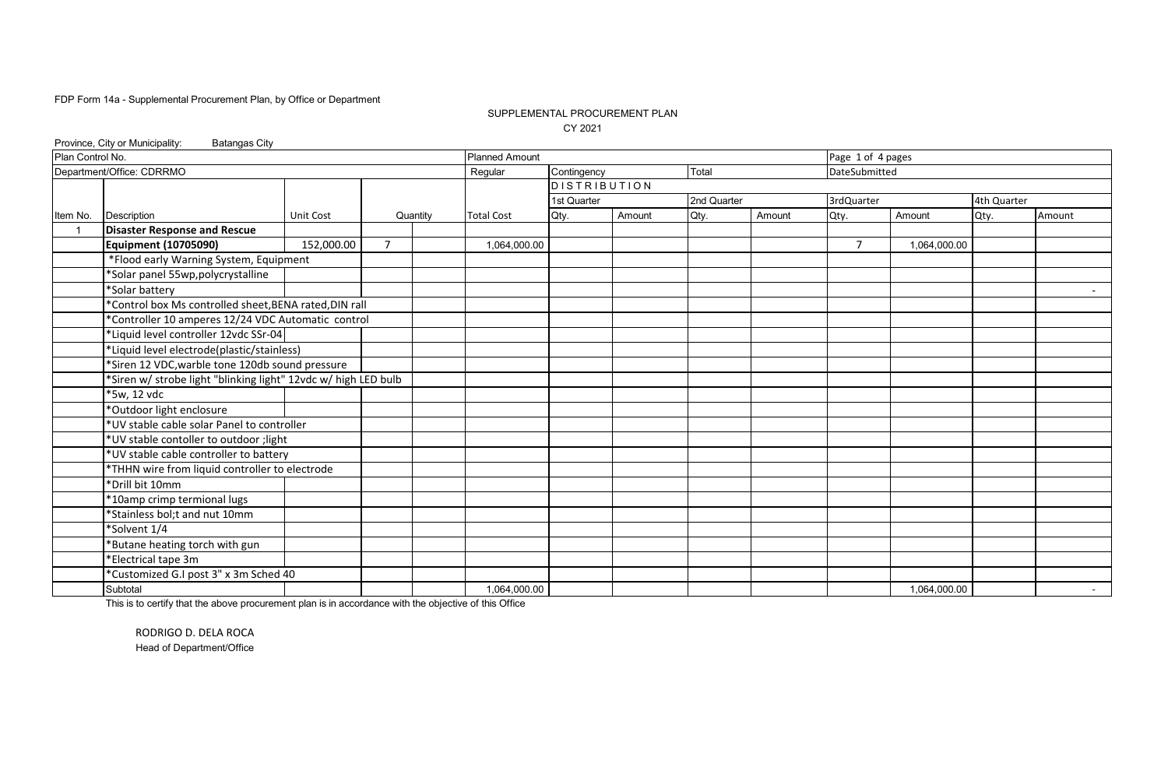### SUPPLEMENTAL PROCUREMENT PLAN CY 2021

|                  | Province, City or Municipality:<br><b>Batangas City</b>        |            |                |          |                       |                     |        |             |        |                   |              |             |        |
|------------------|----------------------------------------------------------------|------------|----------------|----------|-----------------------|---------------------|--------|-------------|--------|-------------------|--------------|-------------|--------|
| Plan Control No. |                                                                |            |                |          | <b>Planned Amount</b> |                     |        |             |        | Page 1 of 4 pages |              |             |        |
|                  | Department/Office: CDRRMO                                      |            |                |          | Regular               | Contingency         |        | Total       |        | DateSubmitted     |              |             |        |
|                  |                                                                |            |                |          |                       | <b>DISTRIBUTION</b> |        |             |        |                   |              |             |        |
|                  |                                                                |            |                |          |                       | 1st Quarter         |        | 2nd Quarter |        | 3rdQuarter        |              | 4th Quarter |        |
| Item No.         | Description                                                    | Unit Cost  |                | Quantity | <b>Total Cost</b>     | Qty.                | Amount | Qty.        | Amount | Qty.              | Amount       | Qty.        | Amount |
|                  | <b>Disaster Response and Rescue</b>                            |            |                |          |                       |                     |        |             |        |                   |              |             |        |
|                  | <b>Equipment (10705090)</b>                                    | 152,000.00 | $\overline{7}$ |          | 1,064,000.00          |                     |        |             |        | $\overline{7}$    | 1,064,000.00 |             |        |
|                  | *Flood early Warning System, Equipment                         |            |                |          |                       |                     |        |             |        |                   |              |             |        |
|                  | *Solar panel 55wp,polycrystalline                              |            |                |          |                       |                     |        |             |        |                   |              |             |        |
|                  | *Solar battery                                                 |            |                |          |                       |                     |        |             |        |                   |              |             | $\sim$ |
|                  | *Control box Ms controlled sheet, BENA rated, DIN rall         |            |                |          |                       |                     |        |             |        |                   |              |             |        |
|                  | *Controller 10 amperes 12/24 VDC Automatic control             |            |                |          |                       |                     |        |             |        |                   |              |             |        |
|                  | *Liquid level controller 12vdc SSr-04                          |            |                |          |                       |                     |        |             |        |                   |              |             |        |
|                  | *Liquid level electrode(plastic/stainless)                     |            |                |          |                       |                     |        |             |        |                   |              |             |        |
|                  | *Siren 12 VDC, warble tone 120db sound pressure                |            |                |          |                       |                     |        |             |        |                   |              |             |        |
|                  | *Siren w/ strobe light "blinking light" 12vdc w/ high LED bulb |            |                |          |                       |                     |        |             |        |                   |              |             |        |
|                  | *5w, 12 vdc                                                    |            |                |          |                       |                     |        |             |        |                   |              |             |        |
|                  | *Outdoor light enclosure                                       |            |                |          |                       |                     |        |             |        |                   |              |             |        |
|                  | *UV stable cable solar Panel to controller                     |            |                |          |                       |                     |        |             |        |                   |              |             |        |
|                  | *UV stable contoller to outdoor ; light                        |            |                |          |                       |                     |        |             |        |                   |              |             |        |
|                  | *UV stable cable controller to battery                         |            |                |          |                       |                     |        |             |        |                   |              |             |        |
|                  | *THHN wire from liquid controller to electrode                 |            |                |          |                       |                     |        |             |        |                   |              |             |        |
|                  | *Drill bit 10mm                                                |            |                |          |                       |                     |        |             |        |                   |              |             |        |
|                  | *10amp crimp termional lugs                                    |            |                |          |                       |                     |        |             |        |                   |              |             |        |
|                  | *Stainless bol;t and nut 10mm                                  |            |                |          |                       |                     |        |             |        |                   |              |             |        |
|                  | *Solvent 1/4                                                   |            |                |          |                       |                     |        |             |        |                   |              |             |        |
|                  | *Butane heating torch with gun                                 |            |                |          |                       |                     |        |             |        |                   |              |             |        |
|                  | *Electrical tape 3m                                            |            |                |          |                       |                     |        |             |        |                   |              |             |        |
|                  | *Customized G.I post 3" x 3m Sched 40                          |            |                |          |                       |                     |        |             |        |                   |              |             |        |
|                  | Subtotal                                                       |            |                |          | 1,064,000.00          |                     |        |             |        |                   | 1,064,000.00 |             | $\sim$ |

This is to certify that the above procurement plan is in accordance with the objective of this Office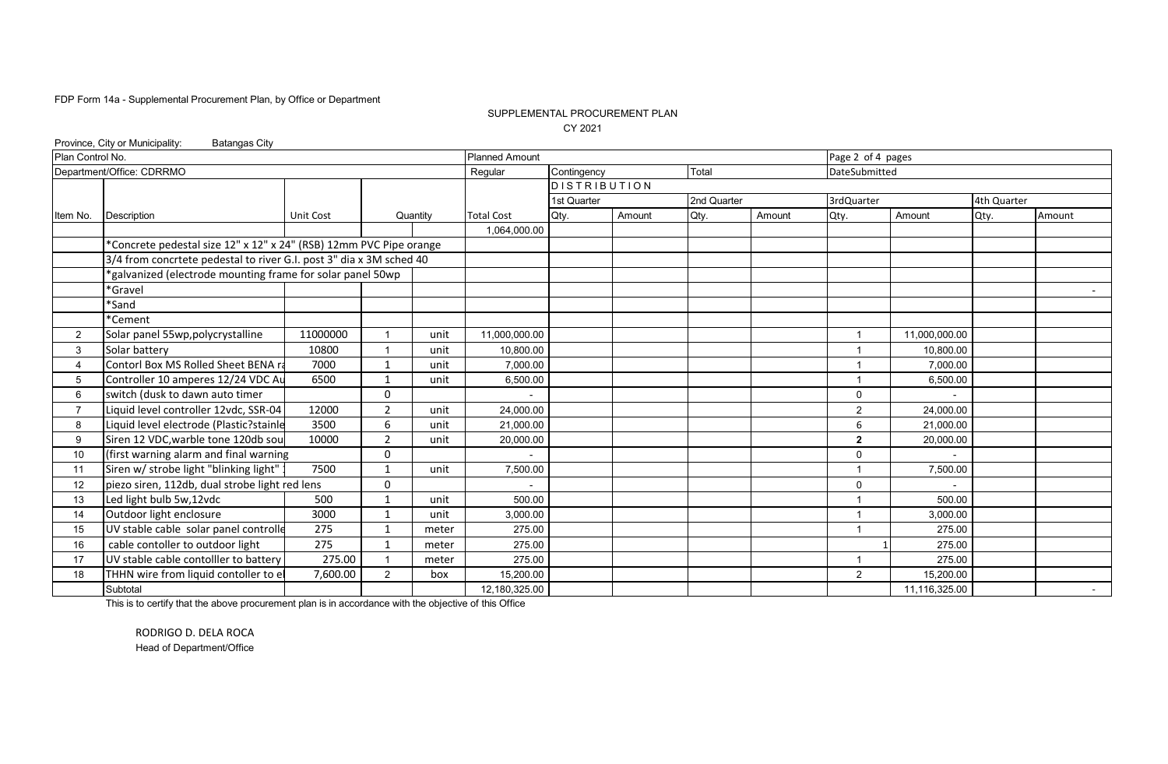### SUPPLEMENTAL PROCUREMENT PLAN CY 2021

|                  | Province, City or Municipality:<br><b>Batangas City</b><br><b>Planned Amount</b><br>Page 2 of 4 pages |           |                |          |                   |                     |        |             |               |                |               |             |        |
|------------------|-------------------------------------------------------------------------------------------------------|-----------|----------------|----------|-------------------|---------------------|--------|-------------|---------------|----------------|---------------|-------------|--------|
| Plan Control No. |                                                                                                       |           |                |          |                   |                     |        |             |               |                |               |             |        |
|                  | Department/Office: CDRRMO                                                                             |           |                |          | Regular           | Contingency         |        | Total       |               | DateSubmitted  |               |             |        |
|                  |                                                                                                       |           |                |          |                   | <b>DISTRIBUTION</b> |        |             |               |                |               |             |        |
|                  |                                                                                                       |           |                |          |                   | 1st Quarter         |        | 2nd Quarter |               | 3rdQuarter     |               | 4th Quarter |        |
| Item No.         | <b>Description</b>                                                                                    | Unit Cost |                | Quantity | <b>Total Cost</b> | Qty.                | Amount | Qty.        | Amount        | Qty.           | Amount        | Qty.        | Amount |
|                  |                                                                                                       |           |                |          | 1,064,000.00      |                     |        |             |               |                |               |             |        |
|                  | *Concrete pedestal size 12" x 12" x 24" (RSB) 12mm PVC Pipe orange                                    |           |                |          |                   |                     |        |             |               |                |               |             |        |
|                  | 3/4 from concrtete pedestal to river G.I. post 3" dia x 3M sched 40                                   |           |                |          |                   |                     |        |             |               |                |               |             |        |
|                  | 'galvanized (electrode mounting frame for solar panel 50wp                                            |           |                |          |                   |                     |        |             |               |                |               |             |        |
|                  | *Gravel                                                                                               |           |                |          |                   |                     |        |             |               |                |               |             |        |
|                  | *Sand                                                                                                 |           |                |          |                   |                     |        |             |               |                |               |             |        |
|                  | *Cement                                                                                               |           |                |          |                   |                     |        |             |               |                |               |             |        |
| $\overline{2}$   | 11000000<br>Solar panel 55wp, polycrystalline<br>unit                                                 |           |                |          | 11,000,000.00     |                     |        |             |               |                | 11,000,000.00 |             |        |
| 3                | Solar battery                                                                                         | 10800     |                | unit     | 10,800.00         |                     |        |             |               |                | 10,800.00     |             |        |
| 4                | Contorl Box MS Rolled Sheet BENA ra                                                                   | 7000      |                | unit     | 7.000.00          |                     |        |             |               |                | 7.000.00      |             |        |
| 5                | Controller 10 amperes 12/24 VDC Au                                                                    | 6500      |                | unit     | 6,500.00          |                     |        |             |               |                | 6,500.00      |             |        |
| 6                | switch (dusk to dawn auto timer                                                                       |           | $\Omega$       |          |                   |                     |        |             |               | $\Omega$       |               |             |        |
| $\overline{ }$   | Liquid level controller 12vdc, SSR-04                                                                 | 12000     | $\overline{2}$ | unit     | 24,000.00         |                     |        |             |               | $\overline{2}$ | 24,000.00     |             |        |
| 8                | Liquid level electrode (Plastic?stainle                                                               | 3500      | 6              | unit     | 21,000.00         |                     |        |             |               | 6              | 21,000.00     |             |        |
| 9                | Siren 12 VDC, warble tone 120db sou                                                                   | 10000     | $\overline{2}$ | unit     | 20,000.00         |                     |        |             |               | $\mathbf{2}$   | 20,000.00     |             |        |
| 10               | (first warning alarm and final warning                                                                |           | $\mathbf{0}$   |          |                   |                     |        |             |               | $\mathbf 0$    |               |             |        |
| 11               | Siren w/ strobe light "blinking light"                                                                | 7500      |                | unit     | 7,500.00          |                     |        |             |               |                | 7,500.00      |             |        |
| 12               | piezo siren, 112db, dual strobe light red lens                                                        |           | $\Omega$       |          |                   |                     |        |             |               | $\Omega$       |               |             |        |
| 13               | Led light bulb 5w,12vdc                                                                               | 500       | $\mathbf 1$    | unit     | 500.00            |                     |        |             |               |                | 500.00        |             |        |
| 14               | Outdoor light enclosure                                                                               | 3000      |                | unit     | 3,000.00          |                     |        |             |               |                | 3,000.00      |             |        |
| 15               | UV stable cable solar panel controlle                                                                 | 275       |                | meter    | 275.00            |                     |        |             |               |                | 275.00        |             |        |
| 16               | cable contoller to outdoor light                                                                      | 275       | $\mathbf 1$    | meter    | 275.00            |                     |        |             |               |                | 275.00        |             |        |
| 17               | UV stable cable contolller to battery                                                                 | 275.00    |                | meter    | 275.00            |                     |        |             |               |                | 275.00        |             |        |
| 18               | THHN wire from liquid contoller to e                                                                  | 7,600.00  | $\mathcal{P}$  | box      | 15,200.00         |                     |        |             |               | $\overline{2}$ | 15,200.00     |             |        |
|                  | Subtotal                                                                                              |           | 12,180,325.00  |          |                   |                     |        |             | 11,116,325.00 |                |               |             |        |

This is to certify that the above procurement plan is in accordance with the objective of this Office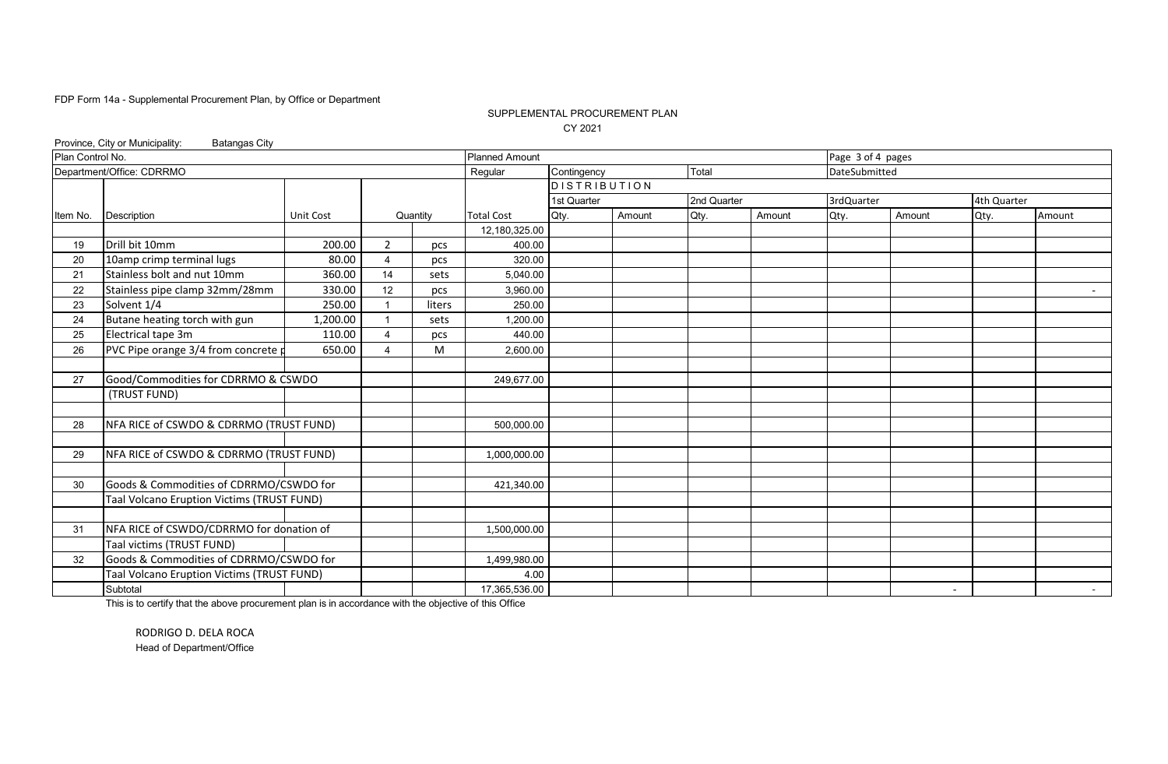### SUPPLEMENTAL PROCUREMENT PLAN CY 2021

| Plan Control No.<br><b>Planned Amount</b><br>Page 3 of 4 pages<br>Department/Office: CDRRMO<br>Contingency<br>Total<br>Regular<br>DateSubmitted<br><b>DISTRIBUTION</b><br>2nd Quarter<br>3rdQuarter<br>1st Quarter<br>4th Quarter<br><b>Total Cost</b><br>Qty.<br>Amount<br>Qty.<br>Qty.<br>Description<br><b>Unit Cost</b><br>Quantity<br>Amount<br>Qty.<br>Item No.<br>Amount<br>Amount<br>12,180,325.00<br>Drill bit 10mm<br>200.00<br>$\overline{2}$<br>400.00<br>19<br>pcs<br>10amp crimp terminal lugs<br>320.00<br>20<br>80.00<br>4<br>pcs<br>Stainless bolt and nut 10mm<br>360.00<br>21<br>14<br>5,040.00<br>sets<br>12<br>Stainless pipe clamp 32mm/28mm<br>330.00<br>3,960.00<br>22<br>pcs<br>Solvent 1/4<br>250.00<br>250.00<br>23<br>liters<br>Butane heating torch with gun<br>1,200.00<br>24<br>1,200.00<br>sets<br>Electrical tape 3m<br>110.00<br>440.00<br>25<br>4<br>pcs<br>PVC Pipe orange 3/4 from concrete p<br>650.00<br>M<br>26<br>2,600.00<br>4<br>Good/Commodities for CDRRMO & CSWDO<br>249,677.00<br>27<br>(TRUST FUND) | Province, City or Municipality:<br><b>Batangas City</b> |  |  |  |  |  |        |
|-----------------------------------------------------------------------------------------------------------------------------------------------------------------------------------------------------------------------------------------------------------------------------------------------------------------------------------------------------------------------------------------------------------------------------------------------------------------------------------------------------------------------------------------------------------------------------------------------------------------------------------------------------------------------------------------------------------------------------------------------------------------------------------------------------------------------------------------------------------------------------------------------------------------------------------------------------------------------------------------------------------------------------------------------------|---------------------------------------------------------|--|--|--|--|--|--------|
|                                                                                                                                                                                                                                                                                                                                                                                                                                                                                                                                                                                                                                                                                                                                                                                                                                                                                                                                                                                                                                                     |                                                         |  |  |  |  |  |        |
|                                                                                                                                                                                                                                                                                                                                                                                                                                                                                                                                                                                                                                                                                                                                                                                                                                                                                                                                                                                                                                                     |                                                         |  |  |  |  |  |        |
|                                                                                                                                                                                                                                                                                                                                                                                                                                                                                                                                                                                                                                                                                                                                                                                                                                                                                                                                                                                                                                                     |                                                         |  |  |  |  |  |        |
|                                                                                                                                                                                                                                                                                                                                                                                                                                                                                                                                                                                                                                                                                                                                                                                                                                                                                                                                                                                                                                                     |                                                         |  |  |  |  |  |        |
|                                                                                                                                                                                                                                                                                                                                                                                                                                                                                                                                                                                                                                                                                                                                                                                                                                                                                                                                                                                                                                                     |                                                         |  |  |  |  |  |        |
|                                                                                                                                                                                                                                                                                                                                                                                                                                                                                                                                                                                                                                                                                                                                                                                                                                                                                                                                                                                                                                                     |                                                         |  |  |  |  |  |        |
|                                                                                                                                                                                                                                                                                                                                                                                                                                                                                                                                                                                                                                                                                                                                                                                                                                                                                                                                                                                                                                                     |                                                         |  |  |  |  |  |        |
|                                                                                                                                                                                                                                                                                                                                                                                                                                                                                                                                                                                                                                                                                                                                                                                                                                                                                                                                                                                                                                                     |                                                         |  |  |  |  |  |        |
|                                                                                                                                                                                                                                                                                                                                                                                                                                                                                                                                                                                                                                                                                                                                                                                                                                                                                                                                                                                                                                                     |                                                         |  |  |  |  |  |        |
|                                                                                                                                                                                                                                                                                                                                                                                                                                                                                                                                                                                                                                                                                                                                                                                                                                                                                                                                                                                                                                                     |                                                         |  |  |  |  |  | $\sim$ |
|                                                                                                                                                                                                                                                                                                                                                                                                                                                                                                                                                                                                                                                                                                                                                                                                                                                                                                                                                                                                                                                     |                                                         |  |  |  |  |  |        |
|                                                                                                                                                                                                                                                                                                                                                                                                                                                                                                                                                                                                                                                                                                                                                                                                                                                                                                                                                                                                                                                     |                                                         |  |  |  |  |  |        |
|                                                                                                                                                                                                                                                                                                                                                                                                                                                                                                                                                                                                                                                                                                                                                                                                                                                                                                                                                                                                                                                     |                                                         |  |  |  |  |  |        |
|                                                                                                                                                                                                                                                                                                                                                                                                                                                                                                                                                                                                                                                                                                                                                                                                                                                                                                                                                                                                                                                     |                                                         |  |  |  |  |  |        |
|                                                                                                                                                                                                                                                                                                                                                                                                                                                                                                                                                                                                                                                                                                                                                                                                                                                                                                                                                                                                                                                     |                                                         |  |  |  |  |  |        |
|                                                                                                                                                                                                                                                                                                                                                                                                                                                                                                                                                                                                                                                                                                                                                                                                                                                                                                                                                                                                                                                     |                                                         |  |  |  |  |  |        |
|                                                                                                                                                                                                                                                                                                                                                                                                                                                                                                                                                                                                                                                                                                                                                                                                                                                                                                                                                                                                                                                     |                                                         |  |  |  |  |  |        |
|                                                                                                                                                                                                                                                                                                                                                                                                                                                                                                                                                                                                                                                                                                                                                                                                                                                                                                                                                                                                                                                     |                                                         |  |  |  |  |  |        |
| NFA RICE of CSWDO & CDRRMO (TRUST FUND)<br>28<br>500,000.00                                                                                                                                                                                                                                                                                                                                                                                                                                                                                                                                                                                                                                                                                                                                                                                                                                                                                                                                                                                         |                                                         |  |  |  |  |  |        |
|                                                                                                                                                                                                                                                                                                                                                                                                                                                                                                                                                                                                                                                                                                                                                                                                                                                                                                                                                                                                                                                     |                                                         |  |  |  |  |  |        |
| NFA RICE of CSWDO & CDRRMO (TRUST FUND)<br>1,000,000.00<br>29                                                                                                                                                                                                                                                                                                                                                                                                                                                                                                                                                                                                                                                                                                                                                                                                                                                                                                                                                                                       |                                                         |  |  |  |  |  |        |
|                                                                                                                                                                                                                                                                                                                                                                                                                                                                                                                                                                                                                                                                                                                                                                                                                                                                                                                                                                                                                                                     |                                                         |  |  |  |  |  |        |
| Goods & Commodities of CDRRMO/CSWDO for<br>30<br>421,340.00                                                                                                                                                                                                                                                                                                                                                                                                                                                                                                                                                                                                                                                                                                                                                                                                                                                                                                                                                                                         |                                                         |  |  |  |  |  |        |
| Taal Volcano Eruption Victims (TRUST FUND)                                                                                                                                                                                                                                                                                                                                                                                                                                                                                                                                                                                                                                                                                                                                                                                                                                                                                                                                                                                                          |                                                         |  |  |  |  |  |        |
|                                                                                                                                                                                                                                                                                                                                                                                                                                                                                                                                                                                                                                                                                                                                                                                                                                                                                                                                                                                                                                                     |                                                         |  |  |  |  |  |        |
| NFA RICE of CSWDO/CDRRMO for donation of<br>31<br>1,500,000.00                                                                                                                                                                                                                                                                                                                                                                                                                                                                                                                                                                                                                                                                                                                                                                                                                                                                                                                                                                                      |                                                         |  |  |  |  |  |        |
| Taal victims (TRUST FUND)                                                                                                                                                                                                                                                                                                                                                                                                                                                                                                                                                                                                                                                                                                                                                                                                                                                                                                                                                                                                                           |                                                         |  |  |  |  |  |        |
| Goods & Commodities of CDRRMO/CSWDO for<br>32<br>1,499,980.00                                                                                                                                                                                                                                                                                                                                                                                                                                                                                                                                                                                                                                                                                                                                                                                                                                                                                                                                                                                       |                                                         |  |  |  |  |  |        |
| Taal Volcano Eruption Victims (TRUST FUND)<br>4.00                                                                                                                                                                                                                                                                                                                                                                                                                                                                                                                                                                                                                                                                                                                                                                                                                                                                                                                                                                                                  |                                                         |  |  |  |  |  |        |
| Subtotal<br>17,365,536.00<br>$\sim$                                                                                                                                                                                                                                                                                                                                                                                                                                                                                                                                                                                                                                                                                                                                                                                                                                                                                                                                                                                                                 |                                                         |  |  |  |  |  | $\sim$ |

This is to certify that the above procurement plan is in accordance with the objective of this Office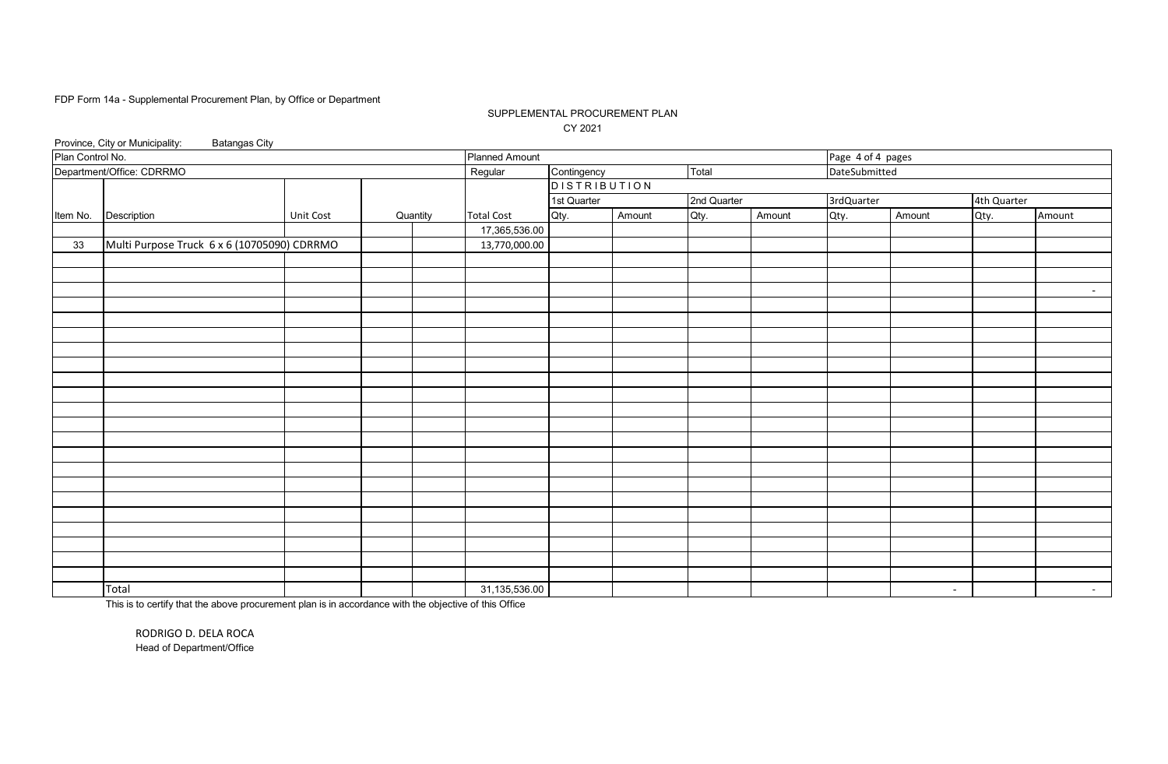### SUPPLEMENTAL PROCUREMENT PLAN CY 2021

|                  | Province, City or Municipality:<br><b>Batangas City</b><br>Page 4 of 4 pages |           |  |          |                       |                     |        |             |        |               |        |             |            |
|------------------|------------------------------------------------------------------------------|-----------|--|----------|-----------------------|---------------------|--------|-------------|--------|---------------|--------|-------------|------------|
| Plan Control No. |                                                                              |           |  |          | <b>Planned Amount</b> |                     |        |             |        |               |        |             |            |
|                  | Department/Office: CDRRMO                                                    |           |  |          | Regular               | Contingency         |        | Total       |        | DateSubmitted |        |             |            |
|                  |                                                                              |           |  |          |                       | <b>DISTRIBUTION</b> |        |             |        |               |        |             |            |
|                  |                                                                              |           |  |          |                       | 1st Quarter         |        | 2nd Quarter |        | 3rdQuarter    |        | 4th Quarter |            |
| Item No.         | Description                                                                  | Unit Cost |  | Quantity | <b>Total Cost</b>     | Qty.                | Amount | Qty.        | Amount | Qty.          | Amount | Qty.        | Amount     |
|                  |                                                                              |           |  |          | 17,365,536.00         |                     |        |             |        |               |        |             |            |
| 33               | Multi Purpose Truck 6 x 6 (10705090) CDRRMO                                  |           |  |          | 13,770,000.00         |                     |        |             |        |               |        |             |            |
|                  |                                                                              |           |  |          |                       |                     |        |             |        |               |        |             |            |
|                  |                                                                              |           |  |          |                       |                     |        |             |        |               |        |             |            |
|                  |                                                                              |           |  |          |                       |                     |        |             |        |               |        |             | $\sim$ $-$ |
|                  |                                                                              |           |  |          |                       |                     |        |             |        |               |        |             |            |
|                  |                                                                              |           |  |          |                       |                     |        |             |        |               |        |             |            |
|                  |                                                                              |           |  |          |                       |                     |        |             |        |               |        |             |            |
|                  |                                                                              |           |  |          |                       |                     |        |             |        |               |        |             |            |
|                  |                                                                              |           |  |          |                       |                     |        |             |        |               |        |             |            |
|                  |                                                                              |           |  |          |                       |                     |        |             |        |               |        |             |            |
|                  |                                                                              |           |  |          |                       |                     |        |             |        |               |        |             |            |
|                  |                                                                              |           |  |          |                       |                     |        |             |        |               |        |             |            |
|                  |                                                                              |           |  |          |                       |                     |        |             |        |               |        |             |            |
|                  |                                                                              |           |  |          |                       |                     |        |             |        |               |        |             |            |
|                  |                                                                              |           |  |          |                       |                     |        |             |        |               |        |             |            |
|                  |                                                                              |           |  |          |                       |                     |        |             |        |               |        |             |            |
|                  |                                                                              |           |  |          |                       |                     |        |             |        |               |        |             |            |
|                  |                                                                              |           |  |          |                       |                     |        |             |        |               |        |             |            |
|                  |                                                                              |           |  |          |                       |                     |        |             |        |               |        |             |            |
|                  |                                                                              |           |  |          |                       |                     |        |             |        |               |        |             |            |
|                  |                                                                              |           |  |          |                       |                     |        |             |        |               |        |             |            |
|                  |                                                                              |           |  |          |                       |                     |        |             |        |               |        |             |            |
|                  |                                                                              |           |  |          |                       |                     |        |             |        |               |        |             |            |
|                  | Total                                                                        |           |  |          | 31,135,536.00         |                     |        |             |        |               | $\sim$ |             | $\sim$ $-$ |

This is to certify that the above procurement plan is in accordance with the objective of this Office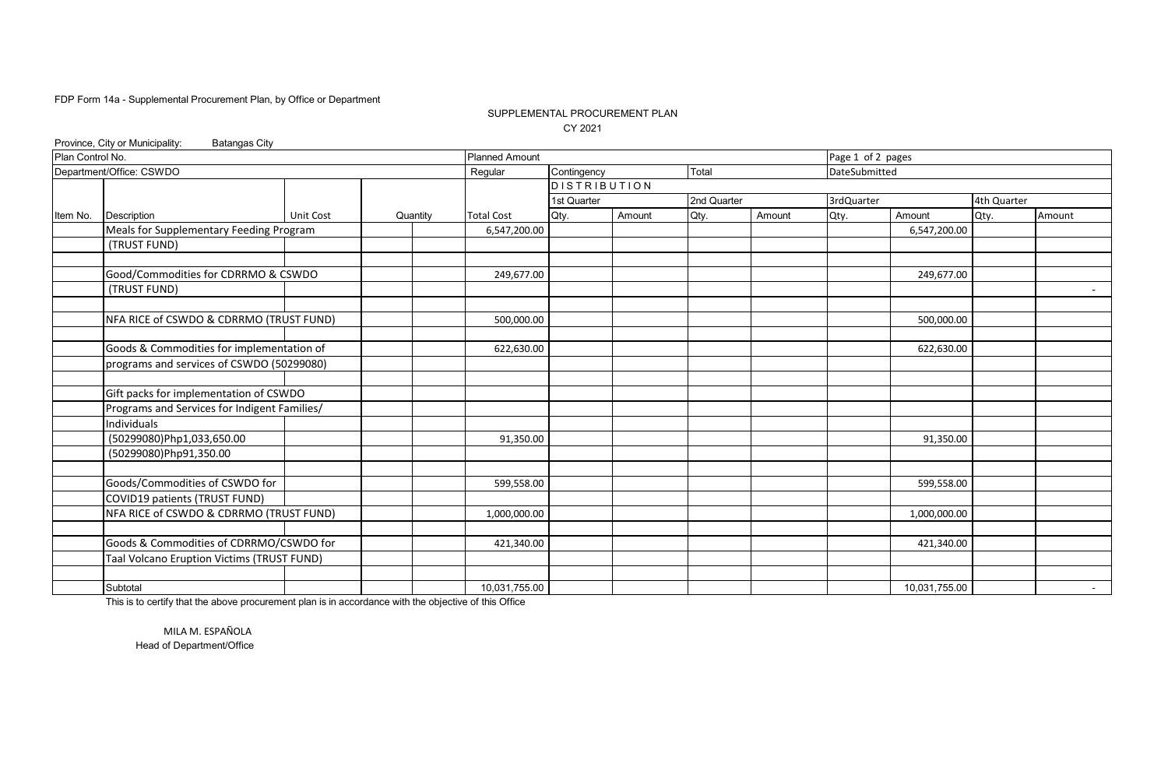### SUPPLEMENTAL PROCUREMENT PLAN CY 2021

|                  | Province, City or Municipality:<br><b>Batangas City</b> |           |          |                       |                   |                     |        |             |                   |               |               |             |                 |
|------------------|---------------------------------------------------------|-----------|----------|-----------------------|-------------------|---------------------|--------|-------------|-------------------|---------------|---------------|-------------|-----------------|
| Plan Control No. |                                                         |           |          | <b>Planned Amount</b> |                   |                     |        |             | Page 1 of 2 pages |               |               |             |                 |
|                  | Department/Office: CSWDO                                |           |          |                       | Regular           | Contingency         |        | Total       |                   | DateSubmitted |               |             |                 |
|                  |                                                         |           |          |                       |                   | <b>DISTRIBUTION</b> |        |             |                   |               |               |             |                 |
|                  |                                                         |           |          |                       |                   | 1st Quarter         |        | 2nd Quarter |                   | 3rdQuarter    |               | 4th Quarter |                 |
| Item No.         | Description                                             | Unit Cost | Quantity |                       | <b>Total Cost</b> | Qty.                | Amount | Qty.        | Amount            | Qty.          | Amount        | Qty.        | Amount          |
|                  | Meals for Supplementary Feeding Program                 |           |          |                       | 6,547,200.00      |                     |        |             |                   |               | 6,547,200.00  |             |                 |
|                  | (TRUST FUND)                                            |           |          |                       |                   |                     |        |             |                   |               |               |             |                 |
|                  |                                                         |           |          |                       |                   |                     |        |             |                   |               |               |             |                 |
|                  | Good/Commodities for CDRRMO & CSWDO                     |           |          |                       | 249,677.00        |                     |        |             |                   |               | 249,677.00    |             |                 |
|                  | (TRUST FUND)                                            |           |          |                       |                   |                     |        |             |                   |               |               |             |                 |
|                  |                                                         |           |          |                       |                   |                     |        |             |                   |               |               |             |                 |
|                  | NFA RICE of CSWDO & CDRRMO (TRUST FUND)                 |           |          |                       | 500,000.00        |                     |        |             |                   |               | 500,000.00    |             |                 |
|                  |                                                         |           |          |                       |                   |                     |        |             |                   |               |               |             |                 |
|                  | Goods & Commodities for implementation of               |           |          |                       | 622,630.00        |                     |        |             |                   |               | 622,630.00    |             |                 |
|                  | programs and services of CSWDO (50299080)               |           |          |                       |                   |                     |        |             |                   |               |               |             |                 |
|                  |                                                         |           |          |                       |                   |                     |        |             |                   |               |               |             |                 |
|                  | Gift packs for implementation of CSWDO                  |           |          |                       |                   |                     |        |             |                   |               |               |             |                 |
|                  | Programs and Services for Indigent Families/            |           |          |                       |                   |                     |        |             |                   |               |               |             |                 |
|                  | Individuals                                             |           |          |                       |                   |                     |        |             |                   |               |               |             |                 |
|                  | (50299080)Php1,033,650.00                               |           |          |                       | 91,350.00         |                     |        |             |                   |               | 91,350.00     |             |                 |
|                  | (50299080)Php91,350.00                                  |           |          |                       |                   |                     |        |             |                   |               |               |             |                 |
|                  |                                                         |           |          |                       |                   |                     |        |             |                   |               |               |             |                 |
|                  | Goods/Commodities of CSWDO for                          |           |          |                       | 599,558.00        |                     |        |             |                   |               | 599,558.00    |             |                 |
|                  | COVID19 patients (TRUST FUND)                           |           |          |                       |                   |                     |        |             |                   |               |               |             |                 |
|                  | NFA RICE of CSWDO & CDRRMO (TRUST FUND)                 |           |          |                       | 1,000,000.00      |                     |        |             |                   |               | 1,000,000.00  |             |                 |
|                  |                                                         |           |          |                       |                   |                     |        |             |                   |               |               |             |                 |
|                  | Goods & Commodities of CDRRMO/CSWDO for                 |           |          |                       | 421,340.00        |                     |        |             |                   |               | 421,340.00    |             |                 |
|                  | Taal Volcano Eruption Victims (TRUST FUND)              |           |          |                       |                   |                     |        |             |                   |               |               |             |                 |
|                  |                                                         |           |          |                       |                   |                     |        |             |                   |               |               |             |                 |
|                  | Subtotal                                                |           |          |                       | 10,031,755.00     |                     |        |             |                   |               | 10,031,755.00 |             | $\sim$ 10 $\pm$ |

This is to certify that the above procurement plan is in accordance with the objective of this Office

Head of Department/Office MILA M. ESPAÑOLA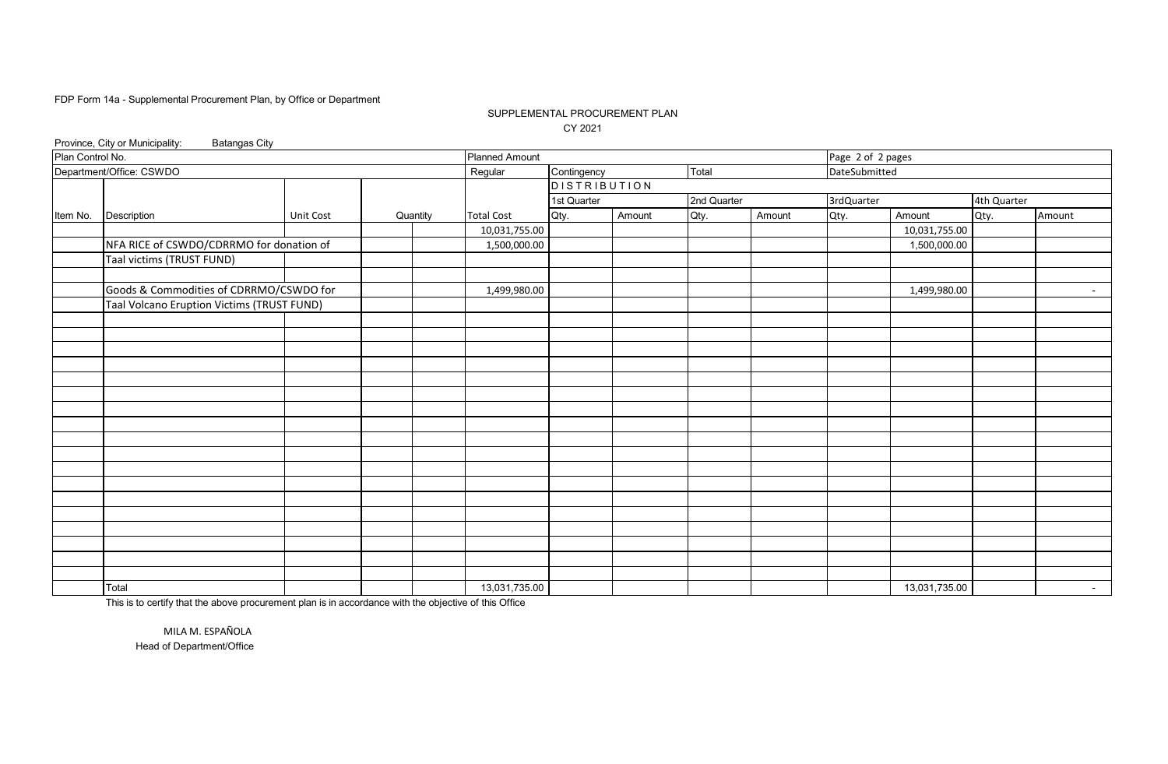### SUPPLEMENTAL PROCUREMENT PLAN CY 2021

|                  | Province, City or Municipality:<br><b>Batangas City</b> |           |  |               |                       |                     |        |             |        |                   |               |                 |            |
|------------------|---------------------------------------------------------|-----------|--|---------------|-----------------------|---------------------|--------|-------------|--------|-------------------|---------------|-----------------|------------|
| Plan Control No. |                                                         |           |  |               | <b>Planned Amount</b> |                     |        |             |        | Page 2 of 2 pages |               |                 |            |
|                  | Department/Office: CSWDO                                |           |  |               | Regular               | Contingency         |        | Total       |        | DateSubmitted     |               |                 |            |
|                  |                                                         |           |  |               |                       | <b>DISTRIBUTION</b> |        |             |        |                   |               |                 |            |
|                  |                                                         |           |  |               |                       | 1st Quarter         |        | 2nd Quarter |        | 3rdQuarter        |               | 4th Quarter     |            |
| Item No.         | Description                                             | Unit Cost |  | Quantity      | <b>Total Cost</b>     | Qty.                | Amount | Qty.        | Amount | Qty.              | Amount        | Qty.            | Amount     |
|                  |                                                         |           |  |               | 10,031,755.00         |                     |        |             |        |                   | 10,031,755.00 |                 |            |
|                  | NFA RICE of CSWDO/CDRRMO for donation of                |           |  |               | 1,500,000.00          |                     |        |             |        |                   | 1,500,000.00  |                 |            |
|                  | Taal victims (TRUST FUND)                               |           |  |               |                       |                     |        |             |        |                   |               |                 |            |
|                  |                                                         |           |  |               |                       |                     |        |             |        |                   |               |                 |            |
|                  | Goods & Commodities of CDRRMO/CSWDO for                 |           |  |               | 1,499,980.00          |                     |        |             |        |                   | 1,499,980.00  |                 | $\sim$ $-$ |
|                  | Taal Volcano Eruption Victims (TRUST FUND)              |           |  |               |                       |                     |        |             |        |                   |               |                 |            |
|                  |                                                         |           |  |               |                       |                     |        |             |        |                   |               |                 |            |
|                  |                                                         |           |  |               |                       |                     |        |             |        |                   |               |                 |            |
|                  |                                                         |           |  |               |                       |                     |        |             |        |                   |               |                 |            |
|                  |                                                         |           |  |               |                       |                     |        |             |        |                   |               |                 |            |
|                  |                                                         |           |  |               |                       |                     |        |             |        |                   |               |                 |            |
|                  |                                                         |           |  |               |                       |                     |        |             |        |                   |               |                 |            |
|                  |                                                         |           |  |               |                       |                     |        |             |        |                   |               |                 |            |
|                  |                                                         |           |  |               |                       |                     |        |             |        |                   |               |                 |            |
|                  |                                                         |           |  |               |                       |                     |        |             |        |                   |               |                 |            |
|                  |                                                         |           |  |               |                       |                     |        |             |        |                   |               |                 |            |
|                  |                                                         |           |  |               |                       |                     |        |             |        |                   |               |                 |            |
|                  |                                                         |           |  |               |                       |                     |        |             |        |                   |               |                 |            |
|                  |                                                         |           |  |               |                       |                     |        |             |        |                   |               |                 |            |
|                  |                                                         |           |  |               |                       |                     |        |             |        |                   |               |                 |            |
|                  |                                                         |           |  |               |                       |                     |        |             |        |                   |               |                 |            |
|                  |                                                         |           |  |               |                       |                     |        |             |        |                   |               |                 |            |
|                  |                                                         |           |  |               |                       |                     |        |             |        |                   |               |                 |            |
|                  |                                                         |           |  |               |                       |                     |        |             |        |                   |               |                 |            |
|                  | Total                                                   |           |  | 13,031,735.00 |                       |                     |        |             |        | 13,031,735.00     |               | $\sim$ 10 $\pm$ |            |

This is to certify that the above procurement plan is in accordance with the objective of this Office

MILA M. ESPAÑOLA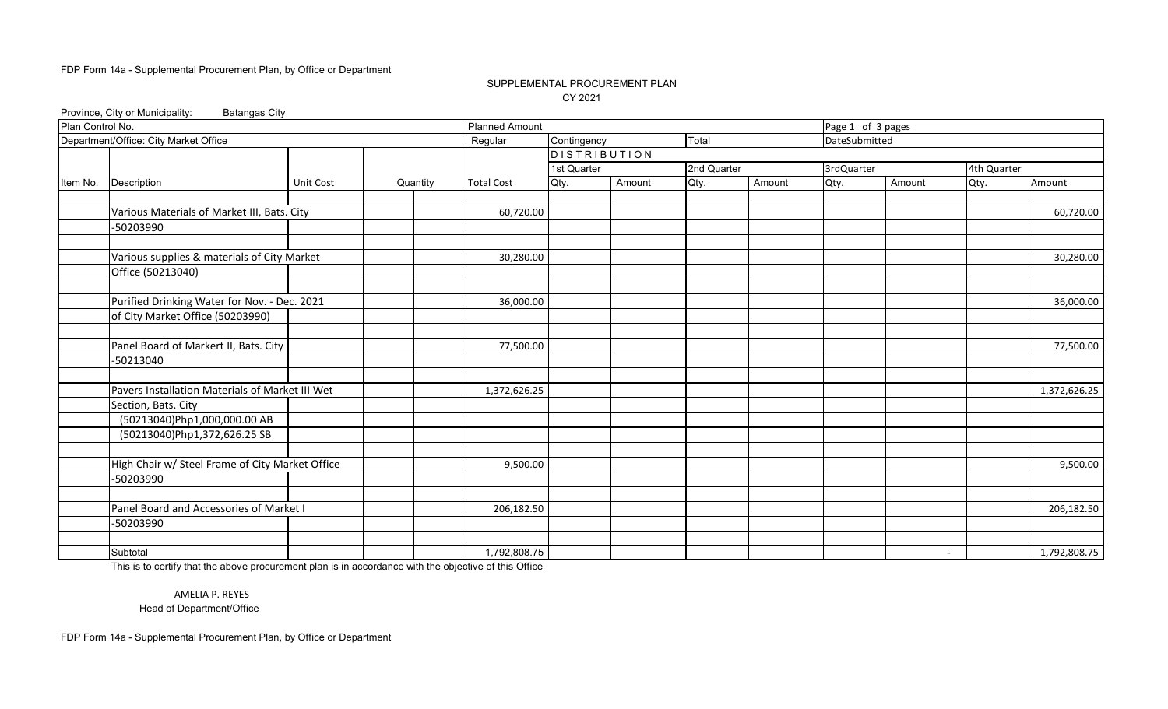### SUPPLEMENTAL PROCUREMENT PLAN CY 2021

Province, City or Municipality: Batangas City

| Plan Control No. |                                                 | <b>Planned Amount</b> |          |                   | Page 1 of 3 pages   |        |             |        |               |        |             |              |
|------------------|-------------------------------------------------|-----------------------|----------|-------------------|---------------------|--------|-------------|--------|---------------|--------|-------------|--------------|
|                  | Department/Office: City Market Office           |                       |          | Regular           | Contingency         |        | Total       |        | DateSubmitted |        |             |              |
|                  |                                                 |                       |          |                   | <b>DISTRIBUTION</b> |        |             |        |               |        |             |              |
|                  |                                                 |                       |          |                   | 1st Quarter         |        | 2nd Quarter |        | 3rdQuarter    |        | 4th Quarter |              |
| Item No.         | Description                                     | <b>Unit Cost</b>      | Quantity | <b>Total Cost</b> | Qty.                | Amount | Qty.        | Amount | Qty.          | Amount | Qty.        | Amount       |
|                  |                                                 |                       |          |                   |                     |        |             |        |               |        |             |              |
|                  | Various Materials of Market III, Bats. City     |                       |          | 60,720.00         |                     |        |             |        |               |        |             | 60,720.00    |
|                  | -50203990                                       |                       |          |                   |                     |        |             |        |               |        |             |              |
|                  |                                                 |                       |          |                   |                     |        |             |        |               |        |             |              |
|                  | Various supplies & materials of City Market     |                       |          | 30,280.00         |                     |        |             |        |               |        |             | 30,280.00    |
|                  | Office (50213040)                               |                       |          |                   |                     |        |             |        |               |        |             |              |
|                  |                                                 |                       |          |                   |                     |        |             |        |               |        |             |              |
|                  | Purified Drinking Water for Nov. - Dec. 2021    |                       |          | 36,000.00         |                     |        |             |        |               |        |             | 36,000.00    |
|                  | of City Market Office (50203990)                |                       |          |                   |                     |        |             |        |               |        |             |              |
|                  |                                                 |                       |          |                   |                     |        |             |        |               |        |             |              |
|                  | Panel Board of Markert II, Bats. City           |                       |          | 77,500.00         |                     |        |             |        |               |        |             | 77,500.00    |
|                  | -50213040                                       |                       |          |                   |                     |        |             |        |               |        |             |              |
|                  |                                                 |                       |          |                   |                     |        |             |        |               |        |             |              |
|                  | Pavers Installation Materials of Market III Wet |                       |          | 1,372,626.25      |                     |        |             |        |               |        |             | 1,372,626.25 |
|                  | Section, Bats. City                             |                       |          |                   |                     |        |             |        |               |        |             |              |
|                  | (50213040)Php1,000,000.00 AB                    |                       |          |                   |                     |        |             |        |               |        |             |              |
|                  | (50213040)Php1,372,626.25 SB                    |                       |          |                   |                     |        |             |        |               |        |             |              |
|                  |                                                 |                       |          |                   |                     |        |             |        |               |        |             |              |
|                  | High Chair w/ Steel Frame of City Market Office |                       |          | 9,500.00          |                     |        |             |        |               |        |             | 9,500.00     |
|                  | -50203990                                       |                       |          |                   |                     |        |             |        |               |        |             |              |
|                  |                                                 |                       |          |                   |                     |        |             |        |               |        |             |              |
|                  | Panel Board and Accessories of Market I         |                       |          | 206,182.50        |                     |        |             |        |               |        |             | 206,182.50   |
|                  | -50203990                                       |                       |          |                   |                     |        |             |        |               |        |             |              |
|                  |                                                 |                       |          |                   |                     |        |             |        |               |        |             |              |
|                  | Subtotal                                        |                       |          | 1,792,808.75      |                     |        |             |        |               | $\sim$ |             | 1,792,808.75 |

This is to certify that the above procurement plan is in accordance with the objective of this Office

AMELIA P. REYES

Head of Department/Office

FDP Form 14a - Supplemental Procurement Plan, by Office or Department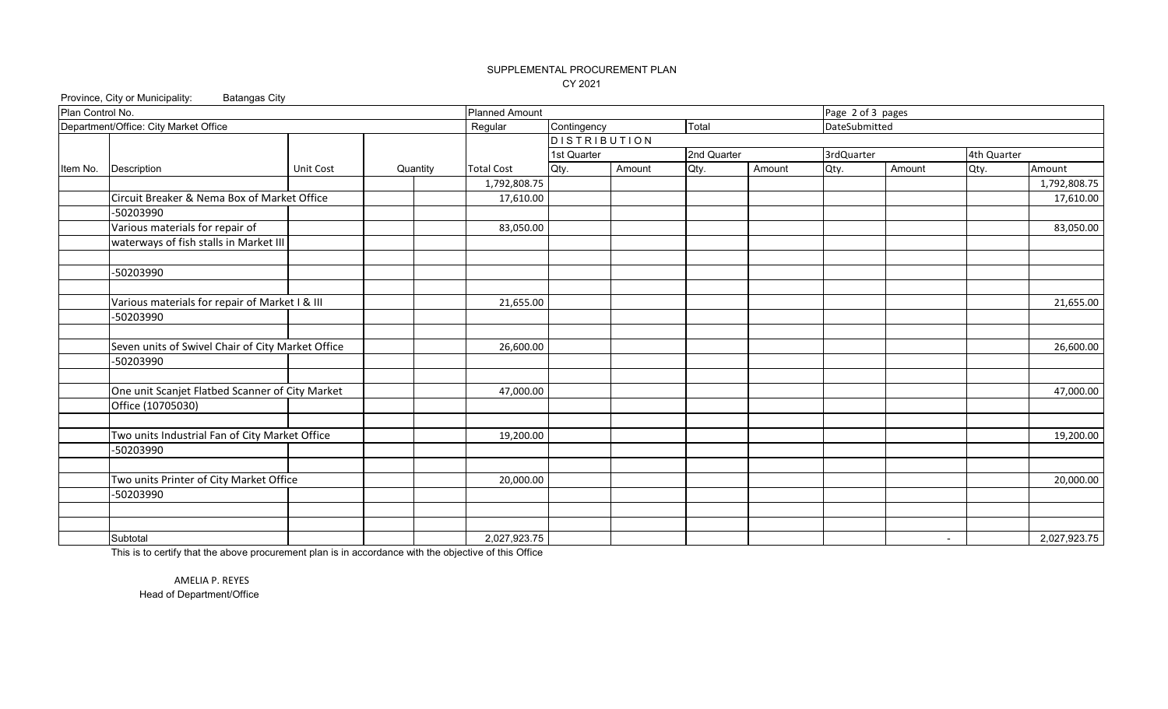# SUPPLEMENTAL PROCUREMENT PLAN CY 2021

Province, City or Municipality: Batangas City

| Plan Control No. |                                                   | <b>Planned Amount</b> |          |                   | Page 2 of 3 pages   |        |             |        |               |        |             |              |
|------------------|---------------------------------------------------|-----------------------|----------|-------------------|---------------------|--------|-------------|--------|---------------|--------|-------------|--------------|
|                  | Department/Office: City Market Office             |                       |          | Regular           | Contingency         |        | Total       |        | DateSubmitted |        |             |              |
|                  |                                                   |                       |          |                   | <b>DISTRIBUTION</b> |        |             |        |               |        |             |              |
|                  |                                                   |                       |          |                   | 1st Quarter         |        | 2nd Quarter |        | 3rdQuarter    |        | 4th Quarter |              |
| Item No.         | Description                                       | Unit Cost             | Quantity | <b>Total Cost</b> | Qty.                | Amount | Qty.        | Amount | Qty.          | Amount | Qty.        | Amount       |
|                  |                                                   |                       |          | 1,792,808.75      |                     |        |             |        |               |        |             | 1,792,808.75 |
|                  | Circuit Breaker & Nema Box of Market Office       |                       |          | 17,610.00         |                     |        |             |        |               |        |             | 17,610.00    |
|                  | -50203990                                         |                       |          |                   |                     |        |             |        |               |        |             |              |
|                  | Various materials for repair of                   |                       |          | 83,050.00         |                     |        |             |        |               |        |             | 83,050.00    |
|                  | waterways of fish stalls in Market III            |                       |          |                   |                     |        |             |        |               |        |             |              |
|                  |                                                   |                       |          |                   |                     |        |             |        |               |        |             |              |
|                  | -50203990                                         |                       |          |                   |                     |        |             |        |               |        |             |              |
|                  |                                                   |                       |          |                   |                     |        |             |        |               |        |             |              |
|                  | Various materials for repair of Market I & III    |                       |          | 21,655.00         |                     |        |             |        |               |        |             | 21,655.00    |
|                  | -50203990                                         |                       |          |                   |                     |        |             |        |               |        |             |              |
|                  |                                                   |                       |          |                   |                     |        |             |        |               |        |             |              |
|                  | Seven units of Swivel Chair of City Market Office |                       |          | 26,600.00         |                     |        |             |        |               |        |             | 26,600.00    |
|                  | -50203990                                         |                       |          |                   |                     |        |             |        |               |        |             |              |
|                  |                                                   |                       |          |                   |                     |        |             |        |               |        |             |              |
|                  | One unit Scanjet Flatbed Scanner of City Market   |                       |          | 47,000.00         |                     |        |             |        |               |        |             | 47,000.00    |
|                  | Office (10705030)                                 |                       |          |                   |                     |        |             |        |               |        |             |              |
|                  |                                                   |                       |          |                   |                     |        |             |        |               |        |             |              |
|                  | Two units Industrial Fan of City Market Office    |                       |          | 19,200.00         |                     |        |             |        |               |        |             | 19,200.00    |
|                  | -50203990                                         |                       |          |                   |                     |        |             |        |               |        |             |              |
|                  |                                                   |                       |          |                   |                     |        |             |        |               |        |             |              |
|                  | Two units Printer of City Market Office           |                       |          | 20,000.00         |                     |        |             |        |               |        |             | 20,000.00    |
|                  | -50203990                                         |                       |          |                   |                     |        |             |        |               |        |             |              |
|                  |                                                   |                       |          |                   |                     |        |             |        |               |        |             |              |
|                  |                                                   |                       |          |                   |                     |        |             |        |               |        |             |              |
|                  | Subtotal                                          |                       |          | 2,027,923.75      |                     |        |             |        |               |        | $\sim$      | 2,027,923.75 |

This is to certify that the above procurement plan is in accordance with the objective of this Office

AMELIA P. REYES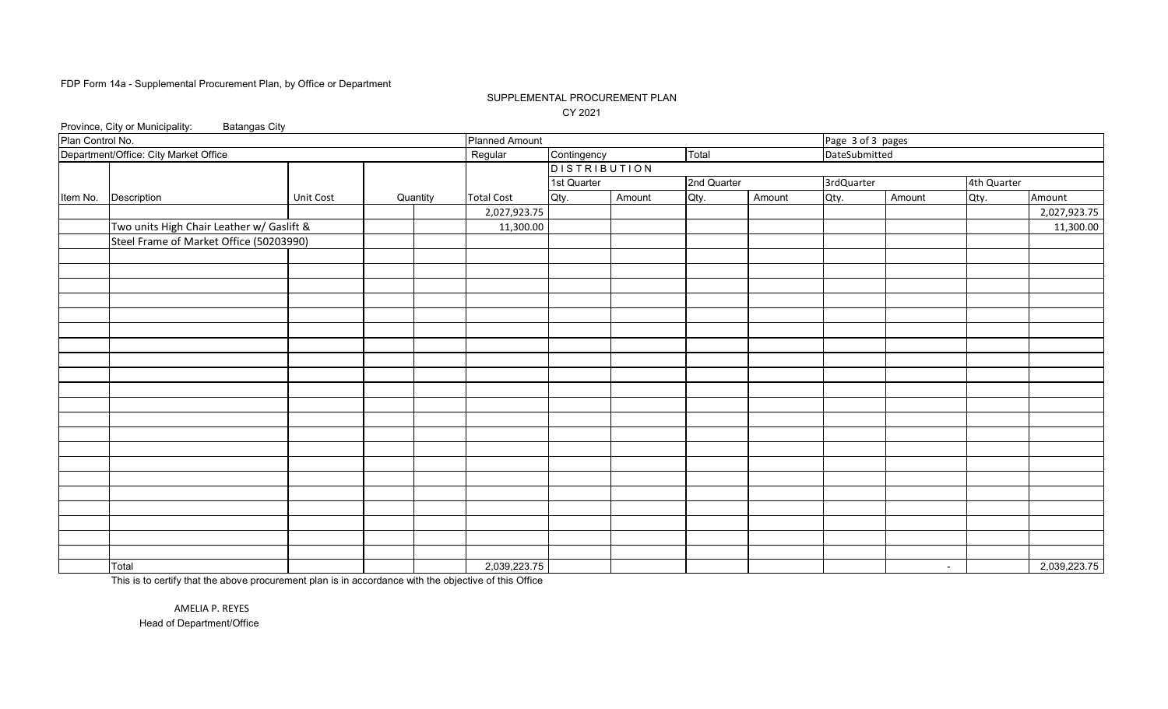### SUPPLEMENTAL PROCUREMENT PLAN CY 2021

|                  | Province, City or Municipality:<br><b>Batangas City</b> |           |          |                       |                     |        |             |        |                   |        |             |              |
|------------------|---------------------------------------------------------|-----------|----------|-----------------------|---------------------|--------|-------------|--------|-------------------|--------|-------------|--------------|
| Plan Control No. |                                                         |           |          | <b>Planned Amount</b> |                     |        |             |        | Page 3 of 3 pages |        |             |              |
|                  | Department/Office: City Market Office                   |           |          | Regular               | Contingency         |        | Total       |        | DateSubmitted     |        |             |              |
|                  |                                                         |           |          |                       | <b>DISTRIBUTION</b> |        |             |        |                   |        |             |              |
|                  |                                                         |           |          |                       | 1st Quarter         |        | 2nd Quarter |        | 3rdQuarter        |        | 4th Quarter |              |
| Item No.         | Description                                             | Unit Cost | Quantity | <b>Total Cost</b>     | Qty.                | Amount | Qty.        | Amount | Qty.              | Amount | Qty.        | Amount       |
|                  |                                                         |           |          | 2,027,923.75          |                     |        |             |        |                   |        |             | 2,027,923.75 |
|                  | Two units High Chair Leather w/ Gaslift &               |           |          | 11,300.00             |                     |        |             |        |                   |        |             | 11,300.00    |
|                  | Steel Frame of Market Office (50203990)                 |           |          |                       |                     |        |             |        |                   |        |             |              |
|                  |                                                         |           |          |                       |                     |        |             |        |                   |        |             |              |
|                  |                                                         |           |          |                       |                     |        |             |        |                   |        |             |              |
|                  |                                                         |           |          |                       |                     |        |             |        |                   |        |             |              |
|                  |                                                         |           |          |                       |                     |        |             |        |                   |        |             |              |
|                  |                                                         |           |          |                       |                     |        |             |        |                   |        |             |              |
|                  |                                                         |           |          |                       |                     |        |             |        |                   |        |             |              |
|                  |                                                         |           |          |                       |                     |        |             |        |                   |        |             |              |
|                  |                                                         |           |          |                       |                     |        |             |        |                   |        |             |              |
|                  |                                                         |           |          |                       |                     |        |             |        |                   |        |             |              |
|                  |                                                         |           |          |                       |                     |        |             |        |                   |        |             |              |
|                  |                                                         |           |          |                       |                     |        |             |        |                   |        |             |              |
|                  |                                                         |           |          |                       |                     |        |             |        |                   |        |             |              |
|                  |                                                         |           |          |                       |                     |        |             |        |                   |        |             |              |
|                  |                                                         |           |          |                       |                     |        |             |        |                   |        |             |              |
|                  |                                                         |           |          |                       |                     |        |             |        |                   |        |             |              |
|                  |                                                         |           |          |                       |                     |        |             |        |                   |        |             |              |
|                  |                                                         |           |          |                       |                     |        |             |        |                   |        |             |              |
|                  |                                                         |           |          |                       |                     |        |             |        |                   |        |             |              |
|                  |                                                         |           |          |                       |                     |        |             |        |                   |        |             |              |
|                  |                                                         |           |          |                       |                     |        |             |        |                   |        |             |              |
|                  |                                                         |           |          |                       |                     |        |             |        |                   |        |             |              |
|                  | Total                                                   |           |          | 2,039,223.75          |                     |        |             |        |                   | $\sim$ |             | 2,039,223.75 |

This is to certify that the above procurement plan is in accordance with the objective of this Office

Head of Department/Office AMELIA P. REYES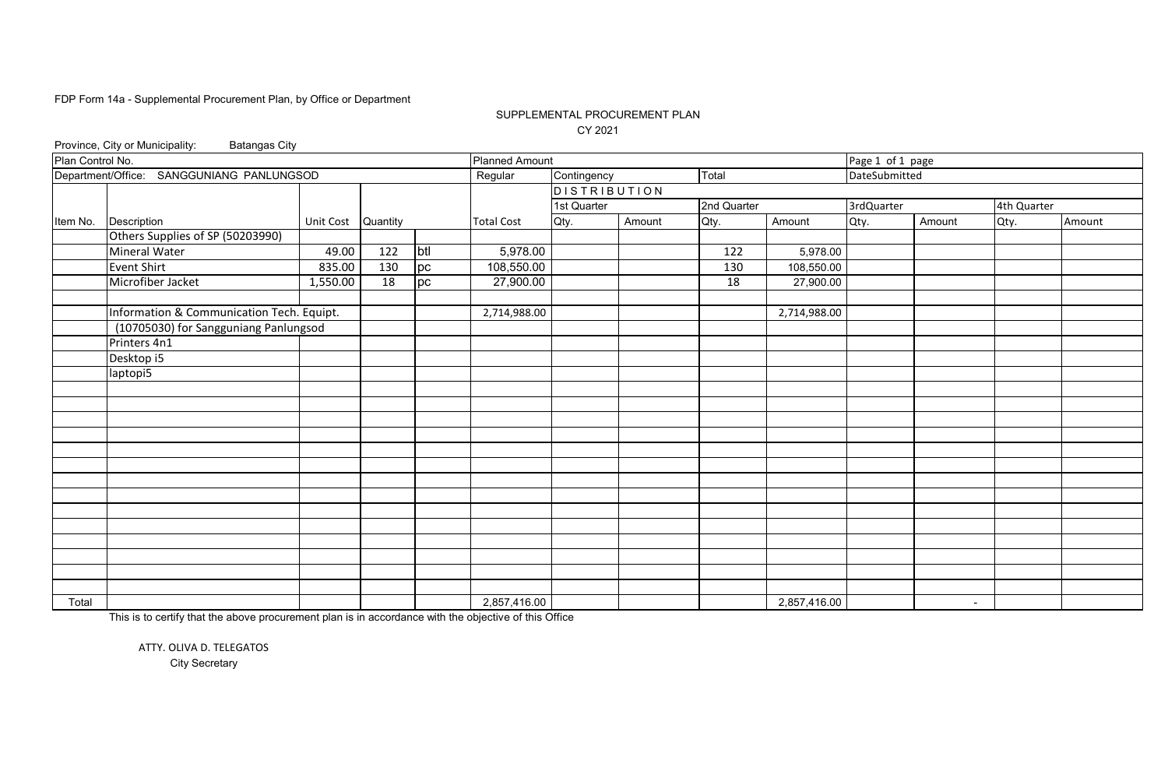# SUPPLEMENTAL PROCUREMENT PLAN CY 2021

|                  | Province, City or Municipality:<br><b>Batangas City</b> |                    |     |     |                       |                     |        |                 |              |                  |                          |             |        |  |
|------------------|---------------------------------------------------------|--------------------|-----|-----|-----------------------|---------------------|--------|-----------------|--------------|------------------|--------------------------|-------------|--------|--|
| Plan Control No. |                                                         |                    |     |     | <b>Planned Amount</b> |                     |        |                 |              | Page 1 of 1 page |                          |             |        |  |
|                  | Department/Office: SANGGUNIANG PANLUNGSOD               |                    |     |     | Regular               | Contingency         |        | Total           |              | DateSubmitted    |                          |             |        |  |
|                  |                                                         |                    |     |     |                       | <b>DISTRIBUTION</b> |        |                 |              |                  |                          |             |        |  |
|                  |                                                         |                    |     |     |                       | 1st Quarter         |        | 2nd Quarter     |              | 3rdQuarter       |                          | 4th Quarter |        |  |
| Item No.         | Description                                             | Unit Cost Quantity |     |     | <b>Total Cost</b>     | Qty.                | Amount | Qty.            | Amount       | Qty.             | Amount                   | Qty.        | Amount |  |
|                  | Others Supplies of SP (50203990)                        |                    |     |     |                       |                     |        |                 |              |                  |                          |             |        |  |
|                  | <b>Mineral Water</b>                                    | 49.00              | 122 | btl | 5,978.00              |                     |        | 122             | 5,978.00     |                  |                          |             |        |  |
|                  | <b>Event Shirt</b>                                      | 835.00             | 130 | pc  | 108,550.00            |                     |        | 130             | 108,550.00   |                  |                          |             |        |  |
|                  | Microfiber Jacket                                       | 1,550.00           | 18  | pc  | 27,900.00             |                     |        | $\overline{18}$ | 27,900.00    |                  |                          |             |        |  |
|                  |                                                         |                    |     |     |                       |                     |        |                 |              |                  |                          |             |        |  |
|                  | Information & Communication Tech. Equipt.               |                    |     |     | 2,714,988.00          |                     |        |                 | 2,714,988.00 |                  |                          |             |        |  |
|                  | (10705030) for Sangguniang Panlungsod                   |                    |     |     |                       |                     |        |                 |              |                  |                          |             |        |  |
|                  | Printers 4n1                                            |                    |     |     |                       |                     |        |                 |              |                  |                          |             |        |  |
|                  | Desktop <sub>15</sub>                                   |                    |     |     |                       |                     |        |                 |              |                  |                          |             |        |  |
|                  | laptopi5                                                |                    |     |     |                       |                     |        |                 |              |                  |                          |             |        |  |
|                  |                                                         |                    |     |     |                       |                     |        |                 |              |                  |                          |             |        |  |
|                  |                                                         |                    |     |     |                       |                     |        |                 |              |                  |                          |             |        |  |
|                  |                                                         |                    |     |     |                       |                     |        |                 |              |                  |                          |             |        |  |
|                  |                                                         |                    |     |     |                       |                     |        |                 |              |                  |                          |             |        |  |
|                  |                                                         |                    |     |     |                       |                     |        |                 |              |                  |                          |             |        |  |
|                  |                                                         |                    |     |     |                       |                     |        |                 |              |                  |                          |             |        |  |
|                  |                                                         |                    |     |     |                       |                     |        |                 |              |                  |                          |             |        |  |
|                  |                                                         |                    |     |     |                       |                     |        |                 |              |                  |                          |             |        |  |
|                  |                                                         |                    |     |     |                       |                     |        |                 |              |                  |                          |             |        |  |
|                  |                                                         |                    |     |     |                       |                     |        |                 |              |                  |                          |             |        |  |
|                  |                                                         |                    |     |     |                       |                     |        |                 |              |                  |                          |             |        |  |
|                  |                                                         |                    |     |     |                       |                     |        |                 |              |                  |                          |             |        |  |
|                  |                                                         |                    |     |     |                       |                     |        |                 |              |                  |                          |             |        |  |
|                  |                                                         |                    |     |     |                       |                     |        |                 |              |                  |                          |             |        |  |
| Total            |                                                         |                    |     |     | 2,857,416.00          |                     |        |                 | 2,857,416.00 |                  | $\overline{\phantom{a}}$ |             |        |  |

This is to certify that the above procurement plan is in accordance with the objective of this Office

ATTY. OLIVA D. TELEGATOS City Secretary